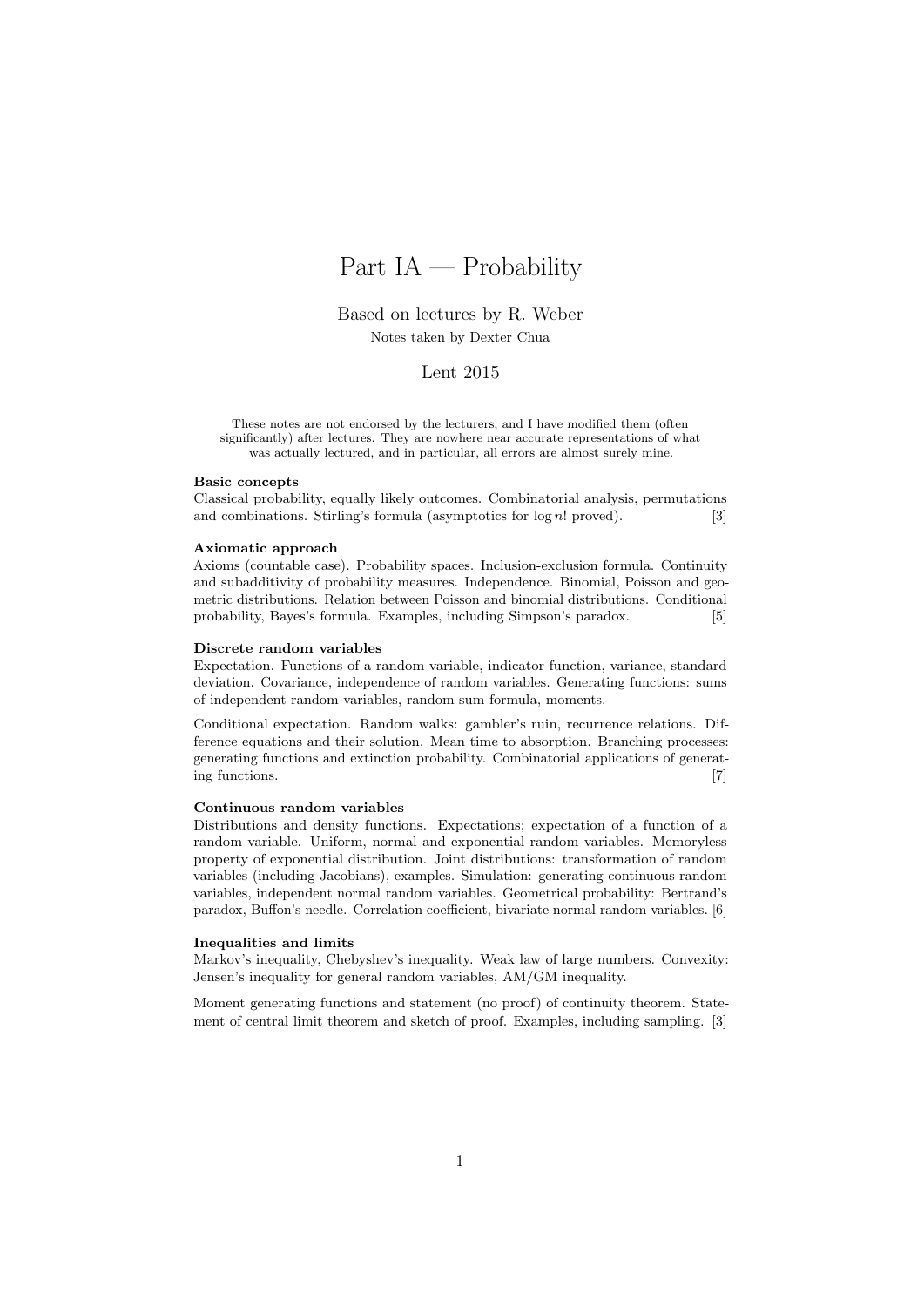# Part IA — Probability

Based on lectures by R. Weber Notes taken by Dexter Chua

#### Lent 2015

These notes are not endorsed by the lecturers, and I have modified them (often significantly) after lectures. They are nowhere near accurate representations of what was actually lectured, and in particular, all errors are almost surely mine.

#### Basic concepts

Classical probability, equally likely outcomes. Combinatorial analysis, permutations and combinations. Stirling's formula (asymptotics for  $log n!$  proved). [3]

#### Axiomatic approach

Axioms (countable case). Probability spaces. Inclusion-exclusion formula. Continuity and subadditivity of probability measures. Independence. Binomial, Poisson and geometric distributions. Relation between Poisson and binomial distributions. Conditional probability, Bayes's formula. Examples, including Simpson's paradox. [5]

#### Discrete random variables

Expectation. Functions of a random variable, indicator function, variance, standard deviation. Covariance, independence of random variables. Generating functions: sums of independent random variables, random sum formula, moments.

Conditional expectation. Random walks: gambler's ruin, recurrence relations. Difference equations and their solution. Mean time to absorption. Branching processes: generating functions and extinction probability. Combinatorial applications of generating functions. [7]

#### Continuous random variables

Distributions and density functions. Expectations; expectation of a function of a random variable. Uniform, normal and exponential random variables. Memoryless property of exponential distribution. Joint distributions: transformation of random variables (including Jacobians), examples. Simulation: generating continuous random variables, independent normal random variables. Geometrical probability: Bertrand's paradox, Buffon's needle. Correlation coefficient, bivariate normal random variables. [6]

#### Inequalities and limits

Markov's inequality, Chebyshev's inequality. Weak law of large numbers. Convexity: Jensen's inequality for general random variables, AM/GM inequality.

Moment generating functions and statement (no proof) of continuity theorem. Statement of central limit theorem and sketch of proof. Examples, including sampling. [3]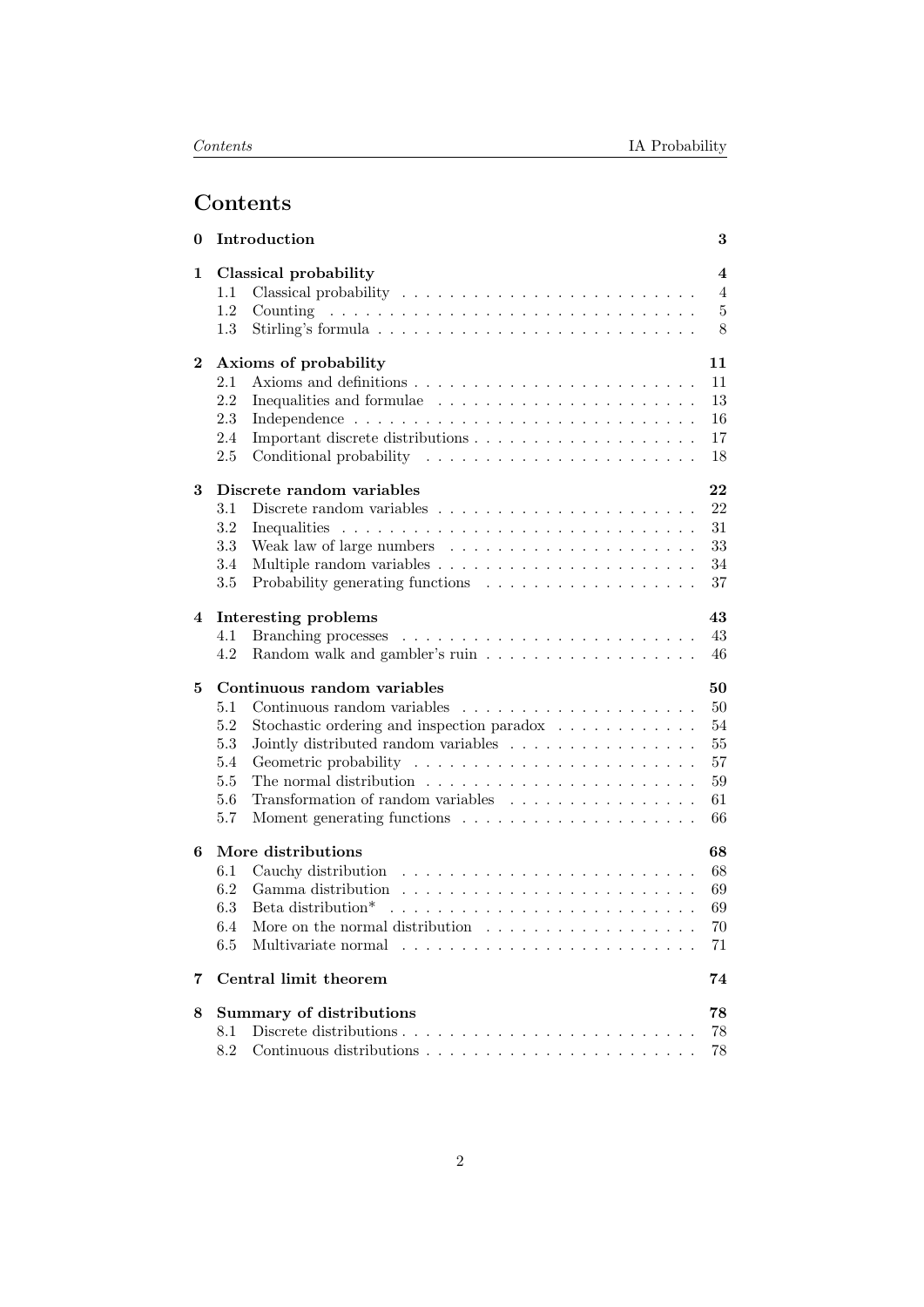# Contents

| 0        | Introduction                                                                                     | 3                       |
|----------|--------------------------------------------------------------------------------------------------|-------------------------|
| 1        | Classical probability                                                                            | $\overline{\mathbf{4}}$ |
|          | $1.1\,$                                                                                          | 4                       |
|          | 1.2                                                                                              | $\overline{5}$          |
|          | 1.3                                                                                              | 8                       |
| $\bf{2}$ | Axioms of probability<br>11                                                                      |                         |
|          | 2.1<br>11                                                                                        |                         |
|          | 2.2<br>Inequalities and formulae<br>13                                                           |                         |
|          | 2.3<br>16                                                                                        |                         |
|          | 17<br>2.4                                                                                        |                         |
|          | 2.5<br>18                                                                                        |                         |
| 3        | Discrete random variables<br>22                                                                  |                         |
|          | 22<br>3.1                                                                                        |                         |
|          | 3.2<br>31                                                                                        |                         |
|          | 3.3<br>33<br>Weak law of large numbers $\dots \dots \dots \dots \dots \dots \dots$               |                         |
|          | 3.4<br>34                                                                                        |                         |
|          | 3.5<br>37                                                                                        |                         |
| 4        | Interesting problems<br>43                                                                       |                         |
|          | 43<br>4.1                                                                                        |                         |
|          | 4.2<br>46                                                                                        |                         |
| 5        | Continuous random variables<br>50                                                                |                         |
|          | 50<br>5.1                                                                                        |                         |
|          | 5.2<br>Stochastic ordering and inspection paradox $\ldots \ldots \ldots \ldots$<br>54            |                         |
|          | 5.3<br>Jointly distributed random variables $\ldots \ldots \ldots \ldots \ldots$<br>$55\,$       |                         |
|          | $57\,$<br>5.4                                                                                    |                         |
|          | 5.5<br>The normal distribution $\ldots \ldots \ldots \ldots \ldots \ldots \ldots \ldots$<br>59   |                         |
|          | Transformation of random variables $\ldots \ldots \ldots \ldots \ldots$<br>5.6<br>61             |                         |
|          | 5.7<br>66                                                                                        |                         |
|          |                                                                                                  |                         |
| 6        | More distributions<br>68                                                                         |                         |
|          | 6.1<br>68                                                                                        |                         |
|          | 6.2<br>69                                                                                        |                         |
|          | 6.3<br>Beta distribution* $\ldots \ldots \ldots \ldots \ldots \ldots \ldots \ldots \ldots$<br>69 |                         |
|          | More on the normal distribution $\ldots \ldots \ldots \ldots \ldots \ldots$<br>$70\,$<br>$6.4\,$ |                         |
|          | 6.5<br>71                                                                                        |                         |
| 7        | Central limit theorem<br>74                                                                      |                         |
| 8        | <b>Summary of distributions</b><br>78                                                            |                         |
|          | 78<br>8.1                                                                                        |                         |
|          | 8.2<br>78                                                                                        |                         |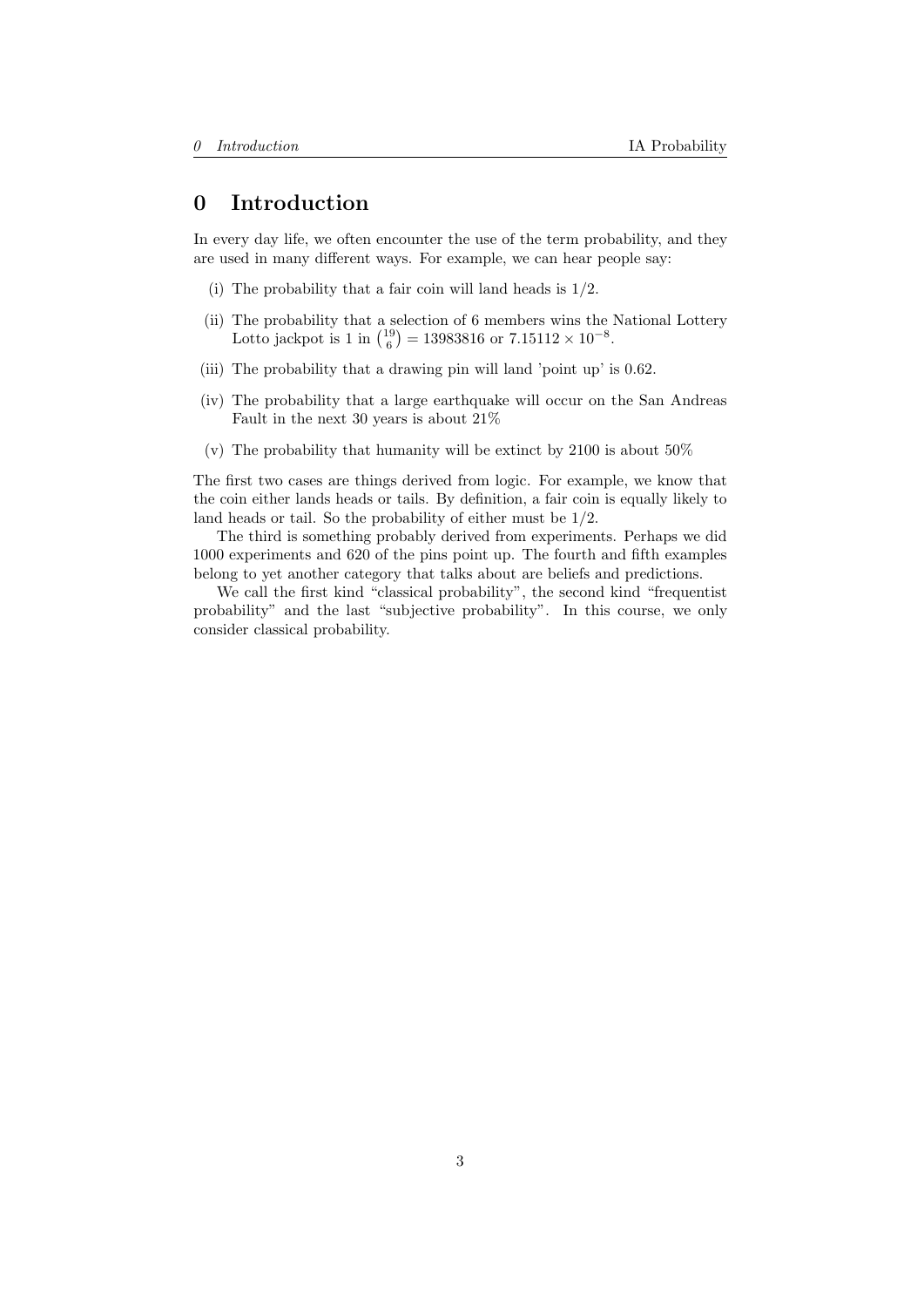# <span id="page-2-0"></span>0 Introduction

In every day life, we often encounter the use of the term probability, and they are used in many different ways. For example, we can hear people say:

- (i) The probability that a fair coin will land heads is 1/2.
- (ii) The probability that a selection of 6 members wins the National Lottery Lotto jackpot is 1 in  $\binom{19}{6} = 13983816$  or  $7.15112 \times 10^{-8}$ .
- (iii) The probability that a drawing pin will land 'point up' is 0.62.
- (iv) The probability that a large earthquake will occur on the San Andreas Fault in the next 30 years is about 21%
- (v) The probability that humanity will be extinct by 2100 is about 50%

The first two cases are things derived from logic. For example, we know that the coin either lands heads or tails. By definition, a fair coin is equally likely to land heads or tail. So the probability of either must be 1/2.

The third is something probably derived from experiments. Perhaps we did 1000 experiments and 620 of the pins point up. The fourth and fifth examples belong to yet another category that talks about are beliefs and predictions.

We call the first kind "classical probability", the second kind "frequentist probability" and the last "subjective probability". In this course, we only consider classical probability.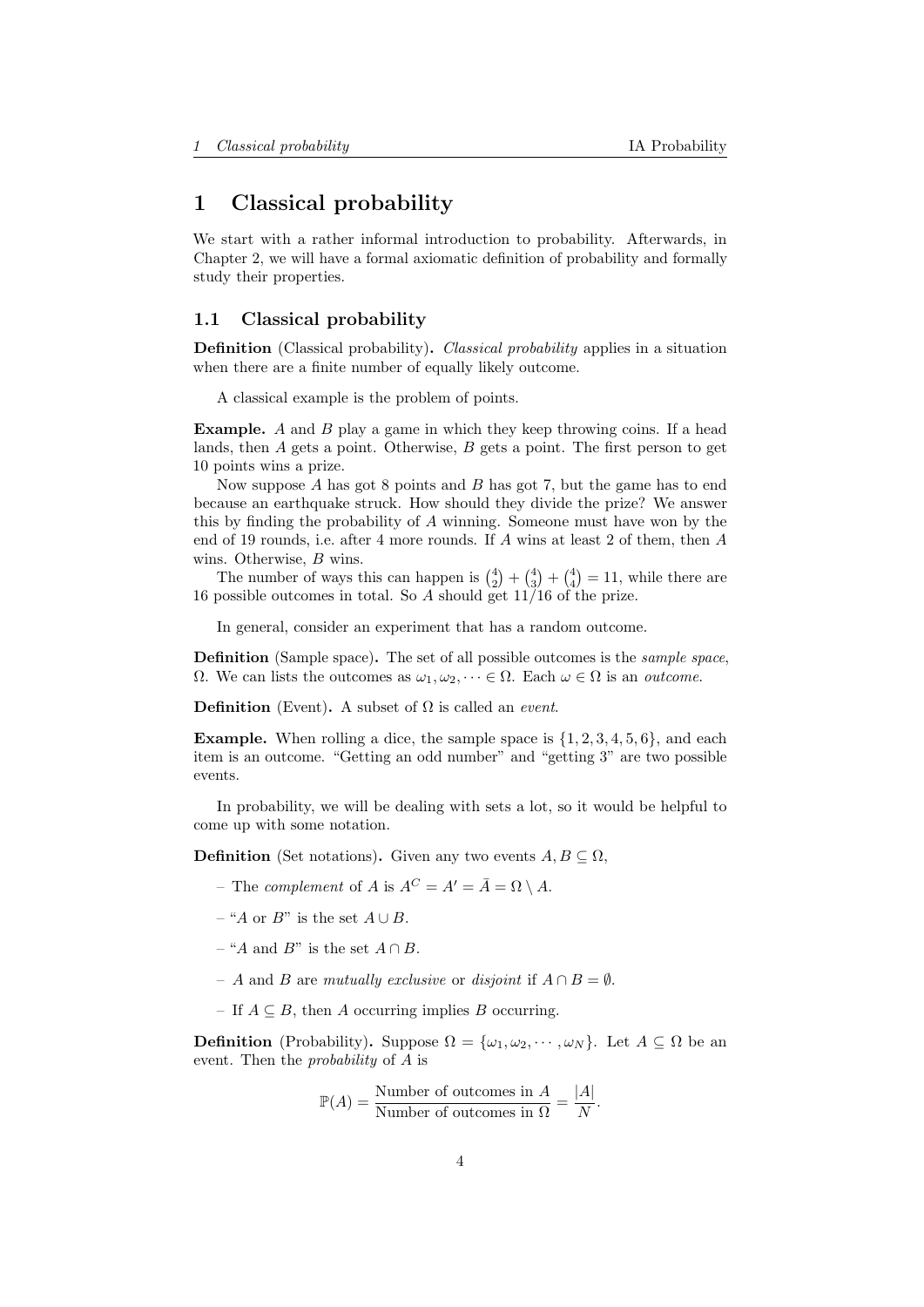# <span id="page-3-0"></span>1 Classical probability

We start with a rather informal introduction to probability. Afterwards, in Chapter [2,](#page-10-0) we will have a formal axiomatic definition of probability and formally study their properties.

## <span id="page-3-1"></span>1.1 Classical probability

Definition (Classical probability). *Classical probability* applies in a situation when there are a finite number of equally likely outcome.

A classical example is the problem of points.

Example. A and B play a game in which they keep throwing coins. If a head lands, then  $A$  gets a point. Otherwise,  $B$  gets a point. The first person to get 10 points wins a prize.

Now suppose  $A$  has got  $8$  points and  $B$  has got  $7$ , but the game has to end because an earthquake struck. How should they divide the prize? We answer this by finding the probability of A winning. Someone must have won by the end of 19 rounds, i.e. after 4 more rounds. If A wins at least 2 of them, then A wins. Otherwise, B wins.

The number of ways this can happen is  $\binom{4}{2} + \binom{4}{3} + \binom{4}{4} = 11$ , while there are 16 possible outcomes in total. So A should get 11/16 of the prize.

In general, consider an experiment that has a random outcome.

Definition (Sample space). The set of all possible outcomes is the *sample space*,  $Ω.$  We can lists the outcomes as  $ω_1, ω_2, ⋯ ∈ Ω$ . Each  $ω ∈ Ω$  is an *outcome*.

**Definition** (Event). A subset of  $\Omega$  is called an *event*.

**Example.** When rolling a dice, the sample space is  $\{1, 2, 3, 4, 5, 6\}$ , and each item is an outcome. "Getting an odd number" and "getting 3" are two possible events.

In probability, we will be dealing with sets a lot, so it would be helpful to come up with some notation.

**Definition** (Set notations). Given any two events  $A, B \subseteq \Omega$ ,

- The *complement* of A is  $A^C = A' = \overline{A} = \Omega \setminus A$ .
- "A or B" is the set  $A \cup B$ .
- "A and B" is the set  $A \cap B$ .
- A and B are mutually exclusive or disjoint if  $A \cap B = \emptyset$ .
- If  $A \subseteq B$ , then A occurring implies B occurring.

**Definition** (Probability). Suppose  $\Omega = {\omega_1, \omega_2, \cdots, \omega_N}$ . Let  $A \subseteq \Omega$  be an event. Then the probability of A is

$$
\mathbb{P}(A) = \frac{\text{Number of outcomes in } A}{\text{Number of outcomes in } \Omega} = \frac{|A|}{N}.
$$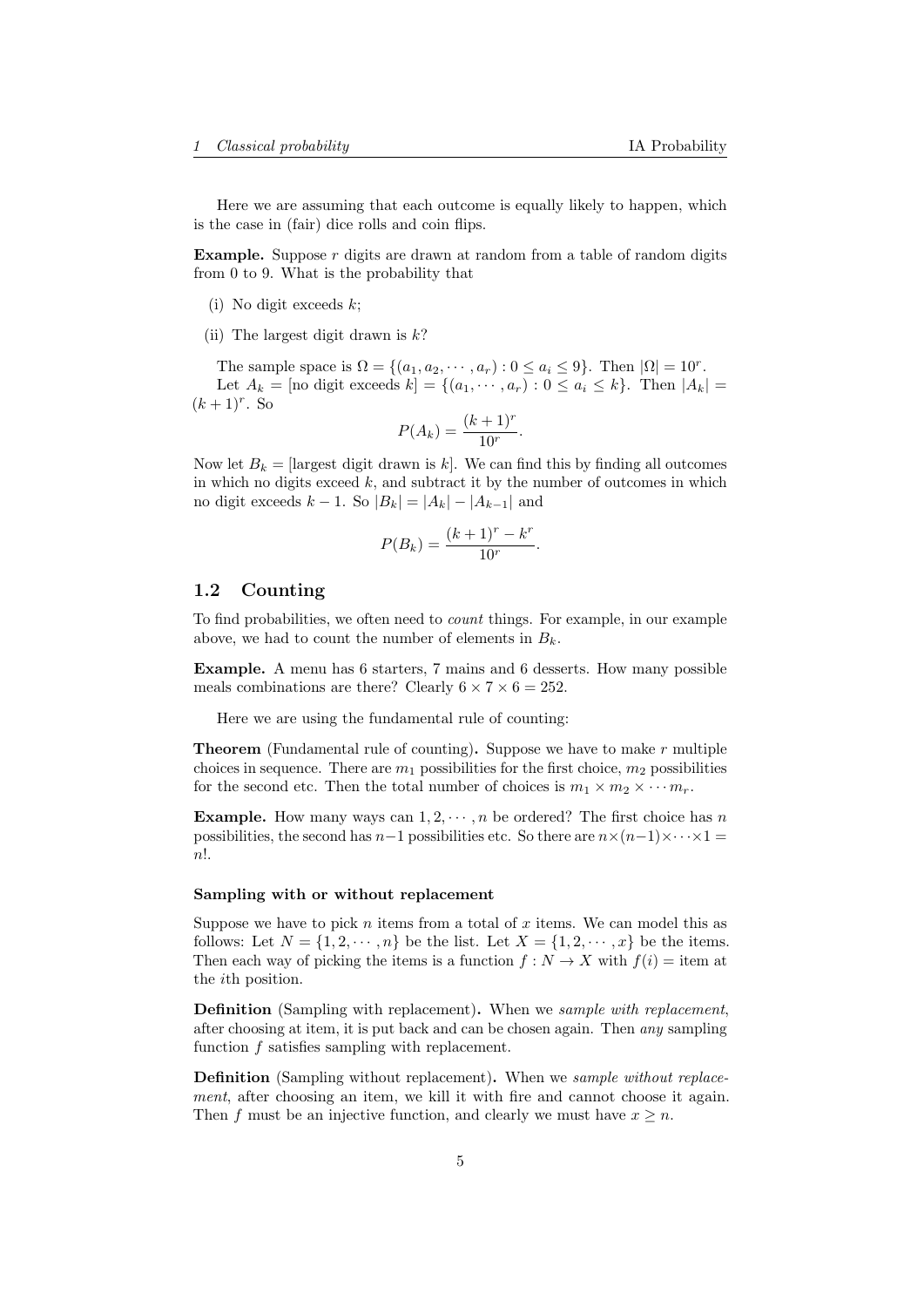Here we are assuming that each outcome is equally likely to happen, which is the case in (fair) dice rolls and coin flips.

**Example.** Suppose  $r$  digits are drawn at random from a table of random digits from 0 to 9. What is the probability that

- (i) No digit exceeds  $k$ ;
- (ii) The largest digit drawn is  $k$ ?

The sample space is  $\Omega = \{(a_1, a_2, \dots, a_r) : 0 \le a_i \le 9\}$ . Then  $|\Omega| = 10^r$ . Let  $A_k = \text{[no digit exceeds } k = \{(a_1, \dots, a_r) : 0 \le a_i \le k\}.$  Then  $|A_k| =$  $(k+1)^r$ . So

$$
P(A_k) = \frac{(k+1)^r}{10^r}.
$$

Now let  $B_k =$  [largest digit drawn is k]. We can find this by finding all outcomes in which no digits exceed  $k$ , and subtract it by the number of outcomes in which no digit exceeds  $k - 1$ . So  $|B_k| = |A_k| - |A_{k-1}|$  and

$$
P(B_k) = \frac{(k+1)^r - k^r}{10^r}.
$$

## <span id="page-4-0"></span>1.2 Counting

To find probabilities, we often need to count things. For example, in our example above, we had to count the number of elements in  $B_k$ .

Example. A menu has 6 starters, 7 mains and 6 desserts. How many possible meals combinations are there? Clearly  $6 \times 7 \times 6 = 252$ .

Here we are using the fundamental rule of counting:

**Theorem** (Fundamental rule of counting). Suppose we have to make  $r$  multiple choices in sequence. There are  $m_1$  possibilities for the first choice,  $m_2$  possibilities for the second etc. Then the total number of choices is  $m_1 \times m_2 \times \cdots m_r$ .

**Example.** How many ways can  $1, 2, \dots, n$  be ordered? The first choice has n possibilities, the second has  $n-1$  possibilities etc. So there are  $n \times (n-1) \times \cdots \times 1 =$ n!.

#### Sampling with or without replacement

Suppose we have to pick  $n$  items from a total of  $x$  items. We can model this as follows: Let  $N = \{1, 2, \dots, n\}$  be the list. Let  $X = \{1, 2, \dots, x\}$  be the items. Then each way of picking the items is a function  $f: N \to X$  with  $f(i) =$  item at the ith position.

**Definition** (Sampling with replacement). When we sample with replacement, after choosing at item, it is put back and can be chosen again. Then any sampling function f satisfies sampling with replacement.

Definition (Sampling without replacement). When we sample without replacement, after choosing an item, we kill it with fire and cannot choose it again. Then f must be an injective function, and clearly we must have  $x \geq n$ .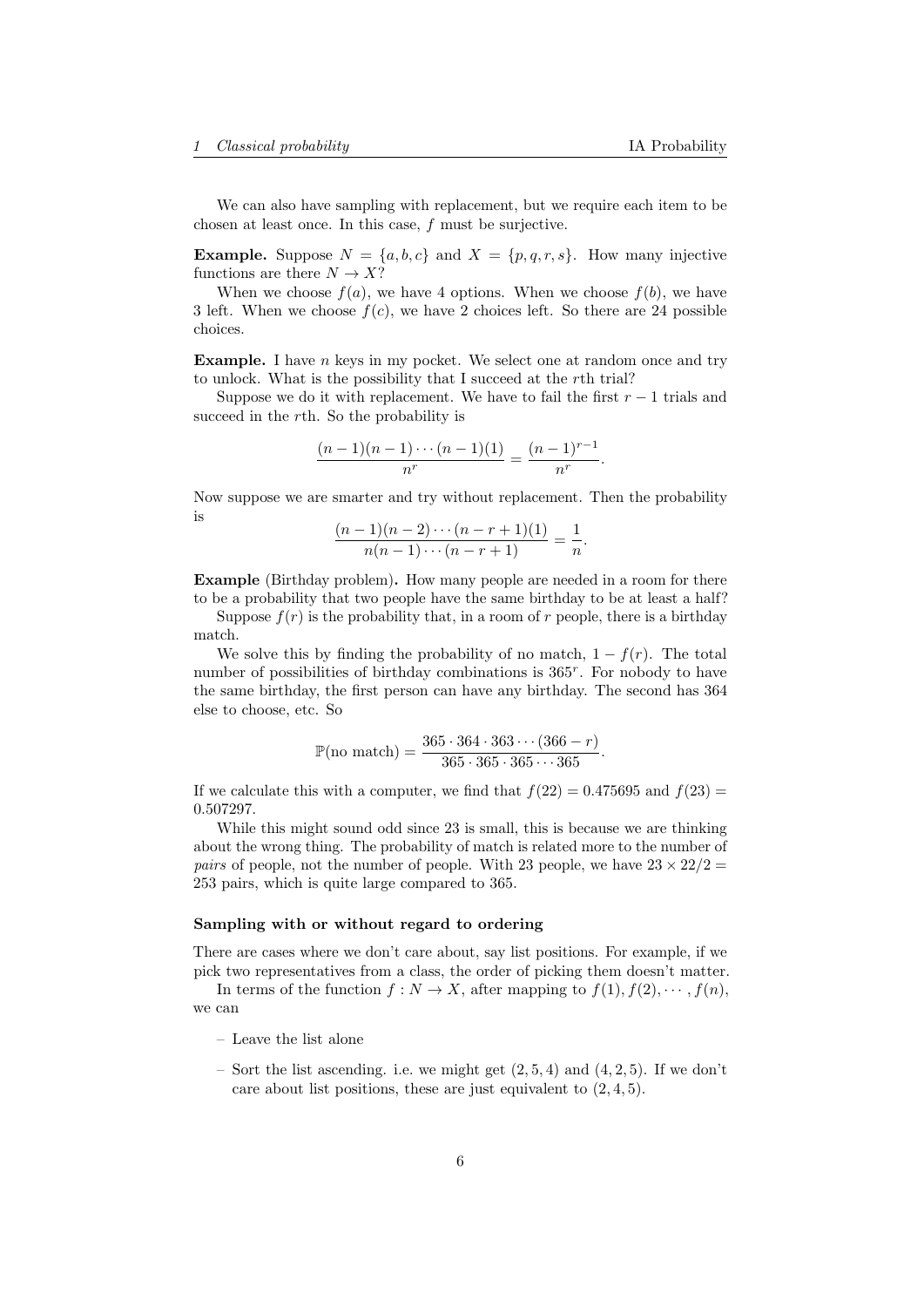We can also have sampling with replacement, but we require each item to be chosen at least once. In this case, f must be surjective.

**Example.** Suppose  $N = \{a, b, c\}$  and  $X = \{p, q, r, s\}$ . How many injective functions are there  $N \to X?$ 

When we choose  $f(a)$ , we have 4 options. When we choose  $f(b)$ , we have 3 left. When we choose  $f(c)$ , we have 2 choices left. So there are 24 possible choices.

**Example.** I have n keys in my pocket. We select one at random once and try to unlock. What is the possibility that I succeed at the rth trial?

Suppose we do it with replacement. We have to fail the first  $r - 1$  trials and succeed in the rth. So the probability is

$$
\frac{(n-1)(n-1)\cdots(n-1)(1)}{n^r} = \frac{(n-1)^{r-1}}{n^r}.
$$

Now suppose we are smarter and try without replacement. Then the probability is

$$
\frac{(n-1)(n-2)\cdots(n-r+1)(1)}{n(n-1)\cdots(n-r+1)} = \frac{1}{n}.
$$

Example (Birthday problem). How many people are needed in a room for there to be a probability that two people have the same birthday to be at least a half?

Suppose  $f(r)$  is the probability that, in a room of r people, there is a birthday match.

We solve this by finding the probability of no match,  $1 - f(r)$ . The total number of possibilities of birthday combinations is  $365^r$ . For nobody to have the same birthday, the first person can have any birthday. The second has 364 else to choose, etc. So

$$
\mathbb{P}(\text{no match}) = \frac{365 \cdot 364 \cdot 363 \cdots (366 - r)}{365 \cdot 365 \cdot 365 \cdots 365}.
$$

If we calculate this with a computer, we find that  $f(22) = 0.475695$  and  $f(23) =$ 0.507297.

While this might sound odd since 23 is small, this is because we are thinking about the wrong thing. The probability of match is related more to the number of *pairs* of people, not the number of people. With 23 people, we have  $23 \times 22/2 =$ 253 pairs, which is quite large compared to 365.

#### Sampling with or without regard to ordering

There are cases where we don't care about, say list positions. For example, if we pick two representatives from a class, the order of picking them doesn't matter.

In terms of the function  $f : N \to X$ , after mapping to  $f(1), f(2), \dots, f(n)$ , we can

- Leave the list alone
- Sort the list ascending. i.e. we might get  $(2, 5, 4)$  and  $(4, 2, 5)$ . If we don't care about list positions, these are just equivalent to  $(2, 4, 5)$ .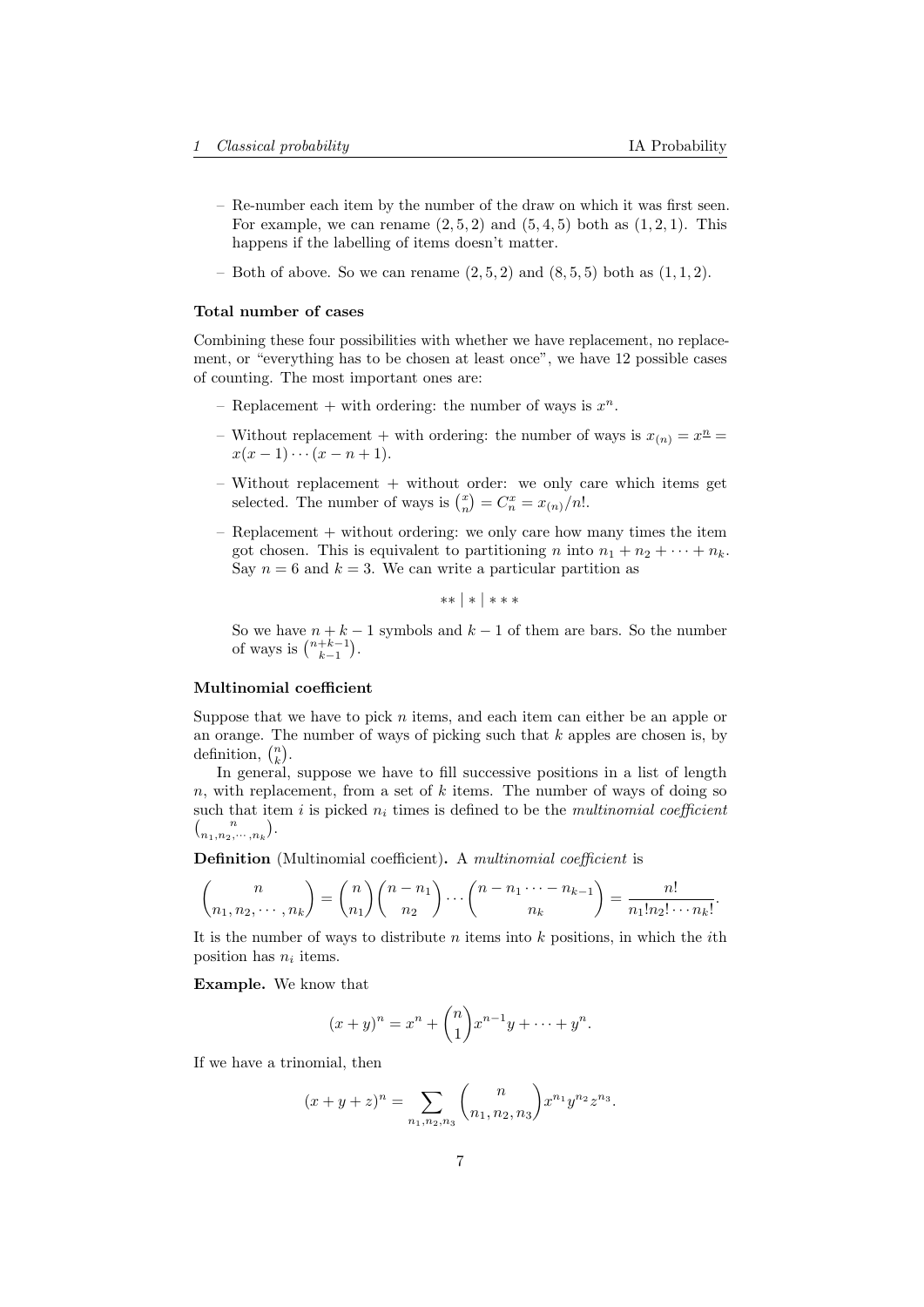- Re-number each item by the number of the draw on which it was first seen. For example, we can rename  $(2,5,2)$  and  $(5,4,5)$  both as  $(1,2,1)$ . This happens if the labelling of items doesn't matter.
- Both of above. So we can rename  $(2, 5, 2)$  and  $(8, 5, 5)$  both as  $(1, 1, 2)$ .

#### Total number of cases

Combining these four possibilities with whether we have replacement, no replacement, or "everything has to be chosen at least once", we have 12 possible cases of counting. The most important ones are:

- Replacement + with ordering: the number of ways is  $x^n$ .
- Without replacement + with ordering: the number of ways is  $x_{(n)} = x^{\underline{n}} =$  $x(x-1)\cdots(x-n+1).$
- $-$  Without replacement  $+$  without order: we only care which items get selected. The number of ways is  $\binom{x}{n} = C_n^x = x_{(n)}/n!$ .
- $-$  Replacement  $+$  without ordering: we only care how many times the item got chosen. This is equivalent to partitioning n into  $n_1 + n_2 + \cdots + n_k$ . Say  $n = 6$  and  $k = 3$ . We can write a particular partition as

∗∗ | ∗ | ∗ ∗ ∗

So we have  $n + k - 1$  symbols and  $k - 1$  of them are bars. So the number of ways is  $\binom{n+k-1}{k-1}$ .

## Multinomial coefficient

Suppose that we have to pick  $n$  items, and each item can either be an apple or an orange. The number of ways of picking such that  $k$  apples are chosen is, by definition,  $\binom{n}{k}$ .

In general, suppose we have to fill successive positions in a list of length n, with replacement, from a set of k items. The number of ways of doing so such that item i is picked  $n_i$  times is defined to be the *multinomial coefficient*  $\binom{n}{n_1, n_2, \cdots, n_k}$ .

Definition (Multinomial coefficient). A multinomial coefficient is

$$
\binom{n}{n_1, n_2, \cdots, n_k} = \binom{n}{n_1} \binom{n - n_1}{n_2} \cdots \binom{n - n_1 \cdots - n_{k-1}}{n_k} = \frac{n!}{n_1! n_2! \cdots n_k!}.
$$

It is the number of ways to distribute  $n$  items into  $k$  positions, in which the *i*th position has  $n_i$  items.

Example. We know that

$$
(x+y)^n = x^n + \binom{n}{1} x^{n-1}y + \dots + y^n.
$$

If we have a trinomial, then

$$
(x+y+z)^n = \sum_{n_1,n_2,n_3} {n \choose n_1,n_2,n_3} x^{n_1} y^{n_2} z^{n_3}.
$$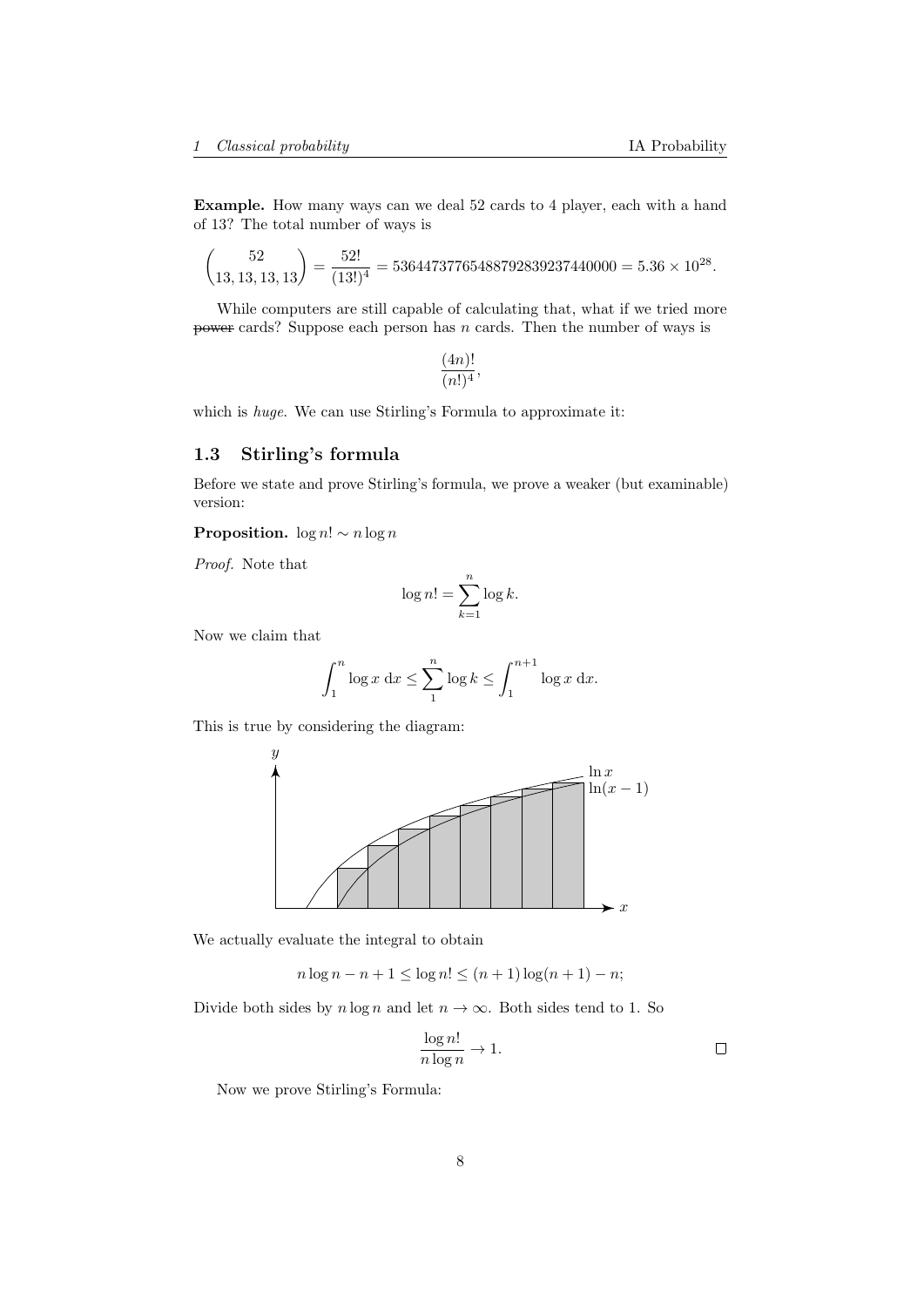Example. How many ways can we deal 52 cards to 4 player, each with a hand of 13? The total number of ways is

$$
\binom{52}{13,13,13,13} = \frac{52!}{(13!)^4} = 53644737765488792839237440000 = 5.36 \times 10^{28}.
$$

While computers are still capable of calculating that, what if we tried more power cards? Suppose each person has  $n$  cards. Then the number of ways is

$$
\frac{(4n)!}{(n!)^4},
$$

which is huge. We can use Stirling's Formula to approximate it:

# <span id="page-7-0"></span>1.3 Stirling's formula

Before we state and prove Stirling's formula, we prove a weaker (but examinable) version:

**Proposition.**  $\log n! \sim n \log n$ 

Proof. Note that

$$
\log n! = \sum_{k=1}^{n} \log k.
$$

Now we claim that

$$
\int_1^n \log x \, dx \le \sum_1^n \log k \le \int_1^{n+1} \log x \, dx.
$$

This is true by considering the diagram:



We actually evaluate the integral to obtain

 $n \log n - n + 1 \leq \log n! \leq (n + 1) \log(n + 1) - n;$ 

Divide both sides by  $n \log n$  and let  $n \to \infty$ . Both sides tend to 1. So

$$
\frac{\log n!}{n \log n} \to 1.
$$

Now we prove Stirling's Formula: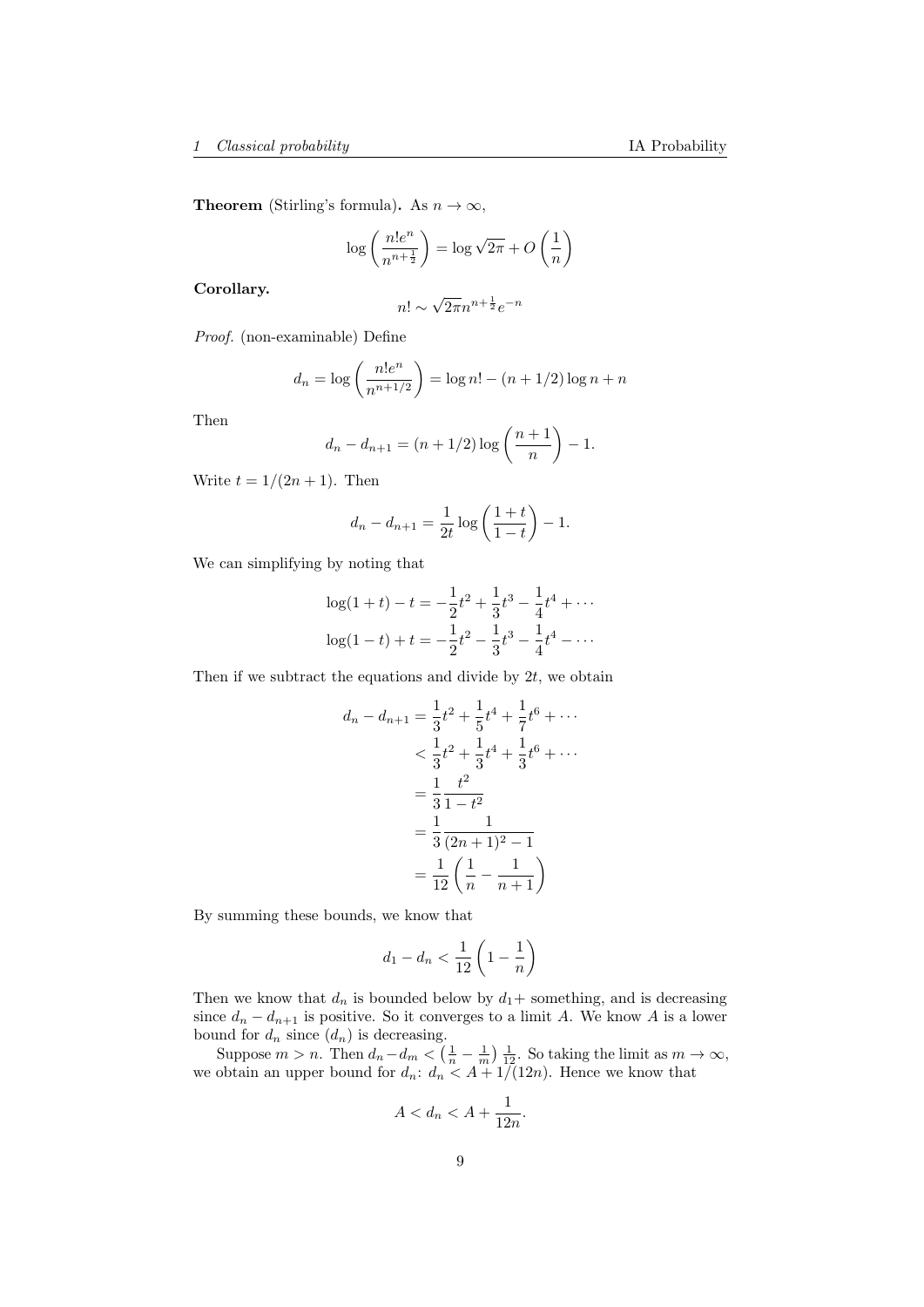**Theorem** (Stirling's formula). As  $n \to \infty$ ,

$$
\log\left(\frac{n!e^n}{n^{n+\frac{1}{2}}}\right) = \log\sqrt{2\pi} + O\left(\frac{1}{n}\right)
$$

Corollary.

$$
n! \sim \sqrt{2\pi} n^{n + \frac{1}{2}} e^{-n}
$$

Proof. (non-examinable) Define

$$
d_n = \log\left(\frac{n!e^n}{n^{n+1/2}}\right) = \log n! - (n+1/2)\log n + n
$$

Then

$$
d_n - d_{n+1} = (n+1/2) \log \left( \frac{n+1}{n} \right) - 1.
$$

Write  $t = 1/(2n + 1)$ . Then

$$
d_n - d_{n+1} = \frac{1}{2t} \log \left( \frac{1+t}{1-t} \right) - 1.
$$

We can simplifying by noting that

$$
\log(1+t) - t = -\frac{1}{2}t^2 + \frac{1}{3}t^3 - \frac{1}{4}t^4 + \cdots
$$

$$
\log(1-t) + t = -\frac{1}{2}t^2 - \frac{1}{3}t^3 - \frac{1}{4}t^4 - \cdots
$$

Then if we subtract the equations and divide by  $2t$ , we obtain

$$
d_n - d_{n+1} = \frac{1}{3}t^2 + \frac{1}{5}t^4 + \frac{1}{7}t^6 + \cdots
$$
  

$$
< \frac{1}{3}t^2 + \frac{1}{3}t^4 + \frac{1}{3}t^6 + \cdots
$$
  

$$
= \frac{1}{3}\frac{t^2}{1 - t^2}
$$
  

$$
= \frac{1}{3}\frac{1}{(2n+1)^2 - 1}
$$
  

$$
= \frac{1}{12}\left(\frac{1}{n} - \frac{1}{n+1}\right)
$$

By summing these bounds, we know that

$$
d_1 - d_n < \frac{1}{12} \left( 1 - \frac{1}{n} \right)
$$

Then we know that  $d_n$  is bounded below by  $d_1$ + something, and is decreasing since  $d_n - d_{n+1}$  is positive. So it converges to a limit A. We know A is a lower bound for  $d_n$  since  $(d_n)$  is decreasing.

Suppose  $m > n$ . Then  $d_n - d_m < (\frac{1}{n} - \frac{1}{m}) \frac{1}{12}$ . So taking the limit as  $m \to \infty$ , we obtain an upper bound for  $d_n: d_n < A + 1/(12n)$ . Hence we know that

$$
A < d_n < A + \frac{1}{12n}.
$$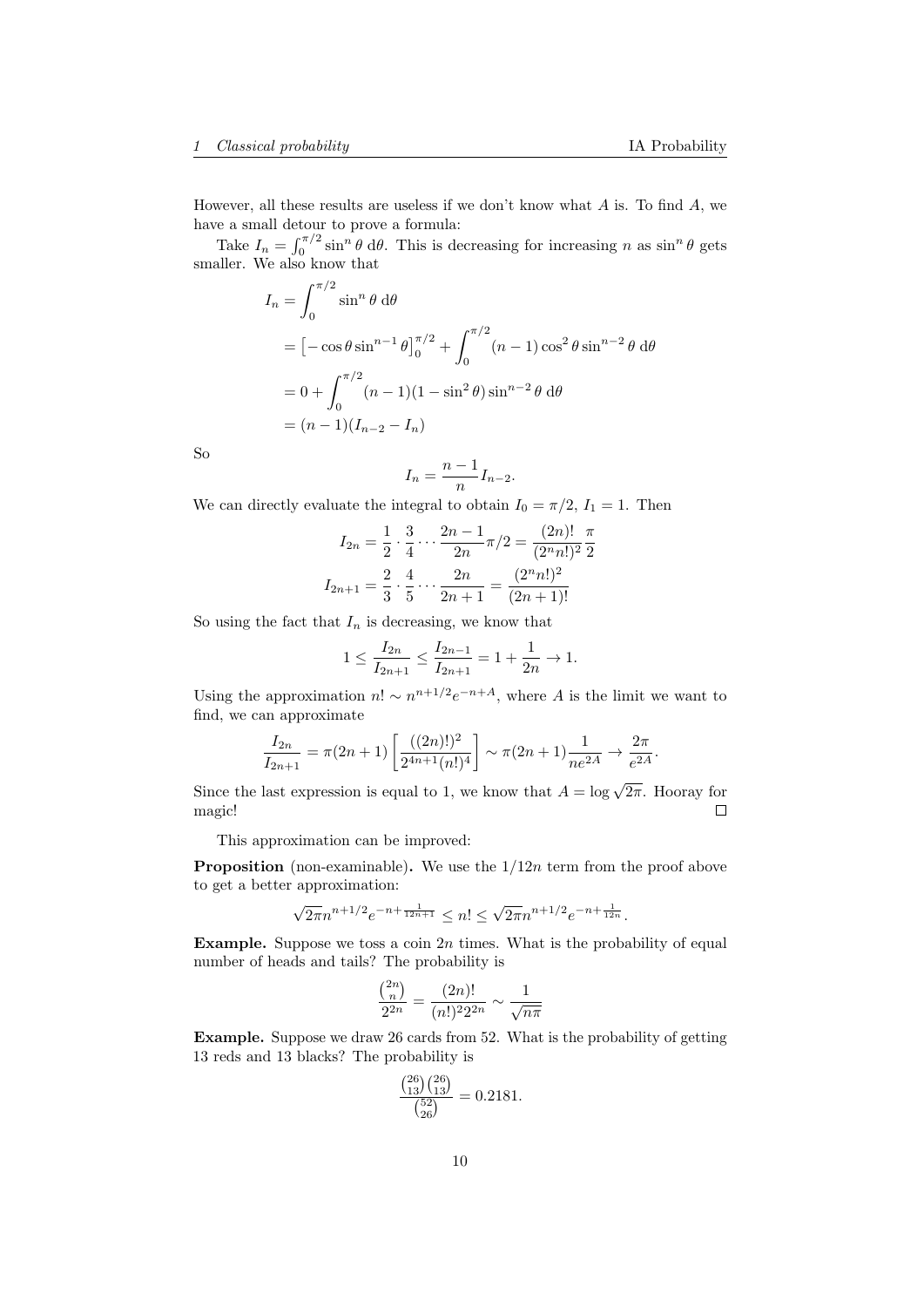However, all these results are useless if we don't know what  $A$  is. To find  $A$ , we have a small detour to prove a formula:

Take  $I_n = \int_0^{\pi/2} \sin^n \theta \ d\theta$ . This is decreasing for increasing n as  $\sin^n \theta$  gets smaller. We also know that

$$
I_n = \int_0^{\pi/2} \sin^n \theta \, d\theta
$$
  
=  $[-\cos \theta \sin^{n-1} \theta]_0^{\pi/2} + \int_0^{\pi/2} (n-1) \cos^2 \theta \sin^{n-2} \theta \, d\theta$   
=  $0 + \int_0^{\pi/2} (n-1)(1 - \sin^2 \theta) \sin^{n-2} \theta \, d\theta$   
=  $(n-1)(I_{n-2} - I_n)$ 

So

$$
I_n = \frac{n-1}{n} I_{n-2}.
$$

We can directly evaluate the integral to obtain  $I_0 = \pi/2$ ,  $I_1 = 1$ . Then

$$
I_{2n} = \frac{1}{2} \cdot \frac{3}{4} \cdots \frac{2n-1}{2n} \pi/2 = \frac{(2n)!}{(2^n n!)^2} \frac{\pi}{2}
$$

$$
I_{2n+1} = \frac{2}{3} \cdot \frac{4}{5} \cdots \frac{2n}{2n+1} = \frac{(2^n n!)^2}{(2n+1)!}
$$

So using the fact that  $I_n$  is decreasing, we know that

$$
1 \le \frac{I_{2n}}{I_{2n+1}} \le \frac{I_{2n-1}}{I_{2n+1}} = 1 + \frac{1}{2n} \to 1.
$$

Using the approximation  $n! \sim n^{n+1/2} e^{-n+A}$ , where A is the limit we want to find, we can approximate

$$
\frac{I_{2n}}{I_{2n+1}} = \pi(2n+1) \left[ \frac{((2n)!)^2}{2^{4n+1}(n!)^4} \right] \sim \pi(2n+1) \frac{1}{ne^{2A}} \to \frac{2\pi}{e^{2A}}.
$$

Since the last expression is equal to 1, we know that  $A = \log \sqrt{2\pi}$ . Hooray for  $\Box$ magic!

This approximation can be improved:

**Proposition** (non-examinable). We use the  $1/12n$  term from the proof above to get a better approximation:

$$
\sqrt{2\pi}n^{n+1/2}e^{-n+\frac{1}{12n+1}} \leq n! \leq \sqrt{2\pi}n^{n+1/2}e^{-n+\frac{1}{12n}}.
$$

**Example.** Suppose we toss a coin  $2n$  times. What is the probability of equal number of heads and tails? The probability is

$$
\frac{\binom{2n}{n}}{2^{2n}} = \frac{(2n)!}{(n!)^2 2^{2n}} \sim \frac{1}{\sqrt{n\pi}}
$$

Example. Suppose we draw 26 cards from 52. What is the probability of getting 13 reds and 13 blacks? The probability is

$$
\frac{\binom{26}{13}\binom{26}{13}}{\binom{52}{26}} = 0.2181.
$$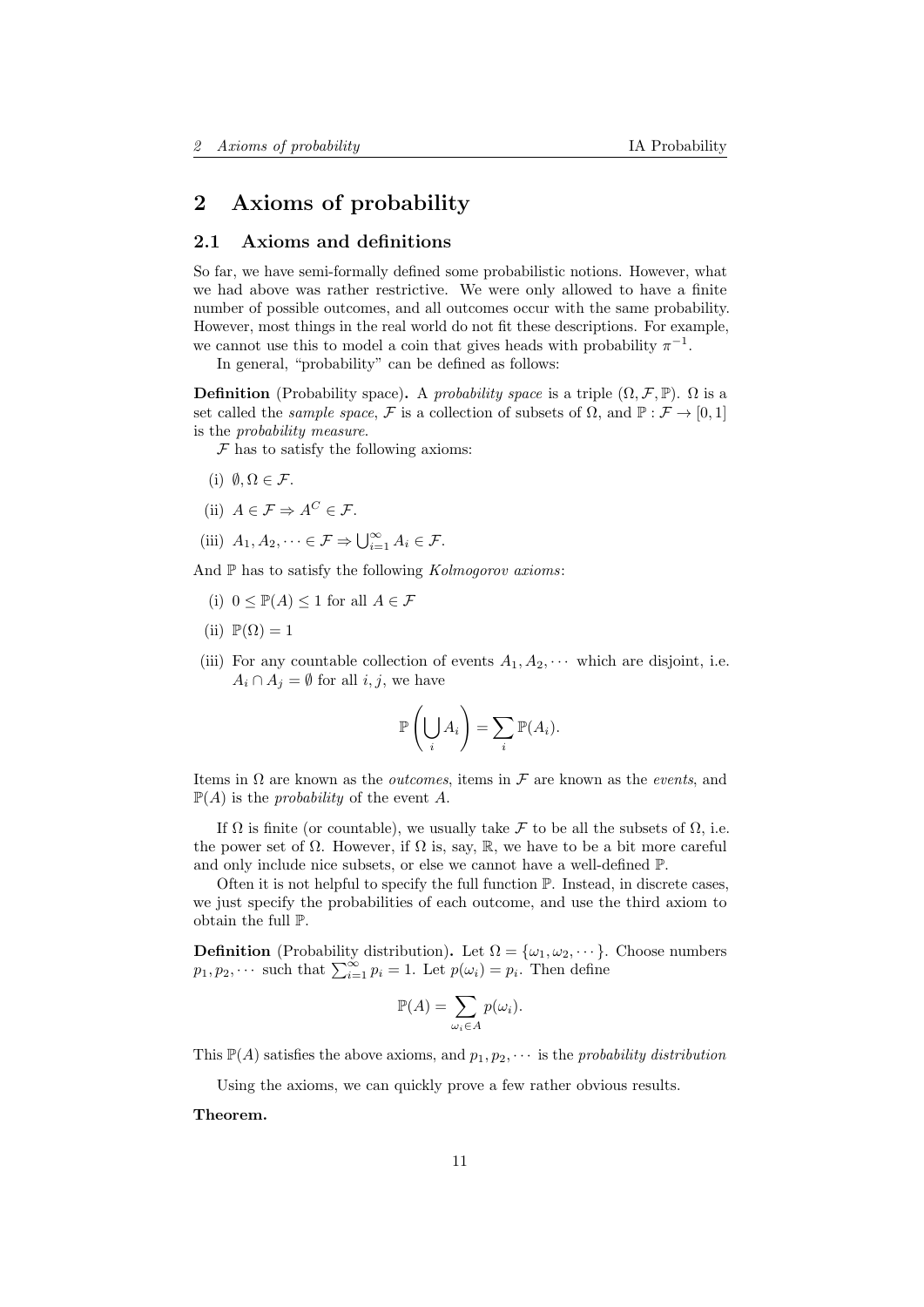# <span id="page-10-0"></span>2 Axioms of probability

## <span id="page-10-1"></span>2.1 Axioms and definitions

So far, we have semi-formally defined some probabilistic notions. However, what we had above was rather restrictive. We were only allowed to have a finite number of possible outcomes, and all outcomes occur with the same probability. However, most things in the real world do not fit these descriptions. For example, we cannot use this to model a coin that gives heads with probability  $\pi^{-1}$ .

In general, "probability" can be defined as follows:

**Definition** (Probability space). A probability space is a triple  $(\Omega, \mathcal{F}, \mathbb{P})$ .  $\Omega$  is a set called the *sample space*, F is a collection of subsets of  $\Omega$ , and  $\mathbb{P} : \mathcal{F} \to [0,1]$ is the probability measure.

 $F$  has to satisfy the following axioms:

- (i)  $\emptyset, \Omega \in \mathcal{F}$ .
- (ii)  $A \in \mathcal{F} \Rightarrow A^C \in \mathcal{F}$ .
- (iii)  $A_1, A_2, \dots \in \mathcal{F} \Rightarrow \bigcup_{i=1}^{\infty} A_i \in \mathcal{F}.$

And  $\mathbb P$  has to satisfy the following *Kolmogorov axioms*:

- (i)  $0 \leq \mathbb{P}(A) \leq 1$  for all  $A \in \mathcal{F}$
- (ii)  $\mathbb{P}(\Omega) = 1$
- (iii) For any countable collection of events  $A_1, A_2, \cdots$  which are disjoint, i.e.  $A_i \cap A_j = \emptyset$  for all  $i, j$ , we have

$$
\mathbb{P}\left(\bigcup_i A_i\right) = \sum_i \mathbb{P}(A_i).
$$

Items in  $\Omega$  are known as the *outcomes*, items in  $\mathcal F$  are known as the *events*, and  $\mathbb{P}(A)$  is the *probability* of the event A.

If  $\Omega$  is finite (or countable), we usually take F to be all the subsets of  $\Omega$ , i.e. the power set of  $\Omega$ . However, if  $\Omega$  is, say,  $\mathbb R$ , we have to be a bit more careful and only include nice subsets, or else we cannot have a well-defined P.

Often it is not helpful to specify the full function  $\mathbb{P}$ . Instead, in discrete cases, we just specify the probabilities of each outcome, and use the third axiom to obtain the full P.

**Definition** (Probability distribution). Let  $\Omega = {\omega_1, \omega_2, \cdots}$ . Choose numbers  $p_1, p_2, \cdots$  such that  $\sum_{i=1}^{\infty} p_i = 1$ . Let  $p(\omega_i) = p_i$ . Then define

$$
\mathbb{P}(A) = \sum_{\omega_i \in A} p(\omega_i).
$$

This  $\mathbb{P}(A)$  satisfies the above axioms, and  $p_1, p_2, \cdots$  is the probability distribution

Using the axioms, we can quickly prove a few rather obvious results.

Theorem.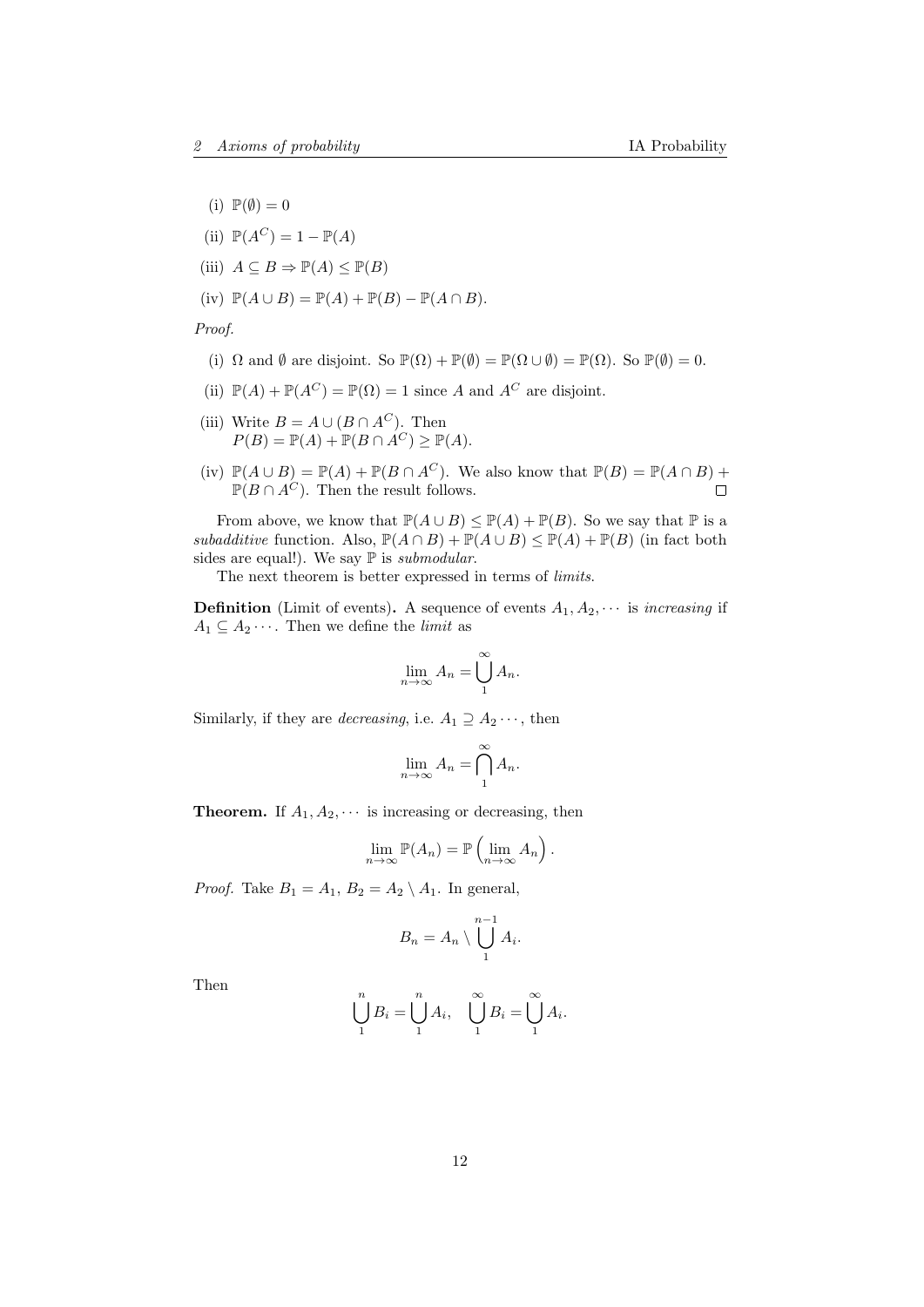- (i)  $\mathbb{P}(\emptyset) = 0$
- (ii)  $\mathbb{P}(A^C) = 1 \mathbb{P}(A)$
- (iii)  $A \subseteq B \Rightarrow \mathbb{P}(A) \leq \mathbb{P}(B)$
- (iv)  $\mathbb{P}(A \cup B) = \mathbb{P}(A) + \mathbb{P}(B) \mathbb{P}(A \cap B).$

Proof.

- (i)  $\Omega$  and  $\emptyset$  are disjoint. So  $\mathbb{P}(\Omega) + \mathbb{P}(\emptyset) = \mathbb{P}(\Omega \cup \emptyset) = \mathbb{P}(\Omega)$ . So  $\mathbb{P}(\emptyset) = 0$ .
- (ii)  $\mathbb{P}(A) + \mathbb{P}(A^C) = \mathbb{P}(\Omega) = 1$  since A and  $A^C$  are disjoint.
- (iii) Write  $B = A \cup (B \cap A^C)$ . Then  $P(B) = \mathbb{P}(A) + \mathbb{P}(B \cap A^C) \ge \mathbb{P}(A).$
- (iv)  $\mathbb{P}(A \cup B) = \mathbb{P}(A) + \mathbb{P}(B \cap A^C)$ . We also know that  $\mathbb{P}(B) = \mathbb{P}(A \cap B) +$  $\mathbb{P}(B \cap A^C)$ . Then the result follows.

From above, we know that  $\mathbb{P}(A \cup B) \leq \mathbb{P}(A) + \mathbb{P}(B)$ . So we say that  $\mathbb{P}$  is a subadditive function. Also,  $\mathbb{P}(A \cap B) + \mathbb{P}(A \cup B) \leq \mathbb{P}(A) + \mathbb{P}(B)$  (in fact both sides are equal!). We say  $\mathbb P$  is *submodular*.

The next theorem is better expressed in terms of limits.

**Definition** (Limit of events). A sequence of events  $A_1, A_2, \cdots$  is increasing if  $A_1 \subseteq A_2 \cdots$ . Then we define the *limit* as

$$
\lim_{n \to \infty} A_n = \bigcup_{1}^{\infty} A_n.
$$

Similarly, if they are *decreasing*, i.e.  $A_1 \supseteq A_2 \cdots$ , then

$$
\lim_{n \to \infty} A_n = \bigcap_{1}^{\infty} A_n.
$$

**Theorem.** If  $A_1, A_2, \cdots$  is increasing or decreasing, then

$$
\lim_{n \to \infty} \mathbb{P}(A_n) = \mathbb{P}\left(\lim_{n \to \infty} A_n\right).
$$

*Proof.* Take  $B_1 = A_1$ ,  $B_2 = A_2 \setminus A_1$ . In general,

$$
B_n = A_n \setminus \bigcup_1^{n-1} A_i.
$$

Then

$$
\bigcup_{1}^{n} B_{i} = \bigcup_{1}^{n} A_{i}, \quad \bigcup_{1}^{\infty} B_{i} = \bigcup_{1}^{\infty} A_{i}.
$$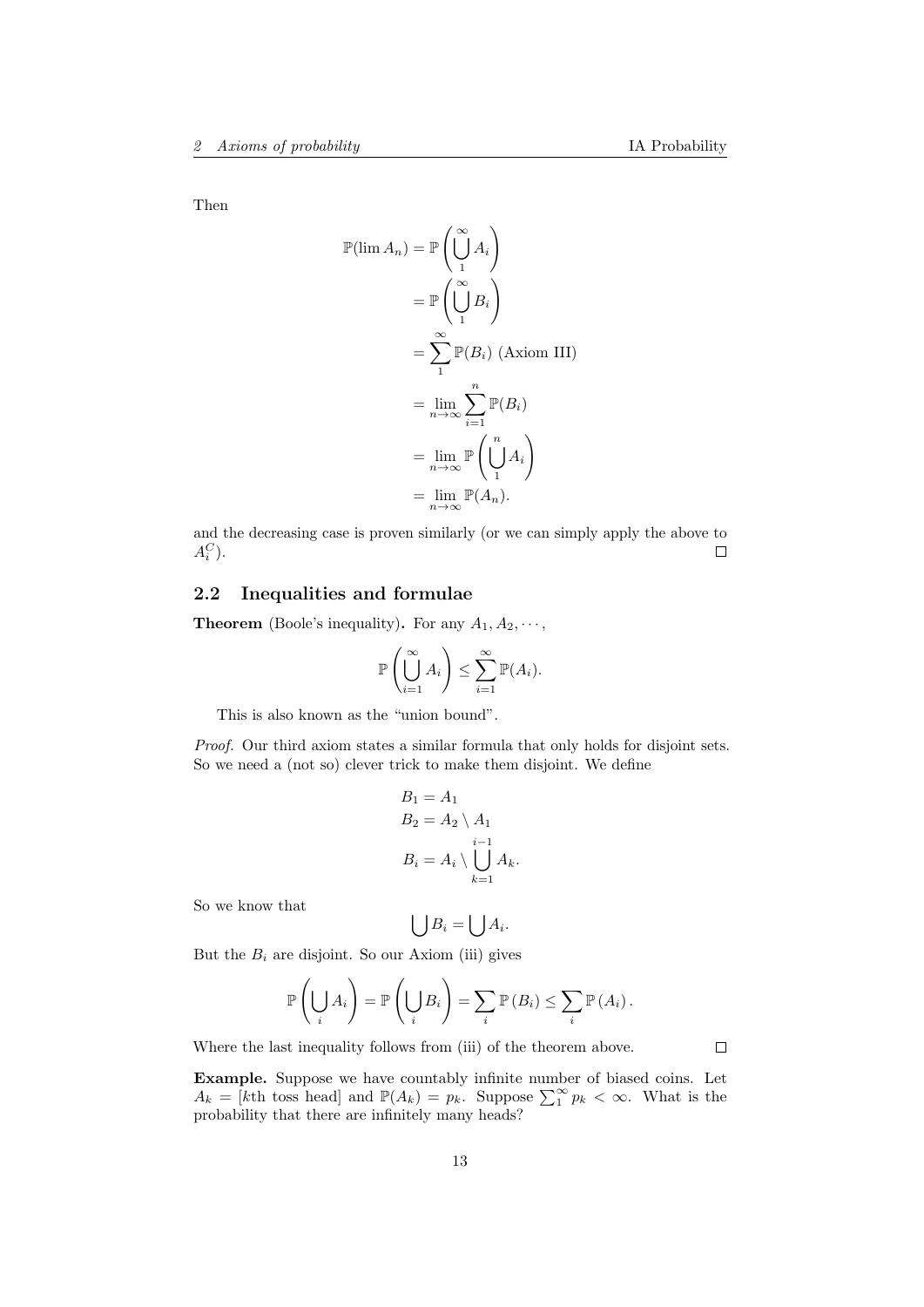Then

$$
\mathbb{P}(\lim A_n) = \mathbb{P}\left(\bigcup_{1}^{\infty} A_i\right)
$$

$$
= \mathbb{P}\left(\bigcup_{1}^{\infty} B_i\right)
$$

$$
= \sum_{1}^{\infty} \mathbb{P}(B_i) \text{ (Axiom III)}
$$

$$
= \lim_{n \to \infty} \sum_{i=1}^{n} \mathbb{P}(B_i)
$$

$$
= \lim_{n \to \infty} \mathbb{P}\left(\bigcup_{1}^{n} A_i\right)
$$

$$
= \lim_{n \to \infty} \mathbb{P}(A_n).
$$

and the decreasing case is proven similarly (or we can simply apply the above to  $A_i^C$ ).  $\Box$ 

# <span id="page-12-0"></span>2.2 Inequalities and formulae

**Theorem** (Boole's inequality). For any  $A_1, A_2, \cdots$ ,

$$
\mathbb{P}\left(\bigcup_{i=1}^{\infty} A_i\right) \le \sum_{i=1}^{\infty} \mathbb{P}(A_i).
$$

This is also known as the "union bound".

Proof. Our third axiom states a similar formula that only holds for disjoint sets. So we need a (not so) clever trick to make them disjoint. We define

$$
B_1 = A_1
$$
  
\n
$$
B_2 = A_2 \setminus A_1
$$
  
\n
$$
i-1
$$
  
\n
$$
B_i = A_i \setminus \bigcup_{k=1}^{i-1} A_k.
$$

So we know that

$$
\bigcup B_i = \bigcup A_i.
$$

But the  $B_i$  are disjoint. So our Axiom (iii) gives

$$
\mathbb{P}\left(\bigcup_i A_i\right) = \mathbb{P}\left(\bigcup_i B_i\right) = \sum_i \mathbb{P}\left(B_i\right) \leq \sum_i \mathbb{P}\left(A_i\right).
$$

Where the last inequality follows from (iii) of the theorem above.

Example. Suppose we have countably infinite number of biased coins. Let  $A_k = [k\text{th toss head}]$  and  $\mathbb{P}(A_k) = p_k$ . Suppose  $\sum_{k=1}^{\infty} p_k < \infty$ . What is the probability that there are infinitely many heads?

 $\Box$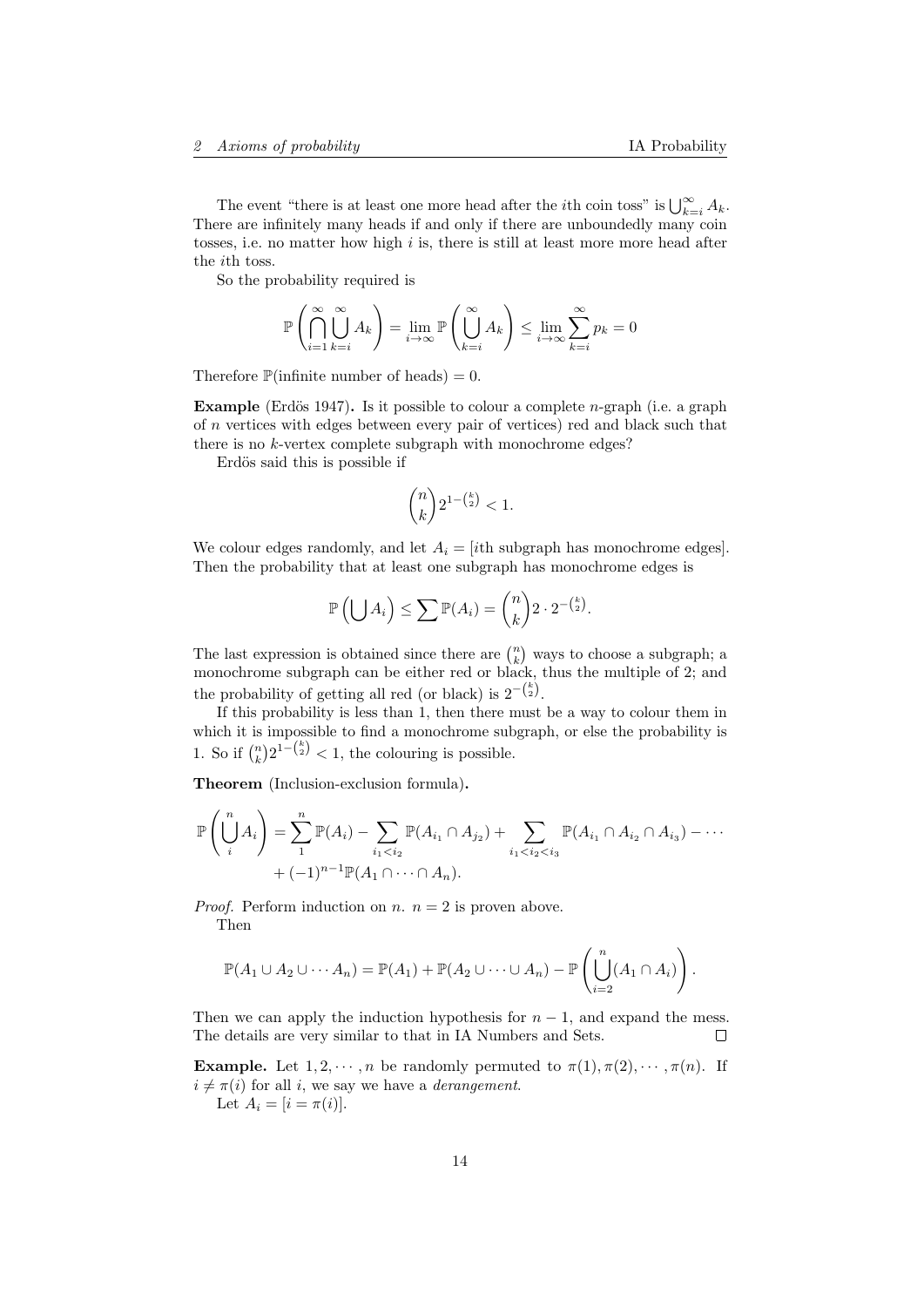The event "there is at least one more head after the *i*th coin toss" is  $\bigcup_{k=i}^{\infty} A_k$ . There are infinitely many heads if and only if there are unboundedly many coin tosses, i.e. no matter how high  $i$  is, there is still at least more more head after the ith toss.

So the probability required is

$$
\mathbb{P}\left(\bigcap_{i=1}^{\infty}\bigcup_{k=i}^{\infty}A_k\right) = \lim_{i\to\infty}\mathbb{P}\left(\bigcup_{k=i}^{\infty}A_k\right) \le \lim_{i\to\infty}\sum_{k=i}^{\infty}p_k = 0
$$

Therefore  $\mathbb{P}$ (infinite number of heads) = 0.

Example (Erdös 1947). Is it possible to colour a complete *n*-graph (i.e. a graph of n vertices with edges between every pair of vertices) red and black such that there is no k-vertex complete subgraph with monochrome edges?

Erdös said this is possible if

$$
\binom{n}{k} 2^{1-\binom{k}{2}} < 1.
$$

We colour edges randomly, and let  $A_i = [ith subgraph has monochrome edges].$ Then the probability that at least one subgraph has monochrome edges is

$$
\mathbb{P}\left(\bigcup A_i\right) \leq \sum \mathbb{P}(A_i) = {n \choose k} 2 \cdot 2^{-{k \choose 2}}.
$$

The last expression is obtained since there are  $\binom{n}{k}$  ways to choose a subgraph; a monochrome subgraph can be either red or black, thus the multiple of 2; and the probability of getting all red (or black) is  $2^{-\binom{k}{2}}$ .

If this probability is less than 1, then there must be a way to colour them in which it is impossible to find a monochrome subgraph, or else the probability is 1. So if  $\binom{n}{k} 2^{1-\binom{k}{2}} < 1$ , the colouring is possible.

Theorem (Inclusion-exclusion formula).

$$
\mathbb{P}\left(\bigcup_{i=1}^{n} A_{i}\right) = \sum_{1}^{n} \mathbb{P}(A_{i}) - \sum_{i_{1} < i_{2}} \mathbb{P}(A_{i_{1}} \cap A_{j_{2}}) + \sum_{i_{1} < i_{2} < i_{3}} \mathbb{P}(A_{i_{1}} \cap A_{i_{2}} \cap A_{i_{3}}) - \cdots + (-1)^{n-1} \mathbb{P}(A_{1} \cap \cdots \cap A_{n}).
$$

*Proof.* Perform induction on *n*.  $n = 2$  is proven above. Then

$$
\mathbb{P}(A_1 \cup A_2 \cup \cdots A_n) = \mathbb{P}(A_1) + \mathbb{P}(A_2 \cup \cdots \cup A_n) - \mathbb{P}\left(\bigcup_{i=2}^n (A_1 \cap A_i)\right).
$$

Then we can apply the induction hypothesis for  $n-1$ , and expand the mess. The details are very similar to that in IA Numbers and Sets. П

**Example.** Let  $1, 2, \dots, n$  be randomly permuted to  $\pi(1), \pi(2), \dots, \pi(n)$ . If  $i \neq \pi(i)$  for all i, we say we have a *derangement*. Let  $A_i = [i = \pi(i)].$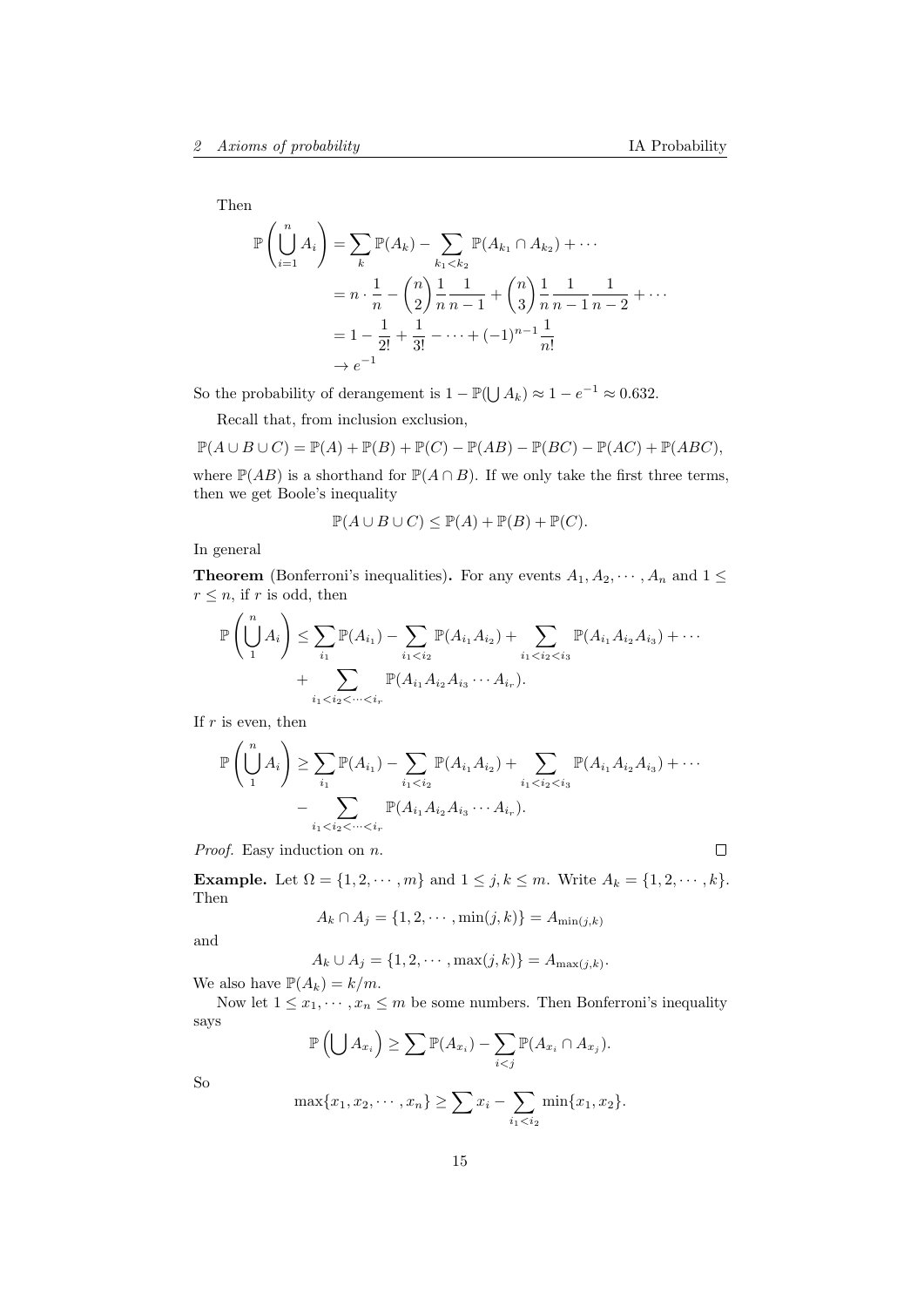$\Box$ 

Then

$$
\mathbb{P}\left(\bigcup_{i=1}^{n} A_{i}\right) = \sum_{k} \mathbb{P}(A_{k}) - \sum_{k_{1} < k_{2}} \mathbb{P}(A_{k_{1}} \cap A_{k_{2}}) + \cdots
$$
\n
$$
= n \cdot \frac{1}{n} - {n \choose 2} \frac{1}{n} \frac{1}{n-1} + {n \choose 3} \frac{1}{n} \frac{1}{n-1} \frac{1}{n-2} + \cdots
$$
\n
$$
= 1 - \frac{1}{2!} + \frac{1}{3!} - \cdots + (-1)^{n-1} \frac{1}{n!}
$$
\n
$$
\rightarrow e^{-1}
$$

So the probability of derangement is  $1 - \mathbb{P}(\bigcup A_k) \approx 1 - e^{-1} \approx 0.632$ .

Recall that, from inclusion exclusion,

$$
\mathbb{P}(A \cup B \cup C) = \mathbb{P}(A) + \mathbb{P}(B) + \mathbb{P}(C) - \mathbb{P}(AB) - \mathbb{P}(BC) - \mathbb{P}(AC) + \mathbb{P}(ABC),
$$

where  $\mathbb{P}(AB)$  is a shorthand for  $\mathbb{P}(A \cap B)$ . If we only take the first three terms, then we get Boole's inequality

$$
\mathbb{P}(A \cup B \cup C) \le \mathbb{P}(A) + \mathbb{P}(B) + \mathbb{P}(C).
$$

In general

**Theorem** (Bonferroni's inequalities). For any events  $A_1, A_2, \dots, A_n$  and  $1 \leq$  $r \leq n$ , if r is odd, then

$$
\mathbb{P}\left(\bigcup_{1}^{n} A_{i}\right) \leq \sum_{i_{1}} \mathbb{P}(A_{i_{1}}) - \sum_{i_{1} < i_{2}} \mathbb{P}(A_{i_{1}} A_{i_{2}}) + \sum_{i_{1} < i_{2} < i_{3}} \mathbb{P}(A_{i_{1}} A_{i_{2}} A_{i_{3}}) + \cdots + \sum_{i_{1} < i_{2} < \cdots < i_{r}} \mathbb{P}(A_{i_{1}} A_{i_{2}} A_{i_{3}} \cdots A_{i_{r}}).
$$

If  $r$  is even, then

$$
\mathbb{P}\left(\bigcup_{1}^{n} A_{i}\right) \geq \sum_{i_{1}} \mathbb{P}(A_{i_{1}}) - \sum_{i_{1} < i_{2}} \mathbb{P}(A_{i_{1}} A_{i_{2}}) + \sum_{i_{1} < i_{2} < i_{3}} \mathbb{P}(A_{i_{1}} A_{i_{2}} A_{i_{3}}) + \cdots - \sum_{i_{1} < i_{2} < \cdots < i_{r}} \mathbb{P}(A_{i_{1}} A_{i_{2}} A_{i_{3}} \cdots A_{i_{r}}).
$$

Proof. Easy induction on  $n$ .

Example. Let  $\Omega = \{1, 2, \dots, m\}$  and  $1 \leq j, k \leq m$ . Write  $A_k = \{1, 2, \dots, k\}$ . Then

$$
A_k \cap A_j = \{1, 2, \cdots, \min(j, k)\} = A_{\min(j, k)}
$$

and

$$
A_k \cup A_j = \{1, 2, \cdots, \max(j, k)\} = A_{\max(j, k)}.
$$

We also have  $\mathbb{P}(A_k) = k/m$ .

Now let  $1 \leq x_1, \dots, x_n \leq m$  be some numbers. Then Bonferroni's inequality says

$$
\mathbb{P}\left(\bigcup A_{x_i}\right) \geq \sum \mathbb{P}(A_{x_i}) - \sum_{i < j} \mathbb{P}(A_{x_i} \cap A_{x_j}).
$$

So

$$
\max\{x_1, x_2, \cdots, x_n\} \ge \sum x_i - \sum_{i_1 < i_2} \min\{x_1, x_2\}.
$$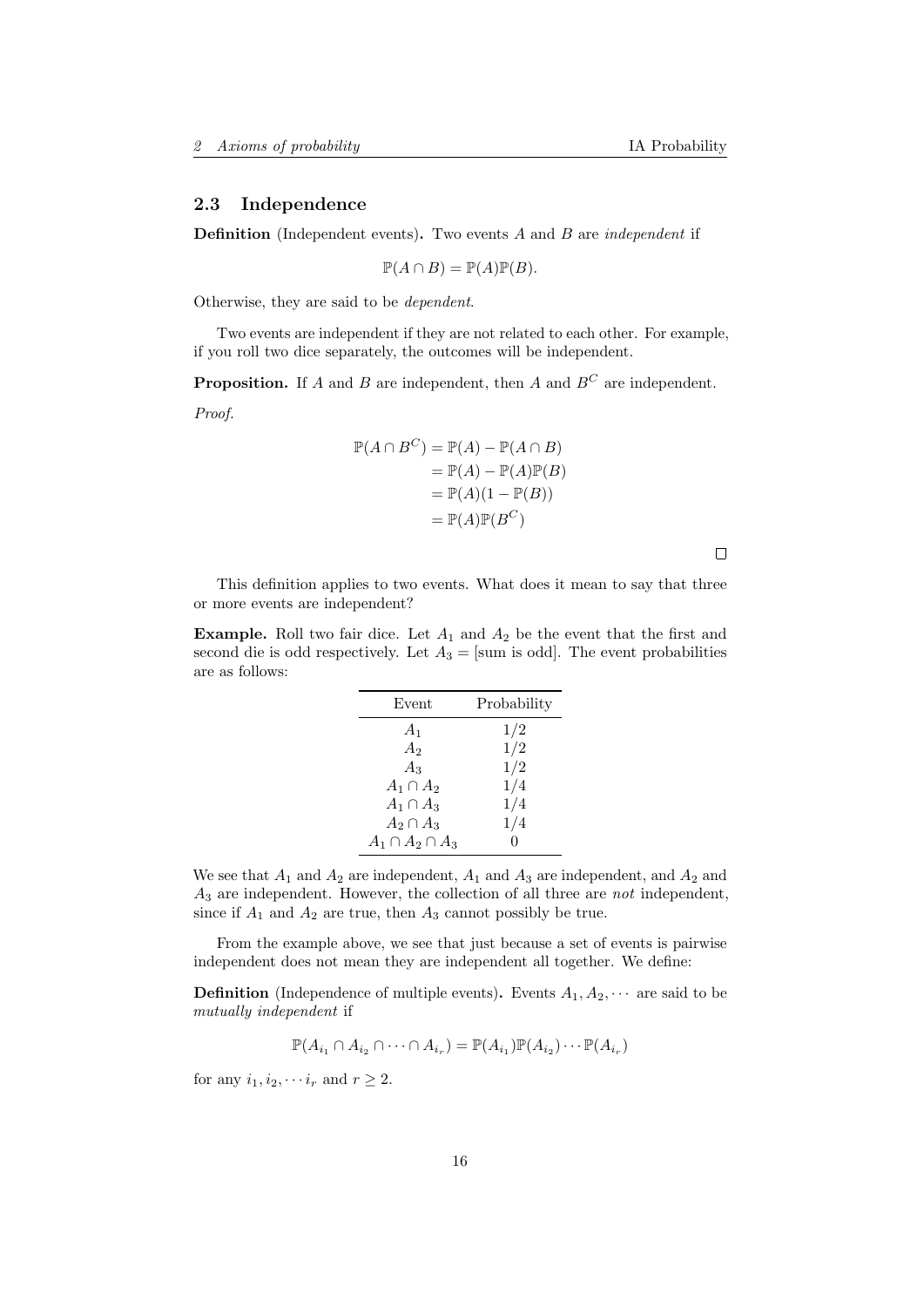## <span id="page-15-0"></span>2.3 Independence

**Definition** (Independent events). Two events A and B are *independent* if

 $\mathbb{P}(A \cap B) = \mathbb{P}(A)\mathbb{P}(B).$ 

Otherwise, they are said to be dependent.

Two events are independent if they are not related to each other. For example, if you roll two dice separately, the outcomes will be independent.

**Proposition.** If A and B are independent, then A and  $B^C$  are independent.

Proof.

$$
\mathbb{P}(A \cap B^C) = \mathbb{P}(A) - \mathbb{P}(A \cap B)
$$
  
=  $\mathbb{P}(A) - \mathbb{P}(A)\mathbb{P}(B)$   
=  $\mathbb{P}(A)(1 - \mathbb{P}(B))$   
=  $\mathbb{P}(A)\mathbb{P}(B^C)$ 

 $\Box$ 

This definition applies to two events. What does it mean to say that three or more events are independent?

**Example.** Roll two fair dice. Let  $A_1$  and  $A_2$  be the event that the first and second die is odd respectively. Let  $A_3 = [\text{sum is odd}]$ . The event probabilities are as follows:

| Event                   | Probability |
|-------------------------|-------------|
| A <sub>1</sub>          | 1/2         |
| A <sub>2</sub>          | 1/2         |
| $A_3$                   | 1/2         |
| $A_1 \cap A_2$          | 1/4         |
| $A_1 \cap A_3$          | 1/4         |
| $A_2 \cap A_3$          | 1/4         |
| $A_1 \cap A_2 \cap A_3$ | $\Omega$    |

We see that  $A_1$  and  $A_2$  are independent,  $A_1$  and  $A_3$  are independent, and  $A_2$  and  $A_3$  are independent. However, the collection of all three are *not* independent, since if  $A_1$  and  $A_2$  are true, then  $A_3$  cannot possibly be true.

From the example above, we see that just because a set of events is pairwise independent does not mean they are independent all together. We define:

**Definition** (Independence of multiple events). Events  $A_1, A_2, \cdots$  are said to be mutually independent if

$$
\mathbb{P}(A_{i_1} \cap A_{i_2} \cap \cdots \cap A_{i_r}) = \mathbb{P}(A_{i_1})\mathbb{P}(A_{i_2})\cdots \mathbb{P}(A_{i_r})
$$

for any  $i_1, i_2, \cdots i_r$  and  $r \geq 2$ .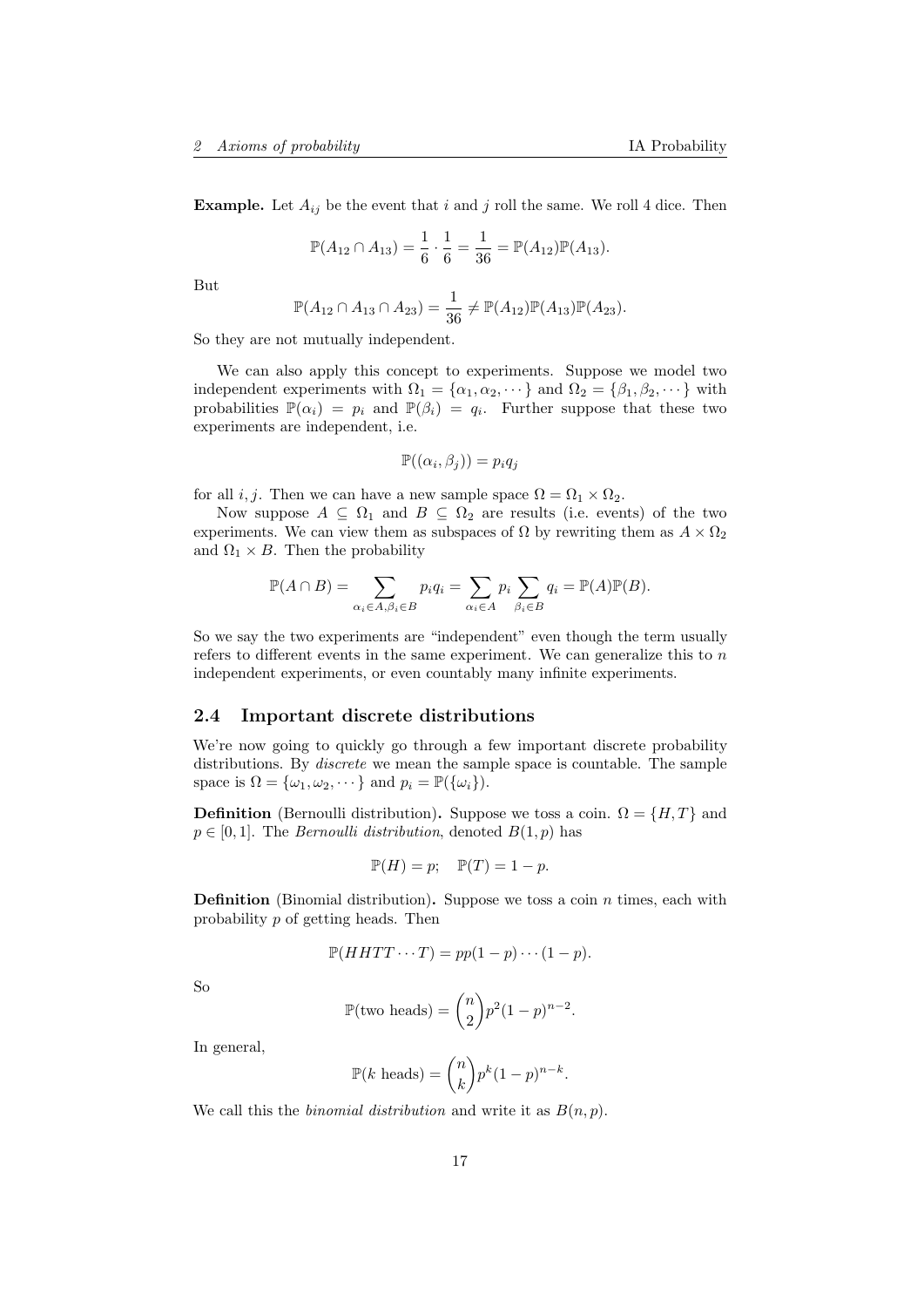**Example.** Let  $A_{ij}$  be the event that i and j roll the same. We roll 4 dice. Then

$$
\mathbb{P}(A_{12} \cap A_{13}) = \frac{1}{6} \cdot \frac{1}{6} = \frac{1}{36} = \mathbb{P}(A_{12})\mathbb{P}(A_{13}).
$$

But

$$
\mathbb{P}(A_{12} \cap A_{13} \cap A_{23}) = \frac{1}{36} \neq \mathbb{P}(A_{12})\mathbb{P}(A_{13})\mathbb{P}(A_{23}).
$$

So they are not mutually independent.

We can also apply this concept to experiments. Suppose we model two independent experiments with  $\Omega_1 = {\alpha_1, \alpha_2, \cdots}$  and  $\Omega_2 = {\beta_1, \beta_2, \cdots}$  with probabilities  $\mathbb{P}(\alpha_i) = p_i$  and  $\mathbb{P}(\beta_i) = q_i$ . Further suppose that these two experiments are independent, i.e.

$$
\mathbb{P}((\alpha_i,\beta_j))=p_iq_j
$$

for all *i*, *j*. Then we can have a new sample space  $\Omega = \Omega_1 \times \Omega_2$ .

Now suppose  $A \subseteq \Omega_1$  and  $B \subseteq \Omega_2$  are results (i.e. events) of the two experiments. We can view them as subspaces of  $\Omega$  by rewriting them as  $A \times \Omega_2$ and  $\Omega_1 \times B$ . Then the probability

$$
\mathbb{P}(A \cap B) = \sum_{\alpha_i \in A, \beta_i \in B} p_i q_i = \sum_{\alpha_i \in A} p_i \sum_{\beta_i \in B} q_i = \mathbb{P}(A) \mathbb{P}(B).
$$

So we say the two experiments are "independent" even though the term usually refers to different events in the same experiment. We can generalize this to  $n$ independent experiments, or even countably many infinite experiments.

#### <span id="page-16-0"></span>2.4 Important discrete distributions

We're now going to quickly go through a few important discrete probability distributions. By discrete we mean the sample space is countable. The sample space is  $\Omega = {\omega_1, \omega_2, \cdots}$  and  $p_i = \mathbb{P}({\omega_i})$ .

**Definition** (Bernoulli distribution). Suppose we toss a coin.  $\Omega = \{H, T\}$  and  $p \in [0, 1]$ . The *Bernoulli distribution*, denoted  $B(1, p)$  has

$$
\mathbb{P}(H) = p; \quad \mathbb{P}(T) = 1 - p.
$$

**Definition** (Binomial distribution). Suppose we toss a coin  $n$  times, each with probability p of getting heads. Then

$$
\mathbb{P}(HHTT\cdots T) = pp(1-p)\cdots(1-p).
$$

So

$$
\mathbb{P}(\text{two heads}) = \binom{n}{2} p^2 (1-p)^{n-2}.
$$

In general,

$$
\mathbb{P}(k \text{ heads}) = \binom{n}{k} p^k (1-p)^{n-k}.
$$

We call this the *binomial distribution* and write it as  $B(n, p)$ .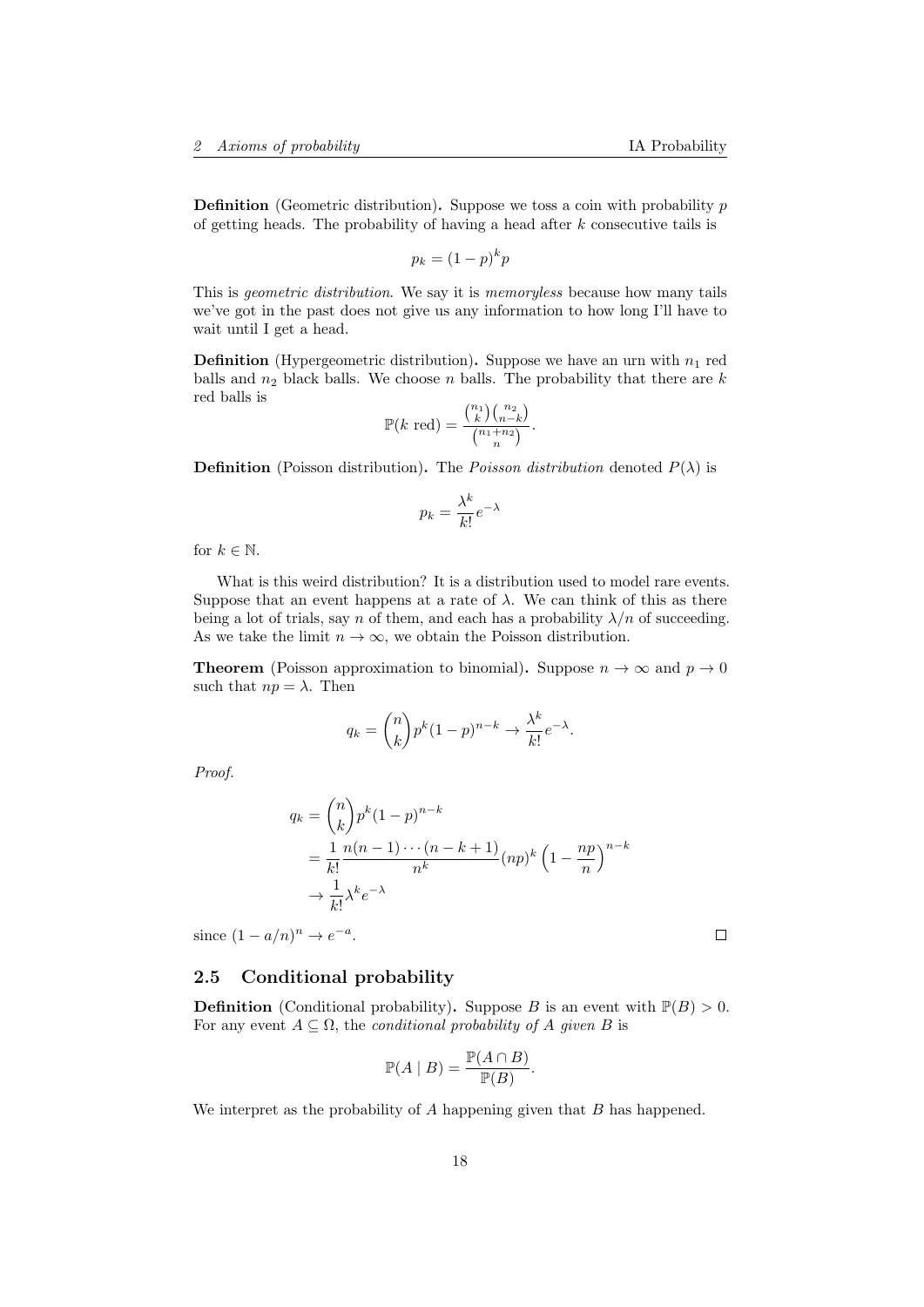**Definition** (Geometric distribution). Suppose we toss a coin with probability  $p$ of getting heads. The probability of having a head after  $k$  consecutive tails is

$$
p_k = (1 - p)^k p
$$

This is geometric distribution. We say it is memoryless because how many tails we've got in the past does not give us any information to how long I'll have to wait until I get a head.

**Definition** (Hypergeometric distribution). Suppose we have an urn with  $n_1$  red balls and  $n_2$  black balls. We choose n balls. The probability that there are k red balls is

$$
\mathbb{P}(k \text{ red}) = \frac{\binom{n_1}{k} \binom{n_2}{n-k}}{\binom{n_1+n_2}{n}}.
$$

**Definition** (Poisson distribution). The *Poisson distribution* denoted  $P(\lambda)$  is

$$
p_k = \frac{\lambda^k}{k!} e^{-\lambda}
$$

for  $k \in \mathbb{N}$ .

What is this weird distribution? It is a distribution used to model rare events. Suppose that an event happens at a rate of  $\lambda$ . We can think of this as there being a lot of trials, say n of them, and each has a probability  $\lambda/n$  of succeeding. As we take the limit  $n \to \infty$ , we obtain the Poisson distribution.

**Theorem** (Poisson approximation to binomial). Suppose  $n \to \infty$  and  $p \to 0$ such that  $np = \lambda$ . Then

$$
q_k = \binom{n}{k} p^k (1-p)^{n-k} \to \frac{\lambda^k}{k!} e^{-\lambda}.
$$

Proof.

$$
q_k = {n \choose k} p^k (1-p)^{n-k}
$$
  
= 
$$
\frac{1}{k!} \frac{n(n-1)\cdots(n-k+1)}{n^k} (np)^k \left(1 - \frac{np}{n}\right)^{n-k}
$$
  

$$
\rightarrow \frac{1}{k!} \lambda^k e^{-\lambda}
$$

since  $(1 - a/n)^n \to e^{-a}$ .

#### $\Box$

<span id="page-17-0"></span>2.5 Conditional probability

**Definition** (Conditional probability). Suppose B is an event with  $\mathbb{P}(B) > 0$ . For any event  $A \subseteq \Omega$ , the *conditional probability of* A given B is

$$
\mathbb{P}(A \mid B) = \frac{\mathbb{P}(A \cap B)}{\mathbb{P}(B)}.
$$

We interpret as the probability of A happening given that B has happened.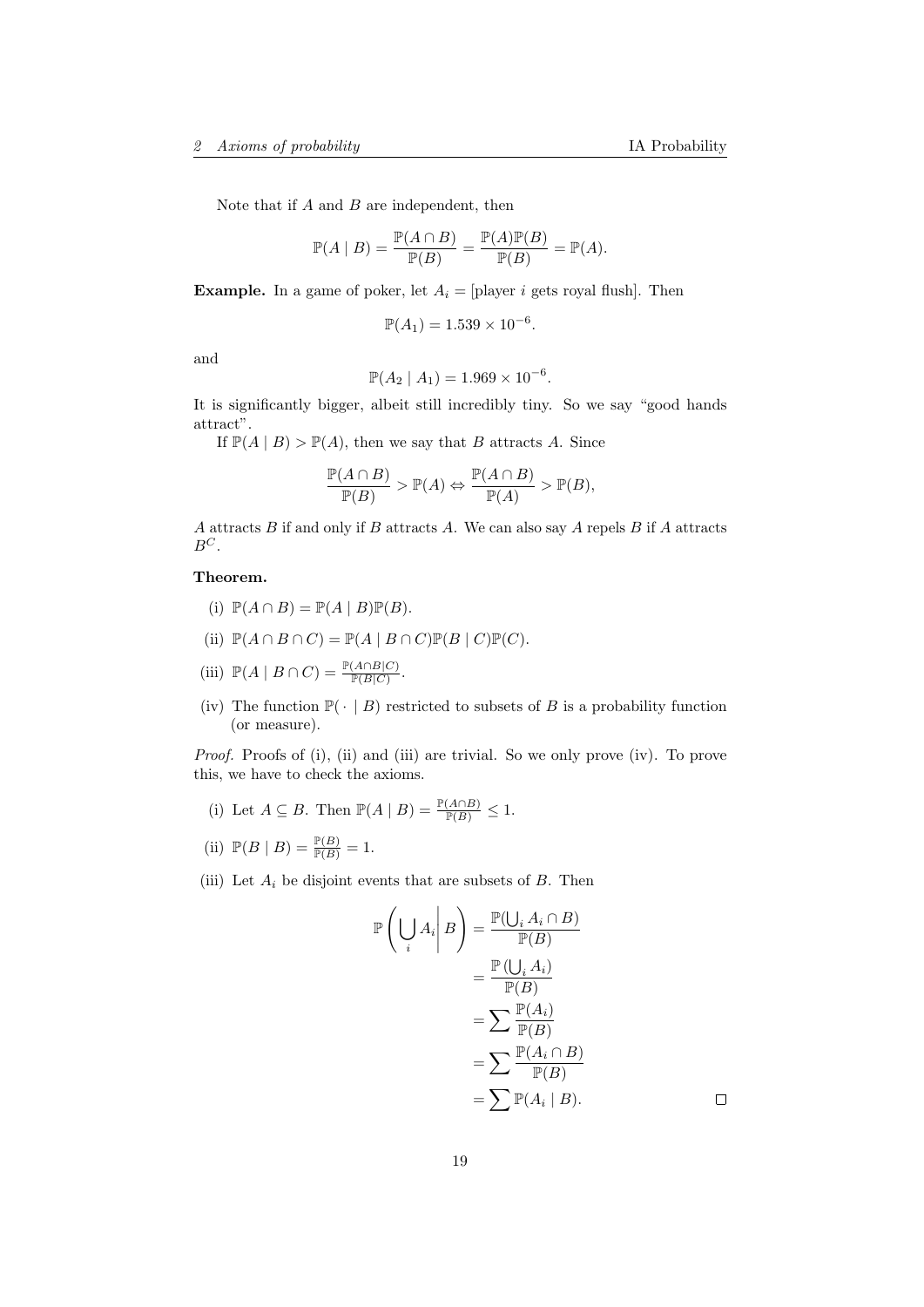Note that if  $A$  and  $B$  are independent, then

$$
\mathbb{P}(A \mid B) = \frac{\mathbb{P}(A \cap B)}{\mathbb{P}(B)} = \frac{\mathbb{P}(A)\mathbb{P}(B)}{\mathbb{P}(B)} = \mathbb{P}(A).
$$

**Example.** In a game of poker, let  $A_i = \text{player } i$  gets royal flush. Then

$$
\mathbb{P}(A_1) = 1.539 \times 10^{-6}.
$$

and

$$
\mathbb{P}(A_2 \mid A_1) = 1.969 \times 10^{-6}.
$$

It is significantly bigger, albeit still incredibly tiny. So we say "good hands attract".

If  $\mathbb{P}(A | B) > \mathbb{P}(A)$ , then we say that B attracts A. Since

$$
\frac{\mathbb{P}(A \cap B)}{\mathbb{P}(B)} > \mathbb{P}(A) \Leftrightarrow \frac{\mathbb{P}(A \cap B)}{\mathbb{P}(A)} > \mathbb{P}(B),
$$

A attracts  $B$  if and only if  $B$  attracts  $A$ . We can also say  $A$  repels  $B$  if  $A$  attracts  $\mathbb{B}^C.$ 

## Theorem.

- (i)  $\mathbb{P}(A \cap B) = \mathbb{P}(A \mid B)\mathbb{P}(B)$ .
- (ii)  $\mathbb{P}(A \cap B \cap C) = \mathbb{P}(A \mid B \cap C)\mathbb{P}(B \mid C)\mathbb{P}(C).$
- (iii)  $\mathbb{P}(A \mid B \cap C) = \frac{\mathbb{P}(A \cap B|C)}{\mathbb{P}(B|C)}$ .
- (iv) The function  $\mathbb{P}(\cdot | B)$  restricted to subsets of B is a probability function (or measure).

Proof. Proofs of (i), (ii) and (iii) are trivial. So we only prove (iv). To prove this, we have to check the axioms.

- (i) Let  $A \subseteq B$ . Then  $\mathbb{P}(A | B) = \frac{\mathbb{P}(A \cap B)}{\mathbb{P}(B)} \leq 1$ .
- (ii)  $\mathbb{P}(B | B) = \frac{\mathbb{P}(B)}{\mathbb{P}(B)} = 1.$
- (iii) Let  $A_i$  be disjoint events that are subsets of  $B$ . Then

$$
\mathbb{P}\left(\bigcup_{i} A_{i} \middle| B\right) = \frac{\mathbb{P}(\bigcup_{i} A_{i} \cap B)}{\mathbb{P}(B)} \\
= \frac{\mathbb{P}\left(\bigcup_{i} A_{i}\right)}{\mathbb{P}(B)} \\
= \sum \frac{\mathbb{P}(A_{i})}{\mathbb{P}(B)} \\
= \sum \frac{\mathbb{P}(A_{i})}{\mathbb{P}(B)} \\
= \sum \frac{\mathbb{P}(A_{i} \cap B)}{\mathbb{P}(B)} \\
= \sum \mathbb{P}(A_{i} \mid B).
$$

 $\Box$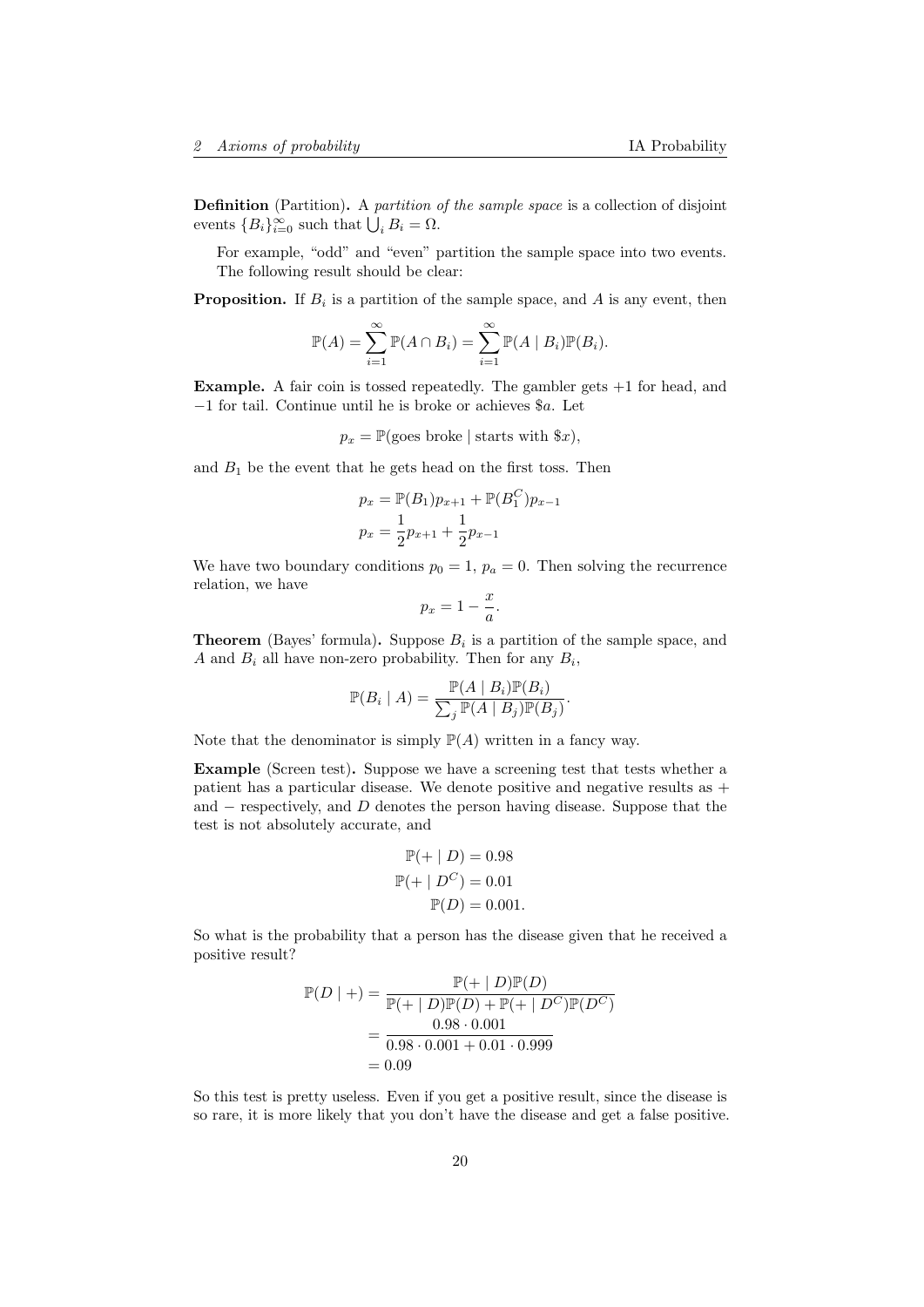Definition (Partition). A partition of the sample space is a collection of disjoint events  ${B_i}_{i=0}^{\infty}$  such that  $\bigcup_i B_i = \Omega$ .

For example, "odd" and "even" partition the sample space into two events. The following result should be clear:

**Proposition.** If  $B_i$  is a partition of the sample space, and A is any event, then

$$
\mathbb{P}(A) = \sum_{i=1}^{\infty} \mathbb{P}(A \cap B_i) = \sum_{i=1}^{\infty} \mathbb{P}(A \mid B_i) \mathbb{P}(B_i).
$$

**Example.** A fair coin is tossed repeatedly. The gambler gets  $+1$  for head, and −1 for tail. Continue until he is broke or achieves \$a. Let

 $p_x = \mathbb{P}(\text{goes broke} \mid \text{starts with } \$x),$ 

and  $B_1$  be the event that he gets head on the first toss. Then

$$
p_x = \mathbb{P}(B_1)p_{x+1} + \mathbb{P}(B_1^C)p_x
$$
  

$$
p_x = \frac{1}{2}p_{x+1} + \frac{1}{2}p_{x-1}
$$

 $\cdot$ 1

We have two boundary conditions  $p_0 = 1$ ,  $p_a = 0$ . Then solving the recurrence relation, we have

$$
p_x = 1 - \frac{x}{a}.
$$

**Theorem** (Bayes' formula). Suppose  $B_i$  is a partition of the sample space, and A and  $B_i$  all have non-zero probability. Then for any  $B_i$ ,

$$
\mathbb{P}(B_i \mid A) = \frac{\mathbb{P}(A \mid B_i)\mathbb{P}(B_i)}{\sum_j \mathbb{P}(A \mid B_j)\mathbb{P}(B_j)}.
$$

Note that the denominator is simply  $\mathbb{P}(A)$  written in a fancy way.

Example (Screen test). Suppose we have a screening test that tests whether a patient has a particular disease. We denote positive and negative results as + and  $-$  respectively, and  $D$  denotes the person having disease. Suppose that the test is not absolutely accurate, and

$$
\mathbb{P}(+ | D) = 0.98
$$
  

$$
\mathbb{P}(+ | D^C) = 0.01
$$
  

$$
\mathbb{P}(D) = 0.001.
$$

So what is the probability that a person has the disease given that he received a positive result?

$$
\mathbb{P}(D \mid +) = \frac{\mathbb{P}(+ \mid D)\mathbb{P}(D)}{\mathbb{P}(+ \mid D)\mathbb{P}(D) + \mathbb{P}(+ \mid D^C)\mathbb{P}(D^C)}
$$
  
= 
$$
\frac{0.98 \cdot 0.001}{0.98 \cdot 0.001 + 0.01 \cdot 0.999}
$$
  
= 0.09

So this test is pretty useless. Even if you get a positive result, since the disease is so rare, it is more likely that you don't have the disease and get a false positive.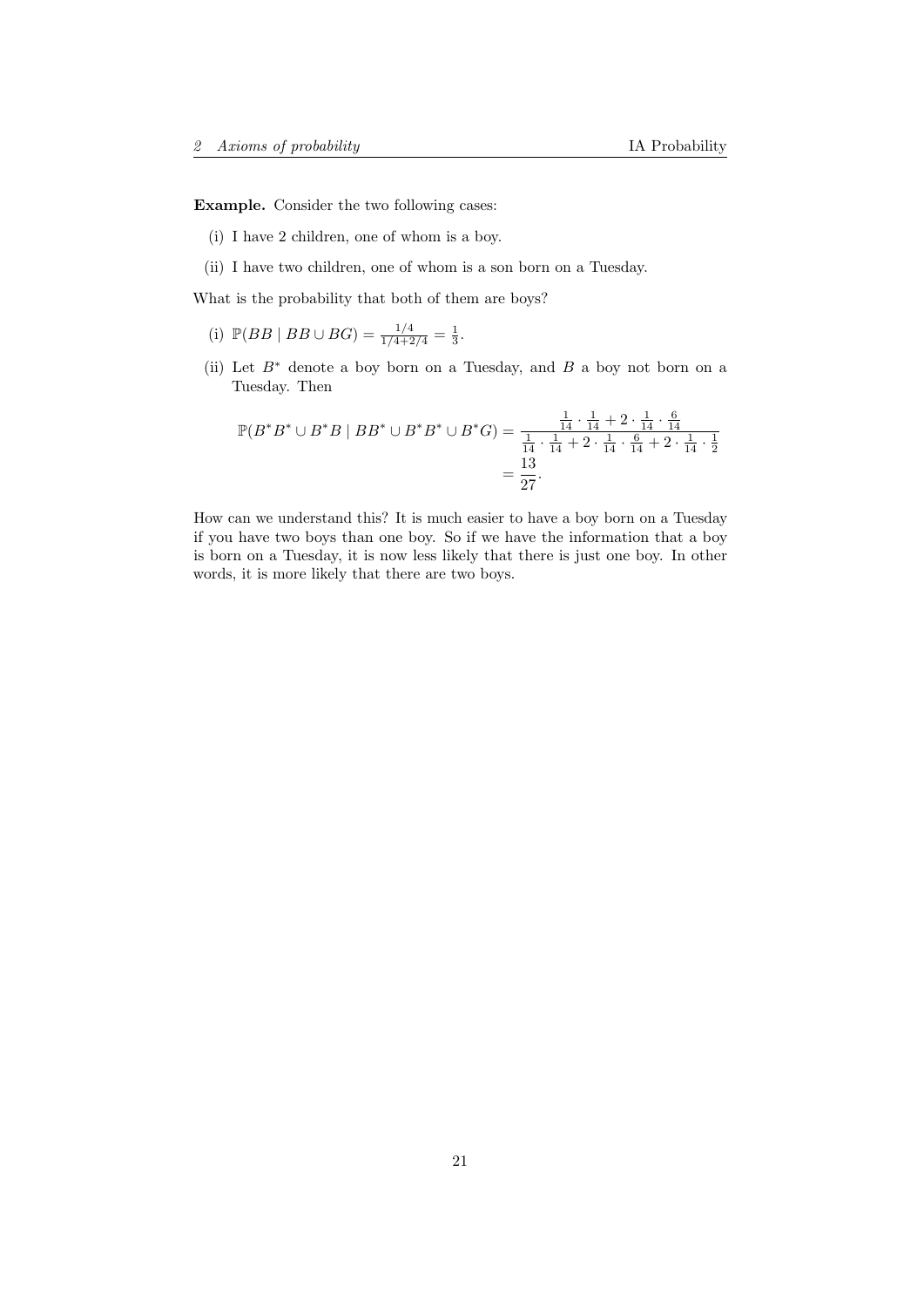Example. Consider the two following cases:

- (i) I have 2 children, one of whom is a boy.
- (ii) I have two children, one of whom is a son born on a Tuesday.

What is the probability that both of them are boys?

- (i)  $\mathbb{P}(BB | BB \cup BG) = \frac{1/4}{1/4 + 2/4} = \frac{1}{3}.$
- (ii) Let  $B^*$  denote a boy born on a Tuesday, and B a boy not born on a Tuesday. Then

$$
\mathbb{P}(B^*B^* \cup B^*B \mid BB^* \cup B^*B^* \cup B^*G) = \frac{\frac{1}{14} \cdot \frac{1}{14} + 2 \cdot \frac{1}{14} \cdot \frac{6}{14}}{\frac{1}{14} \cdot \frac{1}{14} + 2 \cdot \frac{1}{14} \cdot \frac{6}{14} + 2 \cdot \frac{1}{14} \cdot \frac{1}{2}} = \frac{13}{27}.
$$

How can we understand this? It is much easier to have a boy born on a Tuesday if you have two boys than one boy. So if we have the information that a boy is born on a Tuesday, it is now less likely that there is just one boy. In other words, it is more likely that there are two boys.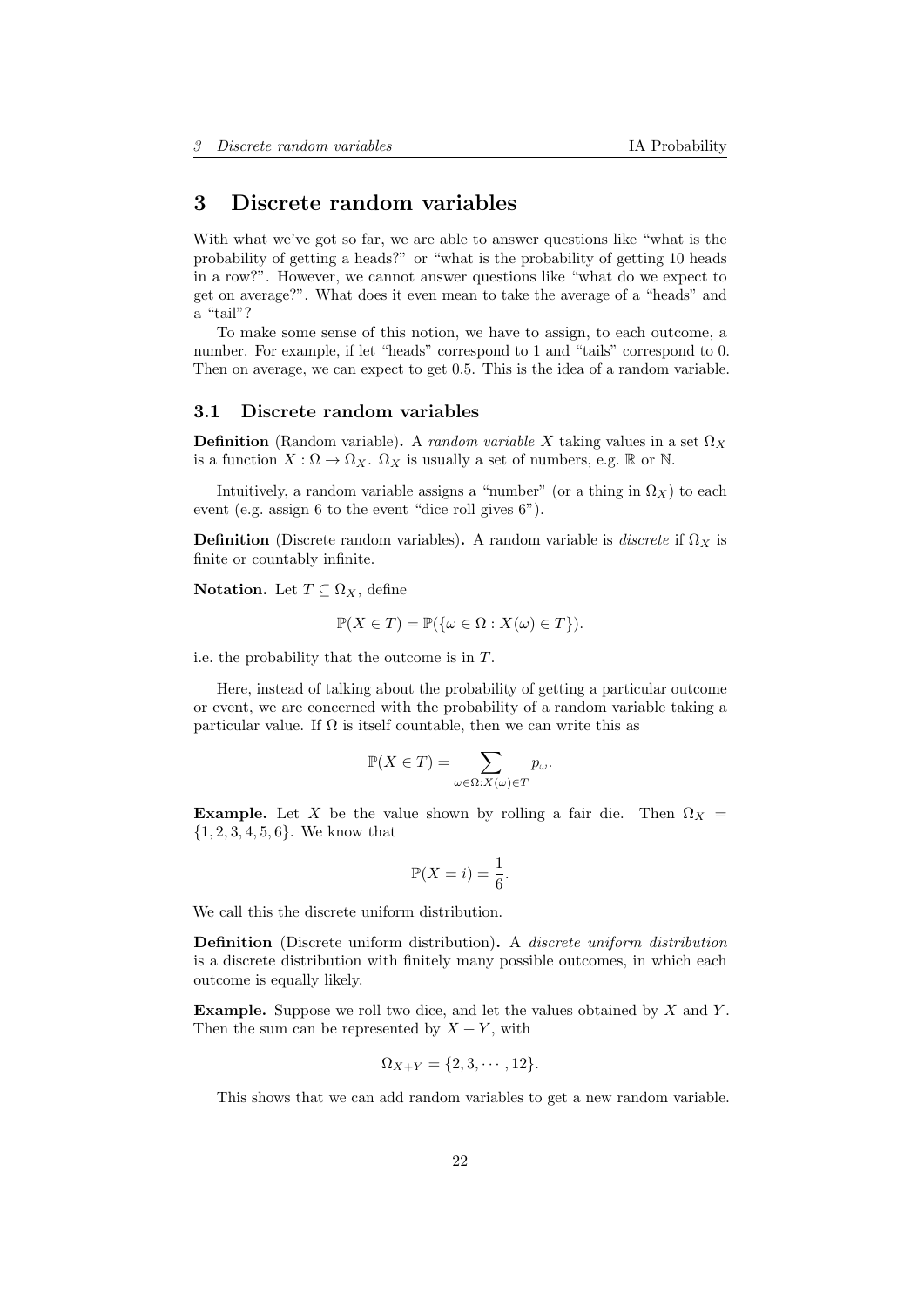# <span id="page-21-0"></span>3 Discrete random variables

With what we've got so far, we are able to answer questions like "what is the probability of getting a heads?" or "what is the probability of getting 10 heads in a row?". However, we cannot answer questions like "what do we expect to get on average?". What does it even mean to take the average of a "heads" and a "tail"?

To make some sense of this notion, we have to assign, to each outcome, a number. For example, if let "heads" correspond to 1 and "tails" correspond to 0. Then on average, we can expect to get 0.5. This is the idea of a random variable.

#### <span id="page-21-1"></span>3.1 Discrete random variables

**Definition** (Random variable). A random variable X taking values in a set  $\Omega_X$ is a function  $X : \Omega \to \Omega_X$ .  $\Omega_X$  is usually a set of numbers, e.g. R or N.

Intuitively, a random variable assigns a "number" (or a thing in  $\Omega_X$ ) to each event (e.g. assign 6 to the event "dice roll gives 6").

**Definition** (Discrete random variables). A random variable is *discrete* if  $\Omega_X$  is finite or countably infinite.

Notation. Let  $T \subseteq \Omega_X$ , define

$$
\mathbb{P}(X \in T) = \mathbb{P}(\{\omega \in \Omega : X(\omega) \in T\}).
$$

i.e. the probability that the outcome is in T.

Here, instead of talking about the probability of getting a particular outcome or event, we are concerned with the probability of a random variable taking a particular value. If  $\Omega$  is itself countable, then we can write this as

$$
\mathbb{P}(X \in T) = \sum_{\omega \in \Omega: X(\omega) \in T} p_{\omega}.
$$

**Example.** Let X be the value shown by rolling a fair die. Then  $\Omega_X$  =  $\{1, 2, 3, 4, 5, 6\}$ . We know that

$$
\mathbb{P}(X=i) = \frac{1}{6}.
$$

We call this the discrete uniform distribution.

Definition (Discrete uniform distribution). A discrete uniform distribution is a discrete distribution with finitely many possible outcomes, in which each outcome is equally likely.

**Example.** Suppose we roll two dice, and let the values obtained by  $X$  and  $Y$ . Then the sum can be represented by  $X + Y$ , with

$$
\Omega_{X+Y} = \{2, 3, \cdots, 12\}.
$$

This shows that we can add random variables to get a new random variable.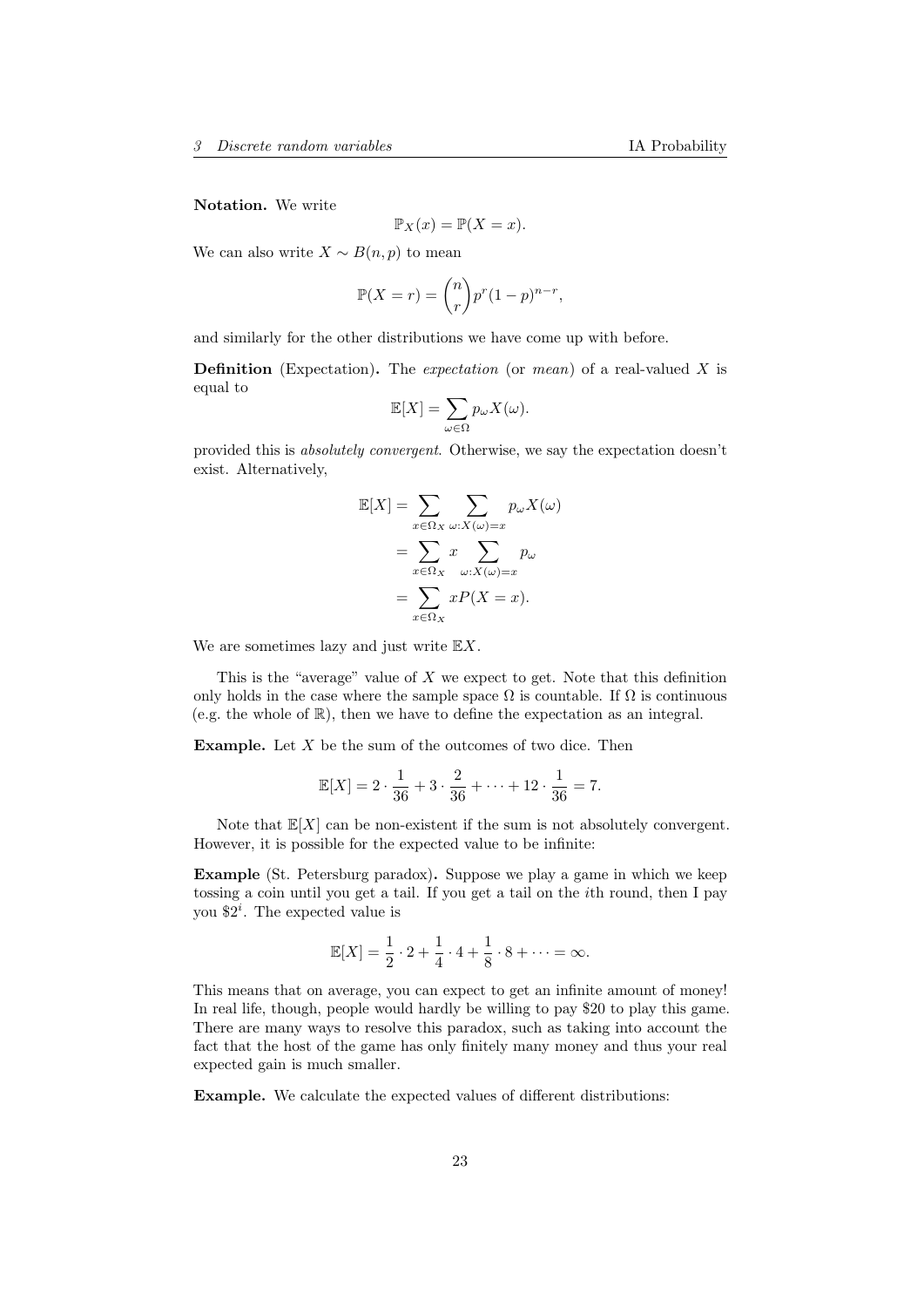Notation. We write

$$
\mathbb{P}_X(x) = \mathbb{P}(X = x).
$$

We can also write  $X \sim B(n, p)$  to mean

$$
\mathbb{P}(X=r) = \binom{n}{r} p^r (1-p)^{n-r},
$$

and similarly for the other distributions we have come up with before.

**Definition** (Expectation). The *expectation* (or *mean*) of a real-valued X is equal to

$$
\mathbb{E}[X] = \sum_{\omega \in \Omega} p_{\omega} X(\omega).
$$

provided this is absolutely convergent. Otherwise, we say the expectation doesn't exist. Alternatively,

$$
\mathbb{E}[X] = \sum_{x \in \Omega_X} \sum_{\omega: X(\omega) = x} p_{\omega} X(\omega)
$$

$$
= \sum_{x \in \Omega_X} x \sum_{\omega: X(\omega) = x} p_{\omega}
$$

$$
= \sum_{x \in \Omega_X} x P(X = x).
$$

We are sometimes lazy and just write  $\mathbb{E} X$ .

This is the "average" value of  $X$  we expect to get. Note that this definition only holds in the case where the sample space  $\Omega$  is countable. If  $\Omega$  is continuous (e.g. the whole of R), then we have to define the expectation as an integral.

**Example.** Let  $X$  be the sum of the outcomes of two dice. Then

$$
\mathbb{E}[X] = 2 \cdot \frac{1}{36} + 3 \cdot \frac{2}{36} + \dots + 12 \cdot \frac{1}{36} = 7.
$$

Note that  $\mathbb{E}[X]$  can be non-existent if the sum is not absolutely convergent. However, it is possible for the expected value to be infinite:

Example (St. Petersburg paradox). Suppose we play a game in which we keep tossing a coin until you get a tail. If you get a tail on the ith round, then I pay you  $2^i$ . The expected value is

$$
\mathbb{E}[X] = \frac{1}{2} \cdot 2 + \frac{1}{4} \cdot 4 + \frac{1}{8} \cdot 8 + \dots = \infty.
$$

This means that on average, you can expect to get an infinite amount of money! In real life, though, people would hardly be willing to pay \$20 to play this game. There are many ways to resolve this paradox, such as taking into account the fact that the host of the game has only finitely many money and thus your real expected gain is much smaller.

Example. We calculate the expected values of different distributions: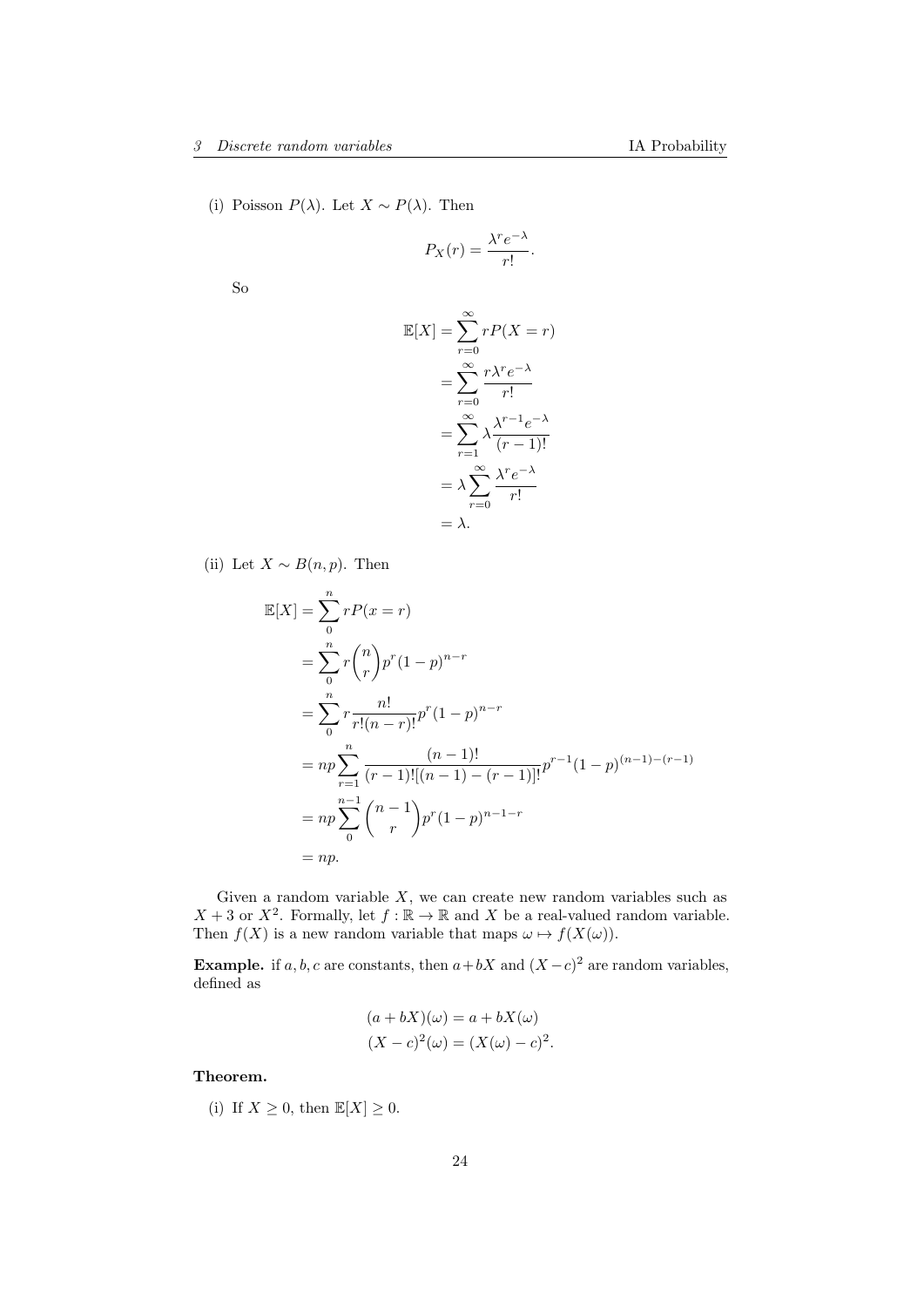(i) Poisson  $P(\lambda)$ . Let  $X \sim P(\lambda)$ . Then

$$
P_X(r) = \frac{\lambda^r e^{-\lambda}}{r!}.
$$

So

$$
\mathbb{E}[X] = \sum_{r=0}^{\infty} rP(X=r)
$$

$$
= \sum_{r=0}^{\infty} \frac{r\lambda^r e^{-\lambda}}{r!}
$$

$$
= \sum_{r=1}^{\infty} \lambda \frac{\lambda^{r-1} e^{-\lambda}}{(r-1)!}
$$

$$
= \lambda \sum_{r=0}^{\infty} \frac{\lambda^r e^{-\lambda}}{r!}
$$

$$
= \lambda.
$$

(ii) Let  $X \sim B(n, p)$ . Then

$$
\mathbb{E}[X] = \sum_{0}^{n} rP(x = r)
$$
  
= 
$$
\sum_{0}^{n} r {n \choose r} p^{r} (1-p)^{n-r}
$$
  
= 
$$
\sum_{0}^{n} r \frac{n!}{r!(n-r)!} p^{r} (1-p)^{n-r}
$$
  
= 
$$
np \sum_{r=1}^{n} \frac{(n-1)!}{(r-1)![(n-1)-(r-1)]!} p^{r-1} (1-p)^{(n-1)-(r-1)}
$$
  
= 
$$
np \sum_{0}^{n-1} {n-1 \choose r} p^{r} (1-p)^{n-1-r}
$$
  
= 
$$
np.
$$

Given a random variable  $X$ , we can create new random variables such as  $X + 3$  or  $X^2$ . Formally, let  $f : \mathbb{R} \to \mathbb{R}$  and X be a real-valued random variable. Then  $f(X)$  is a new random variable that maps  $\omega \mapsto f(X(\omega)).$ 

**Example.** if a, b, c are constants, then  $a+bX$  and  $(X-c)^2$  are random variables, defined as

$$
(a+bX)(\omega) = a + bX(\omega)
$$

$$
(X-c)^{2}(\omega) = (X(\omega) - c)^{2}.
$$

Theorem.

(i) If  $X \geq 0$ , then  $\mathbb{E}[X] \geq 0$ .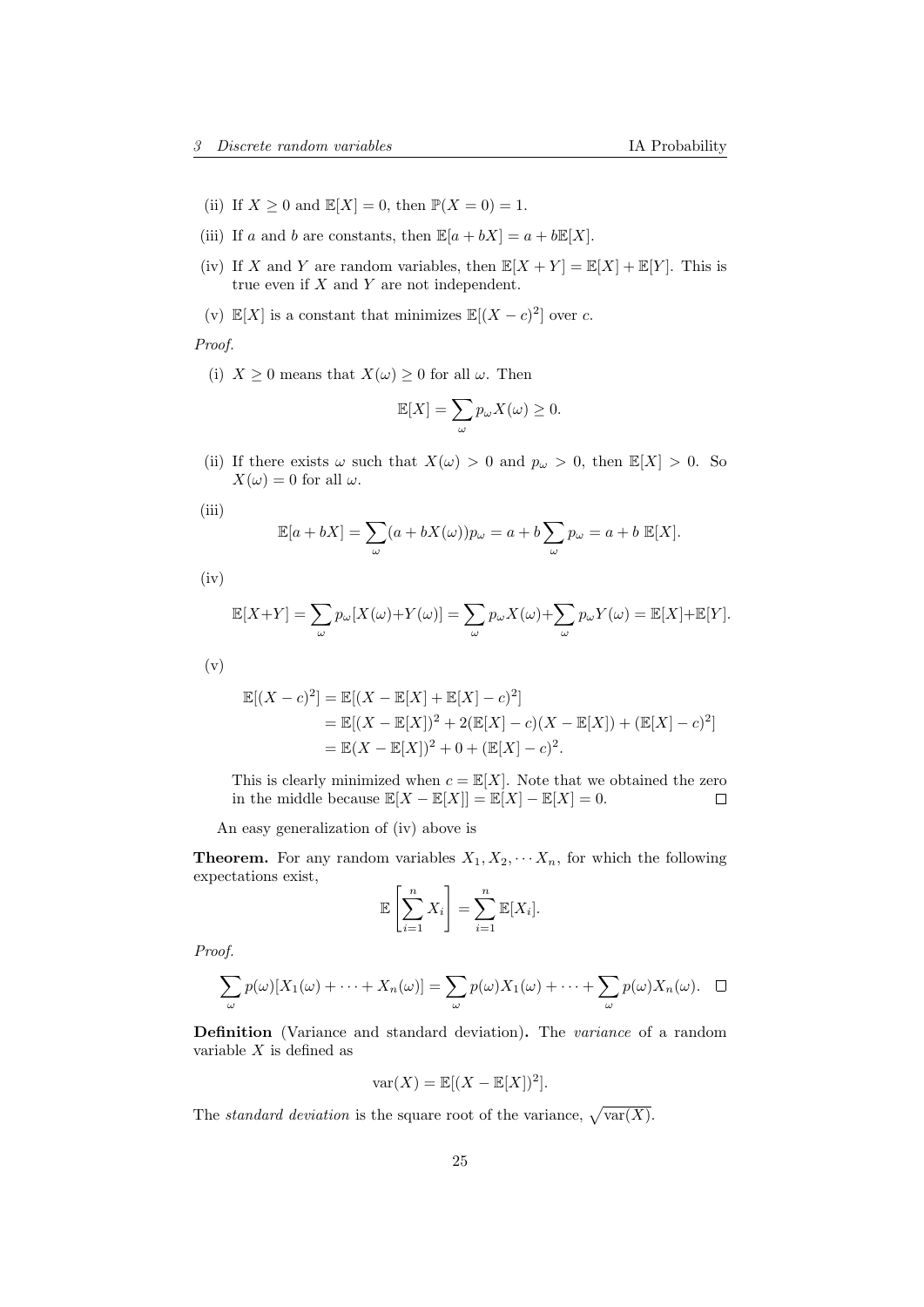- (ii) If  $X \geq 0$  and  $\mathbb{E}[X] = 0$ , then  $\mathbb{P}(X = 0) = 1$ .
- (iii) If a and b are constants, then  $\mathbb{E}[a + bX] = a + b\mathbb{E}[X]$ .
- (iv) If X and Y are random variables, then  $\mathbb{E}[X+Y] = \mathbb{E}[X] + \mathbb{E}[Y]$ . This is true even if  $X$  and  $Y$  are not independent.
- (v)  $\mathbb{E}[X]$  is a constant that minimizes  $\mathbb{E}[(X-c)^2]$  over c.

Proof.

(i)  $X \geq 0$  means that  $X(\omega) \geq 0$  for all  $\omega$ . Then

$$
\mathbb{E}[X] = \sum_{\omega} p_{\omega} X(\omega) \ge 0.
$$

- (ii) If there exists  $\omega$  such that  $X(\omega) > 0$  and  $p_{\omega} > 0$ , then  $\mathbb{E}[X] > 0$ . So  $X(\omega) = 0$  for all  $\omega$ .
- (iii)

$$
\mathbb{E}[a+bX] = \sum_{\omega} (a+bX(\omega))p_{\omega} = a+b\sum_{\omega} p_{\omega} = a+b \mathbb{E}[X].
$$

 $(iv)$ 

$$
\mathbb{E}[X+Y] = \sum_{\omega} p_{\omega}[X(\omega) + Y(\omega)] = \sum_{\omega} p_{\omega}X(\omega) + \sum_{\omega} p_{\omega}Y(\omega) = \mathbb{E}[X] + \mathbb{E}[Y].
$$

(v)

$$
\mathbb{E}[(X - c)^2] = \mathbb{E}[(X - \mathbb{E}[X] + \mathbb{E}[X] - c)^2]
$$
  
=  $\mathbb{E}[(X - \mathbb{E}[X])^2 + 2(\mathbb{E}[X] - c)(X - \mathbb{E}[X]) + (\mathbb{E}[X] - c)^2]$   
=  $\mathbb{E}(X - \mathbb{E}[X])^2 + 0 + (\mathbb{E}[X] - c)^2$ .

This is clearly minimized when  $c = \mathbb{E}[X]$ . Note that we obtained the zero in the middle because  $\mathbb{E}[X - \mathbb{E}[X]] = \mathbb{E}[X] - \mathbb{E}[X] = 0.$  $\Box$ 

An easy generalization of (iv) above is

**Theorem.** For any random variables  $X_1, X_2, \cdots, X_n$ , for which the following expectations exist,

$$
\mathbb{E}\left[\sum_{i=1}^n X_i\right] = \sum_{i=1}^n \mathbb{E}[X_i].
$$

Proof.

$$
\sum_{\omega} p(\omega)[X_1(\omega) + \cdots + X_n(\omega)] = \sum_{\omega} p(\omega)X_1(\omega) + \cdots + \sum_{\omega} p(\omega)X_n(\omega). \quad \Box
$$

Definition (Variance and standard deviation). The variance of a random variable  $X$  is defined as

$$
\text{var}(X) = \mathbb{E}[(X - \mathbb{E}[X])^2].
$$

The *standard deviation* is the square root of the variance,  $\sqrt{\text{var}(X)}$ .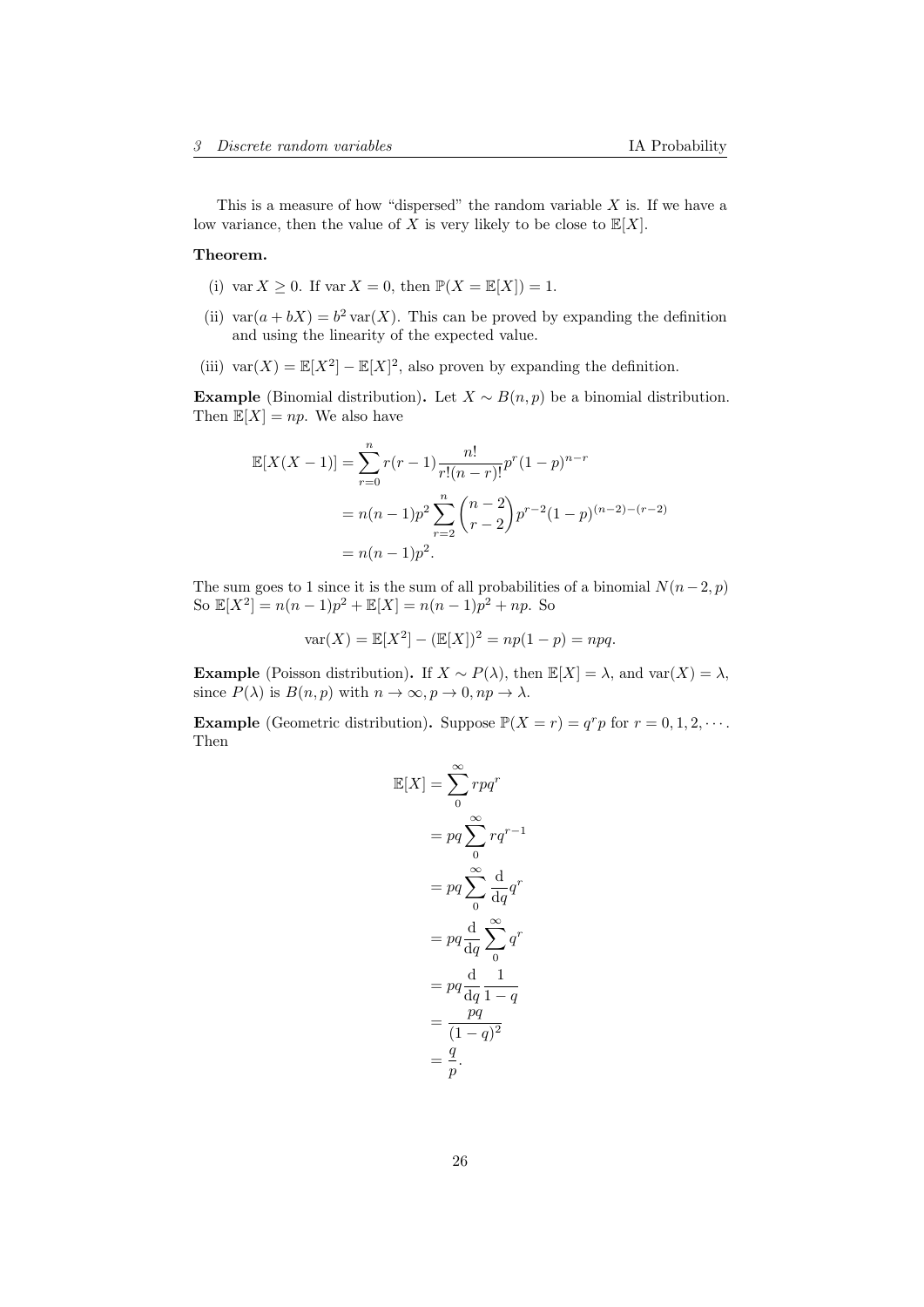This is a measure of how "dispersed" the random variable  $X$  is. If we have a low variance, then the value of X is very likely to be close to  $\mathbb{E}[X]$ .

#### Theorem.

- (i) var  $X \geq 0$ . If var  $X = 0$ , then  $\mathbb{P}(X = \mathbb{E}[X]) = 1$ .
- (ii)  $\text{var}(a + bX) = b^2 \text{var}(X)$ . This can be proved by expanding the definition and using the linearity of the expected value.
- (iii)  $\text{var}(X) = \mathbb{E}[X^2] \mathbb{E}[X]^2$ , also proven by expanding the definition.

Example (Binomial distribution). Let  $X \sim B(n, p)$  be a binomial distribution. Then  $\mathbb{E}[X] = np$ . We also have

$$
\mathbb{E}[X(X-1)] = \sum_{r=0}^{n} r(r-1) \frac{n!}{r!(n-r)!} p^r (1-p)^{n-r}
$$
  
=  $n(n-1)p^2 \sum_{r=2}^{n} {n-2 \choose r-2} p^{r-2} (1-p)^{(n-2)-(r-2)}$   
=  $n(n-1)p^2$ .

The sum goes to 1 since it is the sum of all probabilities of a binomial  $N(n-2, p)$ So  $\mathbb{E}[X^2] = n(n-1)p^2 + \mathbb{E}[X] = n(n-1)p^2 + np$ . So

$$
var(X) = \mathbb{E}[X^2] - (\mathbb{E}[X])^2 = np(1 - p) = npq.
$$

Example (Poisson distribution). If  $X \sim P(\lambda)$ , then  $\mathbb{E}[X] = \lambda$ , and var $(X) = \lambda$ , since  $P(\lambda)$  is  $B(n, p)$  with  $n \to \infty, p \to 0, np \to \lambda$ .

**Example** (Geometric distribution). Suppose  $\mathbb{P}(X = r) = q^r p$  for  $r = 0, 1, 2, \cdots$ . Then

$$
\mathbb{E}[X] = \sum_{0}^{\infty} r p q^r
$$

$$
= p q \sum_{0}^{\infty} r q^{r-1}
$$

$$
= p q \sum_{0}^{\infty} \frac{d}{dq} q^r
$$

$$
= p q \frac{d}{dq} \sum_{0}^{\infty} q^r
$$

$$
= p q \frac{d}{dq} \frac{1}{1-q}
$$

$$
= \frac{pq}{(1-q)^2}
$$

$$
= \frac{q}{p}.
$$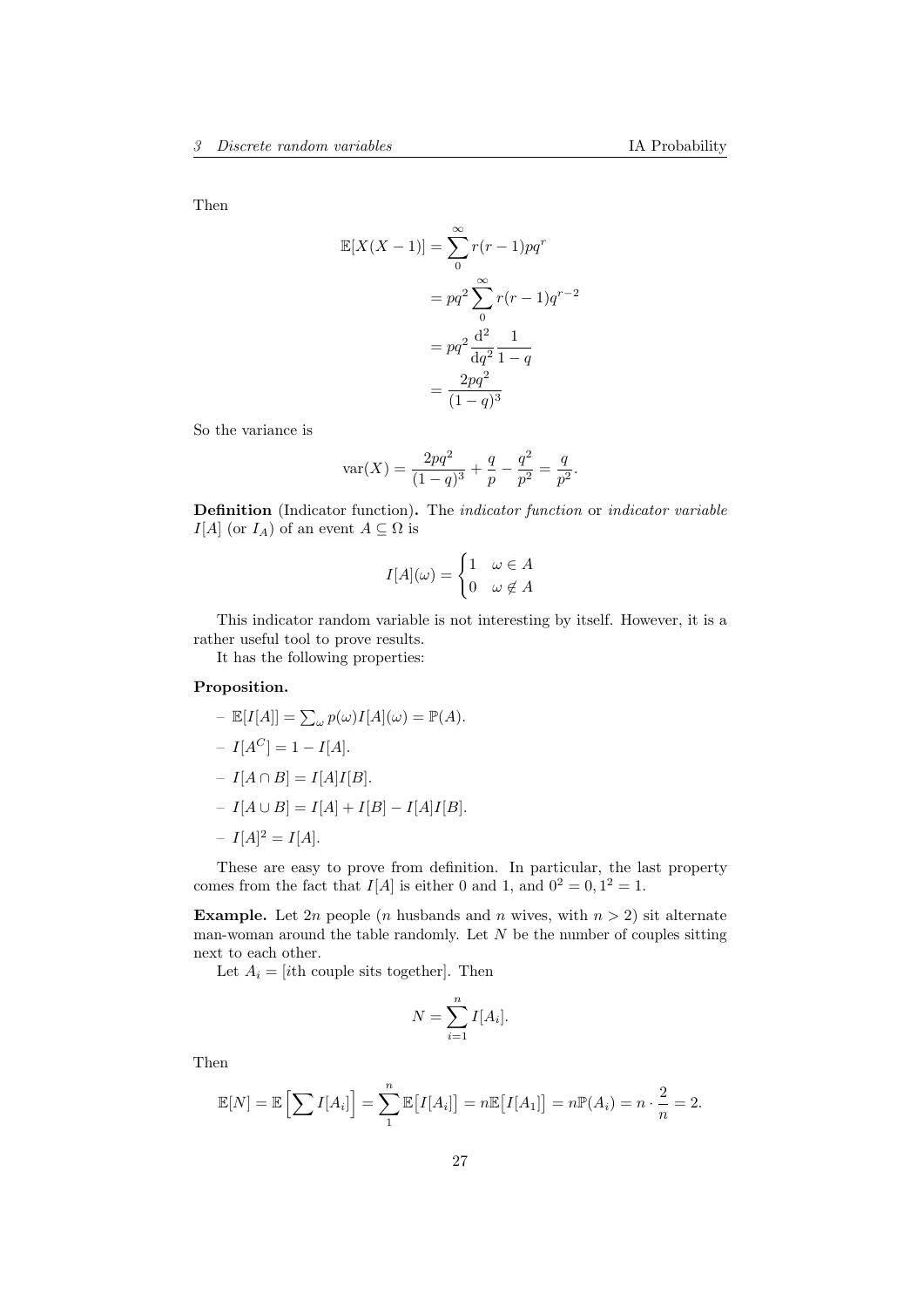Then

$$
\mathbb{E}[X(X-1)] = \sum_{0}^{\infty} r(r-1)pq^r
$$

$$
= pq^2 \sum_{0}^{\infty} r(r-1)q^{r-2}
$$

$$
= pq^2 \frac{d^2}{dq^2} \frac{1}{1-q}
$$

$$
= \frac{2pq^2}{(1-q)^3}
$$

So the variance is

$$
\text{var}(X) = \frac{2pq^2}{(1-q)^3} + \frac{q}{p} - \frac{q^2}{p^2} = \frac{q}{p^2}.
$$

Definition (Indicator function). The indicator function or indicator variable  $I[A]$  (or  $I_A$ ) of an event  $A \subseteq \Omega$  is

$$
I[A](\omega) = \begin{cases} 1 & \omega \in A \\ 0 & \omega \notin A \end{cases}
$$

This indicator random variable is not interesting by itself. However, it is a rather useful tool to prove results.

It has the following properties:

## Proposition.

$$
- \mathbb{E}[I[A]] = \sum_{\omega} p(\omega)I[A](\omega) = \mathbb{P}(A).
$$
  
\n
$$
- I[A^C] = 1 - I[A].
$$
  
\n
$$
- I[A \cap B] = I[A]I[B].
$$
  
\n
$$
- I[A \cup B] = I[A] + I[B] - I[A]I[B].
$$
  
\n
$$
- I[A]^2 = I[A].
$$

These are easy to prove from definition. In particular, the last property comes from the fact that  $I[A]$  is either 0 and 1, and  $0^2 = 0, 1^2 = 1$ .

**Example.** Let 2n people (n husbands and n wives, with  $n > 2$ ) sit alternate man-woman around the table randomly. Let  $N$  be the number of couples sitting next to each other.

Let  $A_i = [ith \text{ couple sits together}]$ . Then

$$
N = \sum_{i=1}^{n} I[A_i].
$$

Then

$$
\mathbb{E}[N] = \mathbb{E}\left[\sum I[A_i]\right] = \sum_{1}^{n} \mathbb{E}[I[A_i]] = n \mathbb{E}[I[A_1]] = n \mathbb{P}(A_i) = n \cdot \frac{2}{n} = 2.
$$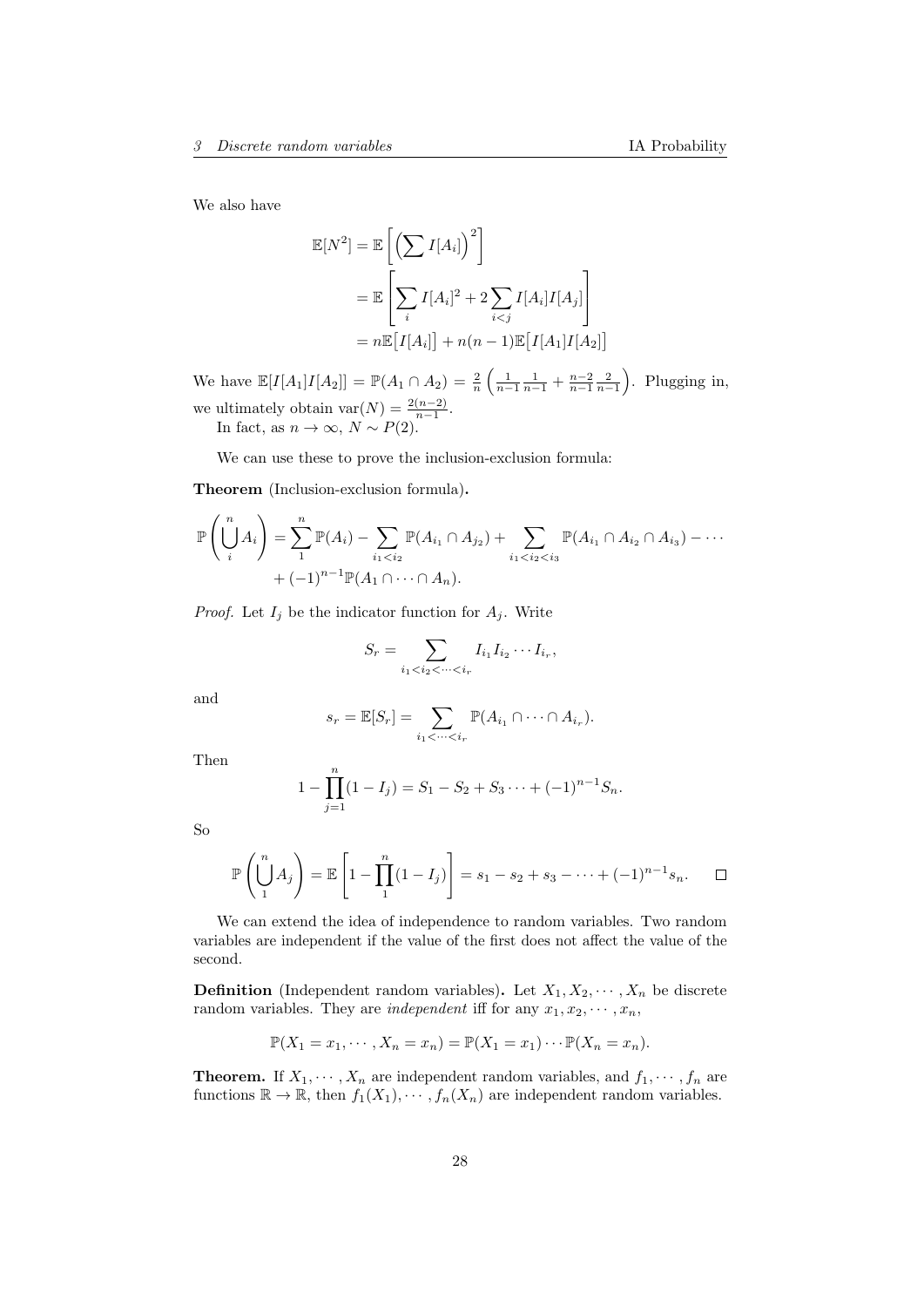We also have

$$
\mathbb{E}[N^2] = \mathbb{E}\left[\left(\sum I[A_i]\right)^2\right]
$$

$$
= \mathbb{E}\left[\sum_i I[A_i]^2 + 2\sum_{i < j} I[A_i]I[A_j]\right]
$$

$$
= n\mathbb{E}\left[I[A_i]\right] + n(n-1)\mathbb{E}\left[I[A_1]I[A_2]\right]
$$

We have  $\mathbb{E}[I[A_1]I[A_2]] = \mathbb{P}(A_1 \cap A_2) = \frac{2}{n} \left( \frac{1}{n-1} \frac{1}{n-1} + \frac{n-2}{n-1} \frac{2}{n-1} \right)$ . Plugging in, we ultimately obtain  $\text{var}(N) = \frac{2(n-2)}{n-1}$ . In fact, as  $n \to \infty$ ,  $N \sim P(2)$ .

We can use these to prove the inclusion-exclusion formula:

Theorem (Inclusion-exclusion formula).

$$
\mathbb{P}\left(\bigcup_{i=1}^{n} A_{i}\right) = \sum_{1}^{n} \mathbb{P}(A_{i}) - \sum_{i_{1} < i_{2}} \mathbb{P}(A_{i_{1}} \cap A_{j_{2}}) + \sum_{i_{1} < i_{2} < i_{3}} \mathbb{P}(A_{i_{1}} \cap A_{i_{2}} \cap A_{i_{3}}) - \cdots + (-1)^{n-1} \mathbb{P}(A_{1} \cap \cdots \cap A_{n}).
$$

*Proof.* Let  $I_j$  be the indicator function for  $A_j$ . Write

$$
S_r = \sum_{i_1 < i_2 < \cdots < i_r} I_{i_1} I_{i_2} \cdots I_{i_r},
$$

and

$$
s_r = \mathbb{E}[S_r] = \sum_{i_1 < \dots < i_r} \mathbb{P}(A_{i_1} \cap \dots \cap A_{i_r}).
$$

Then

$$
1 - \prod_{j=1}^{n} (1 - I_j) = S_1 - S_2 + S_3 \cdots + (-1)^{n-1} S_n.
$$

So

$$
\mathbb{P}\left(\bigcup_{1}^{n} A_{j}\right) = \mathbb{E}\left[1 - \prod_{1}^{n} (1 - I_{j})\right] = s_{1} - s_{2} + s_{3} - \dots + (-1)^{n-1} s_{n}.\quad \Box
$$

We can extend the idea of independence to random variables. Two random variables are independent if the value of the first does not affect the value of the second.

**Definition** (Independent random variables). Let  $X_1, X_2, \dots, X_n$  be discrete random variables. They are *independent* iff for any  $x_1, x_2, \dots, x_n$ ,

$$
\mathbb{P}(X_1 = x_1, \cdots, X_n = x_n) = \mathbb{P}(X_1 = x_1) \cdots \mathbb{P}(X_n = x_n).
$$

**Theorem.** If  $X_1, \dots, X_n$  are independent random variables, and  $f_1, \dots, f_n$  are functions  $\mathbb{R} \to \mathbb{R}$ , then  $f_1(X_1), \cdots, f_n(X_n)$  are independent random variables.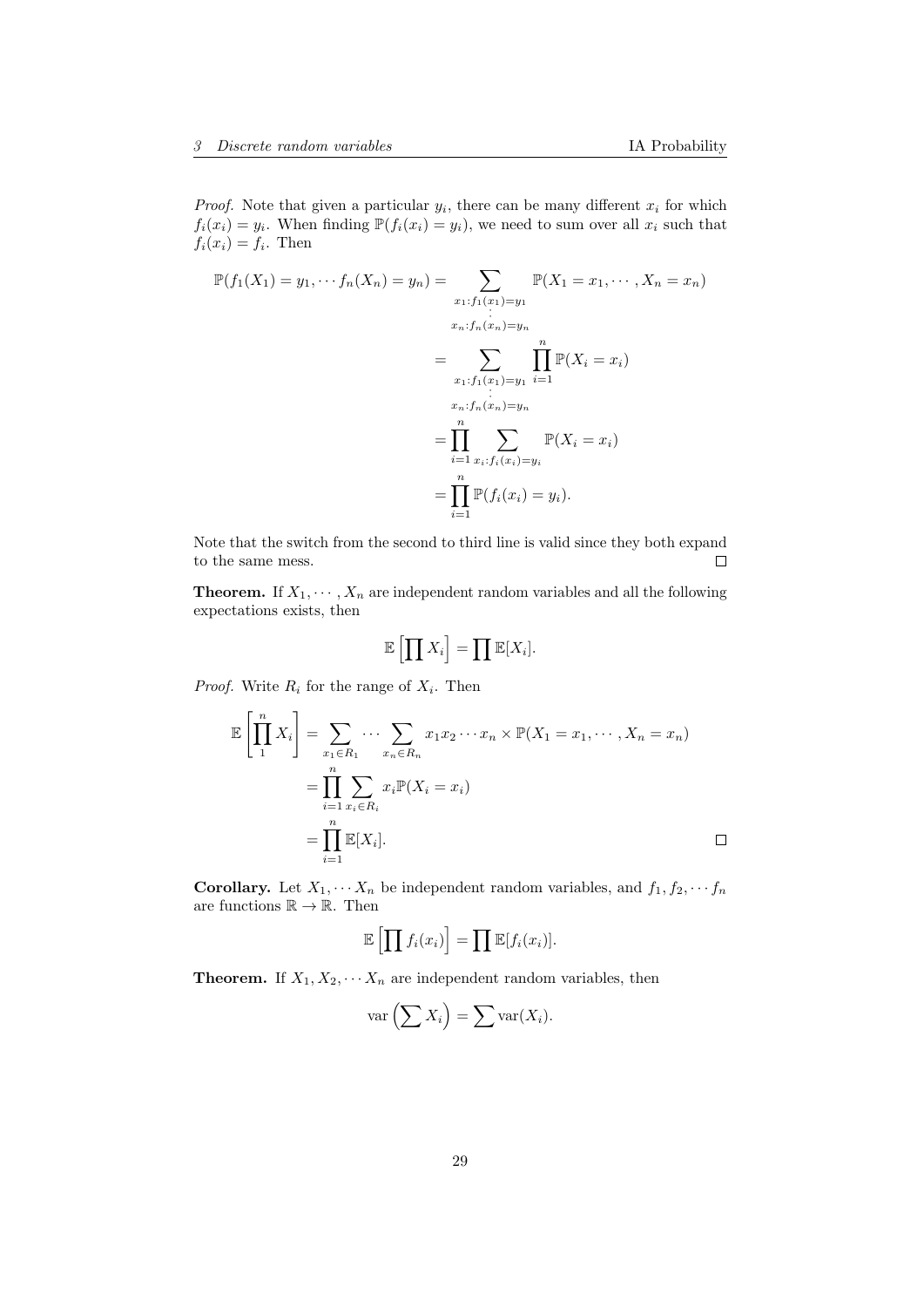*Proof.* Note that given a particular  $y_i$ , there can be many different  $x_i$  for which  $f_i(x_i) = y_i$ . When finding  $\mathbb{P}(f_i(x_i) = y_i)$ , we need to sum over all  $x_i$  such that  $f_i(x_i) = f_i$ . Then

$$
\mathbb{P}(f_1(X_1) = y_1, \dots f_n(X_n) = y_n) = \sum_{\substack{x_1 : f_1(x_1) = y_1 \\ \vdots \\ x_n : f_n(x_n) = y_n}} \mathbb{P}(X_1 = x_1, \dots, X_n = x_n)
$$

$$
= \sum_{\substack{x_1 : f_1(x_1) = y_1 \\ \vdots \\ x_n : f_n(x_n) = y_n}} \prod_{i=1}^n \mathbb{P}(X_i = x_i)
$$

$$
= \prod_{i=1}^n \sum_{\substack{x_i : f_i(x_i) = y_i \\ \vdots \\ x_i = 1}} \mathbb{P}(X_i = x_i)
$$

$$
= \prod_{i=1}^n \mathbb{P}(f_i(x_i) = y_i).
$$

Note that the switch from the second to third line is valid since they both expand to the same mess.  $\Box$ 

**Theorem.** If  $X_1, \dots, X_n$  are independent random variables and all the following expectations exists, then

$$
\mathbb{E}\left[\prod X_i\right] = \prod \mathbb{E}[X_i].
$$

*Proof.* Write  $R_i$  for the range of  $X_i$ . Then

$$
\mathbb{E}\left[\prod_{1}^{n} X_{i}\right] = \sum_{\substack{x_{1} \in R_{1} \\ \dots \\ x_{n} \in R_{i}}} \dots \sum_{\substack{x_{n} \in R_{n} \\ \dots \\ x_{n} \in R_{i}}} x_{1}x_{2} \dots x_{n} \times \mathbb{P}(X_{1} = x_{1}, \dots, X_{n} = x_{n})
$$
\n
$$
= \prod_{i=1}^{n} \sum_{x_{i} \in R_{i}} x_{i} \mathbb{P}(X_{i} = x_{i})
$$
\n
$$
= \prod_{i=1}^{n} \mathbb{E}[X_{i}].
$$

**Corollary.** Let  $X_1, \dots, X_n$  be independent random variables, and  $f_1, f_2, \dots, f_n$ are functions  $\mathbb{R} \to \mathbb{R}$ . Then

$$
\mathbb{E}\left[\prod f_i(x_i)\right] = \prod \mathbb{E}[f_i(x_i)].
$$

**Theorem.** If  $X_1, X_2, \cdots X_n$  are independent random variables, then

$$
\text{var}\left(\sum X_i\right) = \sum \text{var}(X_i).
$$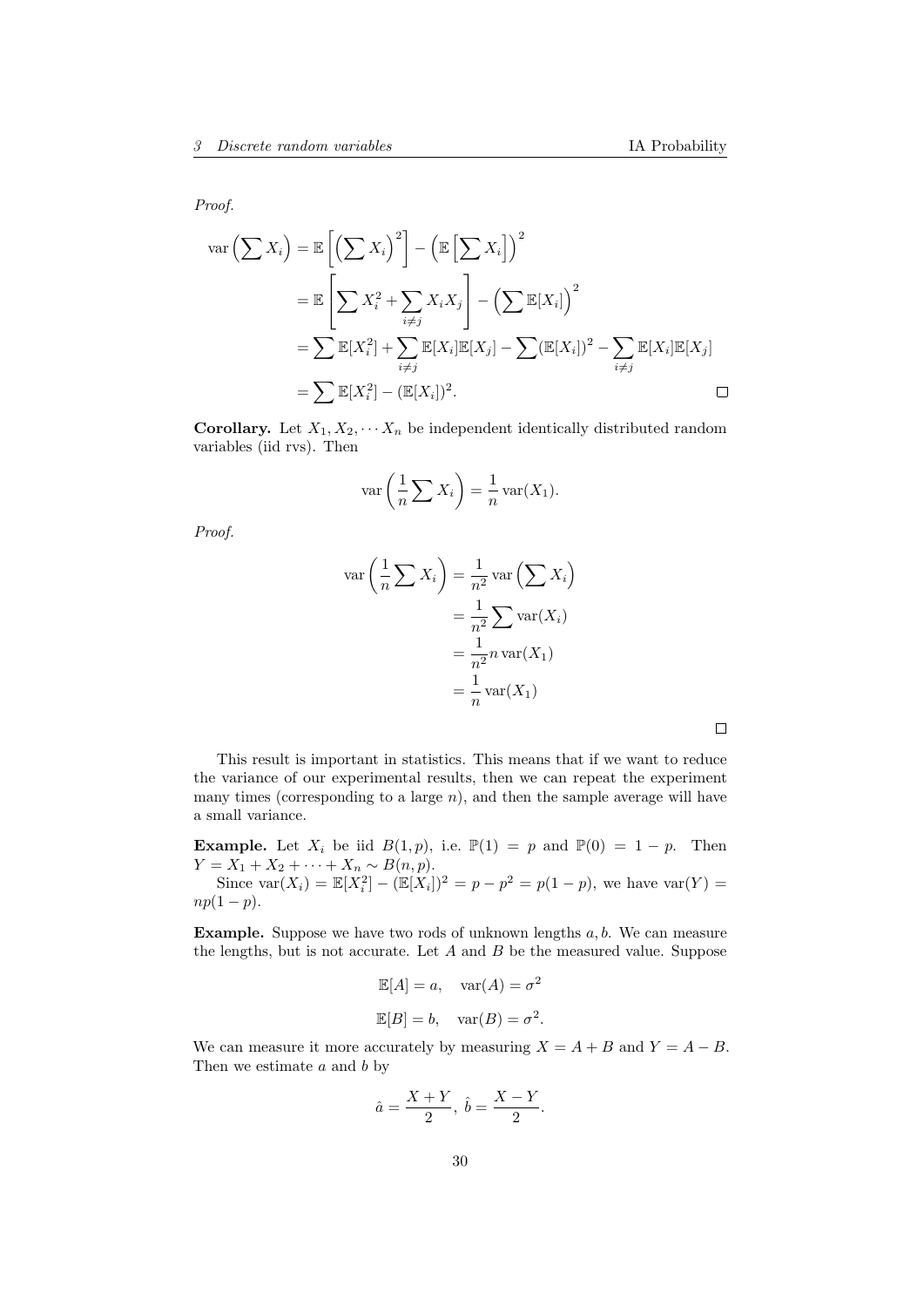Proof.

$$
\operatorname{var}\left(\sum X_i\right) = \mathbb{E}\left[\left(\sum X_i\right)^2\right] - \left(\mathbb{E}\left[\sum X_i\right]\right)^2
$$
  
\n
$$
= \mathbb{E}\left[\sum X_i^2 + \sum_{i \neq j} X_i X_j\right] - \left(\sum \mathbb{E}[X_i]\right)^2
$$
  
\n
$$
= \sum \mathbb{E}[X_i^2] + \sum_{i \neq j} \mathbb{E}[X_i] \mathbb{E}[X_j] - \sum (\mathbb{E}[X_i])^2 - \sum_{i \neq j} \mathbb{E}[X_i] \mathbb{E}[X_j]
$$
  
\n
$$
= \sum \mathbb{E}[X_i^2] - (\mathbb{E}[X_i])^2.
$$

**Corollary.** Let  $X_1, X_2, \cdots, X_n$  be independent identically distributed random variables (iid rvs). Then

$$
\text{var}\left(\frac{1}{n}\sum X_i\right) = \frac{1}{n}\text{var}(X_1).
$$

Proof.

$$
\operatorname{var}\left(\frac{1}{n}\sum X_i\right) = \frac{1}{n^2} \operatorname{var}\left(\sum X_i\right)
$$

$$
= \frac{1}{n^2} \sum \operatorname{var}(X_i)
$$

$$
= \frac{1}{n^2} n \operatorname{var}(X_1)
$$

$$
= \frac{1}{n} \operatorname{var}(X_1)
$$

$$
= \frac{1}{n} \operatorname{var}(X_1)
$$

 $\Box$ 

This result is important in statistics. This means that if we want to reduce the variance of our experimental results, then we can repeat the experiment many times (corresponding to a large  $n$ ), and then the sample average will have a small variance.

**Example.** Let  $X_i$  be iid  $B(1, p)$ , i.e.  $\mathbb{P}(1) = p$  and  $\mathbb{P}(0) = 1 - p$ . Then  $Y = X_1 + X_2 + \cdots + X_n \sim B(n, p).$ 

Since  $\text{var}(X_i) = \mathbb{E}[X_i^2] - (\mathbb{E}[X_i])^2 = p - p^2 = p(1-p)$ , we have  $\text{var}(Y) =$  $np(1-p).$ 

**Example.** Suppose we have two rods of unknown lengths  $a, b$ . We can measure the lengths, but is not accurate. Let  $A$  and  $B$  be the measured value. Suppose

$$
\mathbb{E}[A] = a, \quad \text{var}(A) = \sigma^2
$$

$$
\mathbb{E}[B] = b, \quad \text{var}(B) = \sigma^2.
$$

We can measure it more accurately by measuring  $X = A + B$  and  $Y = A - B$ . Then we estimate  $a$  and  $b$  by

$$
\hat{a}=\frac{X+Y}{2},\ \hat{b}=\frac{X-Y}{2}.
$$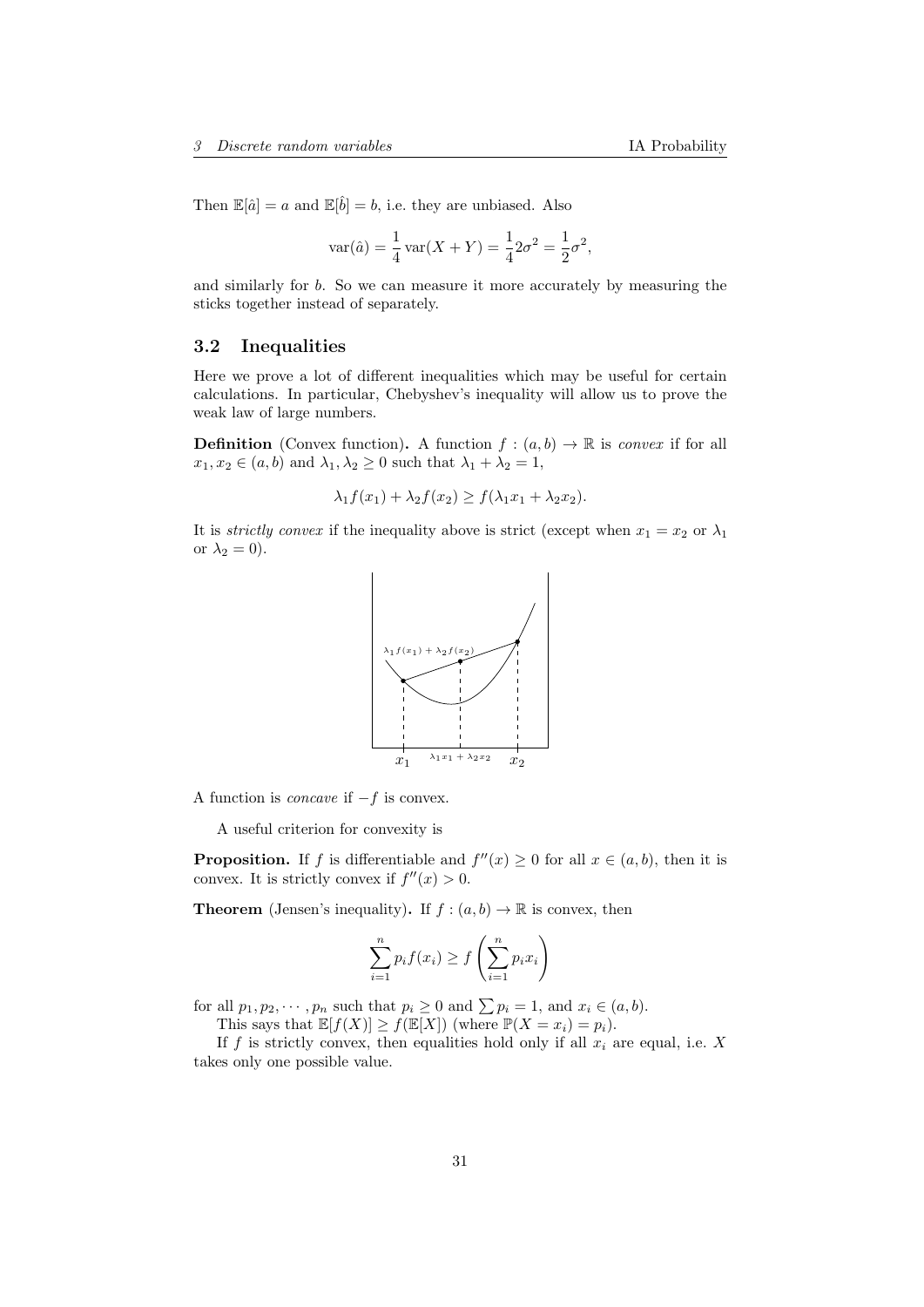Then  $\mathbb{E}[\hat{a}] = a$  and  $\mathbb{E}[\hat{b}] = b$ , i.e. they are unbiased. Also

$$
var(\hat{a}) = \frac{1}{4} var(X + Y) = \frac{1}{4} 2\sigma^2 = \frac{1}{2}\sigma^2
$$
,

and similarly for b. So we can measure it more accurately by measuring the sticks together instead of separately.

# <span id="page-30-0"></span>3.2 Inequalities

Here we prove a lot of different inequalities which may be useful for certain calculations. In particular, Chebyshev's inequality will allow us to prove the weak law of large numbers.

**Definition** (Convex function). A function  $f : (a, b) \to \mathbb{R}$  is convex if for all  $x_1, x_2 \in (a, b)$  and  $\lambda_1, \lambda_2 \geq 0$  such that  $\lambda_1 + \lambda_2 = 1$ ,

$$
\lambda_1 f(x_1) + \lambda_2 f(x_2) \ge f(\lambda_1 x_1 + \lambda_2 x_2).
$$

It is *strictly convex* if the inequality above is strict (except when  $x_1 = x_2$  or  $\lambda_1$ ) or  $\lambda_2 = 0$ ).



A function is *concave* if  $-f$  is convex.

A useful criterion for convexity is

**Proposition.** If f is differentiable and  $f''(x) \ge 0$  for all  $x \in (a, b)$ , then it is convex. It is strictly convex if  $f''(x) > 0$ .

**Theorem** (Jensen's inequality). If  $f : (a, b) \to \mathbb{R}$  is convex, then

$$
\sum_{i=1}^{n} p_i f(x_i) \ge f\left(\sum_{i=1}^{n} p_i x_i\right)
$$

for all  $p_1, p_2, \dots, p_n$  such that  $p_i \geq 0$  and  $\sum p_i = 1$ , and  $x_i \in (a, b)$ .

This says that  $\mathbb{E}[f(X)] \ge f(\mathbb{E}[X])$  (where  $\mathbb{P}(X = x_i) = p_i$ ).

If f is strictly convex, then equalities hold only if all  $x_i$  are equal, i.e. X takes only one possible value.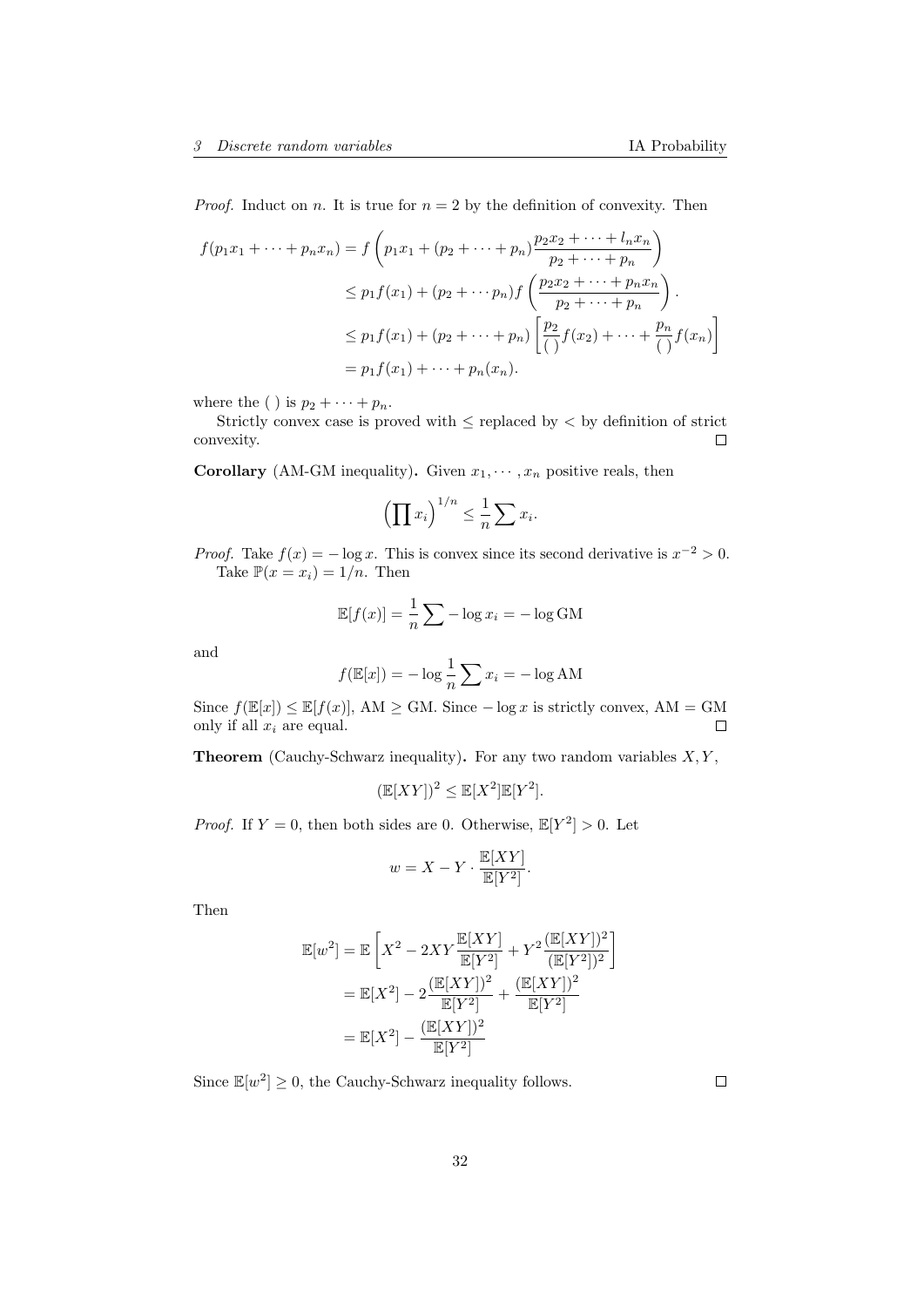*Proof.* Induct on *n*. It is true for  $n = 2$  by the definition of convexity. Then

$$
f(p_1x_1 + \dots + p_nx_n) = f\left(p_1x_1 + (p_2 + \dots + p_n)\frac{p_2x_2 + \dots + l_nx_n}{p_2 + \dots + p_n}\right)
$$
  
\n
$$
\leq p_1f(x_1) + (p_2 + \dots + p_n)f\left(\frac{p_2x_2 + \dots + p_nx_n}{p_2 + \dots + p_n}\right).
$$
  
\n
$$
\leq p_1f(x_1) + (p_2 + \dots + p_n)\left[\frac{p_2}{\left(\right)}f(x_2) + \dots + \frac{p_n}{\left(\right)}f(x_n)\right]
$$
  
\n
$$
= p_1f(x_1) + \dots + p_n(x_n).
$$

where the ( ) is  $p_2 + \cdots + p_n$ .

Strictly convex case is proved with  $\leq$  replaced by  $\leq$  by definition of strict convexity.  $\Box$ 

**Corollary** (AM-GM inequality). Given  $x_1, \dots, x_n$  positive reals, then

$$
\left(\prod x_i\right)^{1/n} \leq \frac{1}{n} \sum x_i.
$$

*Proof.* Take  $f(x) = -\log x$ . This is convex since its second derivative is  $x^{-2} > 0$ . Take  $\mathbb{P}(x=x_i)=1/n$ . Then

$$
\mathbb{E}[f(x)] = \frac{1}{n} \sum -\log x_i = -\log GM
$$

and

$$
f(\mathbb{E}[x]) = -\log \frac{1}{n} \sum x_i = -\log AM
$$

Since  $f(\mathbb{E}[x]) \le \mathbb{E}[f(x)]$ , AM  $\ge$  GM. Since  $-\log x$  is strictly convex, AM = GM only if all  $x_i$  are equal.  $\Box$ 

**Theorem** (Cauchy-Schwarz inequality). For any two random variables  $X, Y$ ,

$$
(\mathbb{E}[XY])^2 \leq \mathbb{E}[X^2]\mathbb{E}[Y^2].
$$

*Proof.* If  $Y = 0$ , then both sides are 0. Otherwise,  $\mathbb{E}[Y^2] > 0$ . Let

$$
w = X - Y \cdot \frac{\mathbb{E}[XY]}{\mathbb{E}[Y^2]}.
$$

Then

$$
\mathbb{E}[w^2] = \mathbb{E}\left[X^2 - 2XY\frac{\mathbb{E}[XY]}{\mathbb{E}[Y^2]} + Y^2 \frac{(\mathbb{E}[XY])^2}{(\mathbb{E}[Y^2])^2}\right]
$$
  
=  $\mathbb{E}[X^2] - 2\frac{(\mathbb{E}[XY])^2}{\mathbb{E}[Y^2]} + \frac{(\mathbb{E}[XY])^2}{\mathbb{E}[Y^2]}$   
=  $\mathbb{E}[X^2] - \frac{(\mathbb{E}[XY])^2}{\mathbb{E}[Y^2]}$ 

Since  $\mathbb{E}[w^2] \geq 0$ , the Cauchy-Schwarz inequality follows.

 $\Box$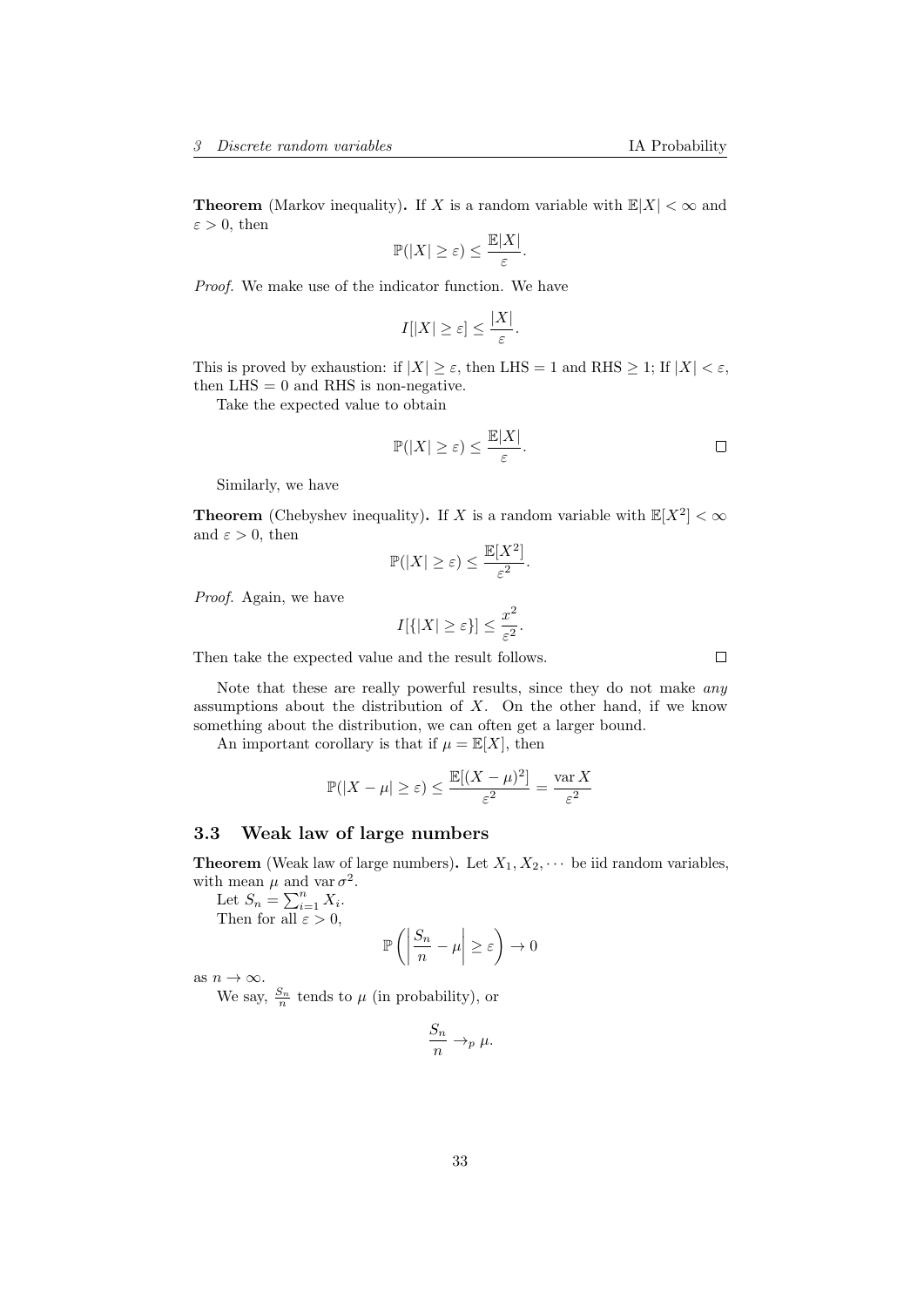**Theorem** (Markov inequality). If X is a random variable with  $\mathbb{E}|X| < \infty$  and  $\varepsilon > 0$ , then

$$
\mathbb{P}(|X| \geq \varepsilon) \leq \frac{\mathbb{E}|X|}{\varepsilon}.
$$

Proof. We make use of the indicator function. We have

$$
I[|X| \ge \varepsilon] \le \frac{|X|}{\varepsilon}.
$$

This is proved by exhaustion: if  $|X| \geq \varepsilon$ , then LHS = 1 and RHS  $\geq$  1; If  $|X| < \varepsilon$ , then  $LHS = 0$  and RHS is non-negative.

Take the expected value to obtain

$$
\mathbb{P}(|X| \ge \varepsilon) \le \frac{\mathbb{E}|X|}{\varepsilon}.
$$

Similarly, we have

**Theorem** (Chebyshev inequality). If X is a random variable with  $\mathbb{E}[X^2] < \infty$ and  $\varepsilon > 0$ , then

$$
\mathbb{P}(|X| \ge \varepsilon) \le \frac{\mathbb{E}[X^2]}{\varepsilon^2}.
$$

Proof. Again, we have

$$
I[{{|X| \ge \varepsilon}}] \le \frac{x^2}{\varepsilon^2}.
$$

Then take the expected value and the result follows.

Note that these are really powerful results, since they do not make any assumptions about the distribution of 
$$
X
$$
. On the other hand, if we know something about the distribution, we can often get a larger bound.

An important corollary is that if  $\mu = \mathbb{E}[X]$ , then

$$
\mathbb{P}(|X - \mu| \ge \varepsilon) \le \frac{\mathbb{E}[(X - \mu)^2]}{\varepsilon^2} = \frac{\operatorname{var} X}{\varepsilon^2}
$$

# <span id="page-32-0"></span>3.3 Weak law of large numbers

**Theorem** (Weak law of large numbers). Let  $X_1, X_2, \cdots$  be iid random variables, with mean  $\mu$  and var  $\sigma^2$ .

Let  $S_n = \sum_{i=1}^n X_i$ . Then for all  $\varepsilon > 0$ ,

$$
\mathbb{P}\left(\left|\frac{S_n}{n}-\mu\right|\geq \varepsilon\right)\to 0
$$

as  $n \to \infty$ .

We say,  $\frac{S_n}{n}$  tends to  $\mu$  (in probability), or

$$
\frac{S_n}{n} \to_p \mu.
$$

 $\Box$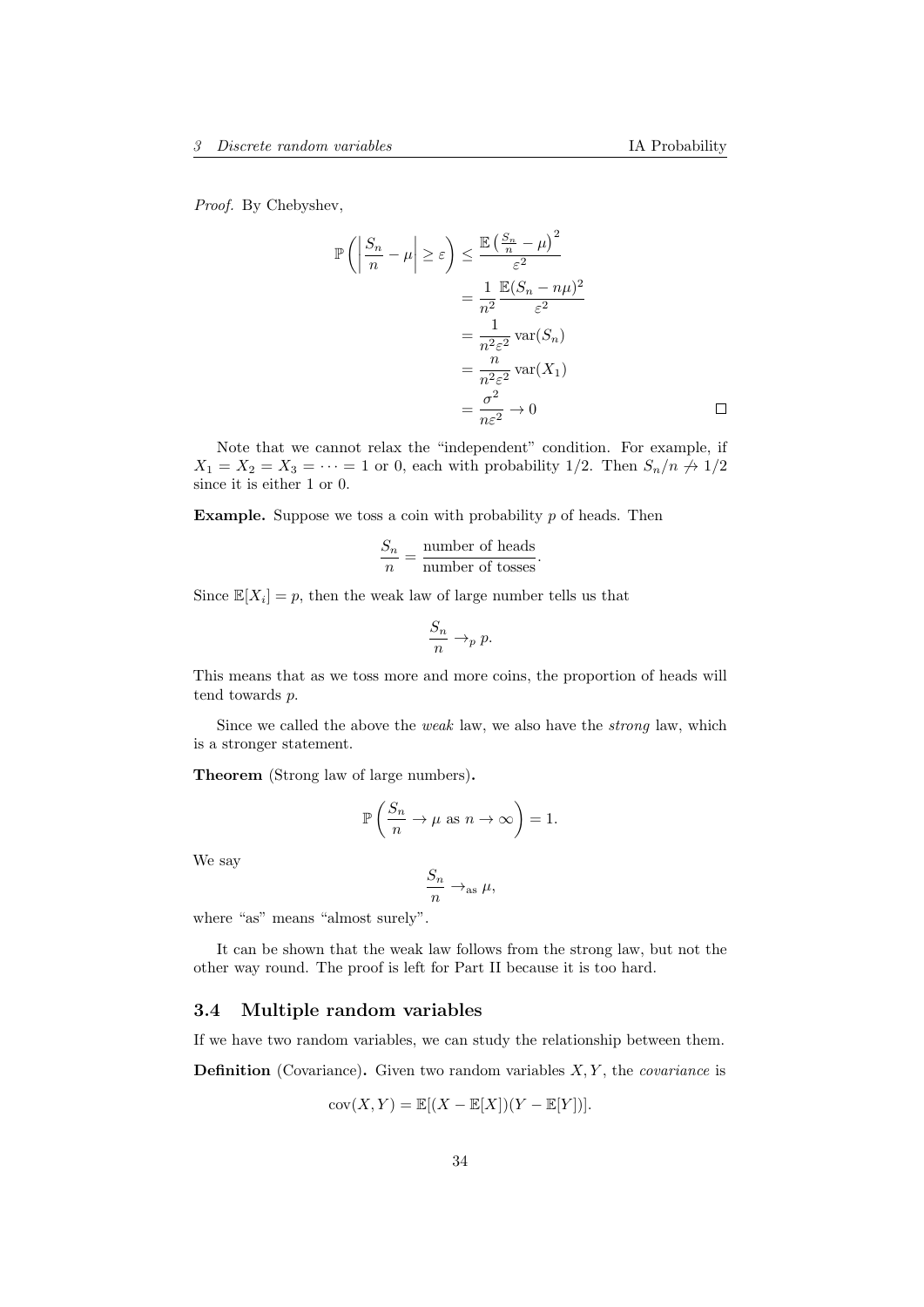Proof. By Chebyshev,

$$
\mathbb{P}\left(\left|\frac{S_n}{n} - \mu\right| \ge \varepsilon\right) \le \frac{\mathbb{E}\left(\frac{S_n}{n} - \mu\right)^2}{\varepsilon^2}
$$

$$
= \frac{1}{n^2} \frac{\mathbb{E}(S_n - n\mu)^2}{\varepsilon^2}
$$

$$
= \frac{1}{n^2 \varepsilon^2} \text{var}(S_n)
$$

$$
= \frac{n}{n^2 \varepsilon^2} \text{var}(X_1)
$$

$$
= \frac{\sigma^2}{n\varepsilon^2} \to 0
$$

Note that we cannot relax the "independent" condition. For example, if  $X_1 = X_2 = X_3 = \cdots = 1$  or 0, each with probability 1/2. Then  $S_n/n \nrightarrow 1/2$ since it is either 1 or 0.

**Example.** Suppose we toss a coin with probability  $p$  of heads. Then

$$
\frac{S_n}{n} = \frac{\text{number of heads}}{\text{number of tosses}}.
$$

Since  $\mathbb{E}[X_i] = p$ , then the weak law of large number tells us that

$$
\frac{S_n}{n} \to_p p.
$$

This means that as we toss more and more coins, the proportion of heads will tend towards p.

Since we called the above the weak law, we also have the strong law, which is a stronger statement.

Theorem (Strong law of large numbers).

$$
\mathbb{P}\left(\frac{S_n}{n} \to \mu \text{ as } n \to \infty\right) = 1.
$$

We say

$$
\frac{S_n}{n} \to_{\text{as}} \mu,
$$

where "as" means "almost surely".

It can be shown that the weak law follows from the strong law, but not the other way round. The proof is left for Part II because it is too hard.

# <span id="page-33-0"></span>3.4 Multiple random variables

If we have two random variables, we can study the relationship between them.

**Definition** (Covariance). Given two random variables  $X, Y$ , the *covariance* is

$$
cov(X, Y) = \mathbb{E}[(X - \mathbb{E}[X])(Y - \mathbb{E}[Y])].
$$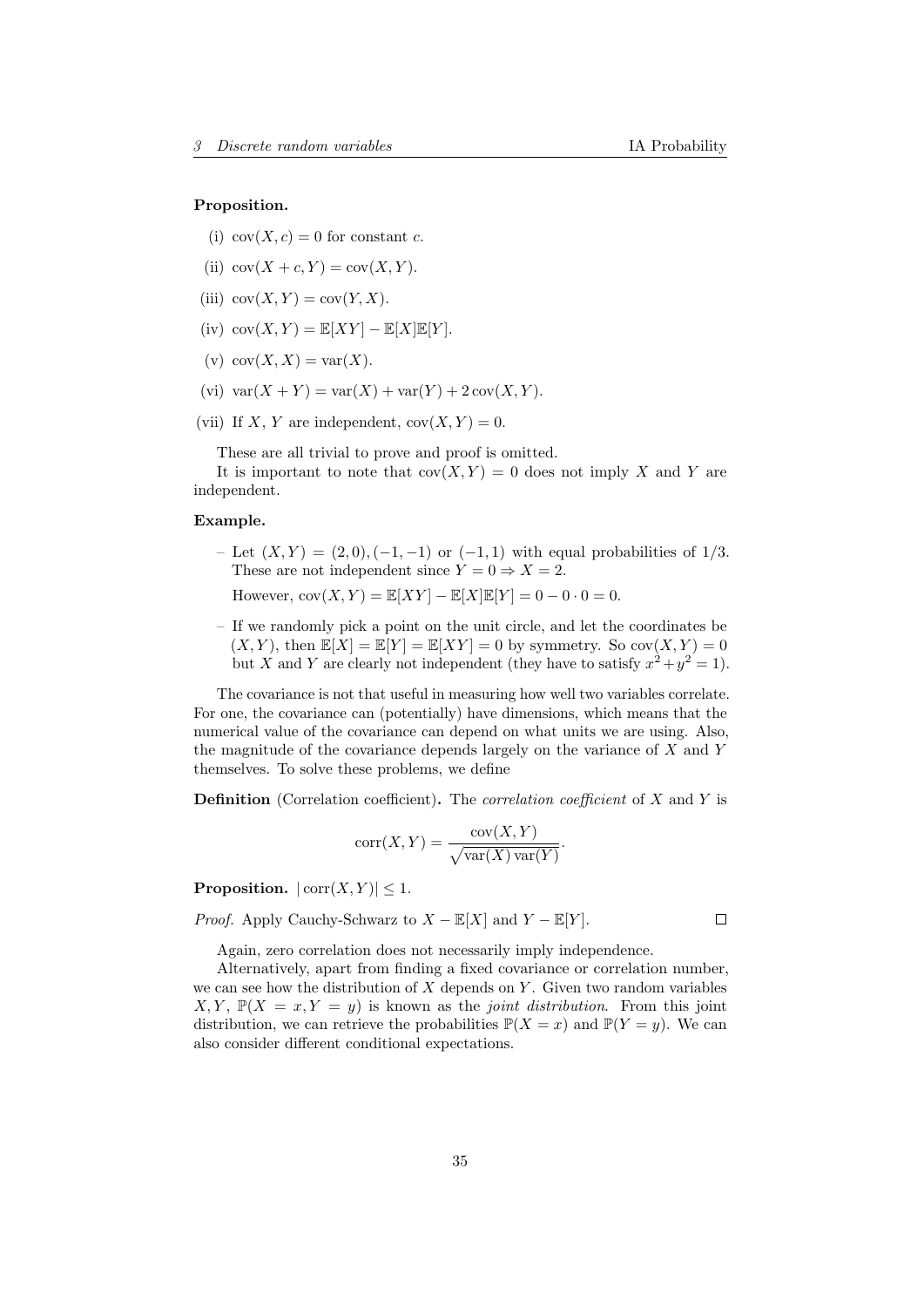#### Proposition.

- (i)  $cov(X, c) = 0$  for constant c.
- (ii)  $cov(X + c, Y) = cov(X, Y)$ .
- (iii)  $cov(X, Y) = cov(Y, X)$ .
- (iv)  $cov(X, Y) = \mathbb{E}[XY] \mathbb{E}[X]\mathbb{E}[Y].$
- (v)  $cov(X, X) = var(X)$ .
- (vi)  $var(X + Y) = var(X) + var(Y) + 2 cov(X, Y)$ .
- (vii) If X, Y are independent,  $cov(X, Y) = 0$ .

These are all trivial to prove and proof is omitted.

It is important to note that  $cov(X, Y) = 0$  does not imply X and Y are independent.

#### Example.

– Let  $(X, Y) = (2, 0), (-1, -1)$  or  $(-1, 1)$  with equal probabilities of  $1/3$ . These are not independent since  $Y = 0 \Rightarrow X = 2$ .

However,  $cov(X, Y) = \mathbb{E}[XY] - \mathbb{E}[X]\mathbb{E}[Y] = 0 - 0 \cdot 0 = 0.$ 

– If we randomly pick a point on the unit circle, and let the coordinates be  $(X, Y)$ , then  $\mathbb{E}[X] = \mathbb{E}[Y] = \mathbb{E}[XY] = 0$  by symmetry. So  $cov(X, Y) = 0$ but X and Y are clearly not independent (they have to satisfy  $x^2 + y^2 = 1$ ).

The covariance is not that useful in measuring how well two variables correlate. For one, the covariance can (potentially) have dimensions, which means that the numerical value of the covariance can depend on what units we are using. Also, the magnitude of the covariance depends largely on the variance of X and Y themselves. To solve these problems, we define

**Definition** (Correlation coefficient). The *correlation coefficient* of  $X$  and  $Y$  is

$$
corr(X, Y) = \frac{cov(X, Y)}{\sqrt{var(X) var(Y)}}.
$$

**Proposition.**  $|\text{corr}(X, Y)| \leq 1$ .

*Proof.* Apply Cauchy-Schwarz to  $X - \mathbb{E}[X]$  and  $Y - \mathbb{E}[Y]$ .

Again, zero correlation does not necessarily imply independence.

Alternatively, apart from finding a fixed covariance or correlation number, we can see how the distribution of  $X$  depends on  $Y$ . Given two random variables  $X, Y, \mathbb{P}(X = x, Y = y)$  is known as the *joint distribution*. From this joint distribution, we can retrieve the probabilities  $\mathbb{P}(X = x)$  and  $\mathbb{P}(Y = y)$ . We can also consider different conditional expectations.

 $\Box$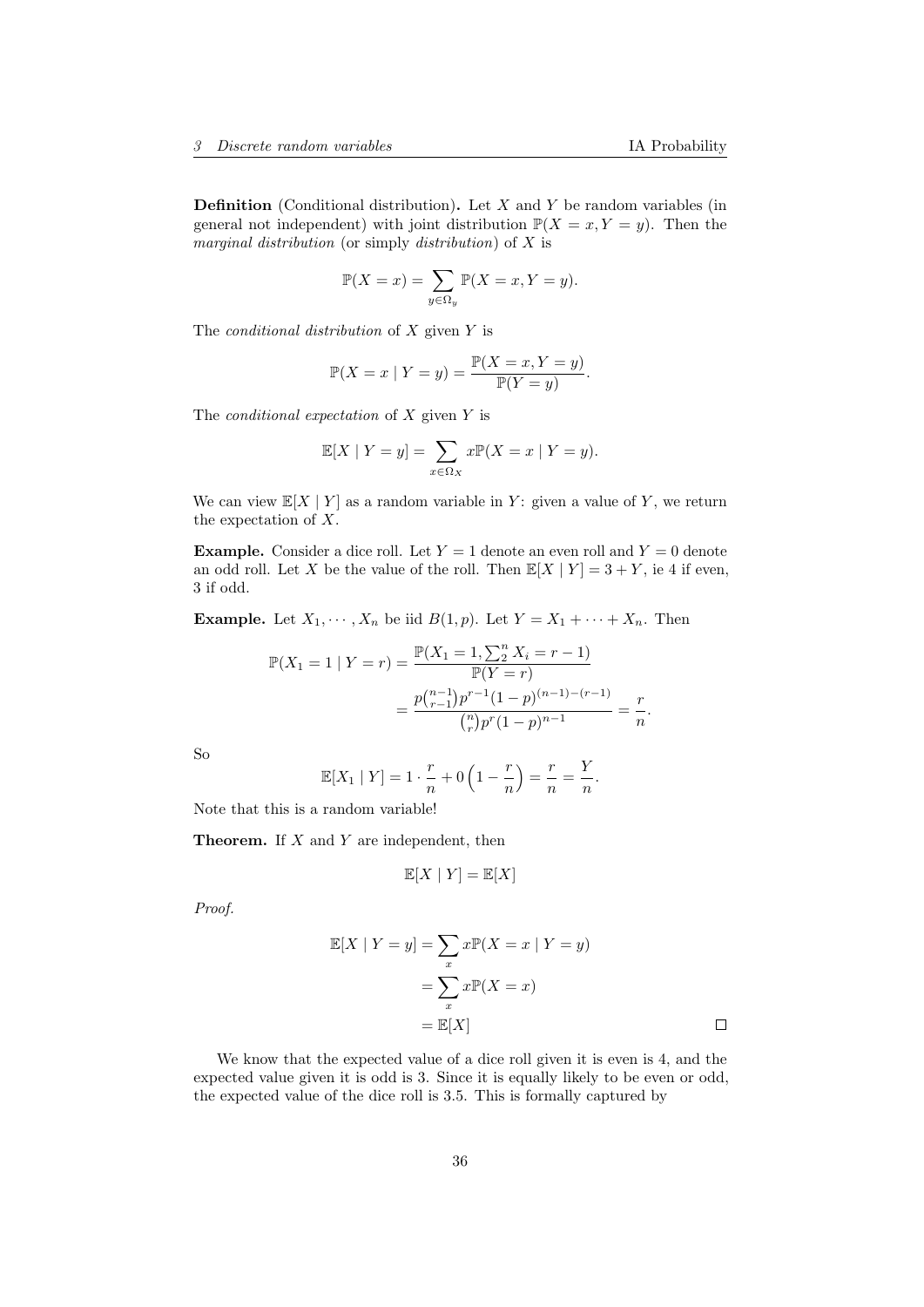**Definition** (Conditional distribution). Let  $X$  and  $Y$  be random variables (in general not independent) with joint distribution  $\mathbb{P}(X = x, Y = y)$ . Then the marginal distribution (or simply distribution) of X is

$$
\mathbb{P}(X = x) = \sum_{y \in \Omega_y} \mathbb{P}(X = x, Y = y).
$$

The *conditional distribution* of  $X$  given  $Y$  is

$$
\mathbb{P}(X = x \mid Y = y) = \frac{\mathbb{P}(X = x, Y = y)}{\mathbb{P}(Y = y)}.
$$

The *conditional expectation* of  $X$  given  $Y$  is

$$
\mathbb{E}[X \mid Y=y] = \sum_{x \in \Omega_X} x \mathbb{P}(X=x \mid Y=y).
$$

We can view  $\mathbb{E}[X | Y]$  as a random variable in Y: given a value of Y, we return the expectation of X.

**Example.** Consider a dice roll. Let  $Y = 1$  denote an even roll and  $Y = 0$  denote an odd roll. Let X be the value of the roll. Then  $\mathbb{E}[X | Y] = 3 + Y$ , ie 4 if even, 3 if odd.

**Example.** Let  $X_1, \dots, X_n$  be iid  $B(1, p)$ . Let  $Y = X_1 + \dots + X_n$ . Then

$$
\mathbb{P}(X_1 = 1 | Y = r) = \frac{\mathbb{P}(X_1 = 1, \sum_2^n X_i = r - 1)}{\mathbb{P}(Y = r)}
$$

$$
= \frac{p {n-1 \choose r-1} p^{r-1} (1-p)^{(n-1)-(r-1)}}{{n \choose r} p^r (1-p)^{n-1}} = \frac{r}{n}.
$$

So

$$
\mathbb{E}[X_1 | Y] = 1 \cdot \frac{r}{n} + 0 \left(1 - \frac{r}{n}\right) = \frac{r}{n} = \frac{Y}{n}.
$$

Note that this is a random variable!

**Theorem.** If  $X$  and  $Y$  are independent, then

$$
\mathbb{E}[X \mid Y] = \mathbb{E}[X]
$$

Proof.

$$
\mathbb{E}[X \mid Y = y] = \sum_{x} x \mathbb{P}(X = x \mid Y = y)
$$

$$
= \sum_{x} x \mathbb{P}(X = x)
$$

$$
= \mathbb{E}[X] \qquad \Box
$$

We know that the expected value of a dice roll given it is even is 4, and the expected value given it is odd is 3. Since it is equally likely to be even or odd, the expected value of the dice roll is 3.5. This is formally captured by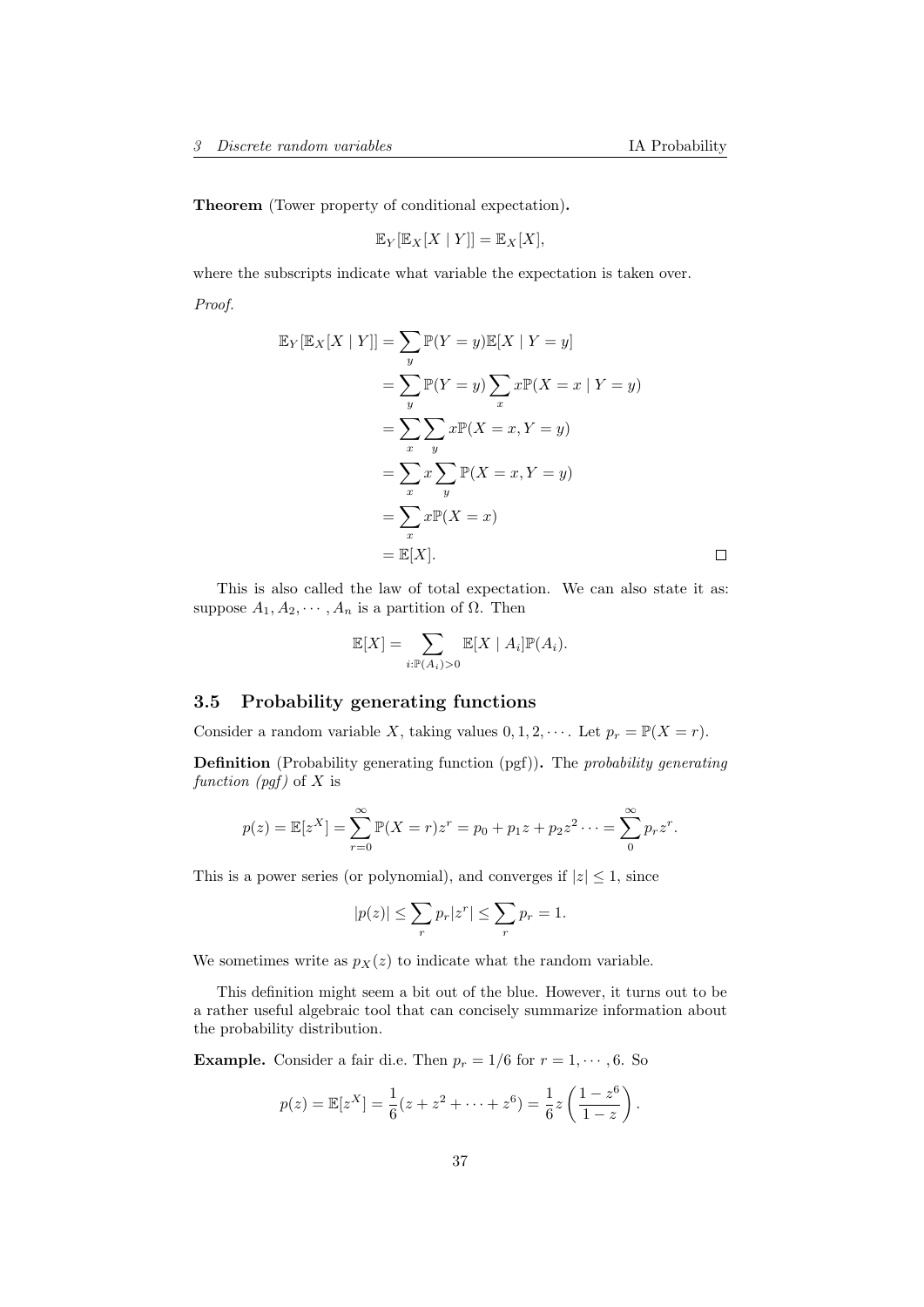$\Box$ 

Theorem (Tower property of conditional expectation).

$$
\mathbb{E}_Y[\mathbb{E}_X[X \mid Y]] = \mathbb{E}_X[X],
$$

where the subscripts indicate what variable the expectation is taken over. Proof.

$$
\mathbb{E}_Y[\mathbb{E}_X[X \mid Y]] = \sum_y \mathbb{P}(Y = y)\mathbb{E}[X \mid Y = y]
$$
  
= 
$$
\sum_y \mathbb{P}(Y = y) \sum_x x \mathbb{P}(X = x \mid Y = y)
$$
  
= 
$$
\sum_x \sum_y x \mathbb{P}(X = x, Y = y)
$$
  
= 
$$
\sum_x x \sum_y \mathbb{P}(X = x, Y = y)
$$
  
= 
$$
\sum_x x \mathbb{P}(X = x)
$$
  
= 
$$
\mathbb{E}[X].
$$

This is also called the law of total expectation. We can also state it as: suppose  $A_1, A_2, \cdots, A_n$  is a partition of  $\Omega$ . Then

$$
\mathbb{E}[X] = \sum_{i:\mathbb{P}(A_i) > 0} \mathbb{E}[X \mid A_i] \mathbb{P}(A_i).
$$

## 3.5 Probability generating functions

Consider a random variable X, taking values  $0, 1, 2, \cdots$ . Let  $p_r = \mathbb{P}(X = r)$ .

Definition (Probability generating function (pgf)). The probability generating function  $(pgf)$  of X is

$$
p(z) = \mathbb{E}[z^X] = \sum_{r=0}^{\infty} \mathbb{P}(X=r)z^r = p_0 + p_1z + p_2z^2 \cdots = \sum_{r=0}^{\infty} p_r z^r.
$$

This is a power series (or polynomial), and converges if  $|z| \leq 1$ , since

$$
|p(z)|\leq \sum_{r}p_r|z^r|\leq \sum_{r}p_r=1.
$$

We sometimes write as  $p_X(z)$  to indicate what the random variable.

This definition might seem a bit out of the blue. However, it turns out to be a rather useful algebraic tool that can concisely summarize information about the probability distribution.

**Example.** Consider a fair di.e. Then  $p_r = 1/6$  for  $r = 1, \dots, 6$ . So

$$
p(z) = \mathbb{E}[z^X] = \frac{1}{6}(z + z^2 + \dots + z^6) = \frac{1}{6}z\left(\frac{1 - z^6}{1 - z}\right).
$$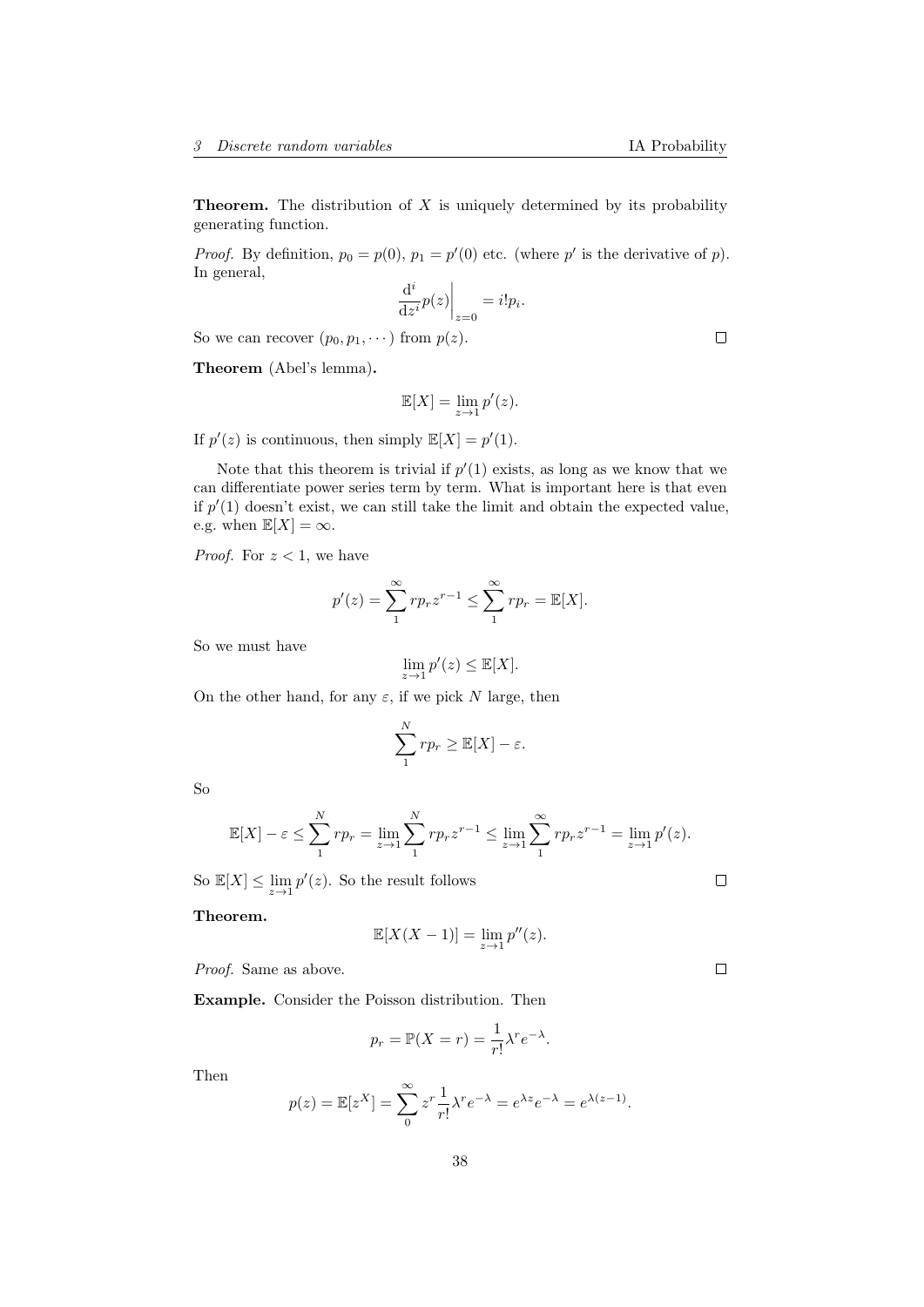**Theorem.** The distribution of  $X$  is uniquely determined by its probability generating function.

*Proof.* By definition,  $p_0 = p(0)$ ,  $p_1 = p'(0)$  etc. (where p' is the derivative of p). In general,

$$
\left. \frac{\mathrm{d}^i}{\mathrm{d}z^i} p(z) \right|_{z=0} = i! p_i.
$$

So we can recover  $(p_0, p_1, \dots)$  from  $p(z)$ .

Theorem (Abel's lemma).

$$
\mathbb{E}[X] = \lim_{z \to 1} p'(z).
$$

If  $p'(z)$  is continuous, then simply  $\mathbb{E}[X] = p'(1)$ .

Note that this theorem is trivial if  $p'(1)$  exists, as long as we know that we can differentiate power series term by term. What is important here is that even if  $p'(1)$  doesn't exist, we can still take the limit and obtain the expected value, e.g. when  $\mathbb{E}[X] = \infty$ .

*Proof.* For  $z < 1$ , we have

$$
p'(z) = \sum_{1}^{\infty} r p_r z^{r-1} \le \sum_{1}^{\infty} r p_r = \mathbb{E}[X].
$$

So we must have

$$
\lim_{z \to 1} p'(z) \le \mathbb{E}[X].
$$

On the other hand, for any  $\varepsilon$ , if we pick N large, then

$$
\sum_{1}^{N} rp_r \geq \mathbb{E}[X] - \varepsilon.
$$

So

$$
\mathbb{E}[X] - \varepsilon \le \sum_{1}^{N} r p_r = \lim_{z \to 1} \sum_{1}^{N} r p_r z^{r-1} \le \lim_{z \to 1} \sum_{1}^{\infty} r p_r z^{r-1} = \lim_{z \to 1} p'(z).
$$

So  $\mathbb{E}[X] \le \lim_{z \to 1} p'(z)$ . So the result follows

Theorem.

$$
\mathbb{E}[X(X-1)] = \lim_{z \to 1} p''(z).
$$

Proof. Same as above.

Example. Consider the Poisson distribution. Then

$$
p_r = \mathbb{P}(X = r) = \frac{1}{r!} \lambda^r e^{-\lambda}.
$$

Then

$$
p(z) = \mathbb{E}[z^X] = \sum_{n=0}^{\infty} z^r \frac{1}{r!} \lambda^r e^{-\lambda} = e^{\lambda z} e^{-\lambda} = e^{\lambda(z-1)}.
$$

$$
f_{\rm{max}}
$$

 $\Box$ 

 $\Box$ 

 $\Box$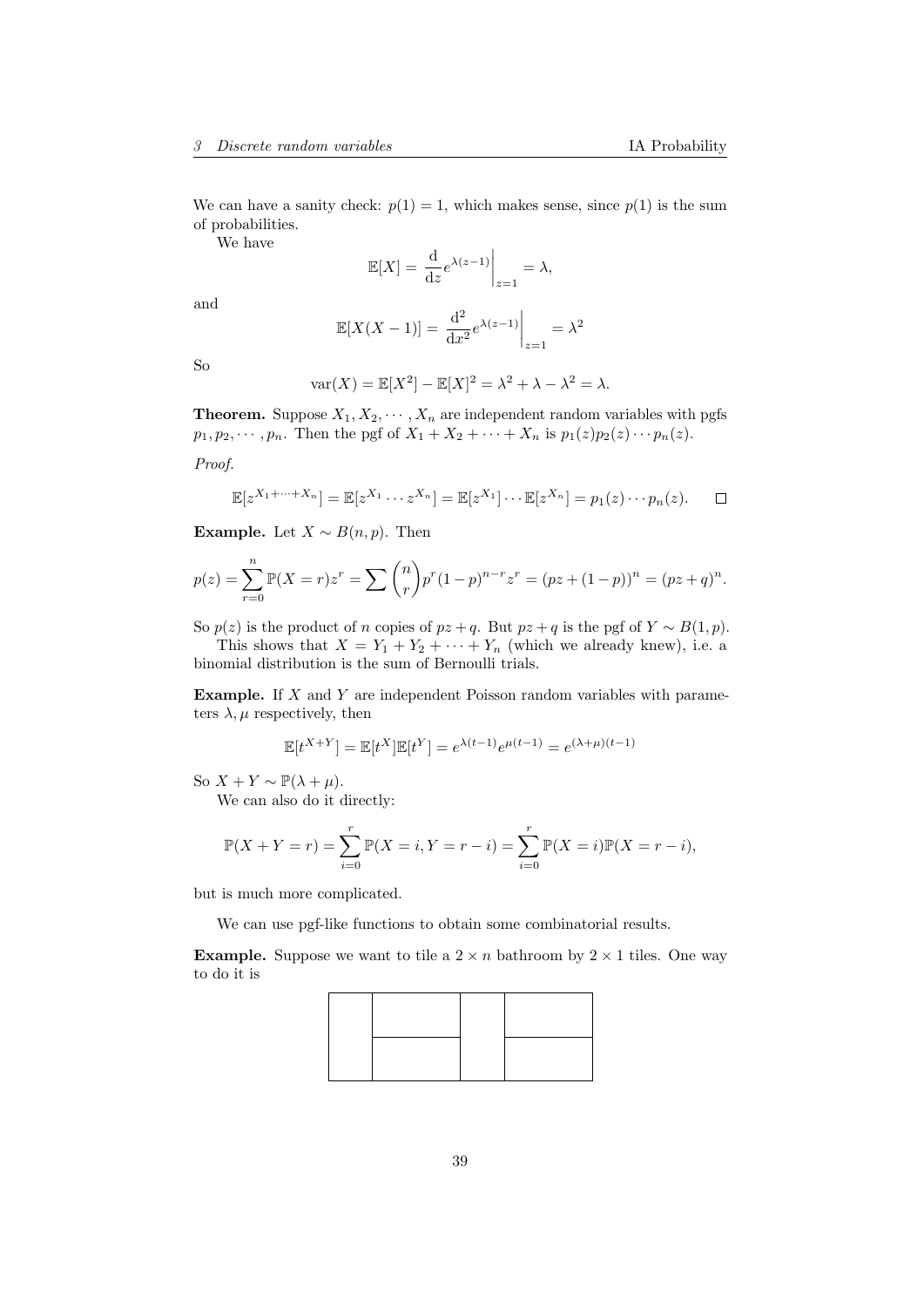We can have a sanity check:  $p(1) = 1$ , which makes sense, since  $p(1)$  is the sum of probabilities.

We have

$$
\mathbb{E}[X] = \frac{\mathrm{d}}{\mathrm{d}z} e^{\lambda(z-1)} \bigg|_{z=1} = \lambda,
$$

and

$$
\mathbb{E}[X(X-1)] = \left. \frac{\mathrm{d}^2}{\mathrm{d}x^2} e^{\lambda(z-1)} \right|_{z=1} = \lambda^2
$$

So

$$
\text{var}(X) = \mathbb{E}[X^2] - \mathbb{E}[X]^2 = \lambda^2 + \lambda - \lambda^2 = \lambda.
$$

**Theorem.** Suppose  $X_1, X_2, \cdots, X_n$  are independent random variables with pgfs  $p_1, p_2, \dots, p_n$ . Then the pgf of  $X_1 + X_2 + \dots + X_n$  is  $p_1(z)p_2(z)\cdots p_n(z)$ .

Proof.

$$
\mathbb{E}[z^{X_1+\cdots+X_n}]=\mathbb{E}[z^{X_1}\cdots z^{X_n}]=\mathbb{E}[z^{X_1}]\cdots\mathbb{E}[z^{X_n}]=p_1(z)\cdots p_n(z). \square
$$

Example. Let  $X \sim B(n, p)$ . Then

$$
p(z) = \sum_{r=0}^{n} \mathbb{P}(X=r)z^{r} = \sum {n \choose r} p^{r} (1-p)^{n-r} z^{r} = (pz + (1-p))^{n} = (pz+q)^{n}.
$$

So  $p(z)$  is the product of n copies of  $pz + q$ . But  $pz + q$  is the pgf of  $Y \sim B(1, p)$ .

This shows that  $X = Y_1 + Y_2 + \cdots + Y_n$  (which we already knew), i.e. a binomial distribution is the sum of Bernoulli trials.

Example. If X and Y are independent Poisson random variables with parameters  $\lambda, \mu$  respectively, then

$$
\mathbb{E}[t^{X+Y}]=\mathbb{E}[t^X]\mathbb{E}[t^Y]=e^{\lambda(t-1)}e^{\mu(t-1)}=e^{(\lambda+\mu)(t-1)}
$$

So  $X + Y \sim \mathbb{P}(\lambda + \mu)$ .

We can also do it directly:

$$
\mathbb{P}(X + Y = r) = \sum_{i=0}^{r} \mathbb{P}(X = i, Y = r - i) = \sum_{i=0}^{r} \mathbb{P}(X = i)\mathbb{P}(X = r - i),
$$

but is much more complicated.

We can use pgf-like functions to obtain some combinatorial results.

**Example.** Suppose we want to tile a  $2 \times n$  bathroom by  $2 \times 1$  tiles. One way to do it is

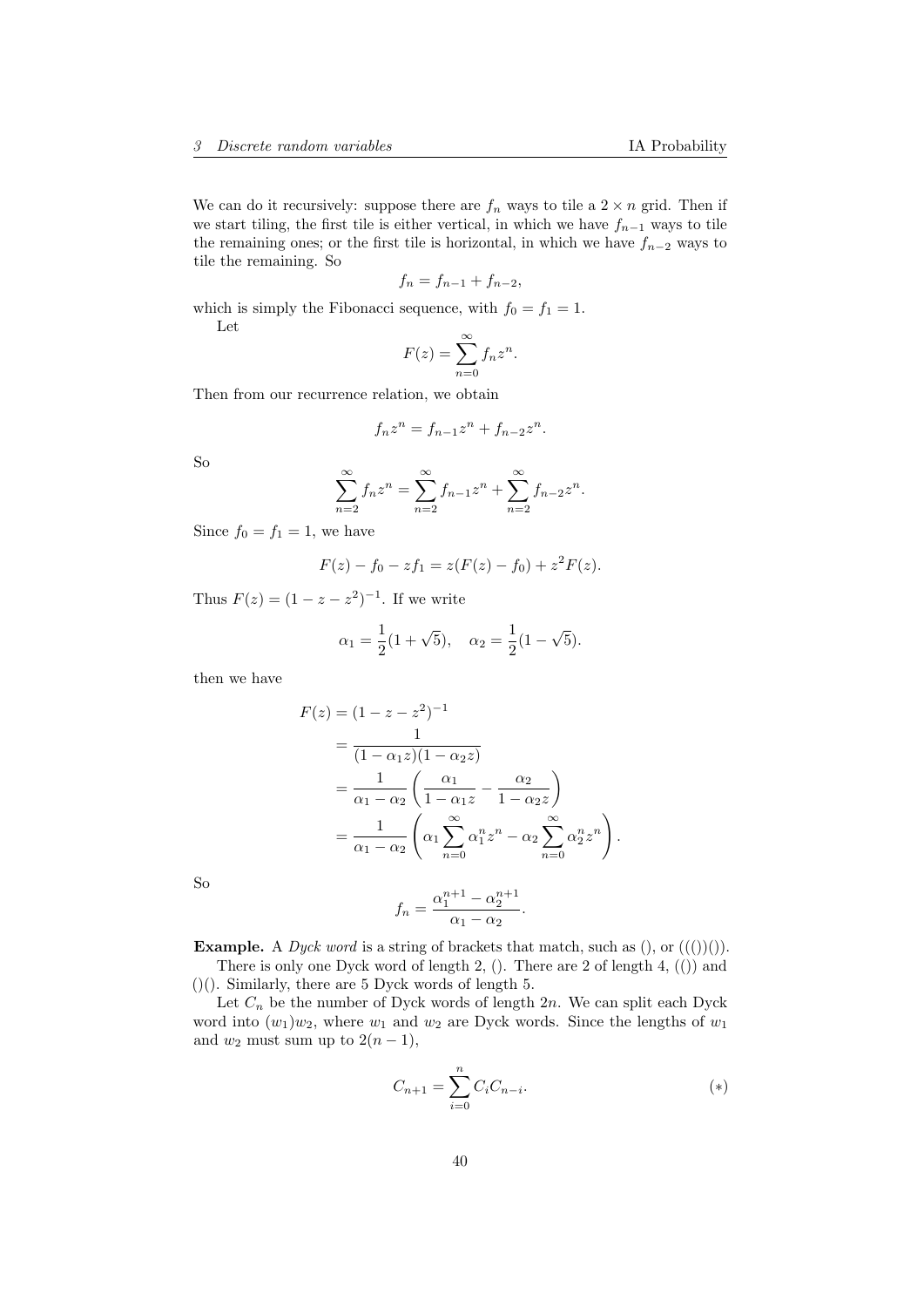We can do it recursively: suppose there are  $f_n$  ways to tile a  $2 \times n$  grid. Then if we start tiling, the first tile is either vertical, in which we have  $f_{n-1}$  ways to tile the remaining ones; or the first tile is horizontal, in which we have  $f_{n-2}$  ways to tile the remaining. So

$$
f_n = f_{n-1} + f_{n-2},
$$

which is simply the Fibonacci sequence, with  $f_0 = f_1 = 1$ . Let

$$
F(z) = \sum_{n=0}^{\infty} f_n z^n.
$$

Then from our recurrence relation, we obtain

$$
f_n z^n = f_{n-1} z^n + f_{n-2} z^n.
$$

So

$$
\sum_{n=2}^{\infty} f_n z^n = \sum_{n=2}^{\infty} f_{n-1} z^n + \sum_{n=2}^{\infty} f_{n-2} z^n.
$$

Since  $f_0 = f_1 = 1$ , we have

$$
F(z) - f_0 - z f_1 = z(F(z) - f_0) + z^2 F(z).
$$

Thus  $F(z) = (1 - z - z^2)^{-1}$ . If we write

$$
\alpha_1 = \frac{1}{2}(1+\sqrt{5}), \quad \alpha_2 = \frac{1}{2}(1-\sqrt{5}).
$$

then we have

$$
F(z) = (1 - z - z2)-1
$$
  
= 
$$
\frac{1}{(1 - \alpha_1 z)(1 - \alpha_2 z)}
$$
  
= 
$$
\frac{1}{\alpha_1 - \alpha_2} \left( \frac{\alpha_1}{1 - \alpha_1 z} - \frac{\alpha_2}{1 - \alpha_2 z} \right)
$$
  
= 
$$
\frac{1}{\alpha_1 - \alpha_2} \left( \alpha_1 \sum_{n=0}^{\infty} \alpha_1^n z^n - \alpha_2 \sum_{n=0}^{\infty} \alpha_2^n z^n \right).
$$

So

$$
f_n = \frac{\alpha_1^{n+1} - \alpha_2^{n+1}}{\alpha_1 - \alpha_2}.
$$

**Example.** A *Dyck word* is a string of brackets that match, such as  $($ , or  $((())()$ .

There is only one Dyck word of length 2, (). There are 2 of length 4, (()) and ()(). Similarly, there are 5 Dyck words of length 5.

Let  $C_n$  be the number of Dyck words of length  $2n$ . We can split each Dyck word into  $(w_1)w_2$ , where  $w_1$  and  $w_2$  are Dyck words. Since the lengths of  $w_1$ and  $w_2$  must sum up to  $2(n-1)$ ,

$$
C_{n+1} = \sum_{i=0}^{n} C_i C_{n-i}.
$$
 (\*)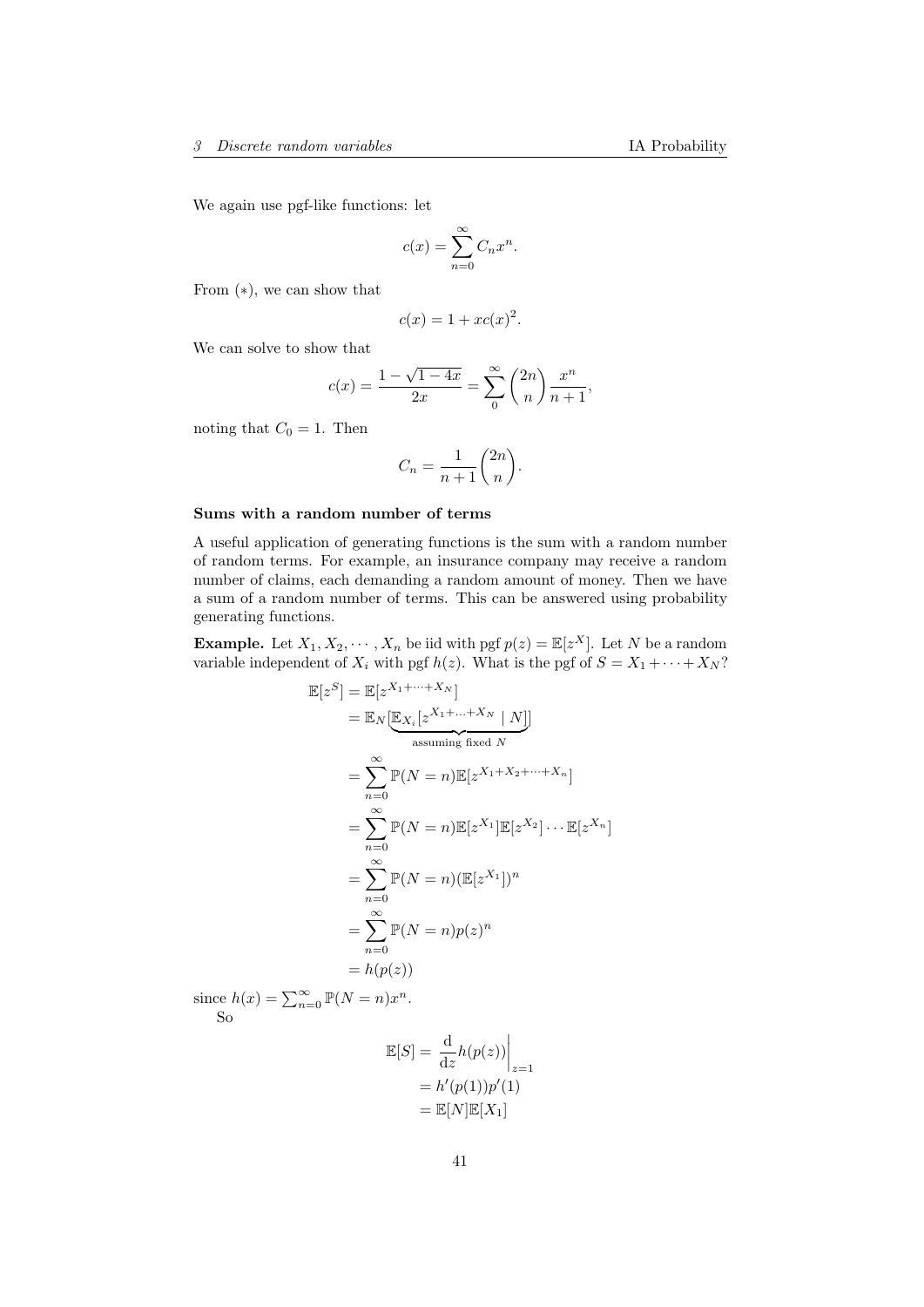We again use pgf-like functions: let

$$
c(x) = \sum_{n=0}^{\infty} C_n x^n.
$$

From (∗), we can show that

$$
c(x) = 1 + xc(x)^2.
$$

We can solve to show that

$$
c(x) = \frac{1 - \sqrt{1 - 4x}}{2x} = \sum_{n=0}^{\infty} {2n \choose n} \frac{x^n}{n+1},
$$

noting that  $C_0 = 1$ . Then

$$
C_n = \frac{1}{n+1} \binom{2n}{n}.
$$

#### Sums with a random number of terms

A useful application of generating functions is the sum with a random number of random terms. For example, an insurance company may receive a random number of claims, each demanding a random amount of money. Then we have a sum of a random number of terms. This can be answered using probability generating functions.

**Example.** Let  $X_1, X_2, \dots, X_n$  be iid with pgf  $p(z) = \mathbb{E}[z^X]$ . Let N be a random variable independent of  $X_i$  with pgf  $h(z)$ . What is the pgf of  $S = X_1 + \cdots + X_N$ ?

$$
\mathbb{E}[z^{S}] = \mathbb{E}[z^{X_{1} + \dots + X_{N}}]
$$
\n
$$
= \mathbb{E}_{N}[\underbrace{\mathbb{E}_{X_{i}}[z^{X_{1} + \dots + X_{N}} \mid N]}_{\text{assuming fixed } N}]
$$
\n
$$
= \sum_{n=0}^{\infty} \mathbb{P}(N=n) \mathbb{E}[z^{X_{1} + X_{2} + \dots + X_{n}}]
$$
\n
$$
= \sum_{n=0}^{\infty} \mathbb{P}(N=n) \mathbb{E}[z^{X_{1}}] \mathbb{E}[z^{X_{2}}] \cdots \mathbb{E}[z^{X_{n}}]
$$
\n
$$
= \sum_{n=0}^{\infty} \mathbb{P}(N=n) (\mathbb{E}[z^{X_{1}}])^{n}
$$
\n
$$
= \sum_{n=0}^{\infty} \mathbb{P}(N=n) p(z)^{n}
$$
\n
$$
= h(p(z))
$$

since  $h(x) = \sum_{n=0}^{\infty} \mathbb{P}(N = n)x^n$ . So

$$
\mathbb{E}[S] = \frac{d}{dz}h(p(z))\Big|_{z=1}
$$

$$
= h'(p(1))p'(1)
$$

$$
= \mathbb{E}[N]\mathbb{E}[X_1]
$$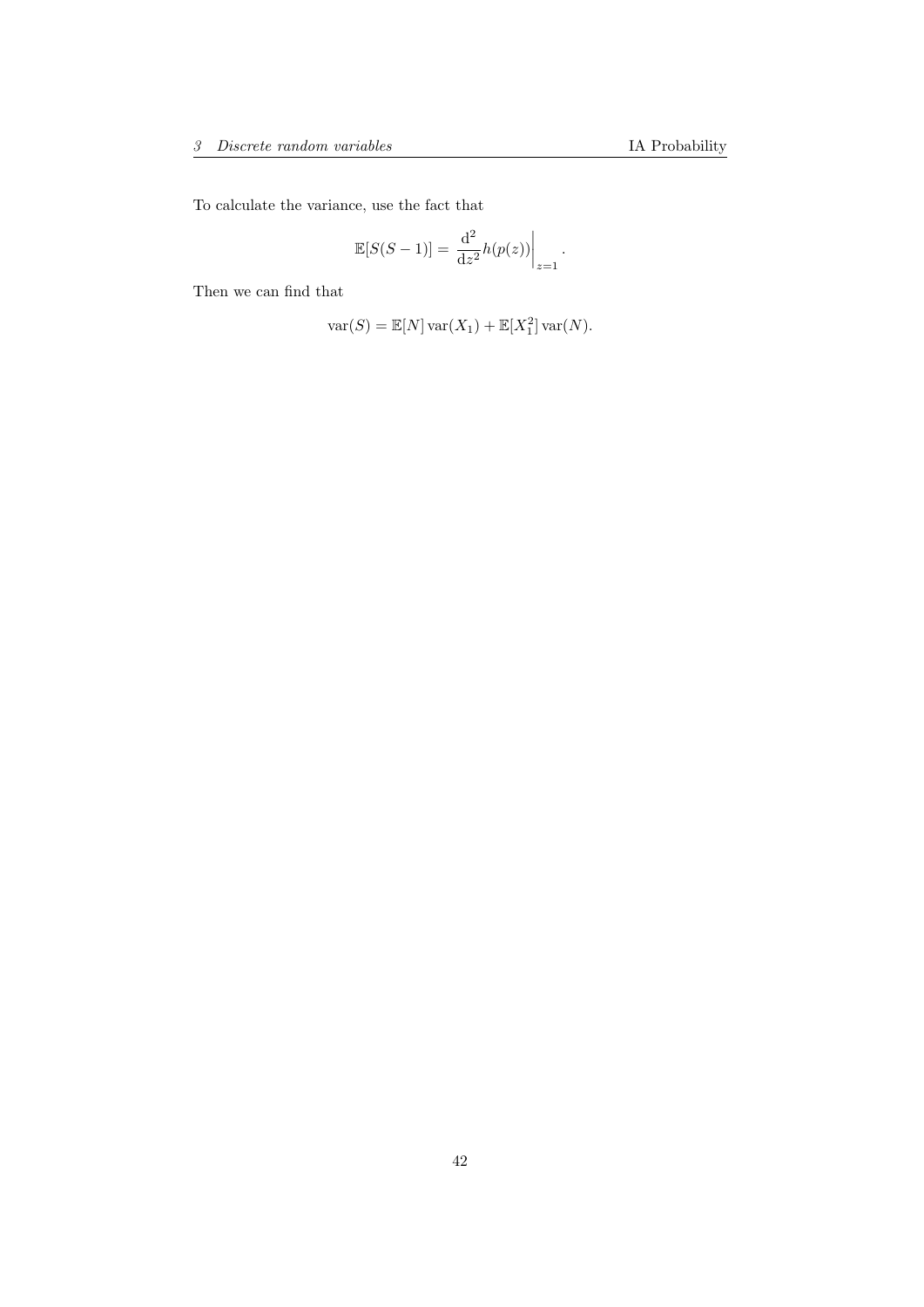To calculate the variance, use the fact that

$$
\mathbb{E}[S(S-1)] = \left. \frac{\mathrm{d}^2}{\mathrm{d}z^2} h(p(z)) \right|_{z=1}.
$$

Then we can find that

$$
var(S) = \mathbb{E}[N] var(X_1) + \mathbb{E}[X_1^2] var(N).
$$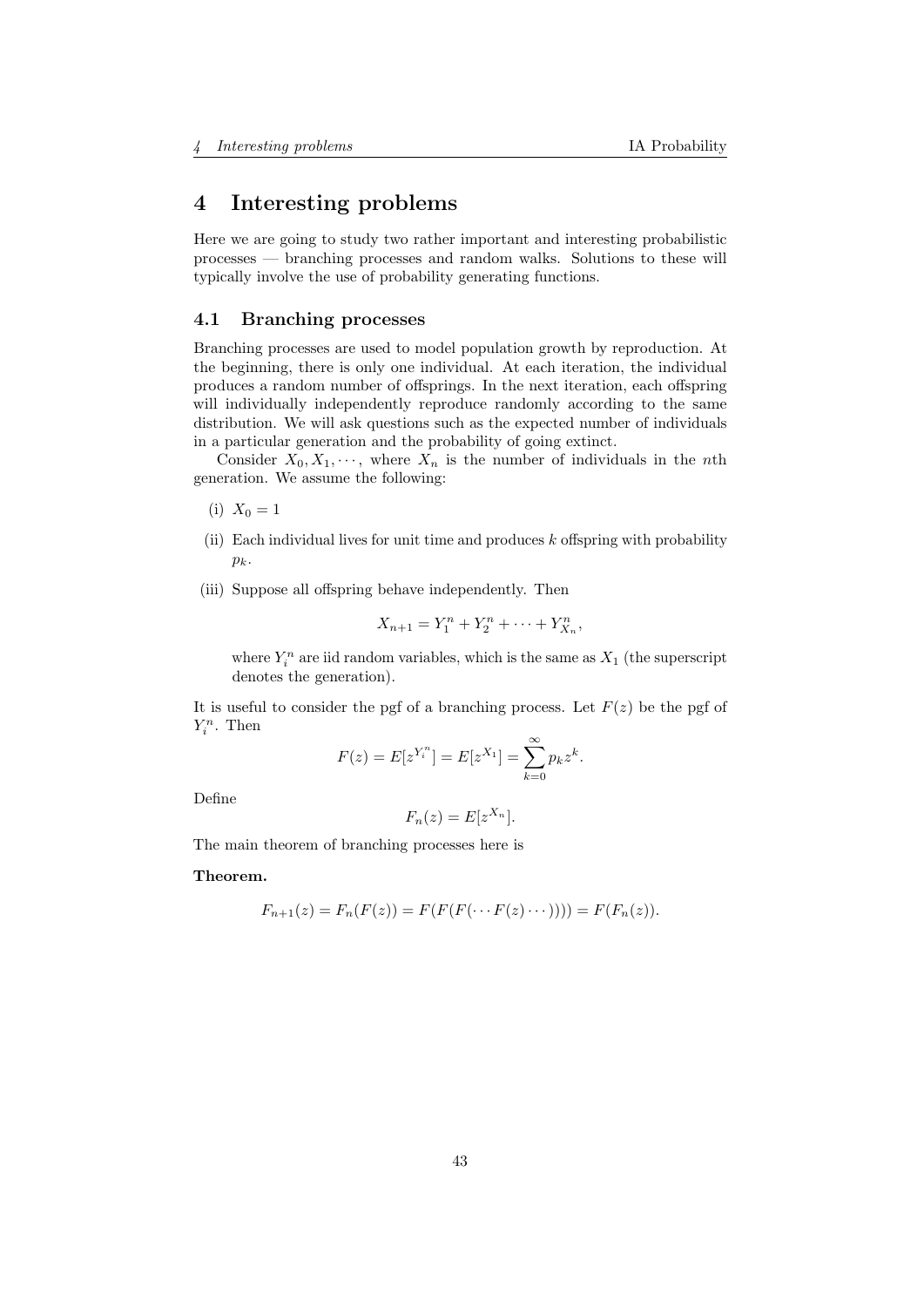# 4 Interesting problems

Here we are going to study two rather important and interesting probabilistic processes — branching processes and random walks. Solutions to these will typically involve the use of probability generating functions.

### 4.1 Branching processes

Branching processes are used to model population growth by reproduction. At the beginning, there is only one individual. At each iteration, the individual produces a random number of offsprings. In the next iteration, each offspring will individually independently reproduce randomly according to the same distribution. We will ask questions such as the expected number of individuals in a particular generation and the probability of going extinct.

Consider  $X_0, X_1, \dots$ , where  $X_n$  is the number of individuals in the nth generation. We assume the following:

- (i)  $X_0 = 1$
- (ii) Each individual lives for unit time and produces  $k$  offspring with probability  $p_k$ .
- (iii) Suppose all offspring behave independently. Then

$$
X_{n+1} = Y_1^n + Y_2^n + \dots + Y_{X_n}^n,
$$

where  $Y_i^n$  are iid random variables, which is the same as  $X_1$  (the superscript denotes the generation).

It is useful to consider the pgf of a branching process. Let  $F(z)$  be the pgf of  $Y_i^n$ . Then

$$
F(z) = E[z^{Y_i^n}] = E[z^{X_1}] = \sum_{k=0}^{\infty} p_k z^k.
$$

Define

$$
F_n(z) = E[z^{X_n}].
$$

The main theorem of branching processes here is

Theorem.

$$
F_{n+1}(z) = F_n(F(z)) = F(F(F(\cdots F(z)\cdots)))) = F(F_n(z)).
$$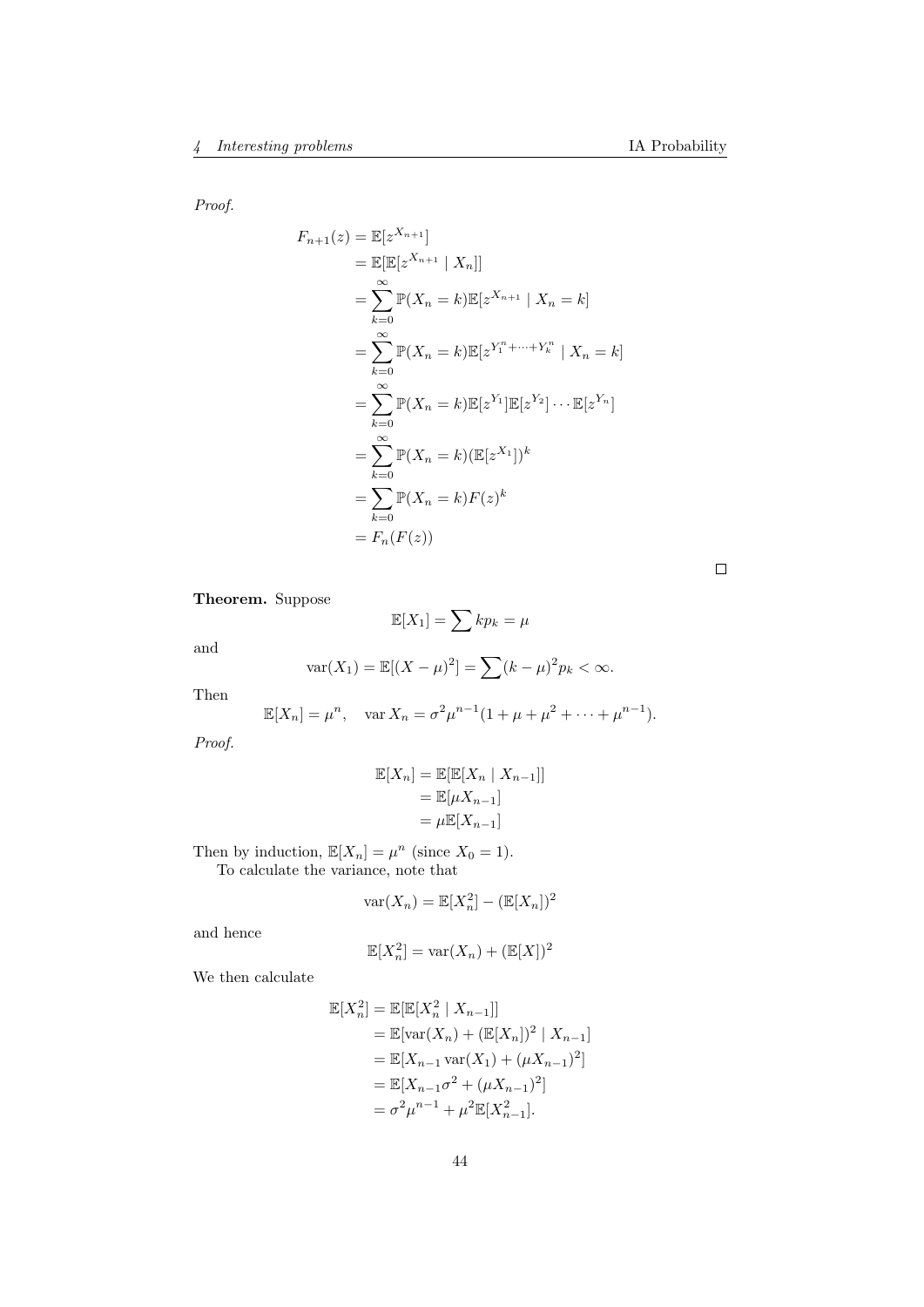Proof.

$$
F_{n+1}(z) = \mathbb{E}[z^{X_{n+1}}]
$$
  
\n
$$
= \mathbb{E}[\mathbb{E}[z^{X_{n+1}} | X_n]]
$$
  
\n
$$
= \sum_{k=0}^{\infty} \mathbb{P}(X_n = k) \mathbb{E}[z^{X_{n+1}} | X_n = k]
$$
  
\n
$$
= \sum_{k=0}^{\infty} \mathbb{P}(X_n = k) \mathbb{E}[z^{Y_1^* + \dots + Y_k^*} | X_n = k]
$$
  
\n
$$
= \sum_{k=0}^{\infty} \mathbb{P}(X_n = k) \mathbb{E}[z^{Y_1}] \mathbb{E}[z^{Y_2}] \cdots \mathbb{E}[z^{Y_n}]
$$
  
\n
$$
= \sum_{k=0}^{\infty} \mathbb{P}(X_n = k) (\mathbb{E}[z^{X_1}])^k
$$
  
\n
$$
= \sum_{k=0}^{\infty} \mathbb{P}(X_n = k) F(z)^k
$$
  
\n
$$
= F_n(F(z))
$$

 $\Box$ 

Theorem. Suppose

$$
\mathbb{E}[X_1] = \sum k p_k = \mu
$$

and

$$
var(X_1) = \mathbb{E}[(X - \mu)^2] = \sum (k - \mu)^2 p_k < \infty.
$$

Then

$$
\mathbb{E}[X_n] = \mu^n, \quad \text{var } X_n = \sigma^2 \mu^{n-1} (1 + \mu + \mu^2 + \dots + \mu^{n-1}).
$$

Proof.

$$
\mathbb{E}[X_n] = \mathbb{E}[\mathbb{E}[X_n | X_{n-1}]]
$$

$$
= \mathbb{E}[\mu X_{n-1}]
$$

$$
= \mu \mathbb{E}[X_{n-1}]
$$

Then by induction,  $\mathbb{E}[X_n] = \mu^n$  (since  $X_0 = 1$ ). To calculate the variance, note that

$$
\text{var}(X_n) = \mathbb{E}[X_n^2] - (\mathbb{E}[X_n])^2
$$

and hence

$$
\mathbb{E}[X_n^2] = \text{var}(X_n) + (\mathbb{E}[X])^2
$$

We then calculate

$$
\mathbb{E}[X_n^2] = \mathbb{E}[\mathbb{E}[X_n^2 | X_{n-1}]]
$$
  
=  $\mathbb{E}[\text{var}(X_n) + (\mathbb{E}[X_n])^2 | X_{n-1}]$   
=  $\mathbb{E}[X_{n-1} \text{var}(X_1) + (\mu X_{n-1})^2]$   
=  $\mathbb{E}[X_{n-1}\sigma^2 + (\mu X_{n-1})^2]$   
=  $\sigma^2 \mu^{n-1} + \mu^2 \mathbb{E}[X_{n-1}^2].$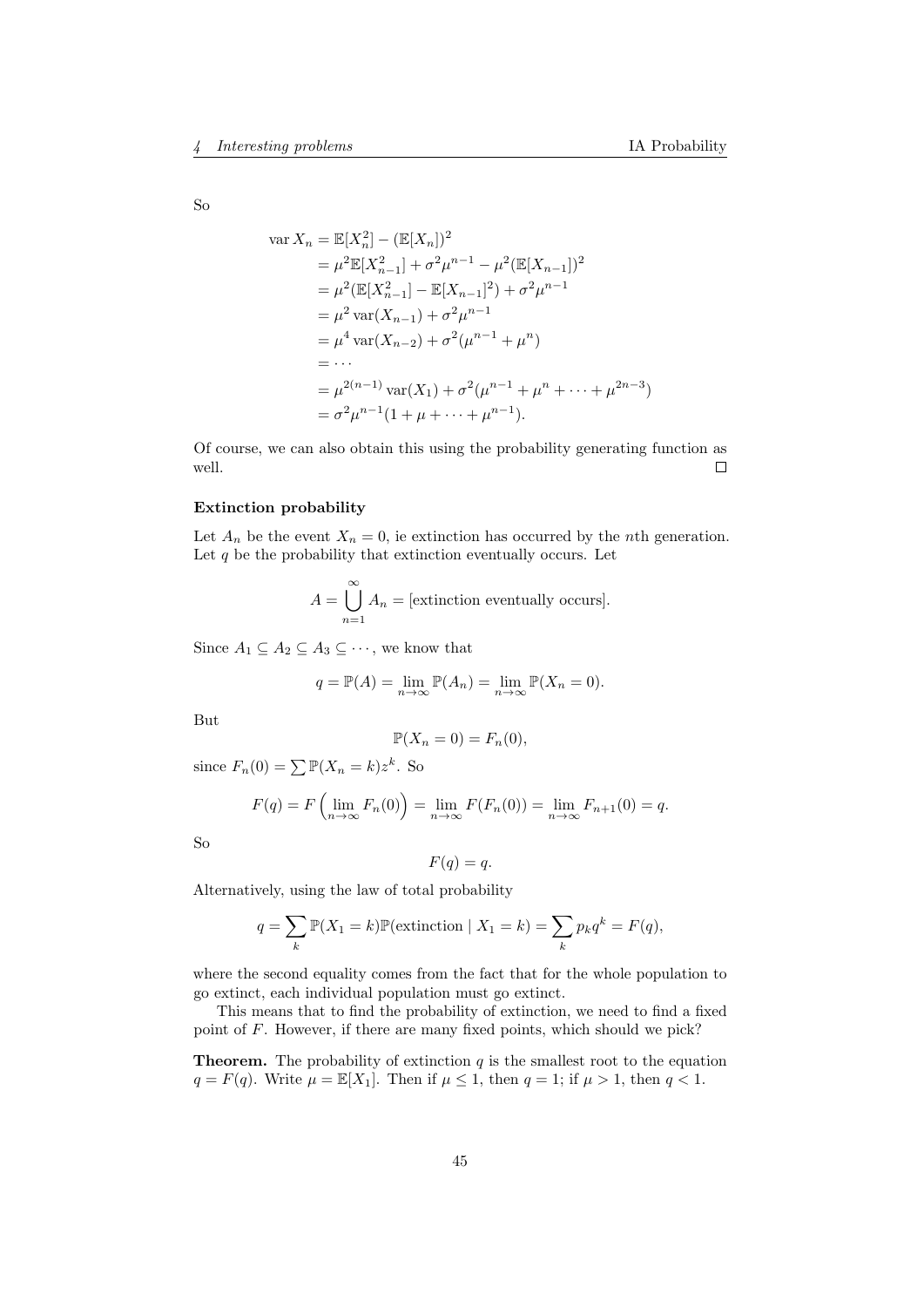So

var 
$$
X_n = \mathbb{E}[X_n^2] - (\mathbb{E}[X_n])^2
$$
  
\n
$$
= \mu^2 \mathbb{E}[X_{n-1}^2] + \sigma^2 \mu^{n-1} - \mu^2 (\mathbb{E}[X_{n-1}])^2
$$
\n
$$
= \mu^2 (\mathbb{E}[X_{n-1}^2] - \mathbb{E}[X_{n-1}]^2) + \sigma^2 \mu^{n-1}
$$
\n
$$
= \mu^2 \text{var}(X_{n-1}) + \sigma^2 \mu^{n-1}
$$
\n
$$
= \mu^4 \text{var}(X_{n-2}) + \sigma^2 (\mu^{n-1} + \mu^n)
$$
\n
$$
= \cdots
$$
\n
$$
= \mu^{2(n-1)} \text{var}(X_1) + \sigma^2 (\mu^{n-1} + \mu^n + \cdots + \mu^{2n-3})
$$
\n
$$
= \sigma^2 \mu^{n-1} (1 + \mu + \cdots + \mu^{n-1}).
$$

Of course, we can also obtain this using the probability generating function as well.  $\Box$ 

#### Extinction probability

Let  $A_n$  be the event  $X_n = 0$ , ie extinction has occurred by the *n*th generation. Let  $q$  be the probability that extinction eventually occurs. Let

$$
A = \bigcup_{n=1}^{\infty} A_n = [\text{extinction eventually occurs}].
$$

Since  $A_1 \subseteq A_2 \subseteq A_3 \subseteq \cdots$ , we know that

$$
q = \mathbb{P}(A) = \lim_{n \to \infty} \mathbb{P}(A_n) = \lim_{n \to \infty} \mathbb{P}(X_n = 0).
$$

But

$$
\mathbb{P}(X_n = 0) = F_n(0),
$$

since  $F_n(0) = \sum \mathbb{P}(X_n = k)z^k$ . So

$$
F(q) = F\left(\lim_{n \to \infty} F_n(0)\right) = \lim_{n \to \infty} F(F_n(0)) = \lim_{n \to \infty} F_{n+1}(0) = q.
$$

So

$$
F(q) = q.
$$

Alternatively, using the law of total probability

$$
q = \sum_{k} \mathbb{P}(X_1 = k) \mathbb{P}(\text{extinction} \mid X_1 = k) = \sum_{k} p_k q^k = F(q),
$$

where the second equality comes from the fact that for the whole population to go extinct, each individual population must go extinct.

This means that to find the probability of extinction, we need to find a fixed point of F. However, if there are many fixed points, which should we pick?

**Theorem.** The probability of extinction  $q$  is the smallest root to the equation  $q = F(q)$ . Write  $\mu = \mathbb{E}[X_1]$ . Then if  $\mu \leq 1$ , then  $q = 1$ ; if  $\mu > 1$ , then  $q < 1$ .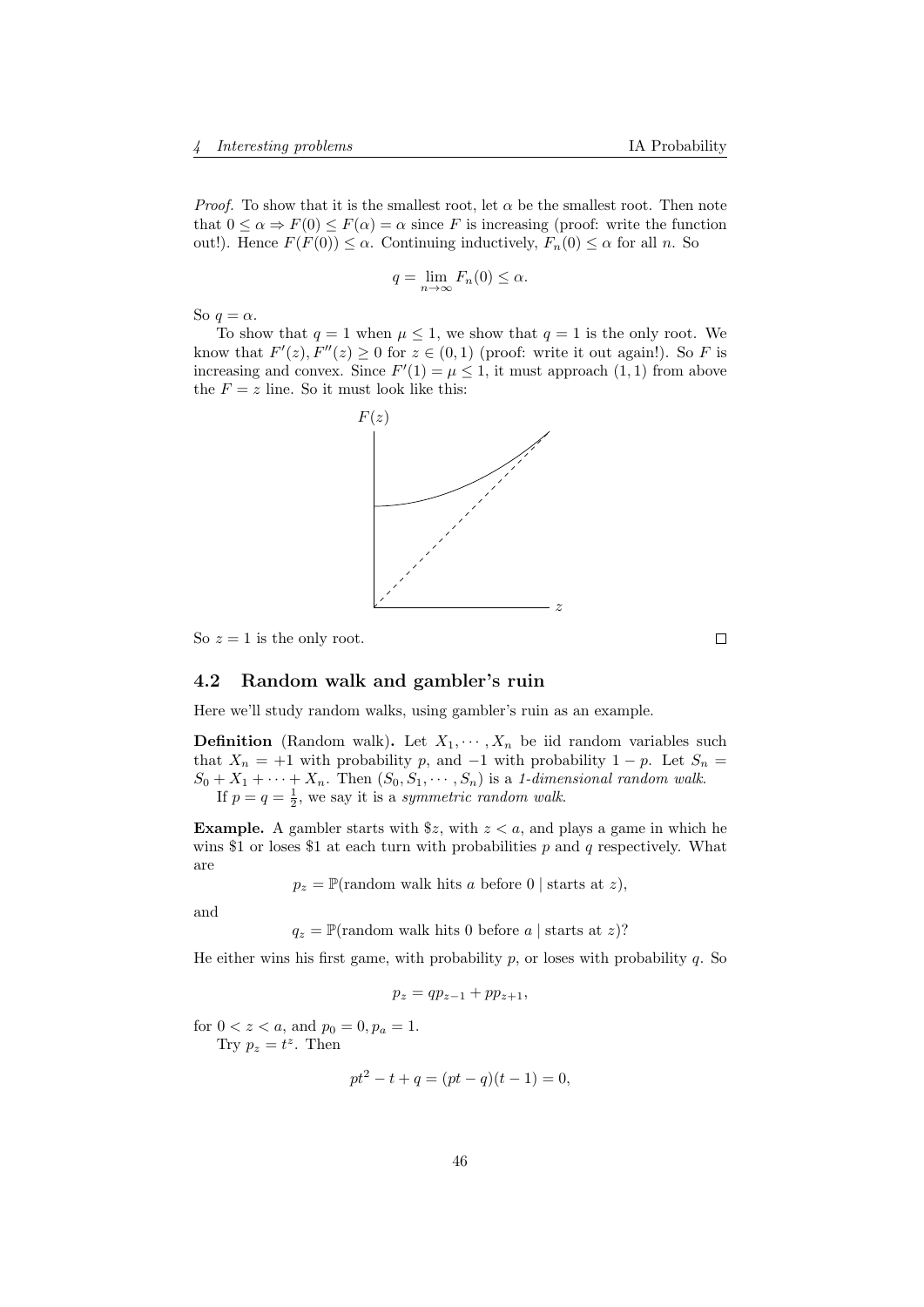*Proof.* To show that it is the smallest root, let  $\alpha$  be the smallest root. Then note that  $0 \le \alpha \Rightarrow F(0) \le F(\alpha) = \alpha$  since F is increasing (proof: write the function out!). Hence  $F(F(0)) \leq \alpha$ . Continuing inductively,  $F_n(0) \leq \alpha$  for all n. So

$$
q = \lim_{n \to \infty} F_n(0) \le \alpha.
$$

So  $q = \alpha$ .

To show that  $q = 1$  when  $\mu \leq 1$ , we show that  $q = 1$  is the only root. We know that  $F'(z)$ ,  $F''(z) \ge 0$  for  $z \in (0,1)$  (proof: write it out again!). So F is increasing and convex. Since  $F'(1) = \mu \leq 1$ , it must approach  $(1, 1)$  from above the  $F = z$  line. So it must look like this:



So  $z = 1$  is the only root.

# 4.2 Random walk and gambler's ruin

Here we'll study random walks, using gambler's ruin as an example.

**Definition** (Random walk). Let  $X_1, \dots, X_n$  be iid random variables such that  $X_n = +1$  with probability p, and  $-1$  with probability  $1 - p$ . Let  $S_n =$  $S_0 + X_1 + \cdots + X_n$ . Then  $(S_0, S_1, \cdots, S_n)$  is a 1-dimensional random walk. If  $p = q = \frac{1}{2}$ , we say it is a symmetric random walk.

**Example.** A gambler starts with  $\frac{2}{3}z$ , with  $z < a$ , and plays a game in which he wins \$1 or loses \$1 at each turn with probabilities  $p$  and  $q$  respectively. What are

 $p_z = \mathbb{P}(\text{random walk hits } a \text{ before } 0 \mid \text{starts at } z),$ 

and

 $q_z = \mathbb{P}(\text{random walk hits 0 before } a \mid \text{starts at } z)?$ 

He either wins his first game, with probability  $p$ , or loses with probability  $q$ . So

$$
p_z = qp_{z-1} + pp_{z+1},
$$

for  $0 < z < a$ , and  $p_0 = 0$ ,  $p_a = 1$ . Try  $p_z = t^z$ . Then

$$
pt^2 - t + q = (pt - q)(t - 1) = 0,
$$

 $\Box$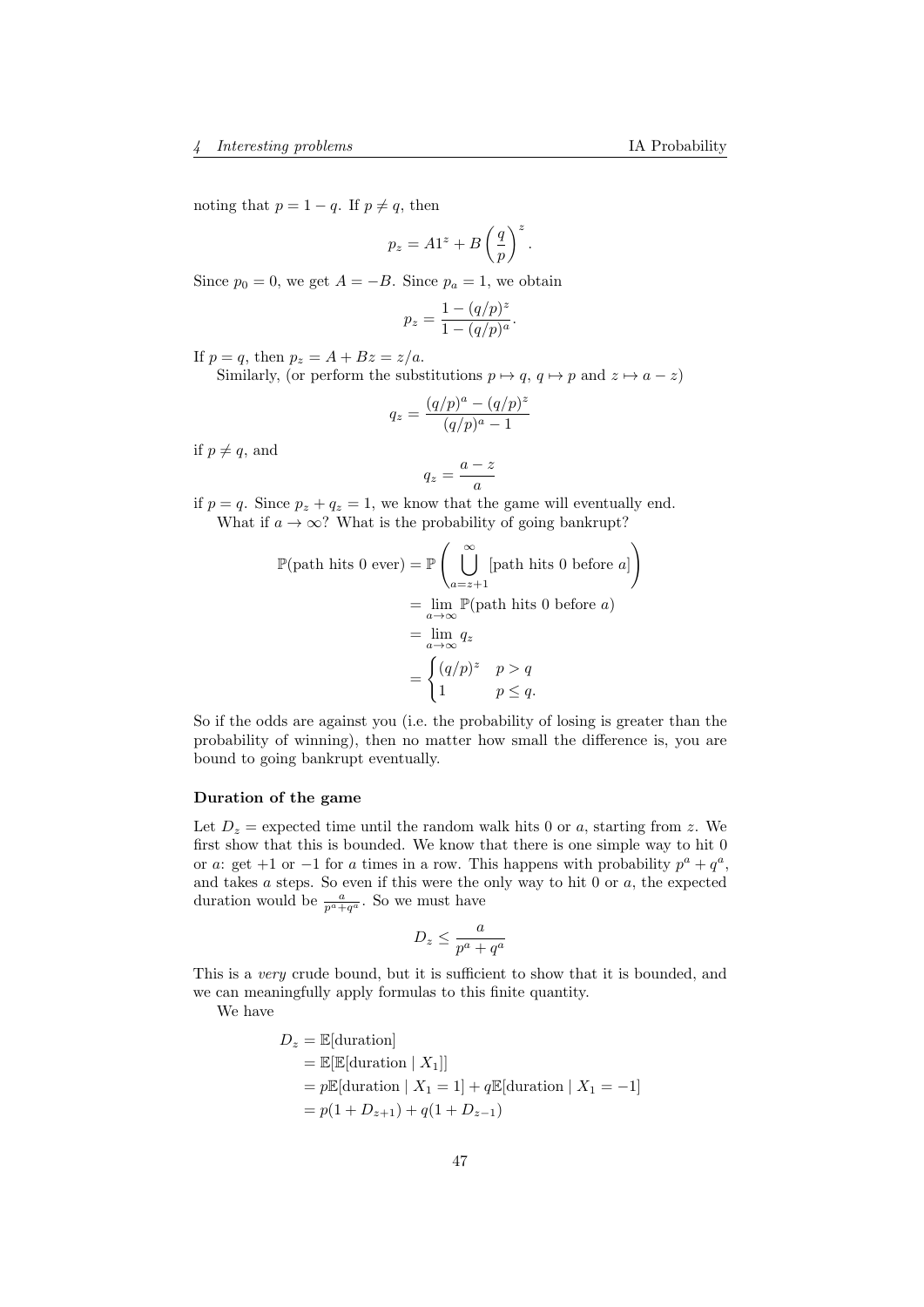noting that  $p = 1 - q$ . If  $p \neq q$ , then

$$
p_z = A1^z + B\left(\frac{q}{p}\right)^z.
$$

Since  $p_0 = 0$ , we get  $A = -B$ . Since  $p_a = 1$ , we obtain

$$
p_z = \frac{1 - (q/p)^z}{1 - (q/p)^a}.
$$

If  $p = q$ , then  $p_z = A + Bz = z/a$ .

Similarly, (or perform the substitutions  $p \mapsto q$ ,  $q \mapsto p$  and  $z \mapsto a - z$ )

$$
q_z = \frac{(q/p)^a - (q/p)^z}{(q/p)^a - 1}
$$

if  $p \neq q$ , and

$$
q_z = \frac{a-z}{a}
$$

if  $p = q$ . Since  $p_z + q_z = 1$ , we know that the game will eventually end. What if  $a \to \infty$ ? What is the probability of going bankrupt?

$$
\mathbb{P}(\text{path hits 0 ever}) = \mathbb{P}\left(\bigcup_{a=z+1}^{\infty}[\text{path hits 0 before }a]\right)
$$

$$
= \lim_{a \to \infty} \mathbb{P}(\text{path hits 0 before }a)
$$

$$
= \lim_{a \to \infty} q_z
$$

$$
= \begin{cases} (q/p)^z & p > q \\ 1 & p \le q. \end{cases}
$$

So if the odds are against you (i.e. the probability of losing is greater than the probability of winning), then no matter how small the difference is, you are bound to going bankrupt eventually.

### Duration of the game

Let  $D_z$  = expected time until the random walk hits 0 or a, starting from z. We first show that this is bounded. We know that there is one simple way to hit 0 or a: get +1 or −1 for a times in a row. This happens with probability  $p^a + q^a$ , and takes  $a$  steps. So even if this were the only way to hit  $0$  or  $a$ , the expected duration would be  $\frac{a}{p^a+q^a}$ . So we must have

$$
D_z \le \frac{a}{p^a + q^a}
$$

This is a *very* crude bound, but it is sufficient to show that it is bounded, and we can meaningfully apply formulas to this finite quantity.

We have

$$
D_z = \mathbb{E}[\text{duration}]
$$
  
=  $\mathbb{E}[\mathbb{E}[\text{duration} | X_1]]$   
=  $p\mathbb{E}[\text{duration} | X_1 = 1] + q\mathbb{E}[\text{duration} | X_1 = -1]$   
=  $p(1 + D_{z+1}) + q(1 + D_{z-1})$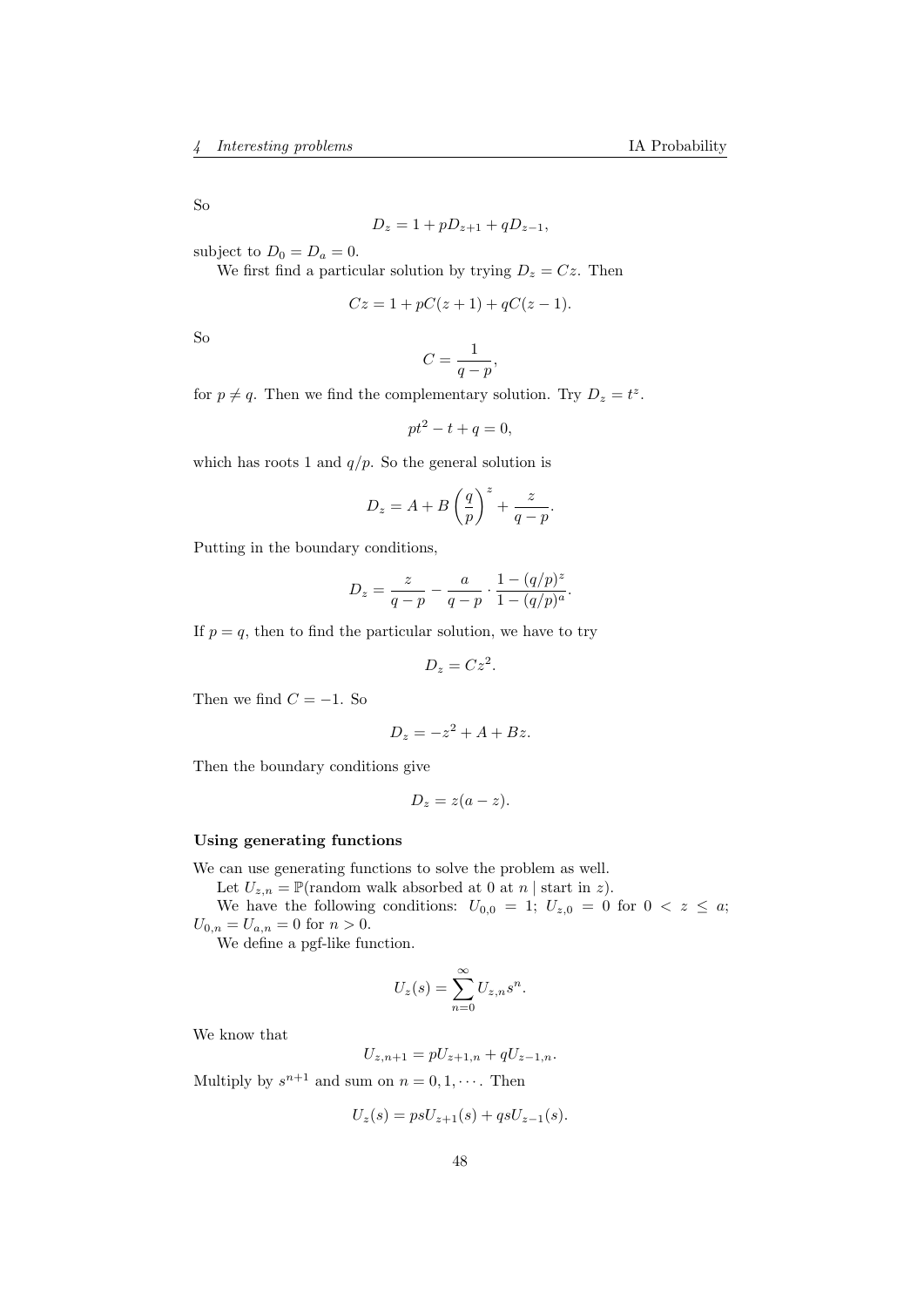So

$$
D_z = 1 + pD_{z+1} + qD_{z-1},
$$

subject to  $D_0 = D_a = 0$ .

We first find a particular solution by trying  $D_z = Cz$ . Then

$$
Cz = 1 + pC(z+1) + qC(z-1).
$$

So

$$
C=\frac{1}{q-p},
$$

for  $p \neq q$ . Then we find the complementary solution. Try  $D_z = t^z$ .

$$
pt^2 - t + q = 0,
$$

which has roots 1 and  $q/p$ . So the general solution is

$$
D_z = A + B\left(\frac{q}{p}\right)^z + \frac{z}{q-p}.
$$

Putting in the boundary conditions,

$$
D_z = \frac{z}{q - p} - \frac{a}{q - p} \cdot \frac{1 - (q/p)^z}{1 - (q/p)^a}.
$$

If  $p = q$ , then to find the particular solution, we have to try

$$
D_z = Cz^2.
$$

Then we find  $C = -1$ . So

$$
D_z = -z^2 + A + Bz.
$$

Then the boundary conditions give

$$
D_z = z(a-z).
$$

### Using generating functions

We can use generating functions to solve the problem as well.

Let  $U_{z,n} = \mathbb{P}(\text{random walk absorbed at 0 at } n \mid \text{start in } z).$ 

We have the following conditions:  $U_{0,0} = 1$ ;  $U_{z,0} = 0$  for  $0 < z \leq a$ ;  $U_{0,n} = U_{a,n} = 0$  for  $n > 0$ .

We define a pgf-like function.

$$
U_z(s) = \sum_{n=0}^{\infty} U_{z,n} s^n.
$$

We know that

$$
U_{z,n+1} = pU_{z+1,n} + qU_{z-1,n}.
$$

Multiply by  $s^{n+1}$  and sum on  $n = 0, 1, \cdots$ . Then

$$
U_z(s) = psU_{z+1}(s) + qsU_{z-1}(s).
$$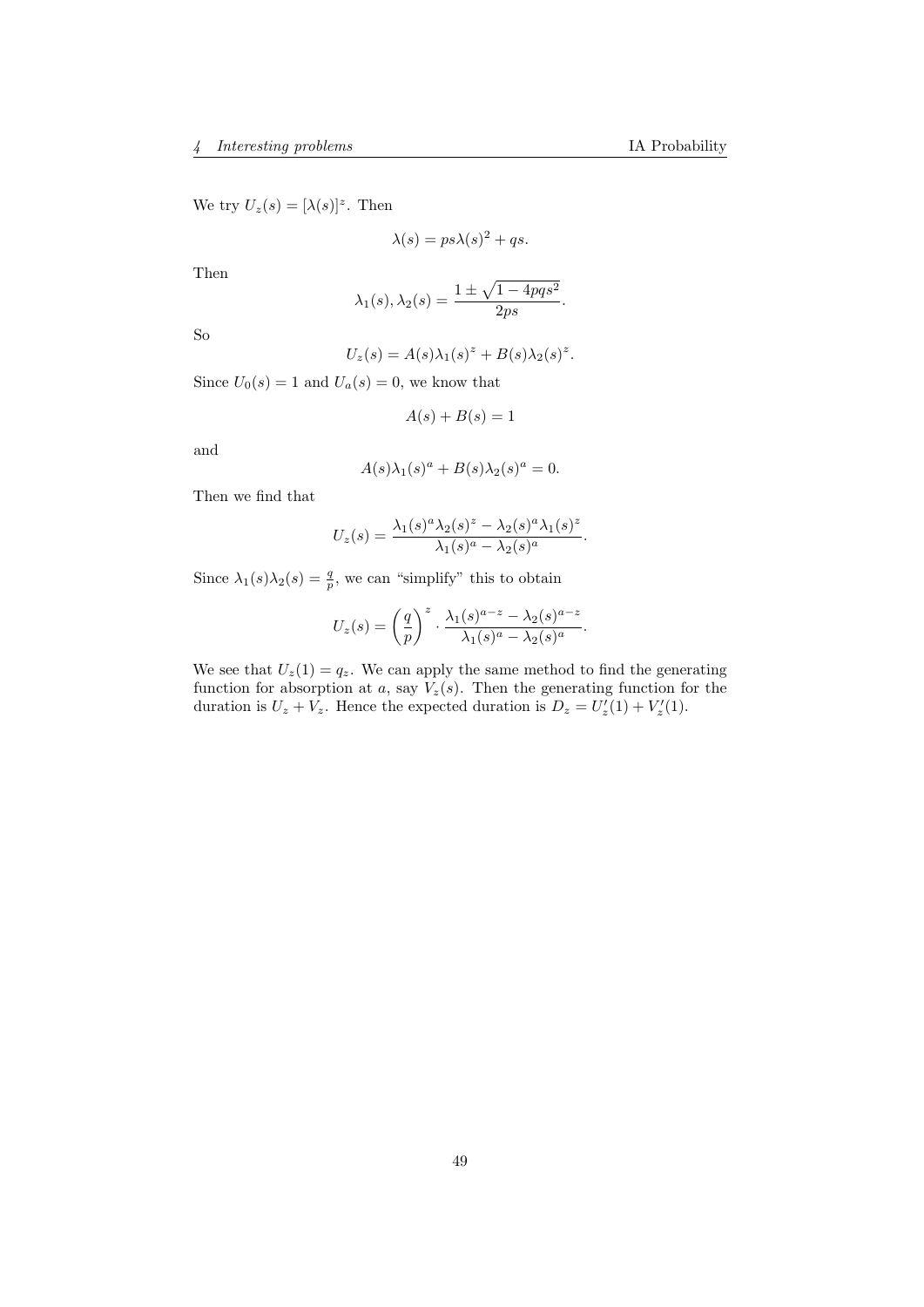We try  $U_z(s) = [\lambda(s)]^z$ . Then

$$
\lambda(s) = ps\lambda(s)^2 + qs.
$$

Then

$$
\lambda_1(s), \lambda_2(s) = \frac{1 \pm \sqrt{1 - 4pqs^2}}{2ps}.
$$

So

$$
U_z(s) = A(s)\lambda_1(s)^z + B(s)\lambda_2(s)^z.
$$

Since  $U_0(s) = 1$  and  $U_a(s) = 0$ , we know that

$$
A(s) + B(s) = 1
$$

and

$$
A(s)\lambda_1(s)^a + B(s)\lambda_2(s)^a = 0.
$$

Then we find that

$$
U_z(s) = \frac{\lambda_1(s)^a \lambda_2(s)^z - \lambda_2(s)^a \lambda_1(s)^z}{\lambda_1(s)^a - \lambda_2(s)^a}.
$$

Since  $\lambda_1(s)\lambda_2(s) = \frac{q}{p}$ , we can "simplify" this to obtain

$$
U_z(s) = \left(\frac{q}{p}\right)^z \cdot \frac{\lambda_1(s)^{a-z} - \lambda_2(s)^{a-z}}{\lambda_1(s)^a - \lambda_2(s)^a}.
$$

We see that  $U_z(1) = q_z$ . We can apply the same method to find the generating function for absorption at a, say  $V_z(s)$ . Then the generating function for the duration is  $U_z + V_z$ . Hence the expected duration is  $D_z = U'_z(1) + V'_z(1)$ .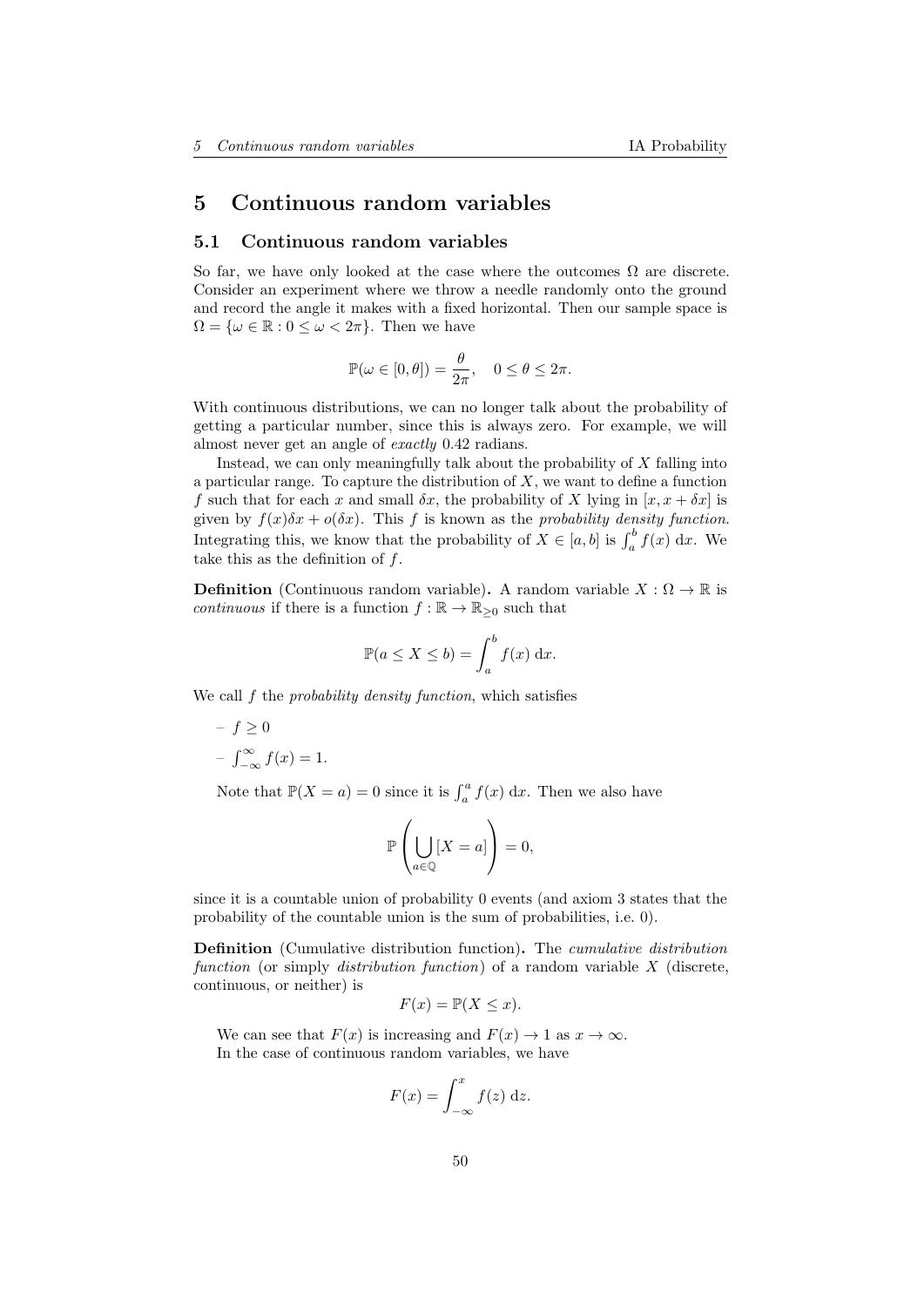# 5 Continuous random variables

#### 5.1 Continuous random variables

So far, we have only looked at the case where the outcomes  $\Omega$  are discrete. Consider an experiment where we throw a needle randomly onto the ground and record the angle it makes with a fixed horizontal. Then our sample space is  $\Omega = \{\omega \in \mathbb{R} : 0 \leq \omega < 2\pi\}.$  Then we have

$$
\mathbb{P}(\omega \in [0,\theta]) = \frac{\theta}{2\pi}, \quad 0 \le \theta \le 2\pi.
$$

With continuous distributions, we can no longer talk about the probability of getting a particular number, since this is always zero. For example, we will almost never get an angle of exactly 0.42 radians.

Instead, we can only meaningfully talk about the probability of X falling into a particular range. To capture the distribution of  $X$ , we want to define a function f such that for each x and small  $\delta x$ , the probability of X lying in  $[x, x + \delta x]$  is given by  $f(x)\delta x + o(\delta x)$ . This f is known as the probability density function. Integrating this, we know that the probability of  $X \in [a, b]$  is  $\int_a^b f(x) dx$ . We take this as the definition of  $f$ .

**Definition** (Continuous random variable). A random variable  $X : \Omega \to \mathbb{R}$  is continuous if there is a function  $f : \mathbb{R} \to \mathbb{R}_{\geq 0}$  such that

$$
\mathbb{P}(a \le X \le b) = \int_a^b f(x) \, \mathrm{d}x.
$$

We call f the *probability density function*, which satisfies

 $- f > 0$  $-\int_{-\infty}^{\infty} f(x) = 1.$ 

Note that  $\mathbb{P}(X = a) = 0$  since it is  $\int_a^a f(x) dx$ . Then we also have

$$
\mathbb{P}\left(\bigcup_{a\in\mathbb{Q}}[X=a]\right)=0,
$$

since it is a countable union of probability 0 events (and axiom 3 states that the probability of the countable union is the sum of probabilities, i.e. 0).

Definition (Cumulative distribution function). The cumulative distribution function (or simply distribution function) of a random variable  $X$  (discrete, continuous, or neither) is

$$
F(x) = \mathbb{P}(X \le x).
$$

We can see that  $F(x)$  is increasing and  $F(x) \to 1$  as  $x \to \infty$ . In the case of continuous random variables, we have

$$
F(x) = \int_{-\infty}^{x} f(z) \, \mathrm{d}z.
$$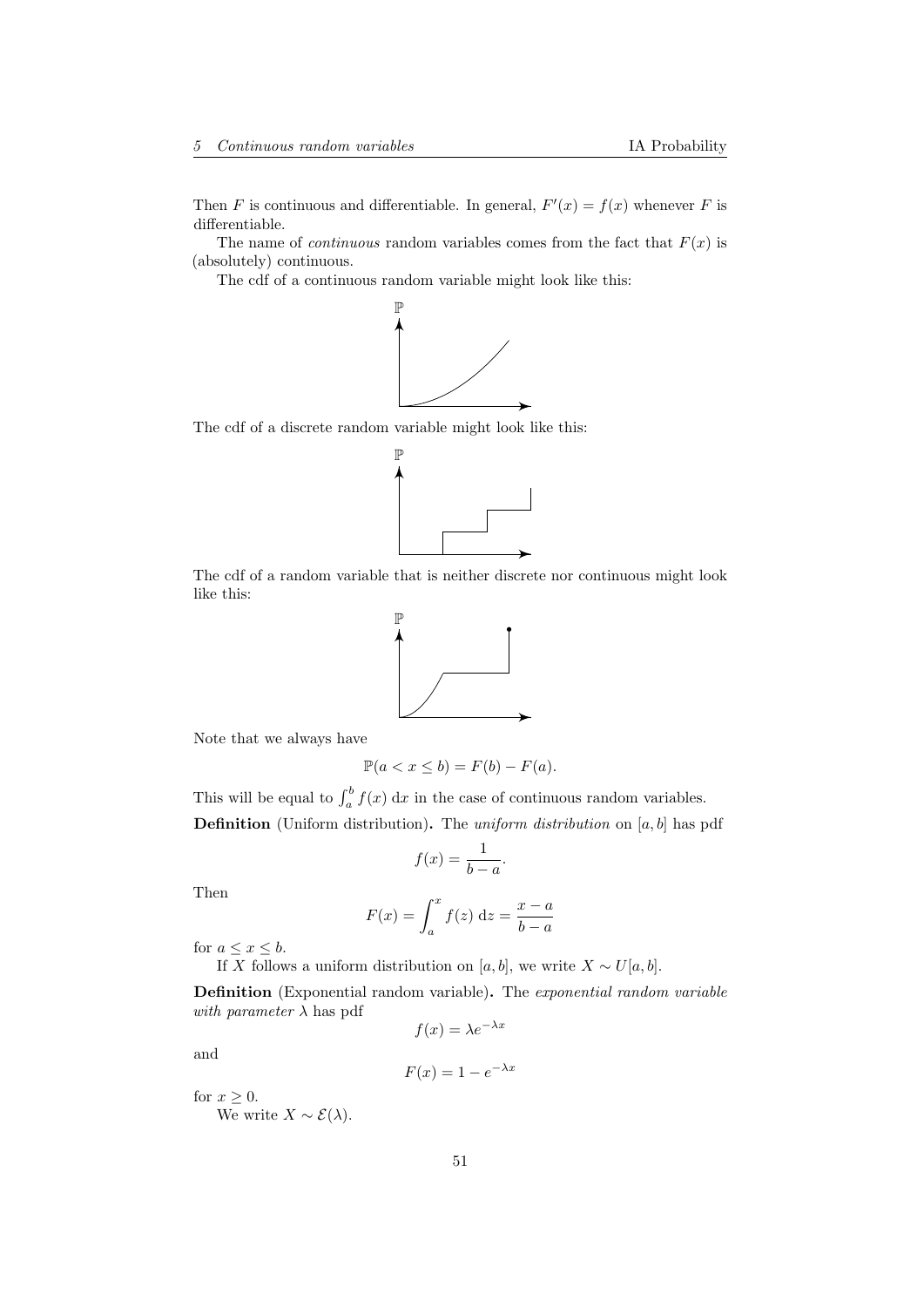Then F is continuous and differentiable. In general,  $F'(x) = f(x)$  whenever F is differentiable.

The name of *continuous* random variables comes from the fact that  $F(x)$  is (absolutely) continuous.

The cdf of a continuous random variable might look like this:



The cdf of a discrete random variable might look like this:



The cdf of a random variable that is neither discrete nor continuous might look like this:



Note that we always have

$$
\mathbb{P}(a < x \le b) = F(b) - F(a).
$$

This will be equal to  $\int_a^b f(x) dx$  in the case of continuous random variables. **Definition** (Uniform distribution). The *uniform distribution* on  $[a, b]$  has pdf

$$
f(x) = \frac{1}{b-a}.
$$

Then

$$
F(x) = \int_{a}^{x} f(z) dz = \frac{x - a}{b - a}
$$

for  $a \leq x \leq b$ .

If X follows a uniform distribution on [a, b], we write  $X \sim U[a, b]$ .

Definition (Exponential random variable). The exponential random variable with parameter  $\lambda$  has pdf

$$
f(x) = \lambda e^{-\lambda x}
$$

and

$$
F(x) = 1 - e^{-\lambda x}
$$

for  $x \geq 0$ .

We write  $X \sim \mathcal{E}(\lambda)$ .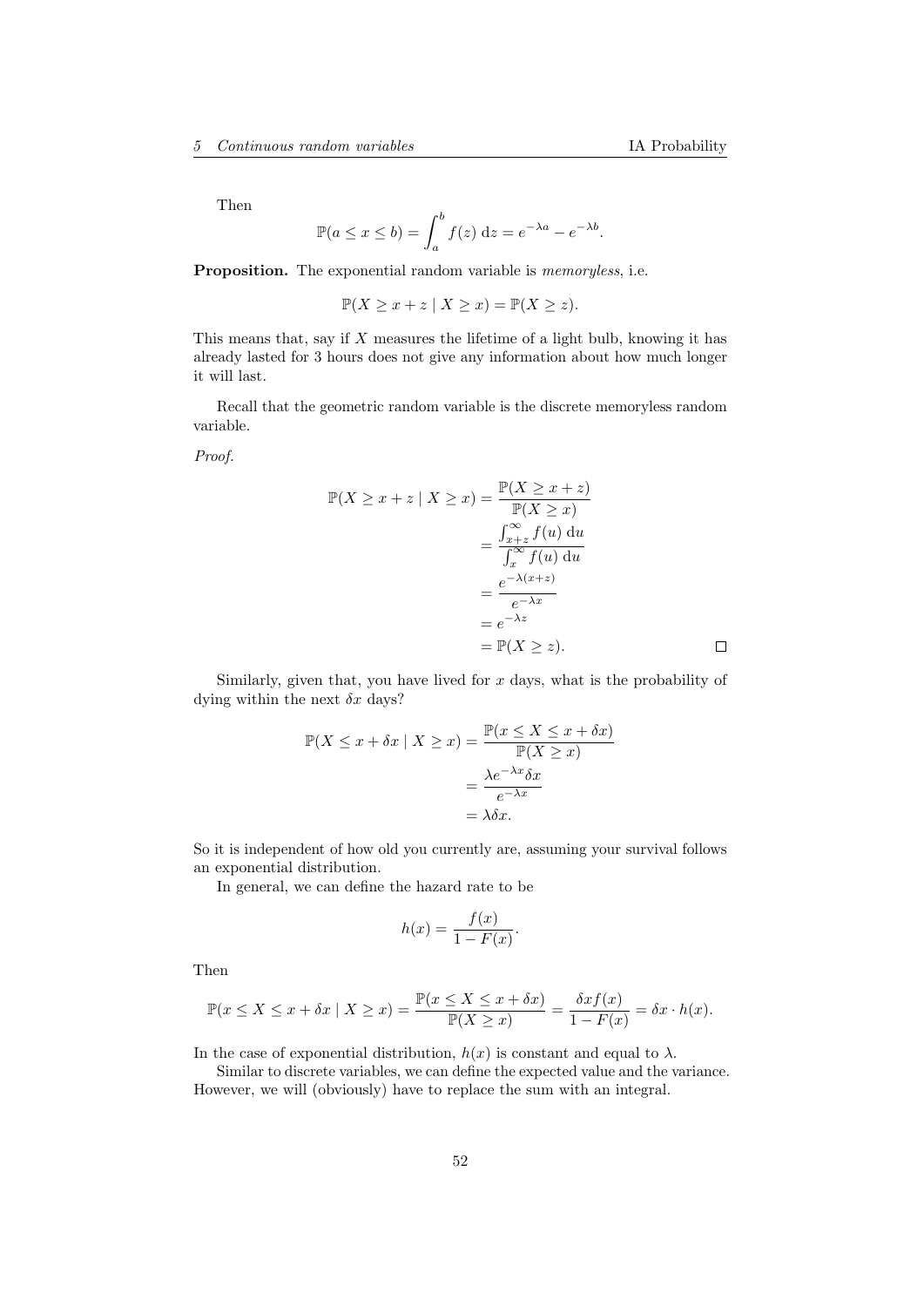Then

$$
\mathbb{P}(a \le x \le b) = \int_a^b f(z) dz = e^{-\lambda a} - e^{-\lambda b}.
$$

Proposition. The exponential random variable is *memoryless*, i.e.

$$
\mathbb{P}(X \ge x + z \mid X \ge x) = \mathbb{P}(X \ge z).
$$

This means that, say if X measures the lifetime of a light bulb, knowing it has already lasted for 3 hours does not give any information about how much longer it will last.

Recall that the geometric random variable is the discrete memoryless random variable.

Proof.

$$
\mathbb{P}(X \ge x + z \mid X \ge x) = \frac{\mathbb{P}(X \ge x + z)}{\mathbb{P}(X \ge x)}
$$

$$
= \frac{\int_{x+z}^{\infty} f(u) du}{\int_{x}^{\infty} f(u) du}
$$

$$
= \frac{e^{-\lambda(x+z)}}{e^{-\lambda x}}
$$

$$
= e^{-\lambda z}
$$

$$
= \mathbb{P}(X \ge z).
$$

Similarly, given that, you have lived for  $x$  days, what is the probability of dying within the next  $\delta x$  days?

$$
\mathbb{P}(X \le x + \delta x \mid X \ge x) = \frac{\mathbb{P}(x \le X \le x + \delta x)}{\mathbb{P}(X \ge x)} = \frac{\lambda e^{-\lambda x} \delta x}{e^{-\lambda x}} = \lambda \delta x.
$$

So it is independent of how old you currently are, assuming your survival follows an exponential distribution.

In general, we can define the hazard rate to be

$$
h(x) = \frac{f(x)}{1 - F(x)}.
$$

Then

$$
\mathbb{P}(x \le X \le x + \delta x \mid X \ge x) = \frac{\mathbb{P}(x \le X \le x + \delta x)}{\mathbb{P}(X \ge x)} = \frac{\delta x f(x)}{1 - F(x)} = \delta x \cdot h(x).
$$

In the case of exponential distribution,  $h(x)$  is constant and equal to  $\lambda$ .

Similar to discrete variables, we can define the expected value and the variance. However, we will (obviously) have to replace the sum with an integral.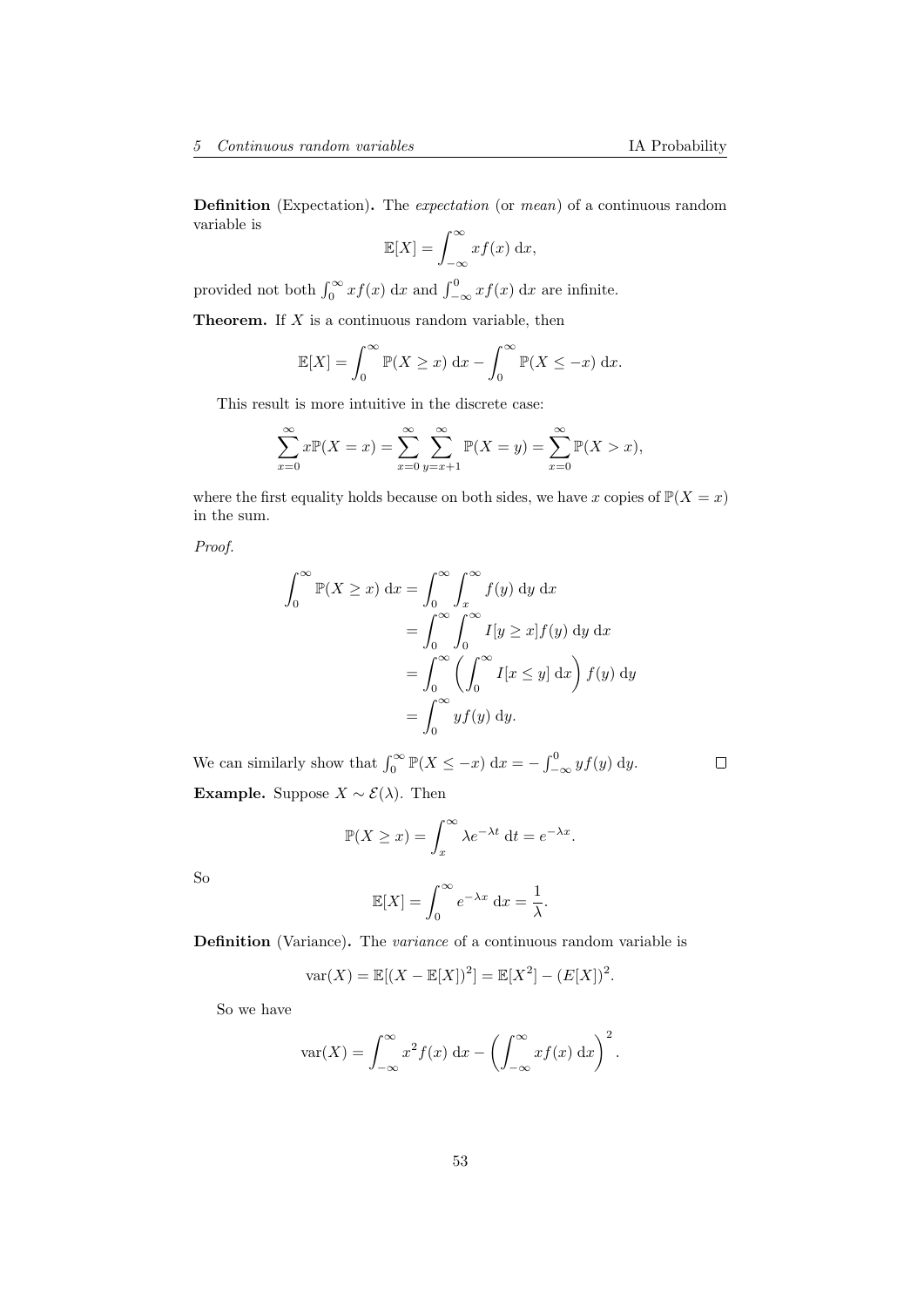Definition (Expectation). The *expectation* (or *mean*) of a continuous random variable is

$$
\mathbb{E}[X] = \int_{-\infty}^{\infty} x f(x) \, \mathrm{d}x,
$$

provided not both  $\int_0^\infty x f(x) \, dx$  and  $\int_{-\infty}^0 x f(x) \, dx$  are infinite.

**Theorem.** If  $X$  is a continuous random variable, then

$$
\mathbb{E}[X] = \int_0^\infty \mathbb{P}(X \ge x) \, \mathrm{d}x - \int_0^\infty \mathbb{P}(X \le -x) \, \mathrm{d}x.
$$

This result is more intuitive in the discrete case:

$$
\sum_{x=0}^{\infty} x \mathbb{P}(X = x) = \sum_{x=0}^{\infty} \sum_{y=x+1}^{\infty} \mathbb{P}(X = y) = \sum_{x=0}^{\infty} \mathbb{P}(X > x),
$$

where the first equality holds because on both sides, we have x copies of  $\mathbb{P}(X = x)$ in the sum.

Proof.

$$
\int_0^\infty \mathbb{P}(X \ge x) dx = \int_0^\infty \int_x^\infty f(y) dy dx
$$
  
= 
$$
\int_0^\infty \int_0^\infty I[y \ge x] f(y) dy dx
$$
  
= 
$$
\int_0^\infty \left( \int_0^\infty I[x \le y] dx \right) f(y) dy
$$
  
= 
$$
\int_0^\infty y f(y) dy.
$$

We can similarly show that  $\int_0^\infty \mathbb{P}(X \le -x) dx = -\int_{-\infty}^0 y f(y) dy$ .  $\Box$ Example. Suppose  $X \sim \mathcal{E}(\lambda)$ . Then

$$
\mathbb{P}(X \ge x) = \int_x^{\infty} \lambda e^{-\lambda t} dt = e^{-\lambda x}.
$$

So

$$
\mathbb{E}[X] = \int_0^\infty e^{-\lambda x} \, \mathrm{d}x = \frac{1}{\lambda}.
$$

Definition (Variance). The variance of a continuous random variable is

$$
var(X) = \mathbb{E}[(X - \mathbb{E}[X])^{2}] = \mathbb{E}[X^{2}] - (E[X])^{2}.
$$

So we have

$$
\text{var}(X) = \int_{-\infty}^{\infty} x^2 f(x) \, \mathrm{d}x - \left( \int_{-\infty}^{\infty} x f(x) \, \mathrm{d}x \right)^2.
$$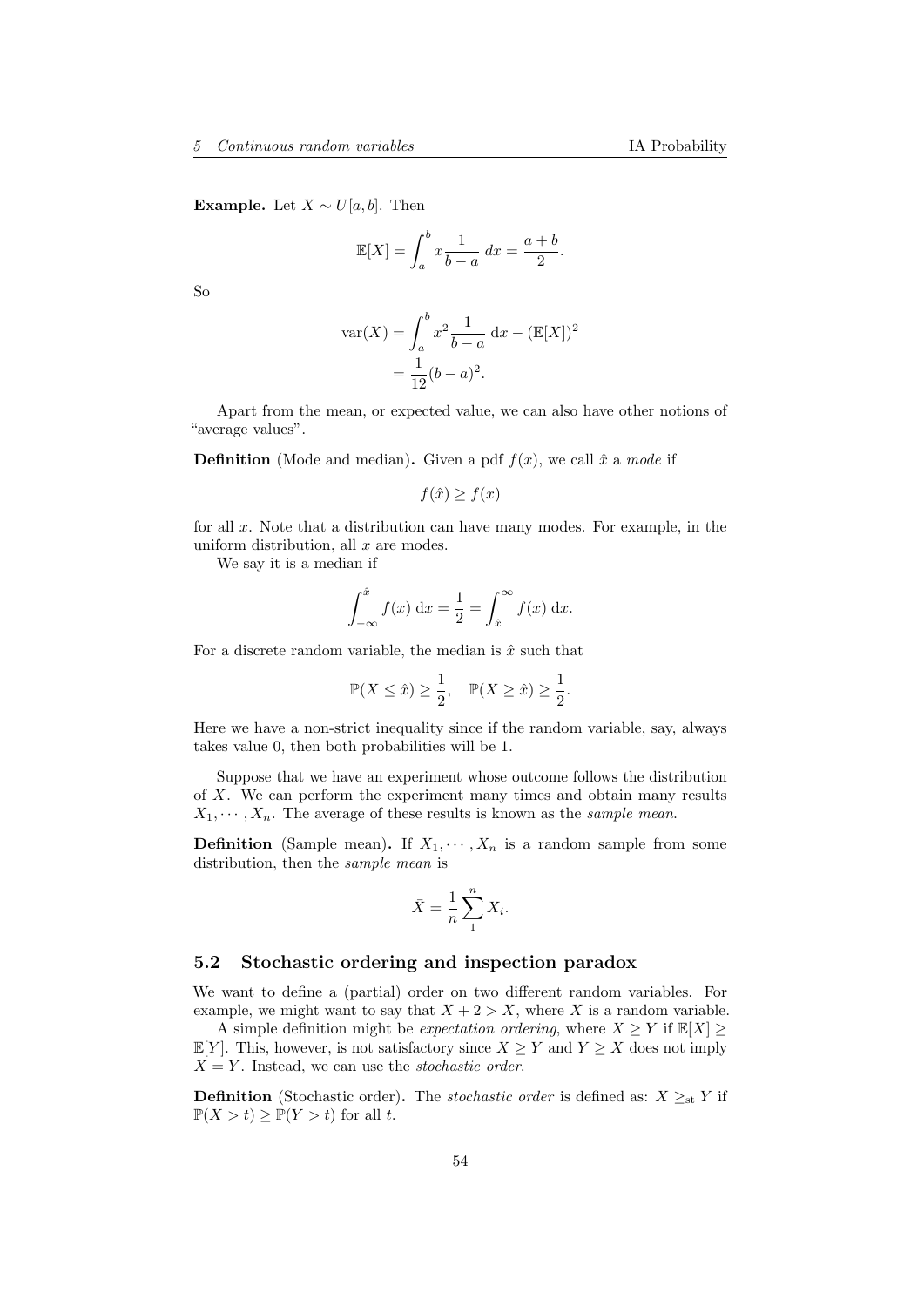Example. Let  $X \sim U[a, b]$ . Then

$$
\mathbb{E}[X] = \int_a^b x \frac{1}{b-a} dx = \frac{a+b}{2}.
$$

So

$$
\operatorname{var}(X) = \int_{a}^{b} x^{2} \frac{1}{b-a} dx - (\mathbb{E}[X])^{2}
$$

$$
= \frac{1}{12} (b-a)^{2}.
$$

Apart from the mean, or expected value, we can also have other notions of "average values".

**Definition** (Mode and median). Given a pdf  $f(x)$ , we call  $\hat{x}$  a mode if

$$
f(\hat{x}) \ge f(x)
$$

for all  $x$ . Note that a distribution can have many modes. For example, in the uniform distribution, all  $x$  are modes.

We say it is a median if

$$
\int_{-\infty}^{\hat{x}} f(x) dx = \frac{1}{2} = \int_{\hat{x}}^{\infty} f(x) dx.
$$

For a discrete random variable, the median is  $\hat{x}$  such that

$$
\mathbb{P}(X \le \hat{x}) \ge \frac{1}{2}, \quad \mathbb{P}(X \ge \hat{x}) \ge \frac{1}{2}.
$$

Here we have a non-strict inequality since if the random variable, say, always takes value 0, then both probabilities will be 1.

Suppose that we have an experiment whose outcome follows the distribution of X. We can perform the experiment many times and obtain many results  $X_1, \dots, X_n$ . The average of these results is known as the sample mean.

**Definition** (Sample mean). If  $X_1, \dots, X_n$  is a random sample from some distribution, then the sample mean is

$$
\bar{X} = \frac{1}{n} \sum_{1}^{n} X_i.
$$

#### 5.2 Stochastic ordering and inspection paradox

We want to define a (partial) order on two different random variables. For example, we might want to say that  $X + 2 > X$ , where X is a random variable.

A simple definition might be *expectation ordering*, where  $X \geq Y$  if  $\mathbb{E}[X] \geq$  $\mathbb{E}[Y]$ . This, however, is not satisfactory since  $X \geq Y$  and  $Y \geq X$  does not imply  $X = Y$ . Instead, we can use the *stochastic order*.

**Definition** (Stochastic order). The *stochastic order* is defined as:  $X \geq_{st} Y$  if  $\mathbb{P}(X > t) > \mathbb{P}(Y > t)$  for all t.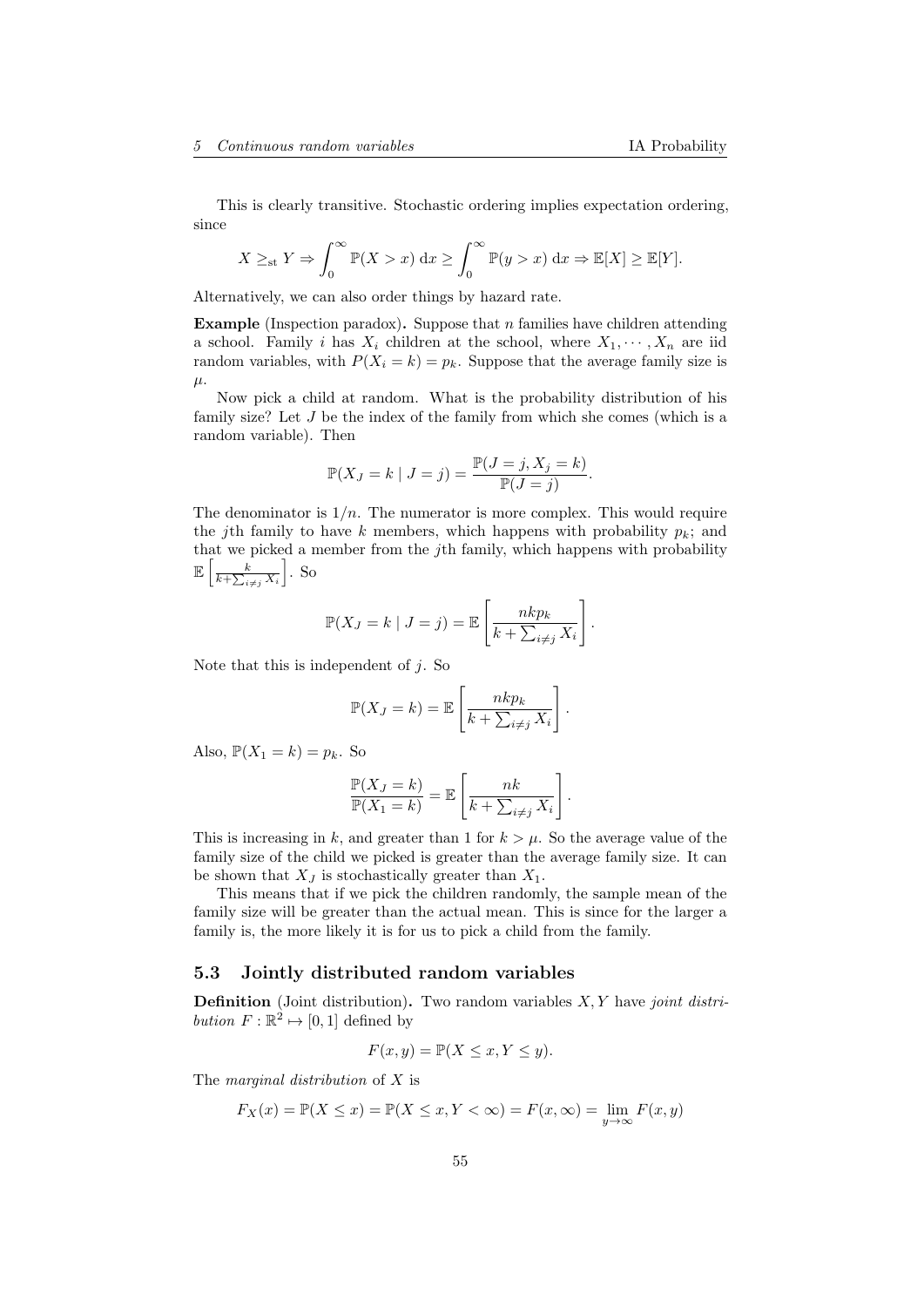This is clearly transitive. Stochastic ordering implies expectation ordering, since

$$
X \geq_{\text{st}} Y \Rightarrow \int_0^\infty \mathbb{P}(X > x) \, dx \geq \int_0^\infty \mathbb{P}(y > x) \, dx \Rightarrow \mathbb{E}[X] \geq \mathbb{E}[Y].
$$

Alternatively, we can also order things by hazard rate.

**Example** (Inspection paradox). Suppose that  $n$  families have children attending a school. Family i has  $X_i$  children at the school, where  $X_1, \dots, X_n$  are iid random variables, with  $P(X_i = k) = p_k$ . Suppose that the average family size is  $\mu$ .

Now pick a child at random. What is the probability distribution of his family size? Let J be the index of the family from which she comes (which is a random variable). Then

$$
\mathbb{P}(X_J = k \mid J = j) = \frac{\mathbb{P}(J = j, X_j = k)}{\mathbb{P}(J = j)}.
$$

The denominator is  $1/n$ . The numerator is more complex. This would require the jth family to have k members, which happens with probability  $p_k$ ; and that we picked a member from the jth family, which happens with probability  $\mathbb{E}\left[\frac{k}{k+\sum_{i\neq j}X_i}\right]$  $\big]$ . So

$$
\mathbb{P}(X_J = k \mid J = j) = \mathbb{E}\left[\frac{nkp_k}{k + \sum_{i \neq j} X_i}\right].
$$

Note that this is independent of  $j$ . So

$$
\mathbb{P}(X_J = k) = \mathbb{E}\left[\frac{nkp_k}{k + \sum_{i \neq j} X_i}\right].
$$

Also,  $\mathbb{P}(X_1 = k) = p_k$ . So

$$
\frac{\mathbb{P}(X_J = k)}{\mathbb{P}(X_1 = k)} = \mathbb{E}\left[\frac{nk}{k + \sum_{i \neq j} X_i}\right].
$$

This is increasing in k, and greater than 1 for  $k > \mu$ . So the average value of the family size of the child we picked is greater than the average family size. It can be shown that  $X_J$  is stochastically greater than  $X_1$ .

This means that if we pick the children randomly, the sample mean of the family size will be greater than the actual mean. This is since for the larger a family is, the more likely it is for us to pick a child from the family.

### 5.3 Jointly distributed random variables

**Definition** (Joint distribution). Two random variables  $X, Y$  have *joint distri*bution  $F: \mathbb{R}^2 \mapsto [0,1]$  defined by

$$
F(x, y) = \mathbb{P}(X \le x, Y \le y).
$$

The *marginal distribution* of X is

$$
F_X(x) = \mathbb{P}(X \le x) = \mathbb{P}(X \le x, Y < \infty) = F(x, \infty) = \lim_{y \to \infty} F(x, y)
$$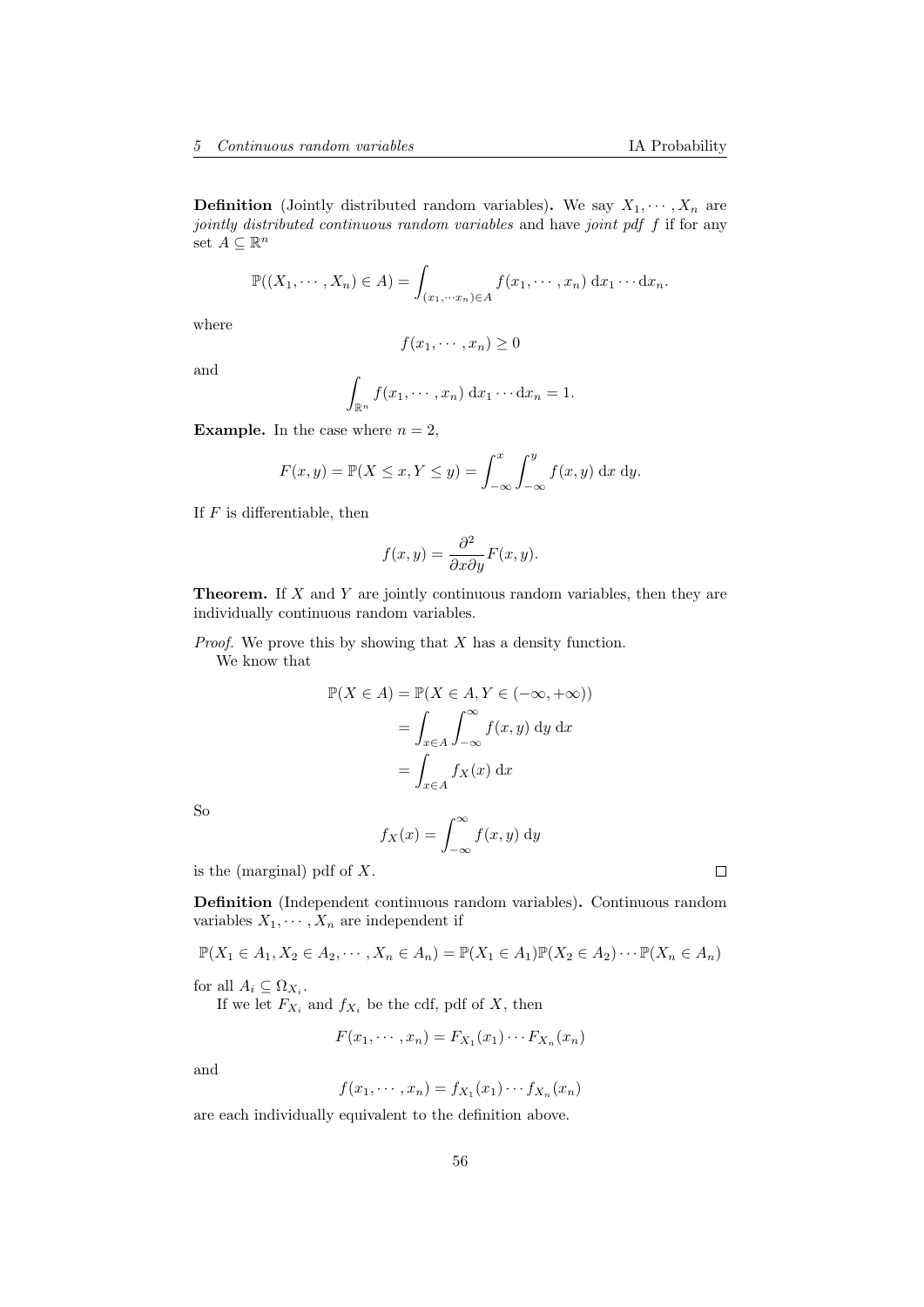**Definition** (Jointly distributed random variables). We say  $X_1, \dots, X_n$  are jointly distributed continuous random variables and have joint pdf f if for any set  $A \subseteq \mathbb{R}^n$ 

$$
\mathbb{P}((X_1,\dots,X_n)\in A)=\int_{(x_1,\dots,x_n)\in A}f(x_1,\dots,x_n)\,\mathrm{d}x_1\dots\mathrm{d}x_n.
$$

where

$$
f(x_1, \cdots, x_n) \ge 0
$$

and

$$
\int_{\mathbb{R}^n} f(x_1, \dots, x_n) \, \mathrm{d}x_1 \dots \mathrm{d}x_n = 1.
$$

**Example.** In the case where  $n = 2$ ,

$$
F(x,y) = \mathbb{P}(X \le x, Y \le y) = \int_{-\infty}^{x} \int_{-\infty}^{y} f(x,y) \, \mathrm{d}x \, \mathrm{d}y.
$$

If  $F$  is differentiable, then

$$
f(x,y) = \frac{\partial^2}{\partial x \partial y} F(x,y).
$$

**Theorem.** If  $X$  and  $Y$  are jointly continuous random variables, then they are individually continuous random variables.

*Proof.* We prove this by showing that  $X$  has a density function. We know that

$$
\mathbb{P}(X \in A) = \mathbb{P}(X \in A, Y \in (-\infty, +\infty))
$$

$$
= \int_{x \in A} \int_{-\infty}^{\infty} f(x, y) dy dx
$$

$$
= \int_{x \in A} f_X(x) dx
$$

So

$$
f_X(x) = \int_{-\infty}^{\infty} f(x, y) \, \mathrm{d}y
$$

is the (marginal) pdf of  $X$ .

Definition (Independent continuous random variables). Continuous random variables  $X_1, \dots, X_n$  are independent if

$$
\mathbb{P}(X_1 \in A_1, X_2 \in A_2, \cdots, X_n \in A_n) = \mathbb{P}(X_1 \in A_1)\mathbb{P}(X_2 \in A_2) \cdots \mathbb{P}(X_n \in A_n)
$$

for all  $A_i \subseteq \Omega_{X_i}$ .

If we let  $F_{X_i}$  and  $f_{X_i}$  be the cdf, pdf of X, then

$$
F(x_1, \cdots, x_n) = F_{X_1}(x_1) \cdots F_{X_n}(x_n)
$$

and

$$
f(x_1, \cdots, x_n) = f_{X_1}(x_1) \cdots f_{X_n}(x_n)
$$

are each individually equivalent to the definition above.

 $\Box$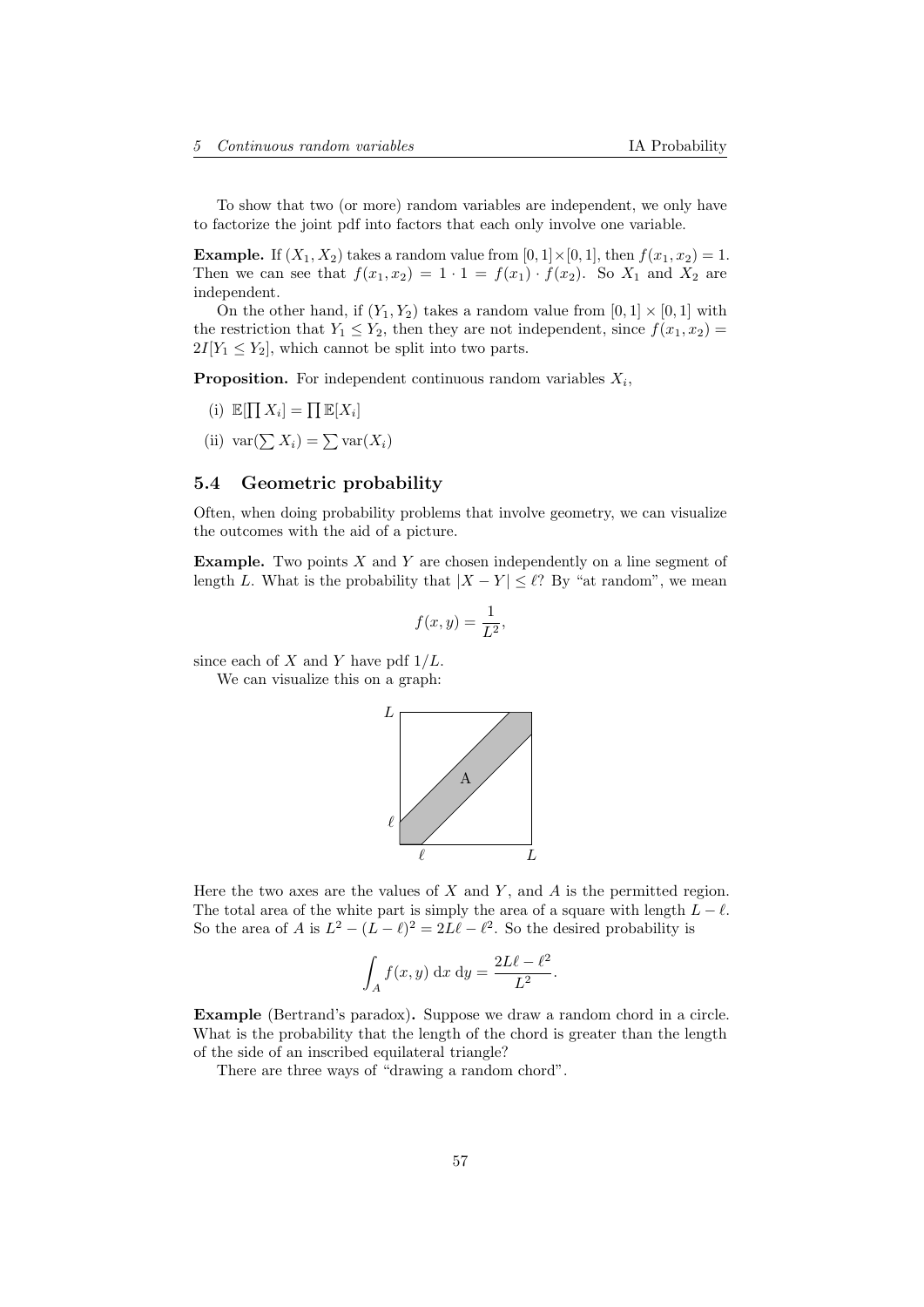To show that two (or more) random variables are independent, we only have to factorize the joint pdf into factors that each only involve one variable.

**Example.** If  $(X_1, X_2)$  takes a random value from  $[0, 1] \times [0, 1]$ , then  $f(x_1, x_2) = 1$ . Then we can see that  $f(x_1, x_2) = 1 \cdot 1 = f(x_1) \cdot f(x_2)$ . So  $X_1$  and  $X_2$  are independent.

On the other hand, if  $(Y_1, Y_2)$  takes a random value from  $[0, 1] \times [0, 1]$  with the restriction that  $Y_1 \leq Y_2$ , then they are not independent, since  $f(x_1, x_2)$  $2I[Y_1 \leq Y_2]$ , which cannot be split into two parts.

**Proposition.** For independent continuous random variables  $X_i$ ,

- (i)  $\mathbb{E}[\prod X_i] = \prod \mathbb{E}[X_i]$
- (ii)  $var(\sum X_i) = \sum var(X_i)$

## 5.4 Geometric probability

Often, when doing probability problems that involve geometry, we can visualize the outcomes with the aid of a picture.

**Example.** Two points  $X$  and  $Y$  are chosen independently on a line segment of length L. What is the probability that  $|X - Y| \leq \ell$ ? By "at random", we mean

$$
f(x,y) = \frac{1}{L^2},
$$

since each of  $X$  and  $Y$  have pdf  $1/L$ .

We can visualize this on a graph:



Here the two axes are the values of  $X$  and  $Y$ , and  $A$  is the permitted region. The total area of the white part is simply the area of a square with length  $\widetilde{L} - \ell$ . So the area of A is  $L^2 - (L - \ell)^2 = 2L\ell - \ell^2$ . So the desired probability is

$$
\int_A f(x, y) \, \mathrm{d}x \, \mathrm{d}y = \frac{2L\ell - \ell^2}{L^2}.
$$

Example (Bertrand's paradox). Suppose we draw a random chord in a circle. What is the probability that the length of the chord is greater than the length of the side of an inscribed equilateral triangle?

There are three ways of "drawing a random chord".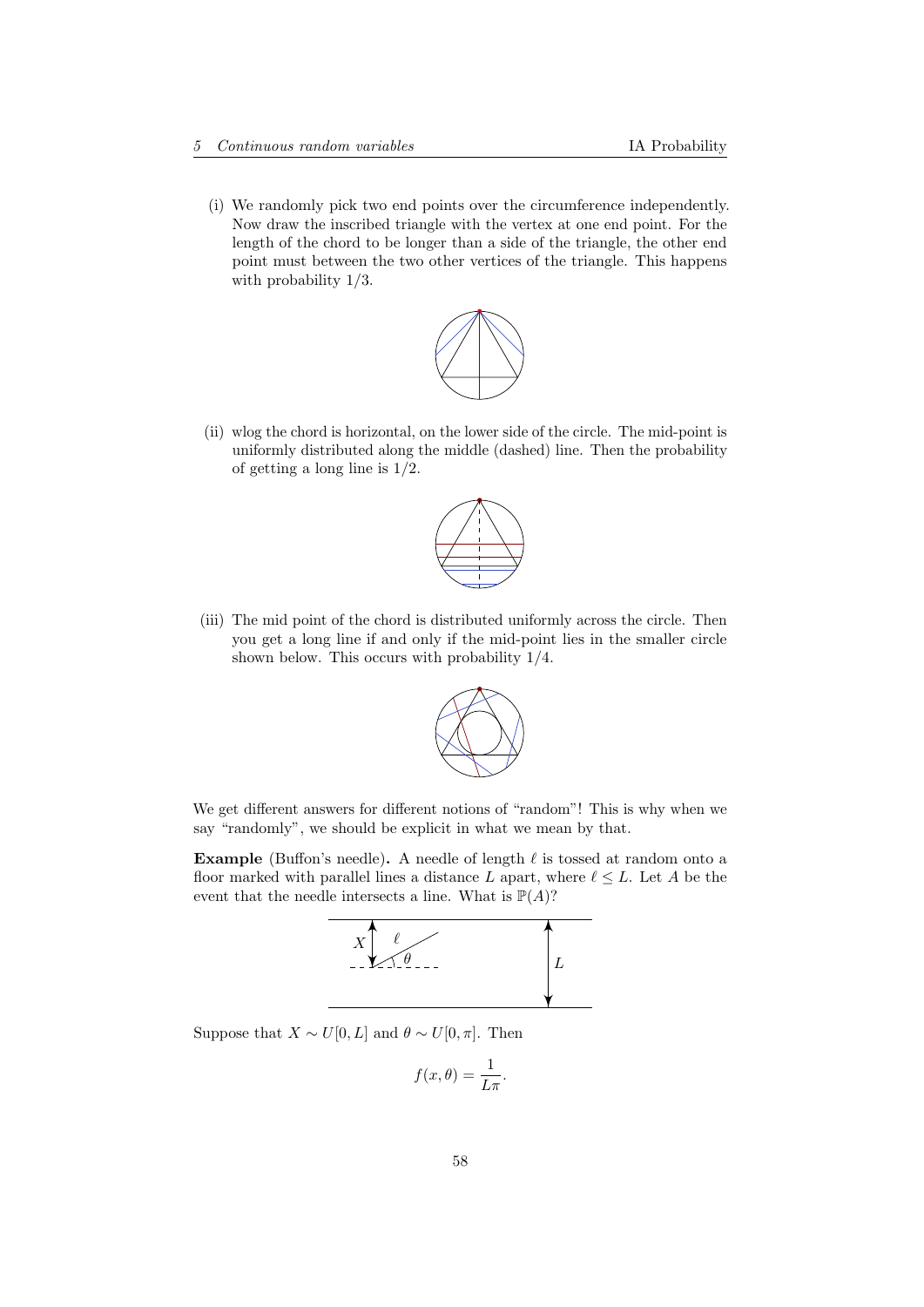(i) We randomly pick two end points over the circumference independently. Now draw the inscribed triangle with the vertex at one end point. For the length of the chord to be longer than a side of the triangle, the other end point must between the two other vertices of the triangle. This happens with probability 1/3.



(ii) wlog the chord is horizontal, on the lower side of the circle. The mid-point is uniformly distributed along the middle (dashed) line. Then the probability of getting a long line is 1/2.



(iii) The mid point of the chord is distributed uniformly across the circle. Then you get a long line if and only if the mid-point lies in the smaller circle shown below. This occurs with probability 1/4.



We get different answers for different notions of "random"! This is why when we say "randomly", we should be explicit in what we mean by that.

Example (Buffon's needle). A needle of length  $\ell$  is tossed at random onto a floor marked with parallel lines a distance L apart, where  $\ell \leq L$ . Let A be the event that the needle intersects a line. What is  $\mathbb{P}(A)$ ?



Suppose that  $X \sim U[0, L]$  and  $\theta \sim U[0, \pi]$ . Then

$$
f(x,\theta) = \frac{1}{L\pi}.
$$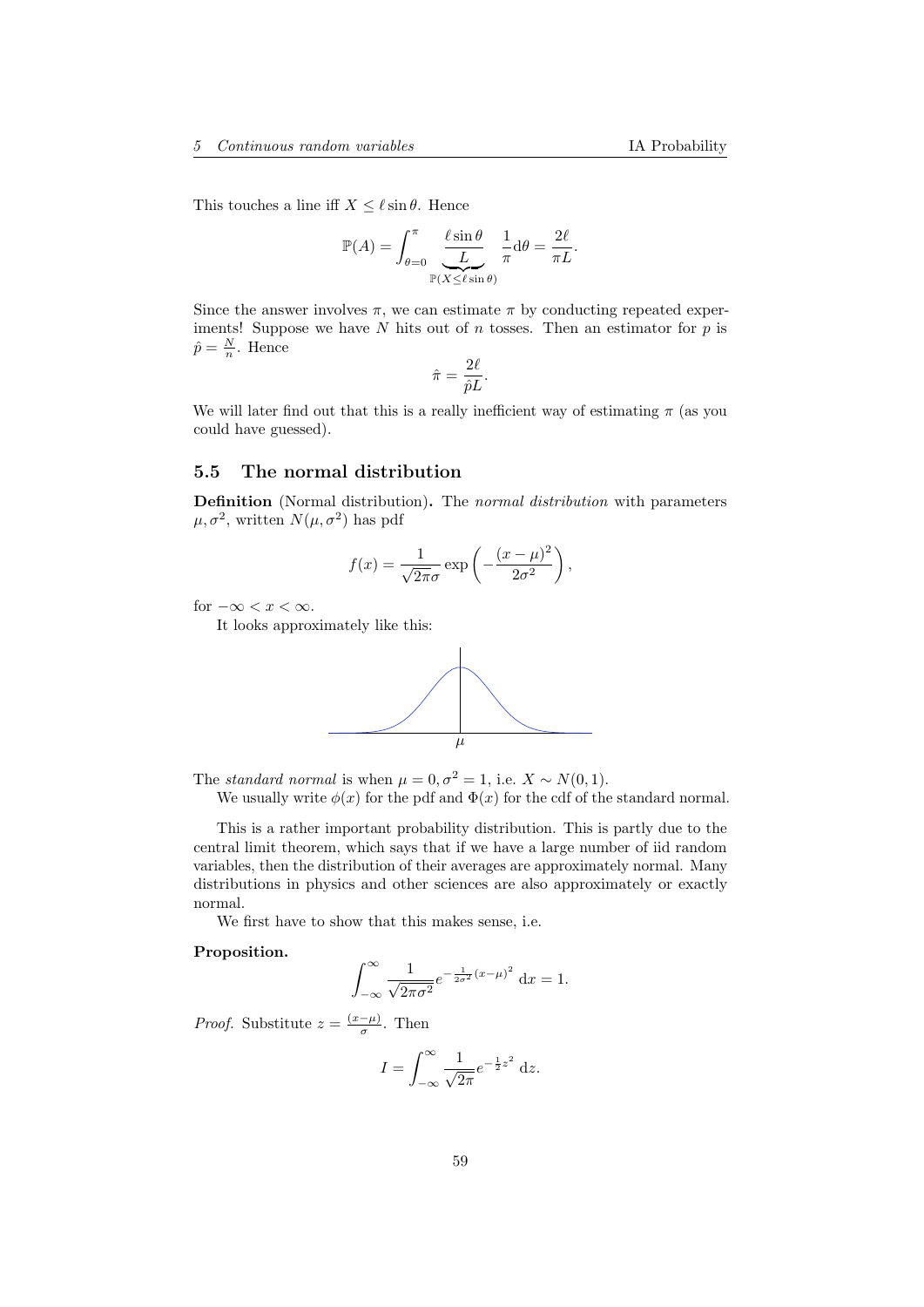This touches a line iff  $X \leq \ell \sin \theta$ . Hence

$$
\mathbb{P}(A) = \int_{\theta=0}^{\pi} \underbrace{\frac{\ell \sin \theta}{L}}_{\mathbb{P}(X \leq \ell \sin \theta)} \frac{1}{\pi} d\theta = \frac{2\ell}{\pi L}.
$$

Since the answer involves  $\pi$ , we can estimate  $\pi$  by conducting repeated experiments! Suppose we have  $N$  hits out of  $n$  tosses. Then an estimator for  $p$  is  $\hat{p} = \frac{N}{n}$ . Hence

$$
\hat{\pi} = \frac{2\ell}{\hat{p}L}.
$$

We will later find out that this is a really inefficient way of estimating  $\pi$  (as you could have guessed).

## 5.5 The normal distribution

Definition (Normal distribution). The normal distribution with parameters  $\mu, \sigma^2$ , written  $N(\mu, \sigma^2)$  has pdf

$$
f(x) = \frac{1}{\sqrt{2\pi}\sigma} \exp\left(-\frac{(x-\mu)^2}{2\sigma^2}\right),\,
$$

for  $-\infty < x < \infty$ .

It looks approximately like this:



The *standard normal* is when  $\mu = 0, \sigma^2 = 1$ , i.e.  $X \sim N(0, 1)$ .

We usually write  $\phi(x)$  for the pdf and  $\Phi(x)$  for the cdf of the standard normal.

This is a rather important probability distribution. This is partly due to the central limit theorem, which says that if we have a large number of iid random variables, then the distribution of their averages are approximately normal. Many distributions in physics and other sciences are also approximately or exactly normal.

We first have to show that this makes sense, i.e.

#### Proposition.

$$
\int_{-\infty}^{\infty} \frac{1}{\sqrt{2\pi\sigma^2}} e^{-\frac{1}{2\sigma^2}(x-\mu)^2} dx = 1.
$$

*Proof.* Substitute  $z = \frac{(x-\mu)}{\sigma}$  $\frac{-\mu}{\sigma}$ . Then

$$
I = \int_{-\infty}^{\infty} \frac{1}{\sqrt{2\pi}} e^{-\frac{1}{2}z^2} dz.
$$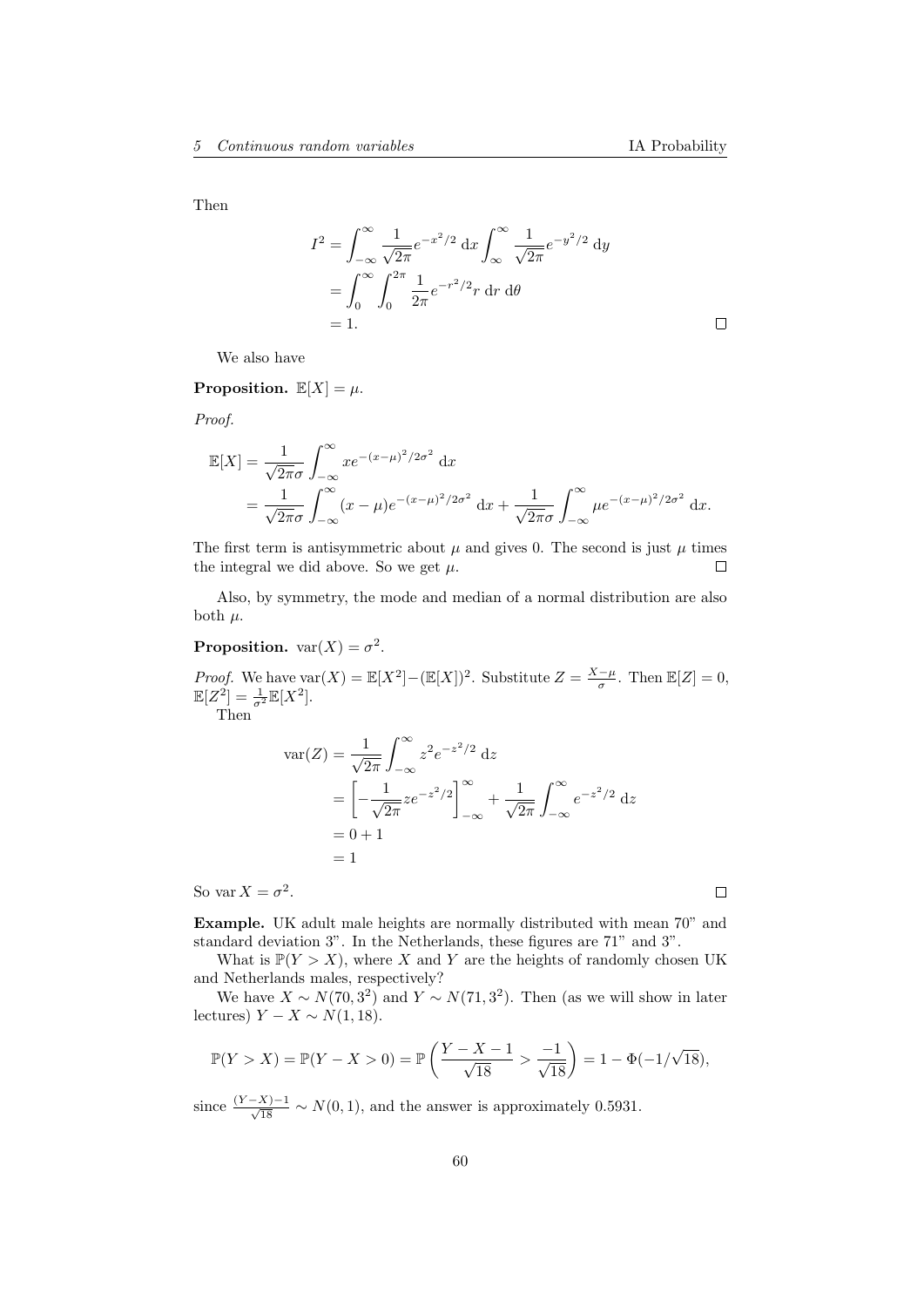$\Box$ 

Then

$$
I^{2} = \int_{-\infty}^{\infty} \frac{1}{\sqrt{2\pi}} e^{-x^{2}/2} dx \int_{\infty}^{\infty} \frac{1}{\sqrt{2\pi}} e^{-y^{2}/2} dy
$$
  
= 
$$
\int_{0}^{\infty} \int_{0}^{2\pi} \frac{1}{2\pi} e^{-r^{2}/2} r dr d\theta
$$
  
= 1.

We also have

Proposition.  $\mathbb{E}[X] = \mu$ .

Proof.

$$
\mathbb{E}[X] = \frac{1}{\sqrt{2\pi}\sigma} \int_{-\infty}^{\infty} x e^{-(x-\mu)^2/2\sigma^2} dx \n= \frac{1}{\sqrt{2\pi}\sigma} \int_{-\infty}^{\infty} (x-\mu) e^{-(x-\mu)^2/2\sigma^2} dx + \frac{1}{\sqrt{2\pi}\sigma} \int_{-\infty}^{\infty} \mu e^{-(x-\mu)^2/2\sigma^2} dx.
$$

The first term is antisymmetric about  $\mu$  and gives 0. The second is just  $\mu$  times the integral we did above. So we get  $\mu$ .  $\Box$ 

Also, by symmetry, the mode and median of a normal distribution are also both  $\mu$ .

### **Proposition.**  $var(X) = \sigma^2$ .

*Proof.* We have  $\text{var}(X) = \mathbb{E}[X^2] - (\mathbb{E}[X])^2$ . Substitute  $Z = \frac{X-\mu}{\sigma}$ . Then  $\mathbb{E}[Z] = 0$ ,  $\mathbb{E}[Z^2] = \frac{1}{\sigma^2} \mathbb{E}[X^2].$ 

Then

$$
\begin{aligned} \text{var}(Z) &= \frac{1}{\sqrt{2\pi}} \int_{-\infty}^{\infty} z^2 e^{-z^2/2} \, \mathrm{d}z \\ &= \left[ -\frac{1}{\sqrt{2\pi}} z e^{-z^2/2} \right]_{-\infty}^{\infty} + \frac{1}{\sqrt{2\pi}} \int_{-\infty}^{\infty} e^{-z^2/2} \, \mathrm{d}z \\ &= 0 + 1 \\ &= 1 \end{aligned}
$$

So var  $X = \sigma^2$ .

 $\Box$ 

Example. UK adult male heights are normally distributed with mean 70" and standard deviation 3". In the Netherlands, these figures are 71" and 3".

What is  $\mathbb{P}(Y > X)$ , where X and Y are the heights of randomly chosen UK and Netherlands males, respectively?

We have  $X \sim N(70, 3^2)$  and  $Y \sim N(71, 3^2)$ . Then (as we will show in later lectures)  $Y - X \sim N(1, 18)$ .

$$
\mathbb{P}(Y > X) = \mathbb{P}(Y - X > 0) = \mathbb{P}\left(\frac{Y - X - 1}{\sqrt{18}} > \frac{-1}{\sqrt{18}}\right) = 1 - \Phi(-1/\sqrt{18}),
$$

since  $\frac{(Y-X)-1}{\sqrt{18}} \sim N(0, 1)$ , and the answer is approximately 0.5931.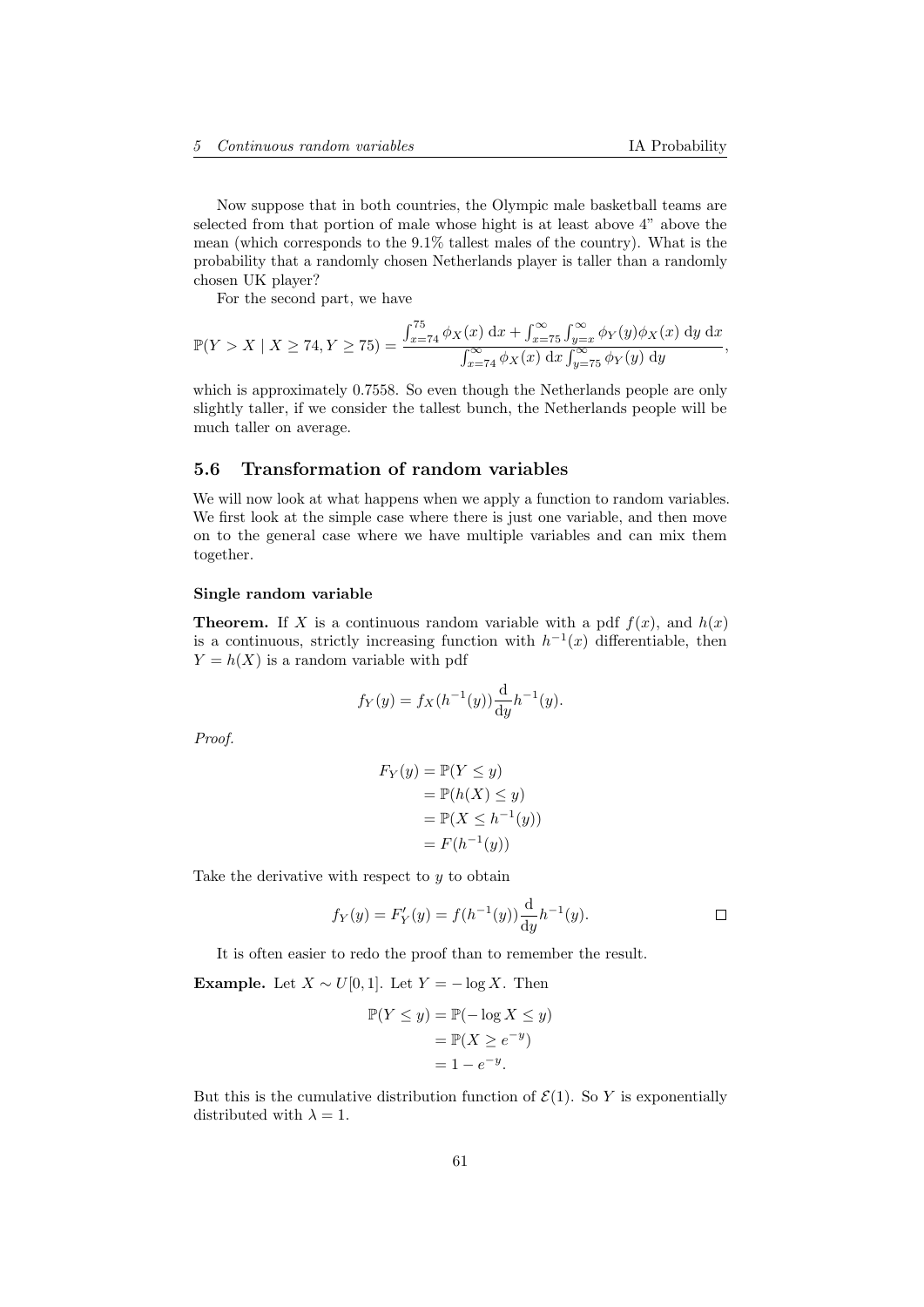Now suppose that in both countries, the Olympic male basketball teams are selected from that portion of male whose hight is at least above 4" above the mean (which corresponds to the 9.1% tallest males of the country). What is the probability that a randomly chosen Netherlands player is taller than a randomly chosen UK player?

For the second part, we have

$$
\mathbb{P}(Y > X \mid X \ge 74, Y \ge 75) = \frac{\int_{x=74}^{75} \phi_X(x) \, dx + \int_{x=75}^{\infty} \int_{y=x}^{\infty} \phi_Y(y) \phi_X(x) \, dy \, dx}{\int_{x=74}^{\infty} \phi_X(x) \, dx \int_{y=75}^{\infty} \phi_Y(y) \, dy},
$$

which is approximately 0.7558. So even though the Netherlands people are only slightly taller, if we consider the tallest bunch, the Netherlands people will be much taller on average.

# 5.6 Transformation of random variables

We will now look at what happens when we apply a function to random variables. We first look at the simple case where there is just one variable, and then move on to the general case where we have multiple variables and can mix them together.

#### Single random variable

**Theorem.** If X is a continuous random variable with a pdf  $f(x)$ , and  $h(x)$ is a continuous, strictly increasing function with  $h^{-1}(x)$  differentiable, then  $Y = h(X)$  is a random variable with pdf

$$
f_Y(y) = f_X(h^{-1}(y)) \frac{d}{dy} h^{-1}(y).
$$

Proof.

$$
F_Y(y) = \mathbb{P}(Y \le y)
$$
  
=  $\mathbb{P}(h(X) \le y)$   
=  $\mathbb{P}(X \le h^{-1}(y))$   
=  $F(h^{-1}(y))$ 

Take the derivative with respect to  $y$  to obtain

$$
f_Y(y) = F'_Y(y) = f(h^{-1}(y)) \frac{d}{dy} h^{-1}(y).
$$

It is often easier to redo the proof than to remember the result.

Example. Let  $X \sim U[0, 1]$ . Let  $Y = -\log X$ . Then

$$
\mathbb{P}(Y \le y) = \mathbb{P}(-\log X \le y)
$$

$$
= \mathbb{P}(X \ge e^{-y})
$$

$$
= 1 - e^{-y}.
$$

But this is the cumulative distribution function of  $\mathcal{E}(1)$ . So Y is exponentially distributed with  $\lambda = 1$ .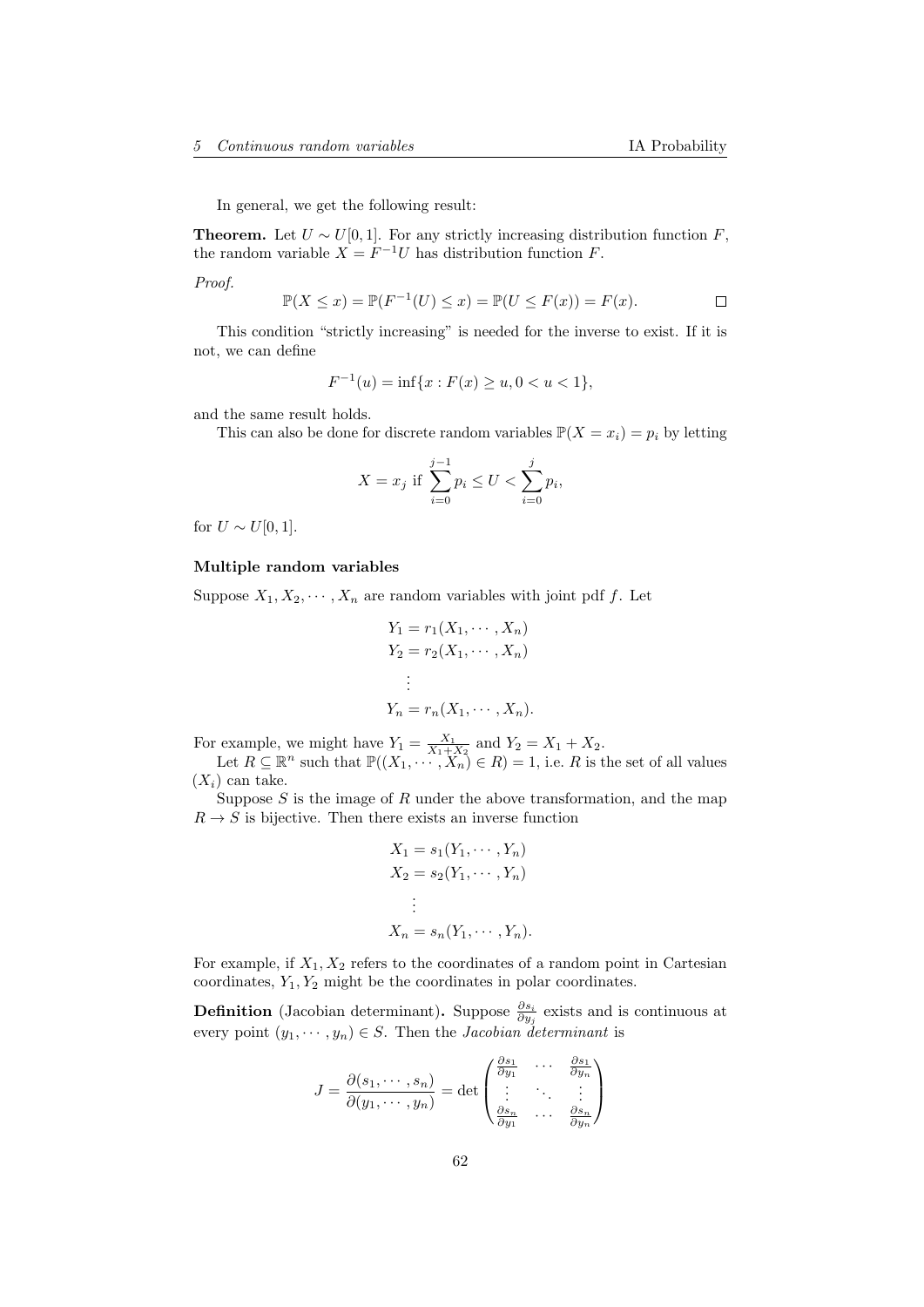In general, we get the following result:

**Theorem.** Let  $U \sim U[0, 1]$ . For any strictly increasing distribution function F, the random variable  $X = F^{-1}U$  has distribution function F.

Proof.

$$
\mathbb{P}(X \le x) = \mathbb{P}(F^{-1}(U) \le x) = \mathbb{P}(U \le F(x)) = F(x).
$$

This condition "strictly increasing" is needed for the inverse to exist. If it is not, we can define

$$
F^{-1}(u) = \inf\{x : F(x) \ge u, 0 < u < 1\},\
$$

and the same result holds.

This can also be done for discrete random variables  $\mathbb{P}(X = x_i) = p_i$  by letting

$$
X = x_j \text{ if } \sum_{i=0}^{j-1} p_i \le U < \sum_{i=0}^{j} p_i,
$$

for  $U \sim U[0, 1]$ .

### Multiple random variables

Suppose  $X_1, X_2, \dots, X_n$  are random variables with joint pdf f. Let

$$
Y_1 = r_1(X_1, \dots, X_n)
$$
  
\n
$$
Y_2 = r_2(X_1, \dots, X_n)
$$
  
\n
$$
\vdots
$$
  
\n
$$
Y_n = r_n(X_1, \dots, X_n).
$$

For example, we might have  $Y_1 = \frac{X_1}{X_1 + X_2}$  and  $Y_2 = X_1 + X_2$ .

Let  $R \subseteq \mathbb{R}^n$  such that  $\mathbb{P}((X_1, \dots, X_n) \in R) = 1$ , i.e. R is the set of all values  $(X_i)$  can take.

Suppose  $S$  is the image of  $R$  under the above transformation, and the map  $R \to S$  is bijective. Then there exists an inverse function

$$
X_1 = s_1(Y_1, \cdots, Y_n)
$$
  
\n
$$
X_2 = s_2(Y_1, \cdots, Y_n)
$$
  
\n
$$
\vdots
$$
  
\n
$$
X_n = s_n(Y_1, \cdots, Y_n).
$$

For example, if  $X_1, X_2$  refers to the coordinates of a random point in Cartesian coordinates,  $Y_1, Y_2$  might be the coordinates in polar coordinates.

**Definition** (Jacobian determinant). Suppose  $\frac{\partial s_i}{\partial y_j}$  exists and is continuous at every point  $(y_1, \dots, y_n) \in S$ . Then the *Jacobian determinant* is

$$
J = \frac{\partial(s_1, \dots, s_n)}{\partial(y_1, \dots, y_n)} = \det \begin{pmatrix} \frac{\partial s_1}{\partial y_1} & \cdots & \frac{\partial s_1}{\partial y_n} \\ \vdots & \ddots & \vdots \\ \frac{\partial s_n}{\partial y_1} & \cdots & \frac{\partial s_n}{\partial y_n} \end{pmatrix}
$$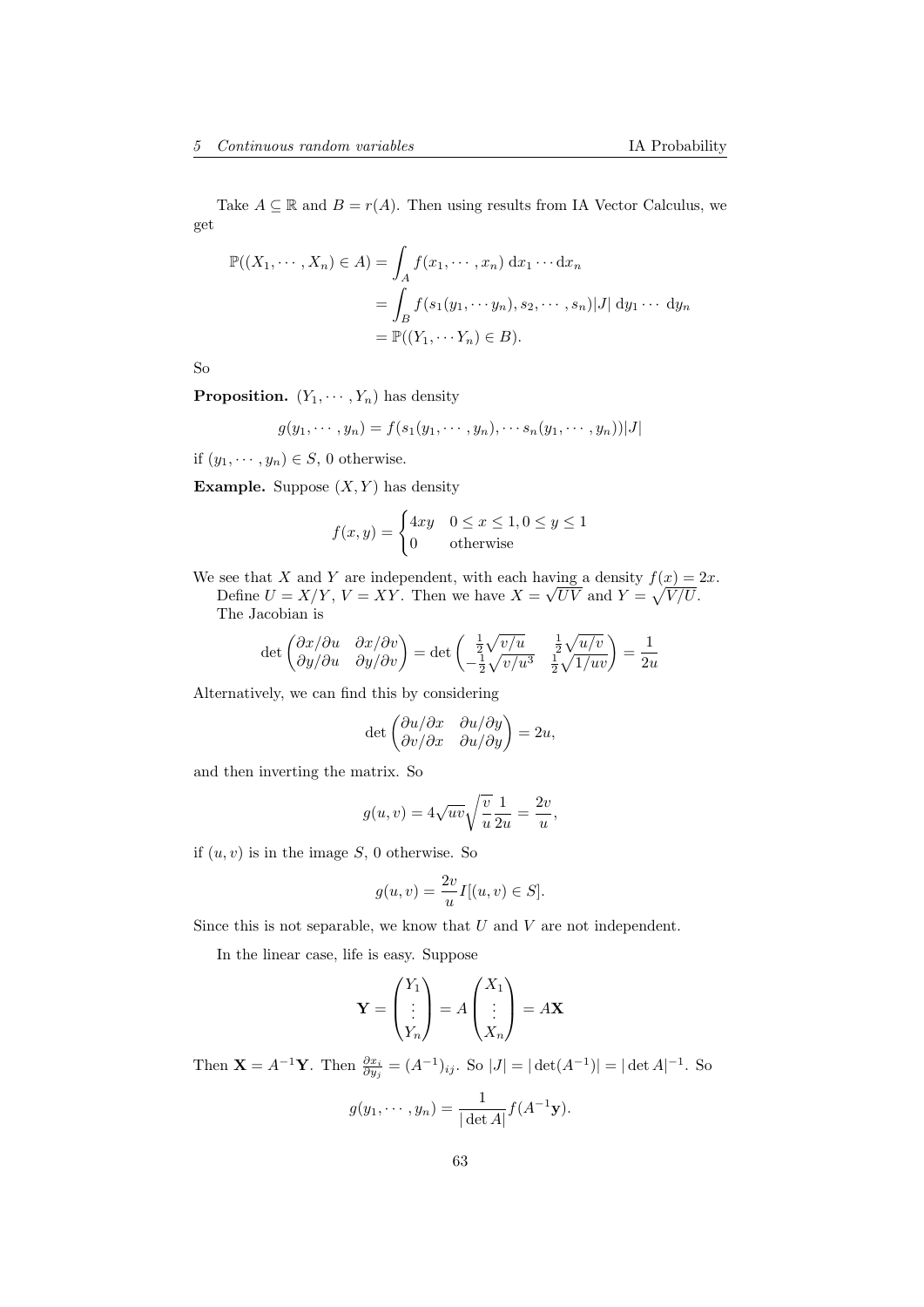Take  $A \subseteq \mathbb{R}$  and  $B = r(A)$ . Then using results from IA Vector Calculus, we get

$$
\mathbb{P}((X_1, \dots, X_n) \in A) = \int_A f(x_1, \dots, x_n) dx_1 \dots dx_n
$$
  
= 
$$
\int_B f(s_1(y_1, \dots, y_n), s_2, \dots, s_n) |J| dy_1 \dots dy_n
$$
  
= 
$$
\mathbb{P}((Y_1, \dots, Y_n) \in B).
$$

So

**Proposition.**  $(Y_1, \dots, Y_n)$  has density

$$
g(y_1,\cdots,y_n)=f(s_1(y_1,\cdots,y_n),\cdots s_n(y_1,\cdots,y_n))|J|
$$

if  $(y_1, \dots, y_n) \in S$ , 0 otherwise.

**Example.** Suppose  $(X, Y)$  has density

$$
f(x,y) = \begin{cases} 4xy & 0 \le x \le 1, 0 \le y \le 1\\ 0 & \text{otherwise} \end{cases}
$$

We see that X and Y are independent, with each having a density  $f(x) = 2x$ . Define  $U = X/Y$ ,  $V = XY$ . Then we have  $X =$ √  $\overline{UV}$  and  $Y = \sqrt{V/U}$ . The Jacobian is

$$
\det\begin{pmatrix} \frac{\partial x}{\partial u} & \frac{\partial x}{\partial v} \\ \frac{\partial y}{\partial u} & \frac{\partial y}{\partial v} \end{pmatrix} = \det\begin{pmatrix} \frac{1}{2}\sqrt{v/u} & \frac{1}{2}\sqrt{u/v} \\ -\frac{1}{2}\sqrt{v/u^3} & \frac{1}{2}\sqrt{1/uv} \end{pmatrix} = \frac{1}{2u}
$$

Alternatively, we can find this by considering

$$
\det \begin{pmatrix} \partial u/\partial x & \partial u/\partial y \\ \partial v/\partial x & \partial u/\partial y \end{pmatrix} = 2u,
$$

and then inverting the matrix. So

$$
g(u, v) = 4\sqrt{uv} \sqrt{\frac{v}{u}} \frac{1}{2u} = \frac{2v}{u},
$$

if  $(u, v)$  is in the image S, 0 otherwise. So

$$
g(u,v) = \frac{2v}{u}I[(u,v) \in S].
$$

Since this is not separable, we know that  $U$  and  $V$  are not independent.

In the linear case, life is easy. Suppose

$$
\mathbf{Y} = \begin{pmatrix} Y_1 \\ \vdots \\ Y_n \end{pmatrix} = A \begin{pmatrix} X_1 \\ \vdots \\ X_n \end{pmatrix} = A \mathbf{X}
$$

Then  $\mathbf{X} = A^{-1}\mathbf{Y}$ . Then  $\frac{\partial x_i}{\partial y_j} = (A^{-1})_{ij}$ . So  $|J| = |\det(A^{-1})| = |\det A|^{-1}$ . So

$$
g(y_1,\dots,y_n)=\frac{1}{|\det A|}f(A^{-1}\mathbf{y}).
$$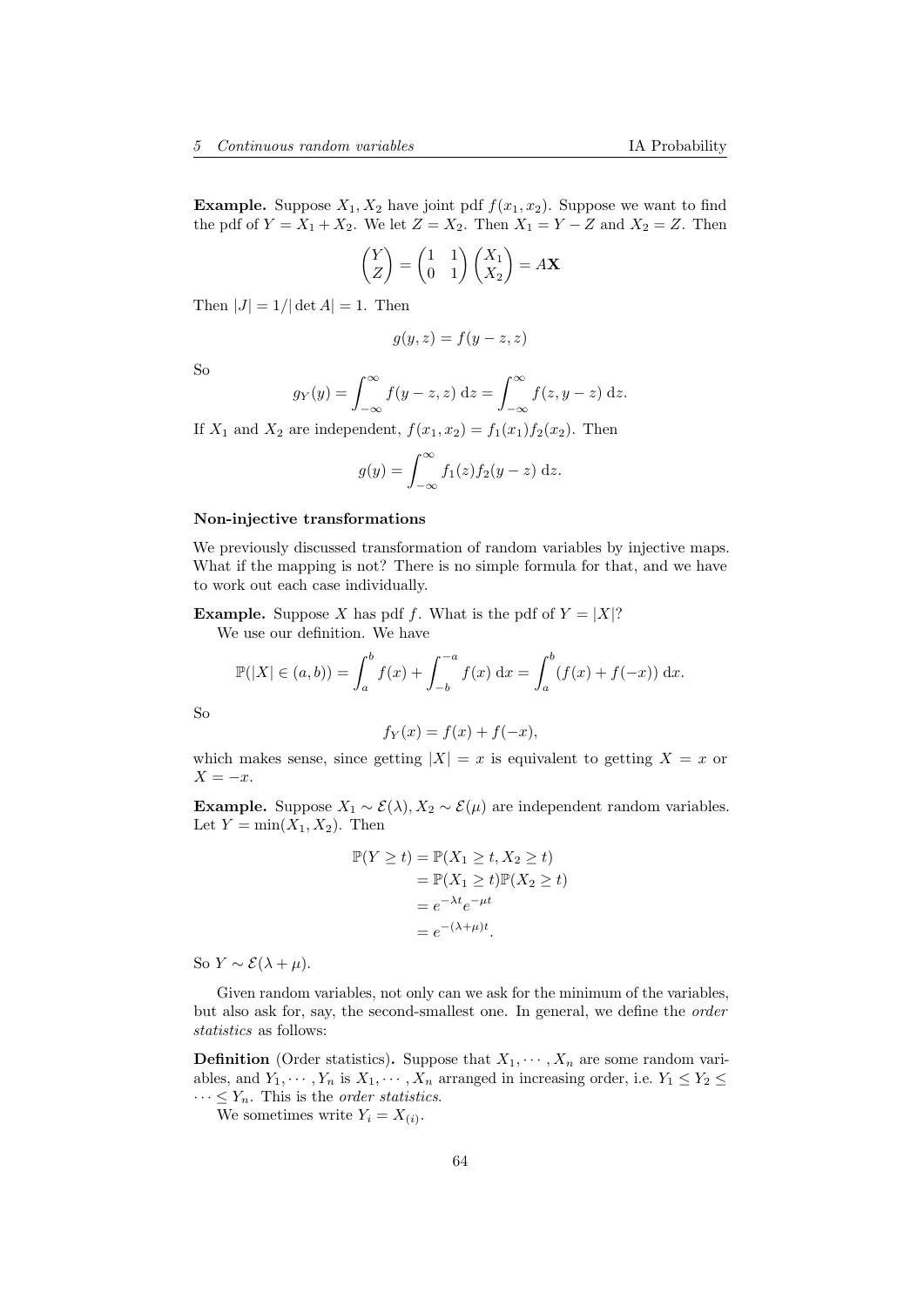**Example.** Suppose  $X_1, X_2$  have joint pdf  $f(x_1, x_2)$ . Suppose we want to find the pdf of  $Y = X_1 + X_2$ . We let  $Z = X_2$ . Then  $X_1 = Y - Z$  and  $X_2 = Z$ . Then

$$
\begin{pmatrix} Y \ Z \end{pmatrix} = \begin{pmatrix} 1 & 1 \\ 0 & 1 \end{pmatrix} \begin{pmatrix} X_1 \\ X_2 \end{pmatrix} = A\mathbf{X}
$$

Then  $|J| = 1/|\det A| = 1$ . Then

$$
g(y, z) = f(y - z, z)
$$

So

$$
g_Y(y) = \int_{-\infty}^{\infty} f(y - z, z) dz = \int_{-\infty}^{\infty} f(z, y - z) dz.
$$

If  $X_1$  and  $X_2$  are independent,  $f(x_1, x_2) = f_1(x_1) f_2(x_2)$ . Then

$$
g(y) = \int_{-\infty}^{\infty} f_1(z) f_2(y - z) dz.
$$

#### Non-injective transformations

We previously discussed transformation of random variables by injective maps. What if the mapping is not? There is no simple formula for that, and we have to work out each case individually.

**Example.** Suppose X has pdf f. What is the pdf of  $Y = |X|$ ?

We use our definition. We have

$$
\mathbb{P}(|X| \in (a,b)) = \int_a^b f(x) + \int_{-b}^{-a} f(x) dx = \int_a^b (f(x) + f(-x)) dx.
$$

So

$$
f_Y(x) = f(x) + f(-x),
$$

which makes sense, since getting  $|X| = x$  is equivalent to getting  $X = x$  or  $X = -x$ .

Example. Suppose  $X_1 \sim \mathcal{E}(\lambda), X_2 \sim \mathcal{E}(\mu)$  are independent random variables. Let  $Y = min(X_1, X_2)$ . Then

$$
\mathbb{P}(Y \ge t) = \mathbb{P}(X_1 \ge t, X_2 \ge t)
$$
  
= 
$$
\mathbb{P}(X_1 \ge t)\mathbb{P}(X_2 \ge t)
$$
  
= 
$$
e^{-\lambda t}e^{-\mu t}
$$
  
= 
$$
e^{-(\lambda + \mu)t}.
$$

So  $Y \sim \mathcal{E}(\lambda + \mu)$ .

Given random variables, not only can we ask for the minimum of the variables, but also ask for, say, the second-smallest one. In general, we define the order statistics as follows:

**Definition** (Order statistics). Suppose that  $X_1, \dots, X_n$  are some random variables, and  $Y_1, \cdots, Y_n$  is  $X_1, \cdots, X_n$  arranged in increasing order, i.e.  $Y_1 \le Y_2 \le$  $\cdots \leq Y_n$ . This is the *order statistics*.

We sometimes write  $Y_i = X_{(i)}$ .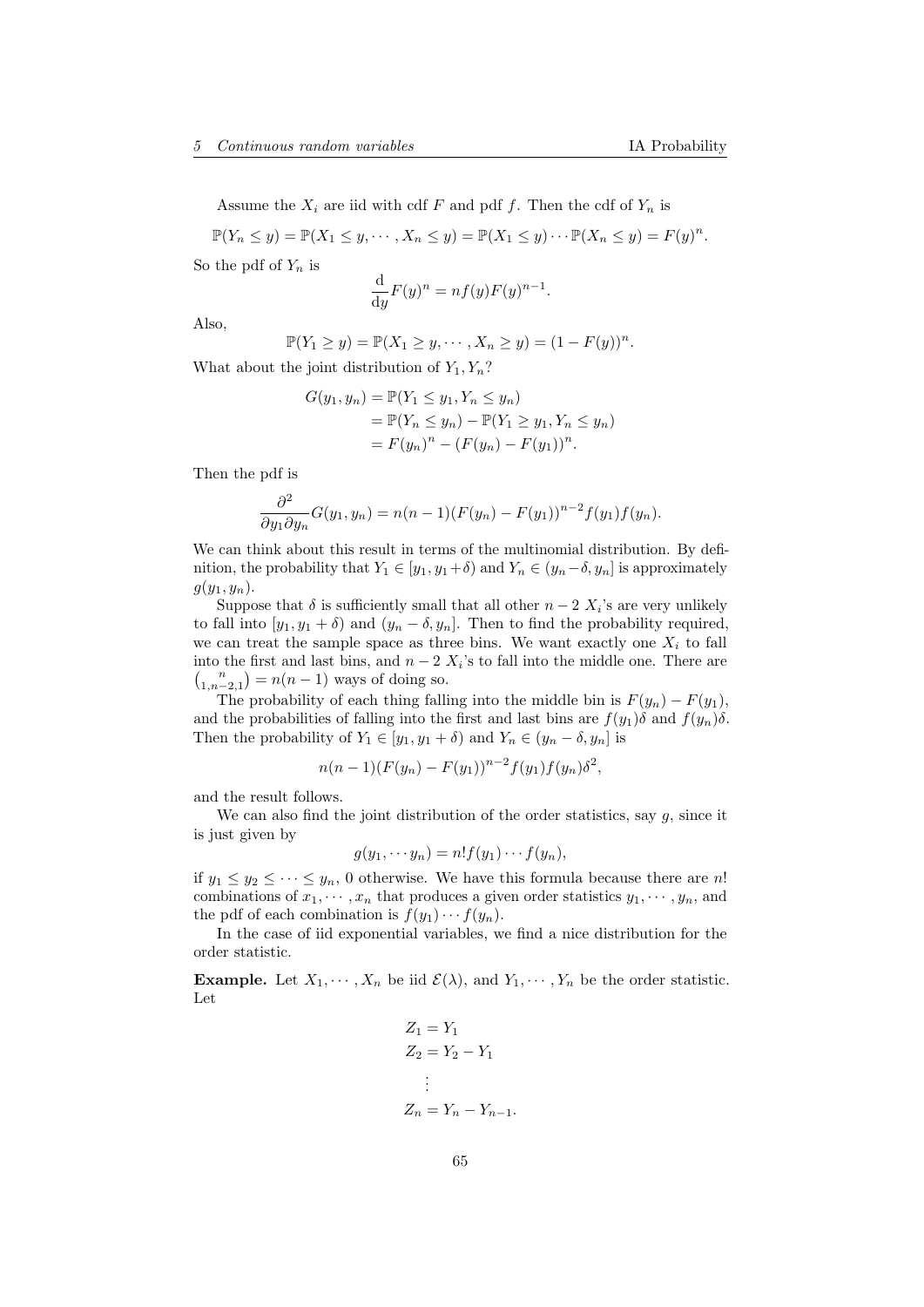Assume the  $X_i$  are iid with cdf F and pdf f. Then the cdf of  $Y_n$  is

 $\mathbb{P}(Y_n \leq y) = \mathbb{P}(X_1 \leq y, \cdots, X_n \leq y) = \mathbb{P}(X_1 \leq y) \cdots \mathbb{P}(X_n \leq y) = F(y)^n.$ 

So the pdf of  $Y_n$  is

$$
\frac{\mathrm{d}}{\mathrm{d}y}F(y)^n = nf(y)F(y)^{n-1}.
$$

Also,

$$
\mathbb{P}(Y_1 \ge y) = \mathbb{P}(X_1 \ge y, \cdots, X_n \ge y) = (1 - F(y))^n.
$$

What about the joint distribution of  $Y_1, Y_n$ ?

$$
G(y_1, y_n) = \mathbb{P}(Y_1 \le y_1, Y_n \le y_n)
$$
  
=  $\mathbb{P}(Y_n \le y_n) - \mathbb{P}(Y_1 \ge y_1, Y_n \le y_n)$   
=  $F(y_n)^n - (F(y_n) - F(y_1))^n$ .

Then the pdf is

$$
\frac{\partial^2}{\partial y_1 \partial y_n} G(y_1, y_n) = n(n-1)(F(y_n) - F(y_1))^{n-2} f(y_1) f(y_n).
$$

We can think about this result in terms of the multinomial distribution. By definition, the probability that  $Y_1 \in [y_1, y_1 + \delta)$  and  $Y_n \in (y_n - \delta, y_n]$  is approximately  $g(y_1, y_n)$ .

Suppose that  $\delta$  is sufficiently small that all other  $n-2$   $X_i$ 's are very unlikely to fall into  $[y_1, y_1 + \delta]$  and  $(y_n - \delta, y_n]$ . Then to find the probability required, we can treat the sample space as three bins. We want exactly one  $X_i$  to fall into the first and last bins, and  $n-2$   $X_i$ 's to fall into the middle one. There are  $\binom{n}{1, n-2, 1} = n(n-1)$  ways of doing so.

The probability of each thing falling into the middle bin is  $F(y_n) - F(y_1)$ , and the probabilities of falling into the first and last bins are  $f(y_1)\delta$  and  $f(y_n)\delta$ . Then the probability of  $Y_1 \in [y_1, y_1 + \delta)$  and  $Y_n \in (y_n - \delta, y_n]$  is

$$
n(n-1)(F(y_n) - F(y_1))^{n-2}f(y_1)f(y_n)\delta^2,
$$

and the result follows.

We can also find the joint distribution of the order statistics, say  $q$ , since it is just given by

$$
g(y_1, \dots y_n) = n! f(y_1) \dots f(y_n),
$$

if  $y_1 \le y_2 \le \cdots \le y_n$ , 0 otherwise. We have this formula because there are n! combinations of  $x_1, \dots, x_n$  that produces a given order statistics  $y_1, \dots, y_n$ , and the pdf of each combination is  $f(y_1)\cdots f(y_n)$ .

In the case of iid exponential variables, we find a nice distribution for the order statistic.

**Example.** Let  $X_1, \dots, X_n$  be iid  $\mathcal{E}(\lambda)$ , and  $Y_1, \dots, Y_n$  be the order statistic. Let

$$
Z_1 = Y_1
$$
  
\n
$$
Z_2 = Y_2 - Y_1
$$
  
\n
$$
\vdots
$$
  
\n
$$
Z_n = Y_n - Y_{n-1}.
$$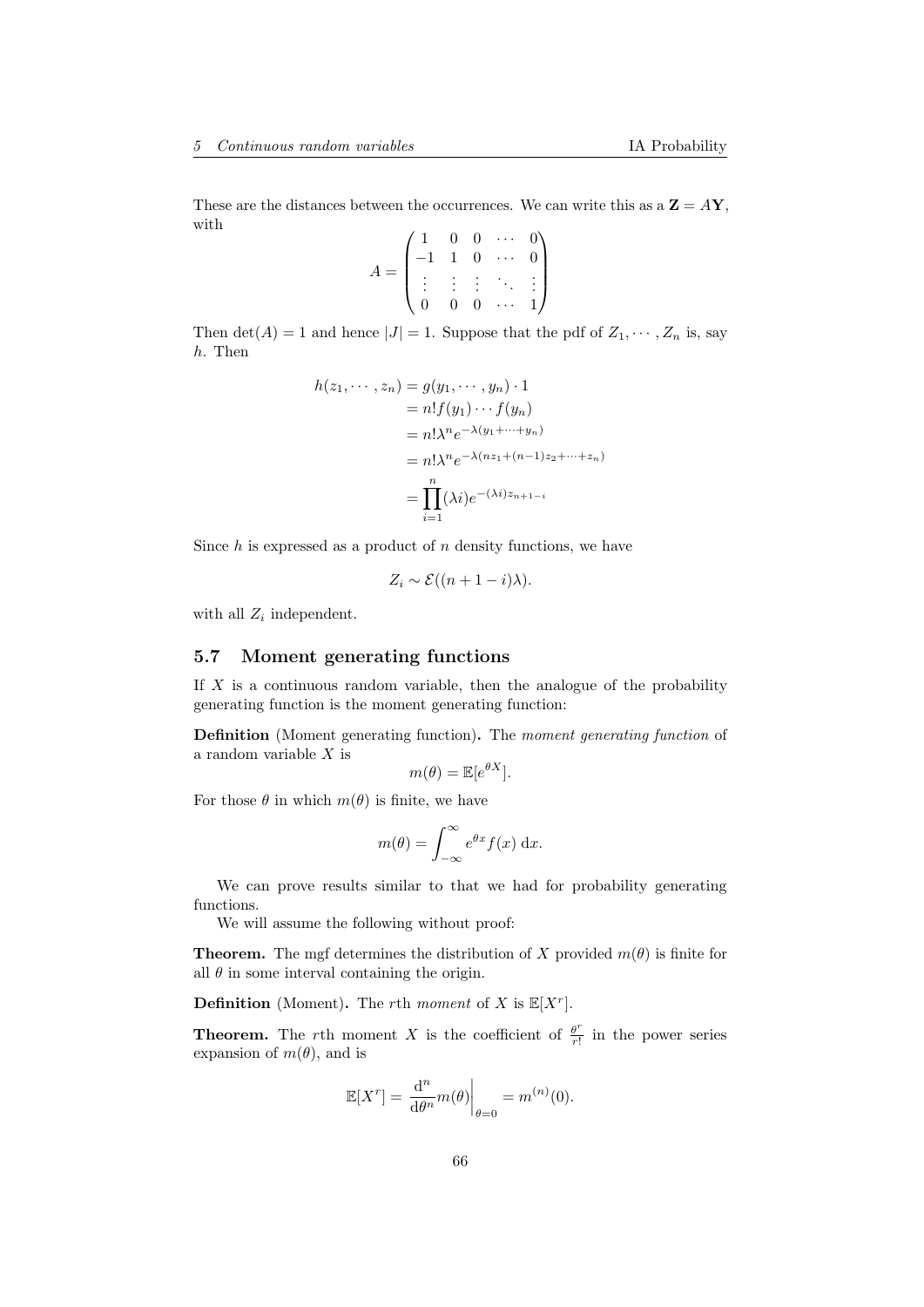These are the distances between the occurrences. We can write this as a  $\mathbf{Z} = A\mathbf{Y}$ , with  $\lambda$  $\sim$ 

$$
A = \begin{pmatrix} 1 & 0 & 0 & \cdots & 0 \\ -1 & 1 & 0 & \cdots & 0 \\ \vdots & \vdots & \vdots & \ddots & \vdots \\ 0 & 0 & 0 & \cdots & 1 \end{pmatrix}
$$

Then  $\det(A) = 1$  and hence  $|J| = 1$ . Suppose that the pdf of  $Z_1, \dots, Z_n$  is, say h. Then

$$
h(z_1, \dots, z_n) = g(y_1, \dots, y_n) \cdot 1
$$
  
=  $n! f(y_1) \dots f(y_n)$   
=  $n! \lambda^n e^{-\lambda(y_1 + \dots + y_n)}$   
=  $n! \lambda^n e^{-\lambda(nz_1 + (n-1)z_2 + \dots + z_n)}$   
=  $\prod_{i=1}^n (\lambda i) e^{-(\lambda i)z_{n+1-i}}$ 

Since  $h$  is expressed as a product of  $n$  density functions, we have

$$
Z_i \sim \mathcal{E}((n+1-i)\lambda).
$$

with all  $Z_i$  independent.

### 5.7 Moment generating functions

If  $X$  is a continuous random variable, then the analogue of the probability generating function is the moment generating function:

Definition (Moment generating function). The moment generating function of a random variable X is

$$
m(\theta) = \mathbb{E}[e^{\theta X}].
$$

For those  $\theta$  in which  $m(\theta)$  is finite, we have

$$
m(\theta) = \int_{-\infty}^{\infty} e^{\theta x} f(x) \, \mathrm{d}x.
$$

We can prove results similar to that we had for probability generating functions.

We will assume the following without proof:

**Theorem.** The mgf determines the distribution of X provided  $m(\theta)$  is finite for all  $\theta$  in some interval containing the origin.

**Definition** (Moment). The rth moment of X is  $\mathbb{E}[X^r]$ .

**Theorem.** The rth moment X is the coefficient of  $\frac{\theta^r}{r!}$  $\frac{\theta'}{r!}$  in the power series expansion of  $m(\theta)$ , and is

$$
\mathbb{E}[X^r] = \left. \frac{\mathrm{d}^n}{\mathrm{d}\theta^n} m(\theta) \right|_{\theta=0} = m^{(n)}(0).
$$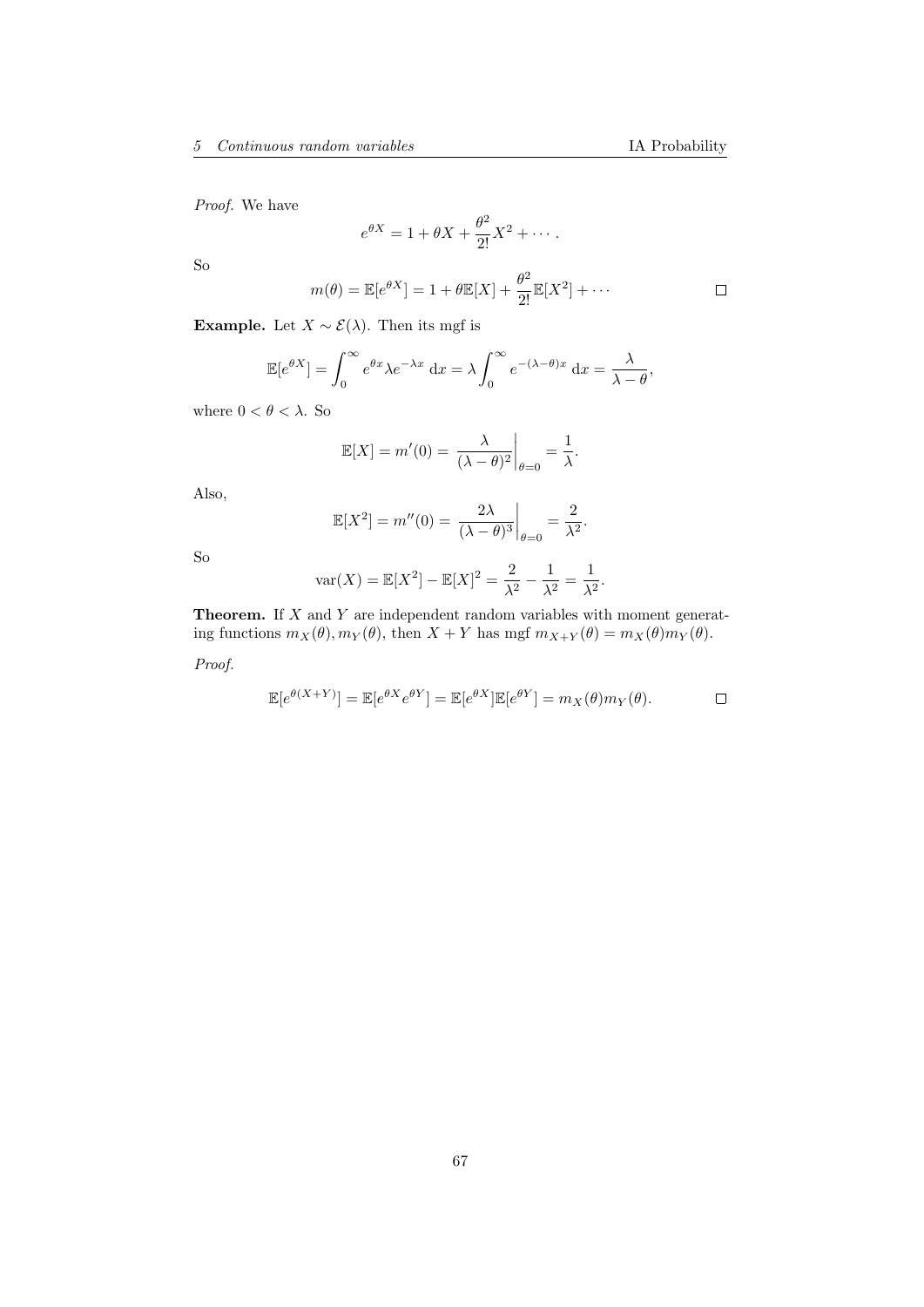Proof. We have

$$
e^{\theta X} = 1 + \theta X + \frac{\theta^2}{2!}X^2 + \cdots
$$

So

$$
m(\theta) = \mathbb{E}[e^{\theta X}] = 1 + \theta \mathbb{E}[X] + \frac{\theta^2}{2!} \mathbb{E}[X^2] + \cdots
$$

Example. Let  $X \sim \mathcal{E}(\lambda)$ . Then its mgf is

$$
\mathbb{E}[e^{\theta X}] = \int_0^\infty e^{\theta x} \lambda e^{-\lambda x} dx = \lambda \int_0^\infty e^{-(\lambda - \theta)x} dx = \frac{\lambda}{\lambda - \theta},
$$

where  $0 < \theta < \lambda$  . So

$$
\mathbb{E}[X] = m'(0) = \left. \frac{\lambda}{(\lambda - \theta)^2} \right|_{\theta = 0} = \frac{1}{\lambda}.
$$

Also,

$$
\mathbb{E}[X^2] = m''(0) = \left. \frac{2\lambda}{(\lambda - \theta)^3} \right|_{\theta = 0} = \frac{2}{\lambda^2}.
$$

So

$$
\text{var}(X) = \mathbb{E}[X^2] - \mathbb{E}[X]^2 = \frac{2}{\lambda^2} - \frac{1}{\lambda^2} = \frac{1}{\lambda^2}.
$$

**Theorem.** If  $X$  and  $Y$  are independent random variables with moment generating functions  $m_X(\theta), m_Y(\theta)$ , then  $X + Y$  has mgf  $m_{X+Y}(\theta) = m_X(\theta)m_Y(\theta)$ .

Proof.

$$
\mathbb{E}[e^{\theta(X+Y)}] = \mathbb{E}[e^{\theta X}e^{\theta Y}] = \mathbb{E}[e^{\theta X}]\mathbb{E}[e^{\theta Y}] = m_X(\theta)m_Y(\theta). \qquad \Box
$$

 $\Box$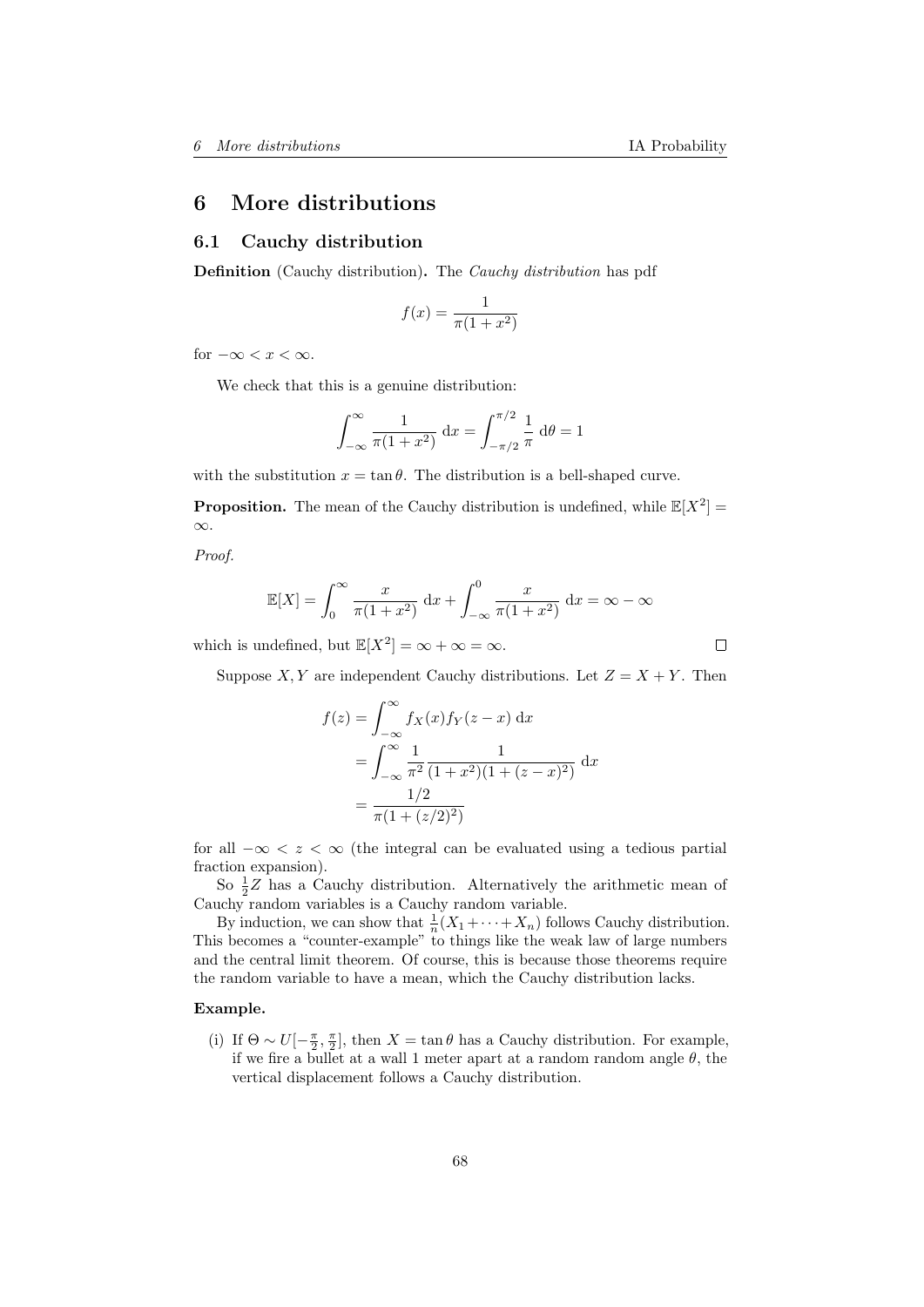# 6 More distributions

### 6.1 Cauchy distribution

Definition (Cauchy distribution). The Cauchy distribution has pdf

$$
f(x) = \frac{1}{\pi(1+x^2)}
$$

for  $-\infty < x < \infty$ .

We check that this is a genuine distribution:

$$
\int_{-\infty}^{\infty} \frac{1}{\pi (1+x^2)} dx = \int_{-\pi/2}^{\pi/2} \frac{1}{\pi} d\theta = 1
$$

with the substitution  $x = \tan \theta$ . The distribution is a bell-shaped curve.

**Proposition.** The mean of the Cauchy distribution is undefined, while  $\mathbb{E}[X^2] =$ ∞.

Proof.

$$
\mathbb{E}[X] = \int_0^\infty \frac{x}{\pi(1+x^2)} dx + \int_{-\infty}^0 \frac{x}{\pi(1+x^2)} dx = \infty - \infty
$$

which is undefined, but  $\mathbb{E}[X^2] = \infty + \infty = \infty$ .

 $\Box$ 

Suppose X, Y are independent Cauchy distributions. Let  $Z = X + Y$ . Then

$$
f(z) = \int_{-\infty}^{\infty} f_X(x) f_Y(z - x) dx
$$
  
= 
$$
\int_{-\infty}^{\infty} \frac{1}{\pi^2} \frac{1}{(1 + x^2)(1 + (z - x)^2)} dx
$$
  
= 
$$
\frac{1/2}{\pi (1 + (z/2)^2)}
$$

for all  $-\infty < z < \infty$  (the integral can be evaluated using a tedious partial fraction expansion).

So  $\frac{1}{2}Z$  has a Cauchy distribution. Alternatively the arithmetic mean of Cauchy random variables is a Cauchy random variable.

By induction, we can show that  $\frac{1}{n}(X_1 + \cdots + X_n)$  follows Cauchy distribution. This becomes a "counter-example" to things like the weak law of large numbers and the central limit theorem. Of course, this is because those theorems require the random variable to have a mean, which the Cauchy distribution lacks.

#### Example.

(i) If  $\Theta \sim U[-\frac{\pi}{2}, \frac{\pi}{2}]$ , then  $X = \tan \theta$  has a Cauchy distribution. For example, if we fire a bullet at a wall 1 meter apart at a random random angle  $\theta$ , the vertical displacement follows a Cauchy distribution.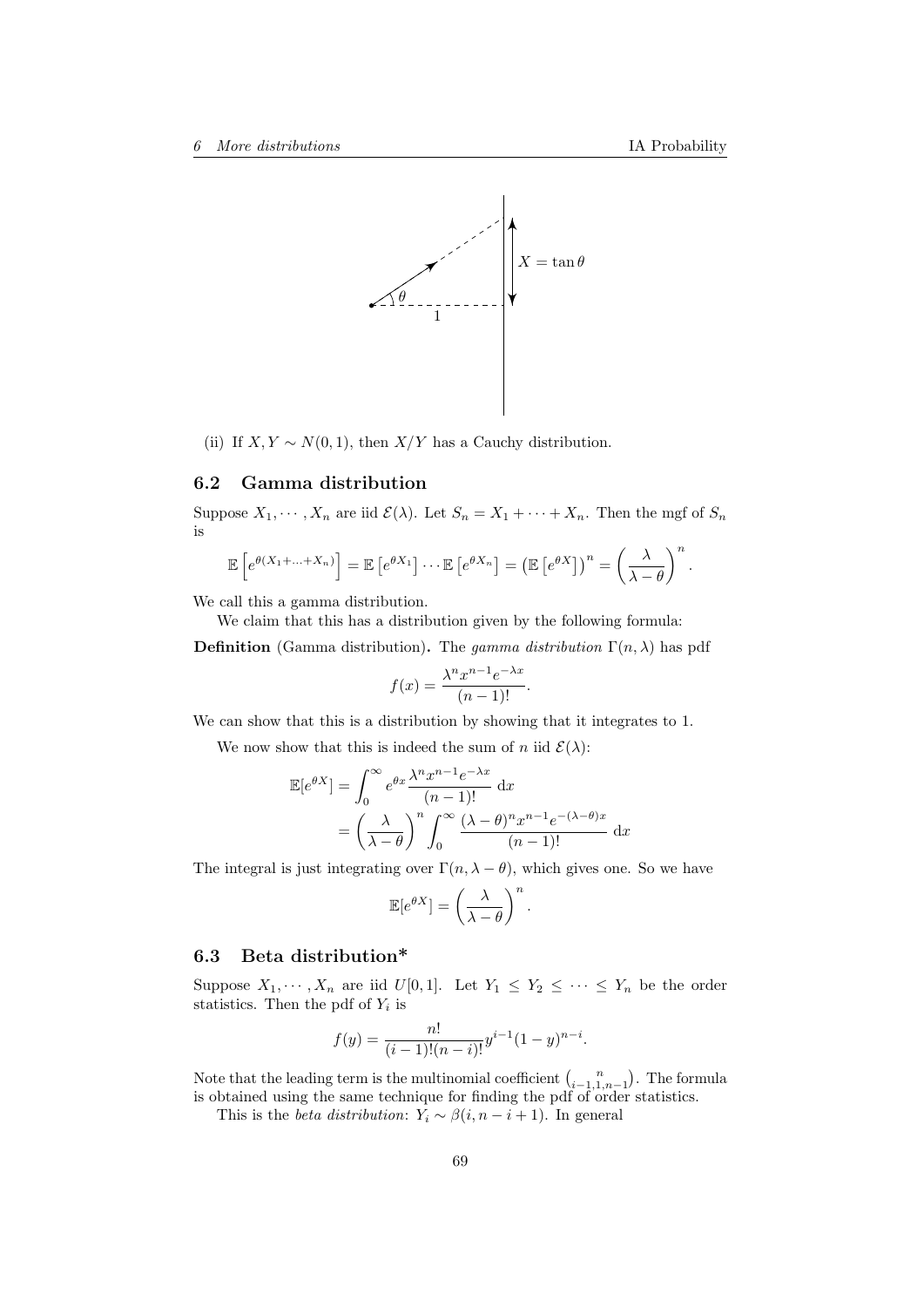

(ii) If  $X, Y \sim N(0, 1)$ , then  $X/Y$  has a Cauchy distribution.

### 6.2 Gamma distribution

Suppose  $X_1, \dots, X_n$  are iid  $\mathcal{E}(\lambda)$ . Let  $S_n = X_1 + \dots + X_n$ . Then the mgf of  $S_n$ is

$$
\mathbb{E}\left[e^{\theta(X_1+\ldots+X_n)}\right] = \mathbb{E}\left[e^{\theta X_1}\right]\cdots\mathbb{E}\left[e^{\theta X_n}\right] = \left(\mathbb{E}\left[e^{\theta X}\right]\right)^n = \left(\frac{\lambda}{\lambda-\theta}\right)^n.
$$

We call this a gamma distribution.

We claim that this has a distribution given by the following formula:

**Definition** (Gamma distribution). The gamma distribution  $\Gamma(n, \lambda)$  has pdf

$$
f(x) = \frac{\lambda^n x^{n-1} e^{-\lambda x}}{(n-1)!}.
$$

We can show that this is a distribution by showing that it integrates to 1.

We now show that this is indeed the sum of n iid  $\mathcal{E}(\lambda)$ :

$$
\mathbb{E}[e^{\theta X}] = \int_0^\infty e^{\theta x} \frac{\lambda^n x^{n-1} e^{-\lambda x}}{(n-1)!} dx
$$

$$
= \left(\frac{\lambda}{\lambda - \theta}\right)^n \int_0^\infty \frac{(\lambda - \theta)^n x^{n-1} e^{-(\lambda - \theta)x}}{(n-1)!} dx
$$

The integral is just integrating over  $\Gamma(n, \lambda - \theta)$ , which gives one. So we have

$$
\mathbb{E}[e^{\theta X}] = \left(\frac{\lambda}{\lambda - \theta}\right)^n.
$$

# 6.3 Beta distribution\*

Suppose  $X_1, \dots, X_n$  are iid  $U[0,1]$ . Let  $Y_1 \leq Y_2 \leq \dots \leq Y_n$  be the order statistics. Then the pdf of  $Y_i$  is

$$
f(y) = \frac{n!}{(i-1)!(n-i)!}y^{i-1}(1-y)^{n-i}.
$$

Note that the leading term is the multinomial coefficient  $\binom{n}{i-1,1,n-1}$ . The formula is obtained using the same technique for finding the pdf of order statistics.

This is the *beta distribution*:  $Y_i \sim \beta(i, n - i + 1)$ . In general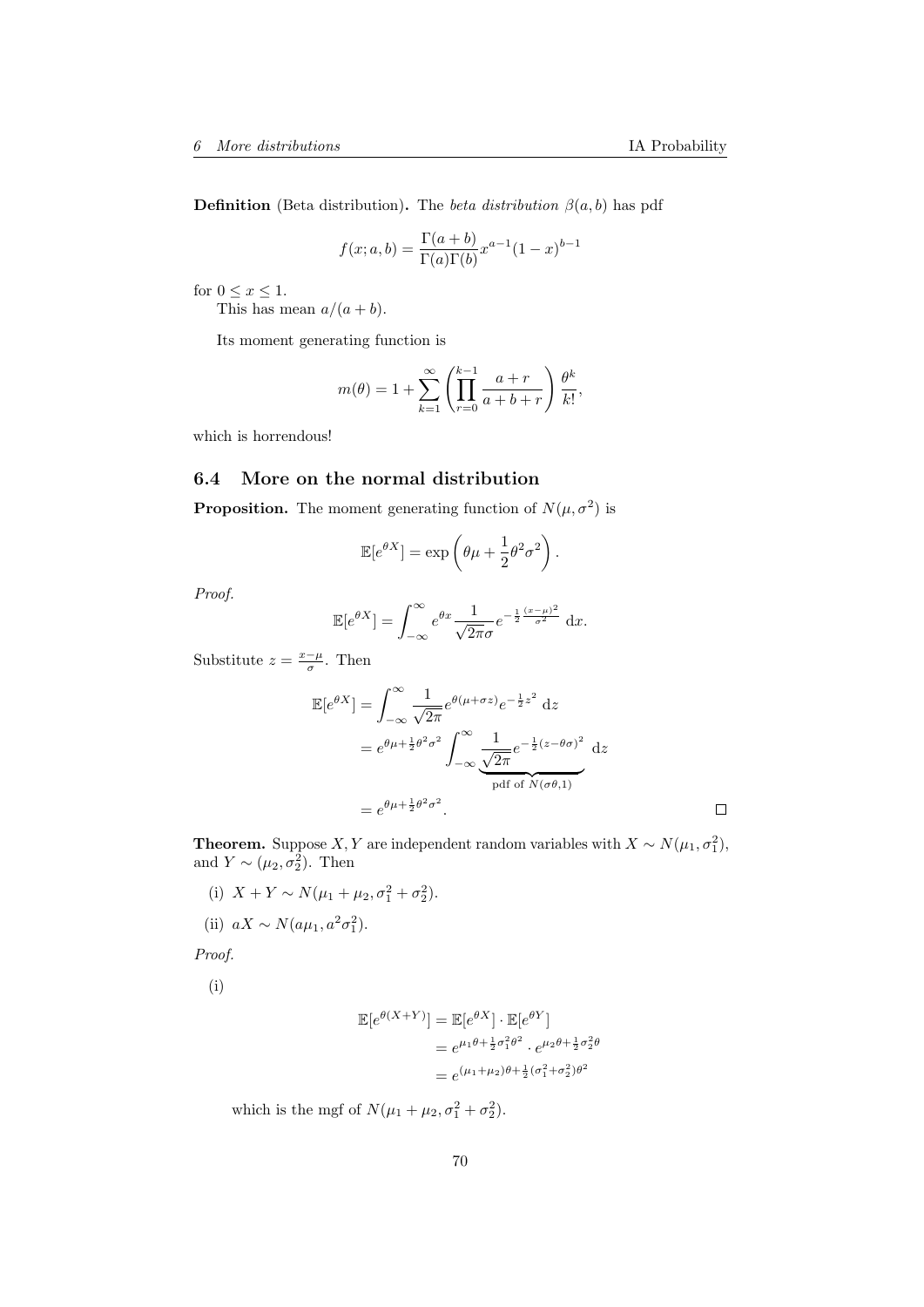**Definition** (Beta distribution). The *beta distribution*  $\beta(a, b)$  has pdf

$$
f(x;a,b) = \frac{\Gamma(a+b)}{\Gamma(a)\Gamma(b)} x^{a-1} (1-x)^{b-1}
$$

for  $0 \leq x \leq 1$ .

This has mean  $a/(a + b)$ .

Its moment generating function is

$$
m(\theta) = 1 + \sum_{k=1}^{\infty} \left( \prod_{r=0}^{k-1} \frac{a+r}{a+b+r} \right) \frac{\theta^k}{k!},
$$

which is horrendous!

## 6.4 More on the normal distribution

**Proposition.** The moment generating function of  $N(\mu, \sigma^2)$  is

$$
\mathbb{E}[e^{\theta X}] = \exp\left(\theta\mu + \frac{1}{2}\theta^2\sigma^2\right).
$$

Proof.

$$
\mathbb{E}[e^{\theta X}] = \int_{-\infty}^{\infty} e^{\theta x} \frac{1}{\sqrt{2\pi}\sigma} e^{-\frac{1}{2}\frac{(x-\mu)^2}{\sigma^2}} dx.
$$

Substitute  $z = \frac{x-\mu}{\sigma}$ . Then

$$
\mathbb{E}[e^{\theta X}] = \int_{-\infty}^{\infty} \frac{1}{\sqrt{2\pi}} e^{\theta(\mu + \sigma z)} e^{-\frac{1}{2}z^2} dz
$$
  
=  $e^{\theta\mu + \frac{1}{2}\theta^2 \sigma^2} \int_{-\infty}^{\infty} \frac{1}{\sqrt{2\pi}} e^{-\frac{1}{2}(z - \theta \sigma)^2} dz$   
=  $e^{\theta\mu + \frac{1}{2}\theta^2 \sigma^2}$ .

**Theorem.** Suppose X, Y are independent random variables with  $X \sim N(\mu_1, \sigma_1^2)$ , and  $Y \sim (\mu_2, \sigma_2^2)$ . Then

(i)  $X + Y \sim N(\mu_1 + \mu_2, \sigma_1^2 + \sigma_2^2)$ .

(ii)  $aX \sim N(a\mu_1, a^2\sigma_1^2)$ .

Proof.

(i)

$$
\mathbb{E}[e^{\theta(X+Y)}] = \mathbb{E}[e^{\theta X}] \cdot \mathbb{E}[e^{\theta Y}]
$$
  
=  $e^{\mu_1 \theta + \frac{1}{2}\sigma_1^2 \theta^2} \cdot e^{\mu_2 \theta + \frac{1}{2}\sigma_2^2 \theta}$   
=  $e^{(\mu_1 + \mu_2)\theta + \frac{1}{2}(\sigma_1^2 + \sigma_2^2)\theta^2}$ 

which is the mgf of  $N(\mu_1 + \mu_2, \sigma_1^2 + \sigma_2^2)$ .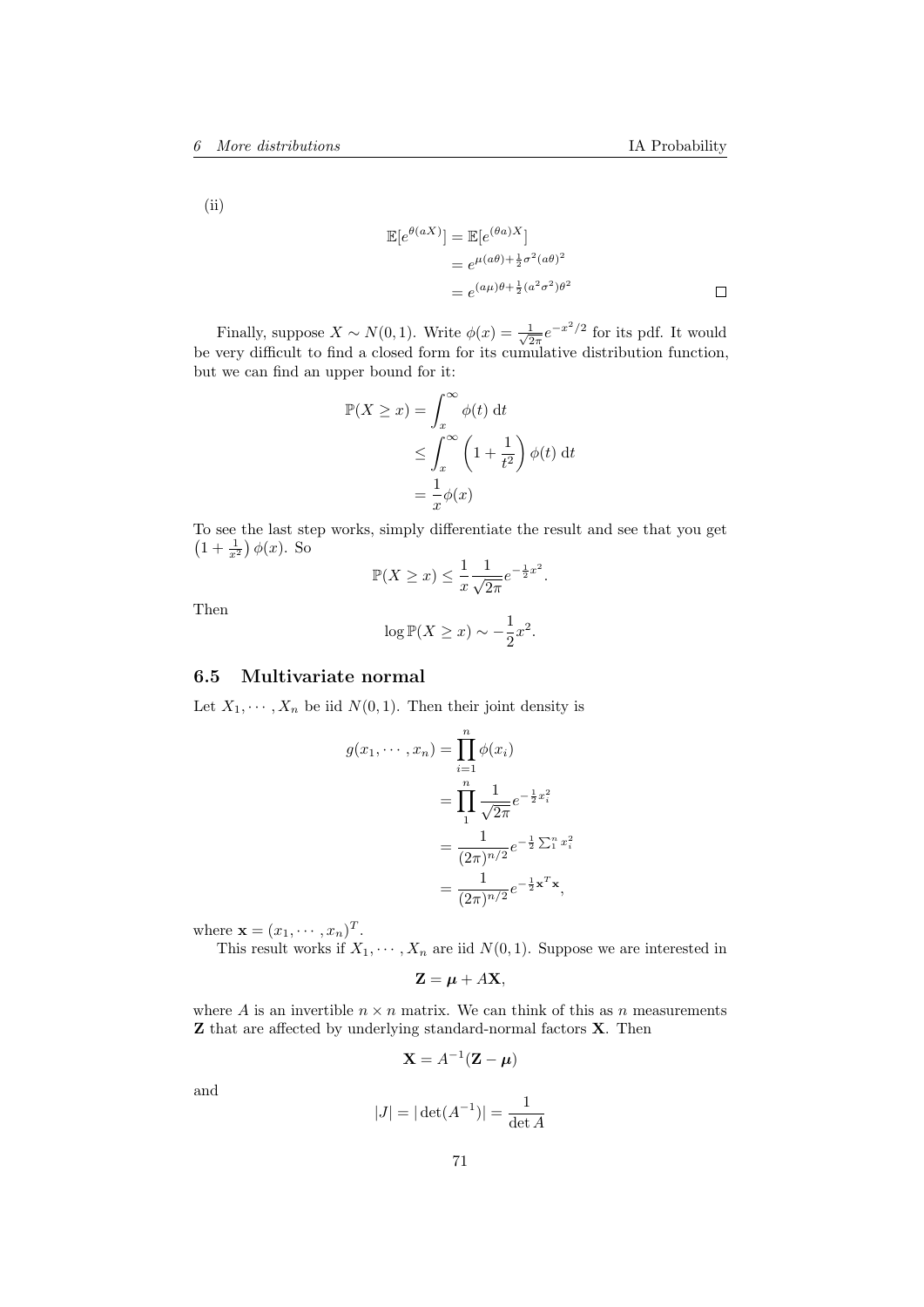(ii)

$$
\mathbb{E}[e^{\theta(aX)}] = \mathbb{E}[e^{(\theta a)X}]
$$
  
=  $e^{\mu(a\theta) + \frac{1}{2}\sigma^2(a\theta)^2}$   
=  $e^{(a\mu)\theta + \frac{1}{2}(a^2\sigma^2)\theta^2}$ 

Finally, suppose  $X \sim N(0, 1)$ . Write  $\phi(x) = \frac{1}{\sqrt{6}}$  $\frac{1}{2\pi}e^{-x^2/2}$  for its pdf. It would be very difficult to find a closed form for its cumulative distribution function, but we can find an upper bound for it:

$$
\mathbb{P}(X \ge x) = \int_x^{\infty} \phi(t) dt
$$
  
\n
$$
\le \int_x^{\infty} \left(1 + \frac{1}{t^2}\right) \phi(t) dt
$$
  
\n
$$
= \frac{1}{x} \phi(x)
$$

To see the last step works, simply differentiate the result and see that you get  $\left(1+\frac{1}{x^2}\right)\phi(x)$ . So

$$
\mathbb{P}(X \ge x) \le \frac{1}{x} \frac{1}{\sqrt{2\pi}} e^{-\frac{1}{2}x^2}.
$$

Then

$$
\log \mathbb{P}(X \ge x) \sim -\frac{1}{2}x^2.
$$

# 6.5 Multivariate normal

Let  $X_1, \dots, X_n$  be iid  $N(0, 1)$ . Then their joint density is

$$
g(x_1, \dots, x_n) = \prod_{i=1}^n \phi(x_i)
$$
  
= 
$$
\prod_{1}^n \frac{1}{\sqrt{2\pi}} e^{-\frac{1}{2}x_i^2}
$$
  
= 
$$
\frac{1}{(2\pi)^{n/2}} e^{-\frac{1}{2}\sum_{1}^n x_i^2}
$$
  
= 
$$
\frac{1}{(2\pi)^{n/2}} e^{-\frac{1}{2}\mathbf{x}^T \mathbf{x}},
$$

where  $\mathbf{x} = (x_1, \dots, x_n)^T$ .

This result works if  $X_1, \dots, X_n$  are iid  $N(0, 1)$ . Suppose we are interested in

$$
\mathbf{Z} = \boldsymbol{\mu} + A\mathbf{X},
$$

where A is an invertible  $n \times n$  matrix. We can think of this as n measurements Z that are affected by underlying standard-normal factors X. Then

$$
\mathbf{X} = A^{-1}(\mathbf{Z} - \boldsymbol{\mu})
$$

and

$$
|J| = |\det(A^{-1})| = \frac{1}{\det A}
$$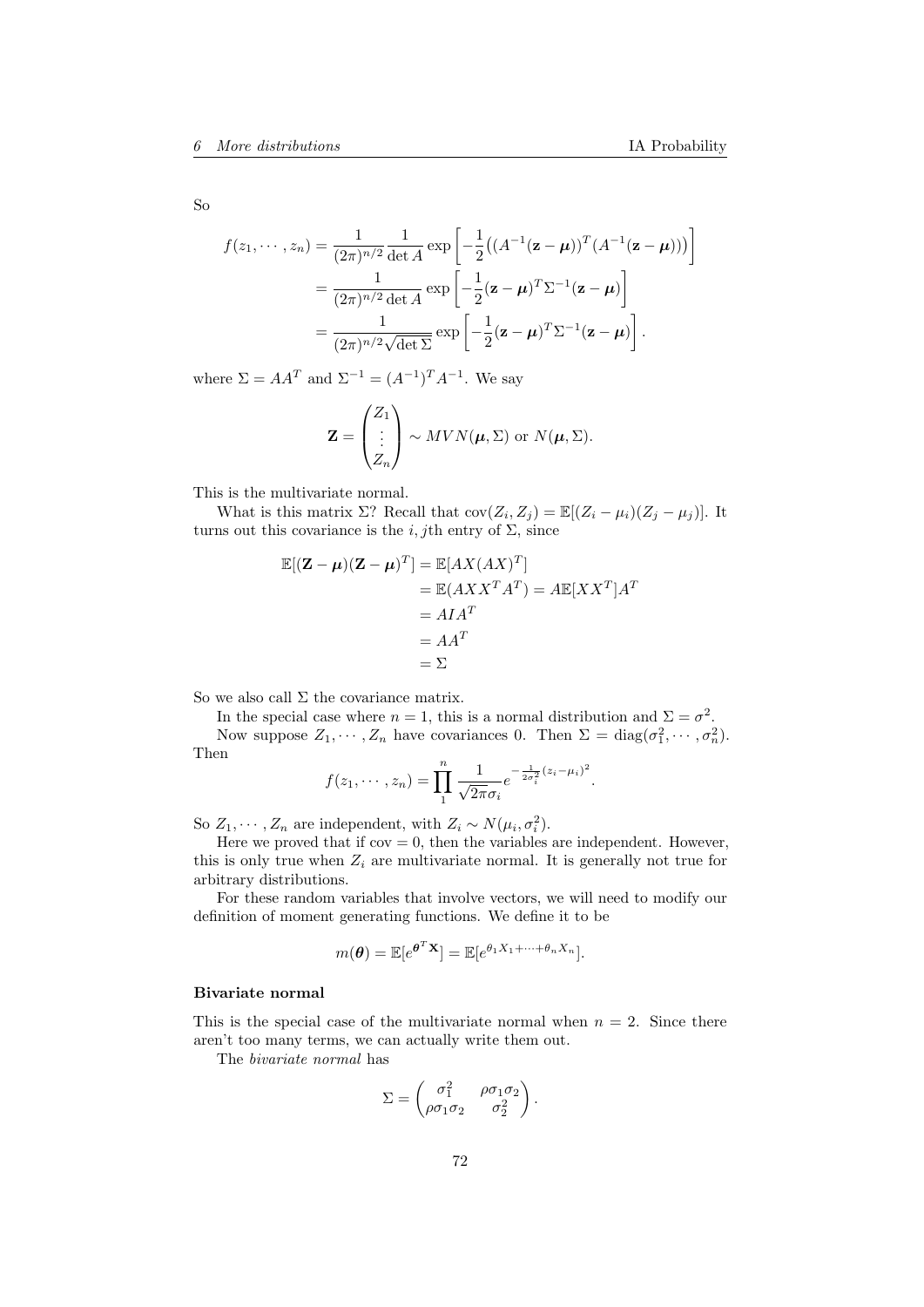So

$$
f(z_1,\dots,z_n) = \frac{1}{(2\pi)^{n/2}} \frac{1}{\det A} \exp\left[-\frac{1}{2} \left((A^{-1}(\mathbf{z}-\boldsymbol{\mu})^T (A^{-1}(\mathbf{z}-\boldsymbol{\mu}))\right)\right]
$$
  
= 
$$
\frac{1}{(2\pi)^{n/2} \det A} \exp\left[-\frac{1}{2} (\mathbf{z}-\boldsymbol{\mu})^T \Sigma^{-1} (\mathbf{z}-\boldsymbol{\mu})\right]
$$
  
= 
$$
\frac{1}{(2\pi)^{n/2} \sqrt{\det \Sigma}} \exp\left[-\frac{1}{2} (\mathbf{z}-\boldsymbol{\mu})^T \Sigma^{-1} (\mathbf{z}-\boldsymbol{\mu})\right].
$$

where  $\Sigma = AA^T$  and  $\Sigma^{-1} = (A^{-1})^T A^{-1}$ . We say

$$
\mathbf{Z} = \begin{pmatrix} Z_1 \\ \vdots \\ Z_n \end{pmatrix} \sim MVN(\boldsymbol{\mu}, \boldsymbol{\Sigma}) \text{ or } N(\boldsymbol{\mu}, \boldsymbol{\Sigma}).
$$

This is the multivariate normal.

What is this matrix  $\Sigma$ ? Recall that  $cov(Z_i, Z_j) = \mathbb{E}[(Z_i - \mu_i)(Z_j - \mu_j)].$  It turns out this covariance is the i, jth entry of  $\Sigma$ , since

$$
\mathbb{E}[(\mathbf{Z} - \boldsymbol{\mu})(\mathbf{Z} - \boldsymbol{\mu})^T] = \mathbb{E}[AX(AX)^T]
$$
  
=  $\mathbb{E}(AXX^TA^T) = A\mathbb{E}[XX^T]A^T$   
=  $AIA^T$   
=  $2\mathbb{E}$ 

So we also call  $\Sigma$  the covariance matrix.

In the special case where  $n = 1$ , this is a normal distribution and  $\Sigma = \sigma^2$ . Now suppose  $Z_1, \dots, Z_n$  have covariances 0. Then  $\Sigma = \text{diag}(\sigma_1^2, \dots, \sigma_n^2)$ . Then

$$
f(z_1, \dots, z_n) = \prod_{1}^{n} \frac{1}{\sqrt{2\pi}\sigma_i} e^{-\frac{1}{2\sigma_i^2}(z_i - \mu_i)^2}.
$$

So  $Z_1, \dots, Z_n$  are independent, with  $Z_i \sim N(\mu_i, \sigma_i^2)$ .

Here we proved that if  $cov = 0$ , then the variables are independent. However, this is only true when  $Z_i$  are multivariate normal. It is generally not true for arbitrary distributions.

For these random variables that involve vectors, we will need to modify our definition of moment generating functions. We define it to be

$$
m(\boldsymbol{\theta}) = \mathbb{E}[e^{\boldsymbol{\theta}^T \mathbf{X}}] = \mathbb{E}[e^{\theta_1 X_1 + \dots + \theta_n X_n}].
$$

#### Bivariate normal

This is the special case of the multivariate normal when  $n = 2$ . Since there aren't too many terms, we can actually write them out.

The bivariate normal has

$$
\Sigma = \begin{pmatrix} \sigma_1^2 & \rho \sigma_1 \sigma_2 \\ \rho \sigma_1 \sigma_2 & \sigma_2^2 \end{pmatrix}.
$$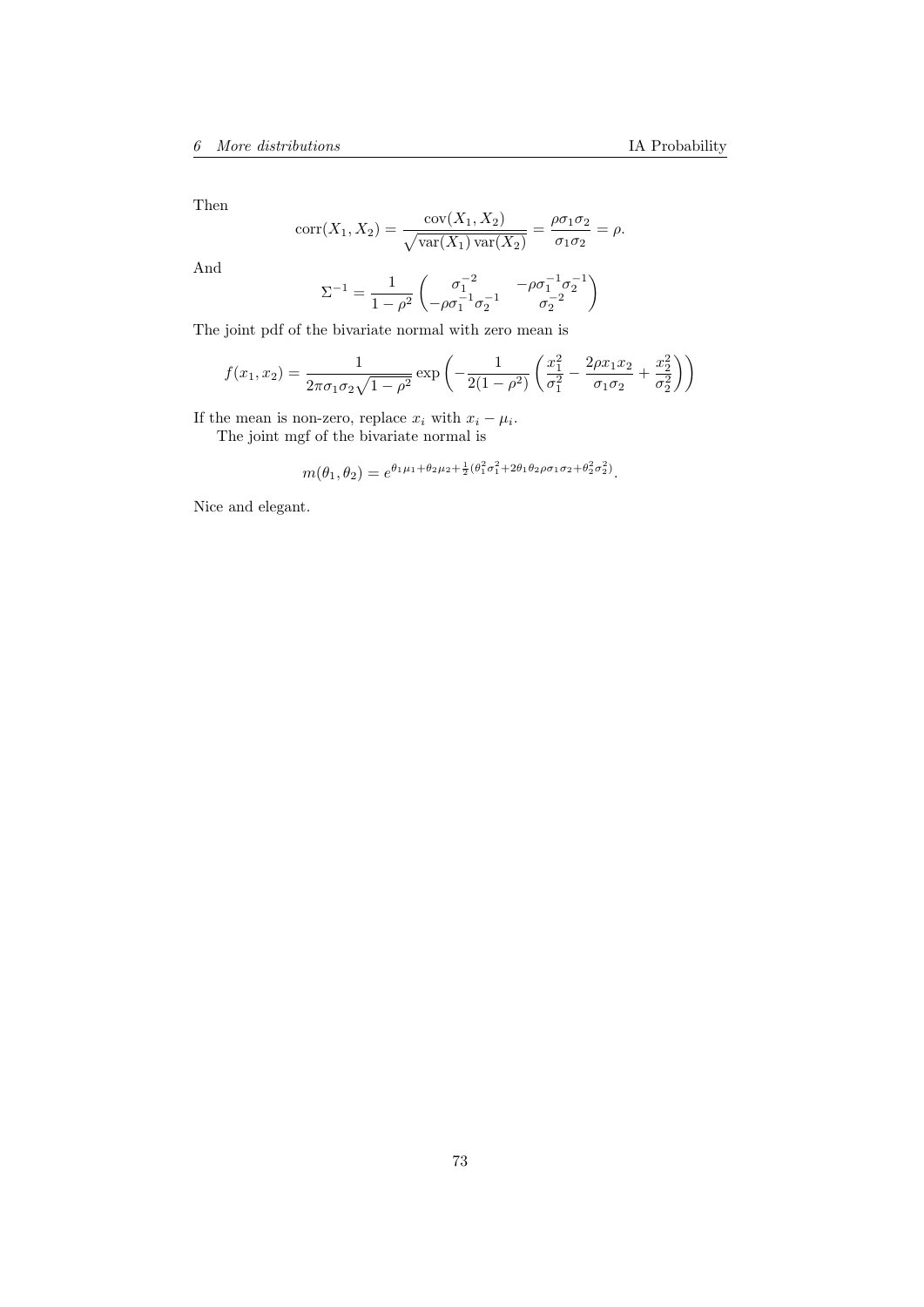Then

$$
corr(X_1, X_2) = \frac{cov(X_1, X_2)}{\sqrt{var(X_1)var(X_2)}} = \frac{\rho \sigma_1 \sigma_2}{\sigma_1 \sigma_2} = \rho.
$$

And

$$
\Sigma^{-1} = \frac{1}{1-\rho^2}\begin{pmatrix} \sigma_1^{-2} & -\rho\sigma_1^{-1}\sigma_2^{-1} \\ -\rho\sigma_1^{-1}\sigma_2^{-1} & \sigma_2^{-2} \end{pmatrix}
$$

The joint pdf of the bivariate normal with zero mean is

$$
f(x_1, x_2) = \frac{1}{2\pi\sigma_1\sigma_2\sqrt{1-\rho^2}} \exp\left(-\frac{1}{2(1-\rho^2)} \left(\frac{x_1^2}{\sigma_1^2} - \frac{2\rho x_1 x_2}{\sigma_1 \sigma_2} + \frac{x_2^2}{\sigma_2^2}\right)\right)
$$

If the mean is non-zero, replace  $x_i$  with  $x_i - \mu_i$ .

The joint mgf of the bivariate normal is

$$
m(\theta_1, \theta_2) = e^{\theta_1 \mu_1 + \theta_2 \mu_2 + \frac{1}{2}(\theta_1^2 \sigma_1^2 + 2\theta_1 \theta_2 \rho \sigma_1 \sigma_2 + \theta_2^2 \sigma_2^2)}.
$$

Nice and elegant.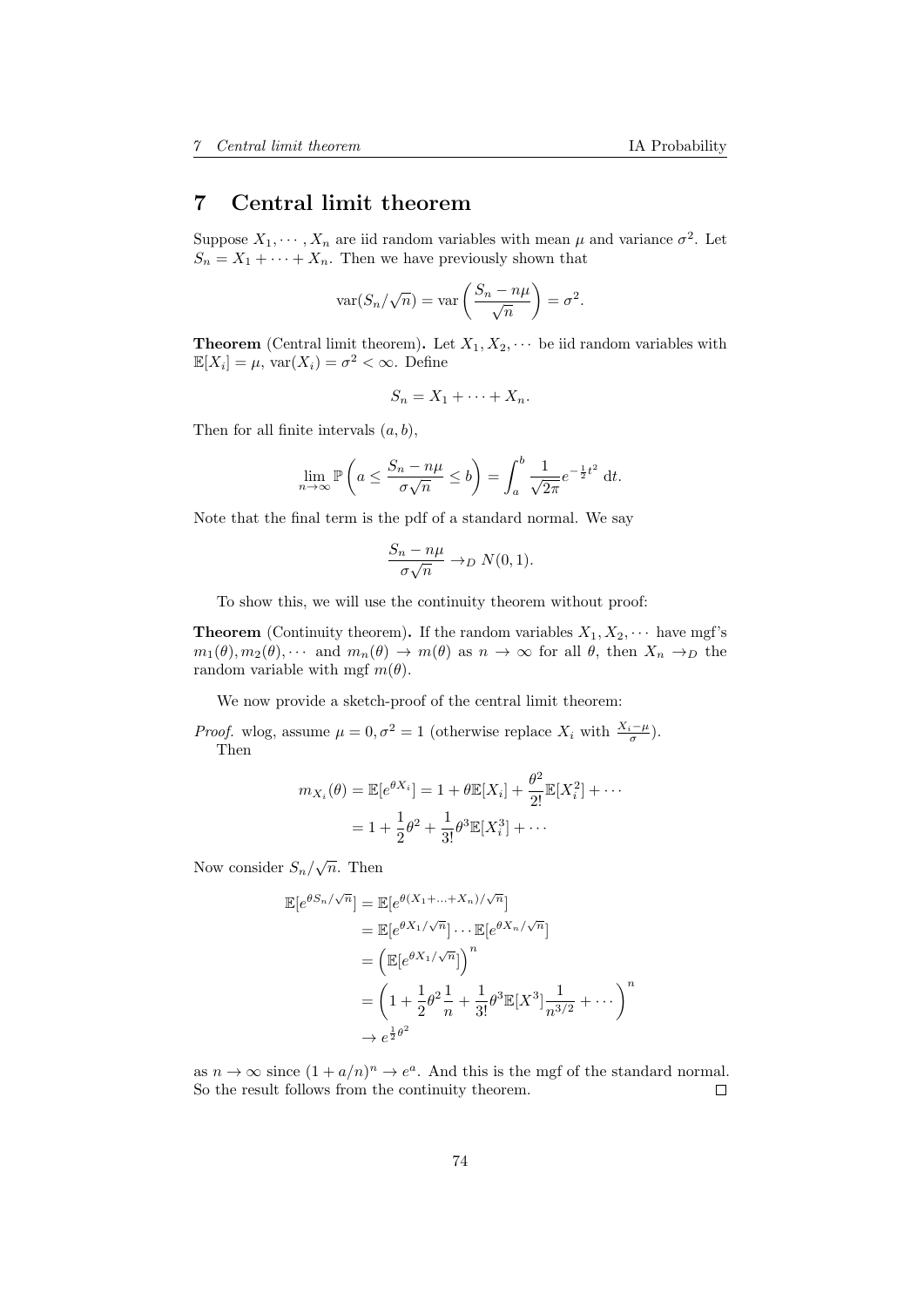## 7 Central limit theorem

Suppose  $X_1, \dots, X_n$  are iid random variables with mean  $\mu$  and variance  $\sigma^2$ . Let  $S_n = X_1 + \cdots + X_n$ . Then we have previously shown that

$$
\text{var}(S_n/\sqrt{n}) = \text{var}\left(\frac{S_n - n\mu}{\sqrt{n}}\right) = \sigma^2.
$$

**Theorem** (Central limit theorem). Let  $X_1, X_2, \cdots$  be iid random variables with  $\mathbb{E}[X_i] = \mu$ ,  $\text{var}(X_i) = \sigma^2 < \infty$ . Define

$$
S_n = X_1 + \cdots + X_n.
$$

Then for all finite intervals  $(a, b)$ ,

$$
\lim_{n \to \infty} \mathbb{P}\left(a \le \frac{S_n - n\mu}{\sigma\sqrt{n}} \le b\right) = \int_a^b \frac{1}{\sqrt{2\pi}} e^{-\frac{1}{2}t^2} dt.
$$

Note that the final term is the pdf of a standard normal. We say

$$
\frac{S_n - n\mu}{\sigma\sqrt{n}} \to_D N(0, 1).
$$

To show this, we will use the continuity theorem without proof:

**Theorem** (Continuity theorem). If the random variables  $X_1, X_2, \cdots$  have mgf's  $m_1(\theta), m_2(\theta), \cdots$  and  $m_n(\theta) \to m(\theta)$  as  $n \to \infty$  for all  $\theta$ , then  $X_n \to_D$  the random variable with mgf  $m(\theta)$ .

We now provide a sketch-proof of the central limit theorem:

*Proof.* wlog, assume  $\mu = 0, \sigma^2 = 1$  (otherwise replace  $X_i$  with  $\frac{X_i - \mu}{\sigma}$ ). Then

$$
m_{X_i}(\theta) = \mathbb{E}[e^{\theta X_i}] = 1 + \theta \mathbb{E}[X_i] + \frac{\theta^2}{2!} \mathbb{E}[X_i^2] + \cdots
$$
  
= 1 +  $\frac{1}{2}\theta^2 + \frac{1}{3!}\theta^3 \mathbb{E}[X_i^3] + \cdots$ 

Now consider  $S_n/\sqrt{n}$ . Then

$$
\mathbb{E}[e^{\theta S_n/\sqrt{n}}] = \mathbb{E}[e^{\theta (X_1 + \dots + X_n)/\sqrt{n}}]
$$
  
\n
$$
= \mathbb{E}[e^{\theta X_1/\sqrt{n}}] \cdots \mathbb{E}[e^{\theta X_n/\sqrt{n}}]
$$
  
\n
$$
= \left(\mathbb{E}[e^{\theta X_1/\sqrt{n}}]\right)^n
$$
  
\n
$$
= \left(1 + \frac{1}{2}\theta^2 \frac{1}{n} + \frac{1}{3!}\theta^3 \mathbb{E}[X^3] \frac{1}{n^{3/2}} + \dots\right)^n
$$
  
\n
$$
\rightarrow e^{\frac{1}{2}\theta^2}
$$

as  $n \to \infty$  since  $(1 + a/n)^n \to e^a$ . And this is the mgf of the standard normal. So the result follows from the continuity theorem.  $\Box$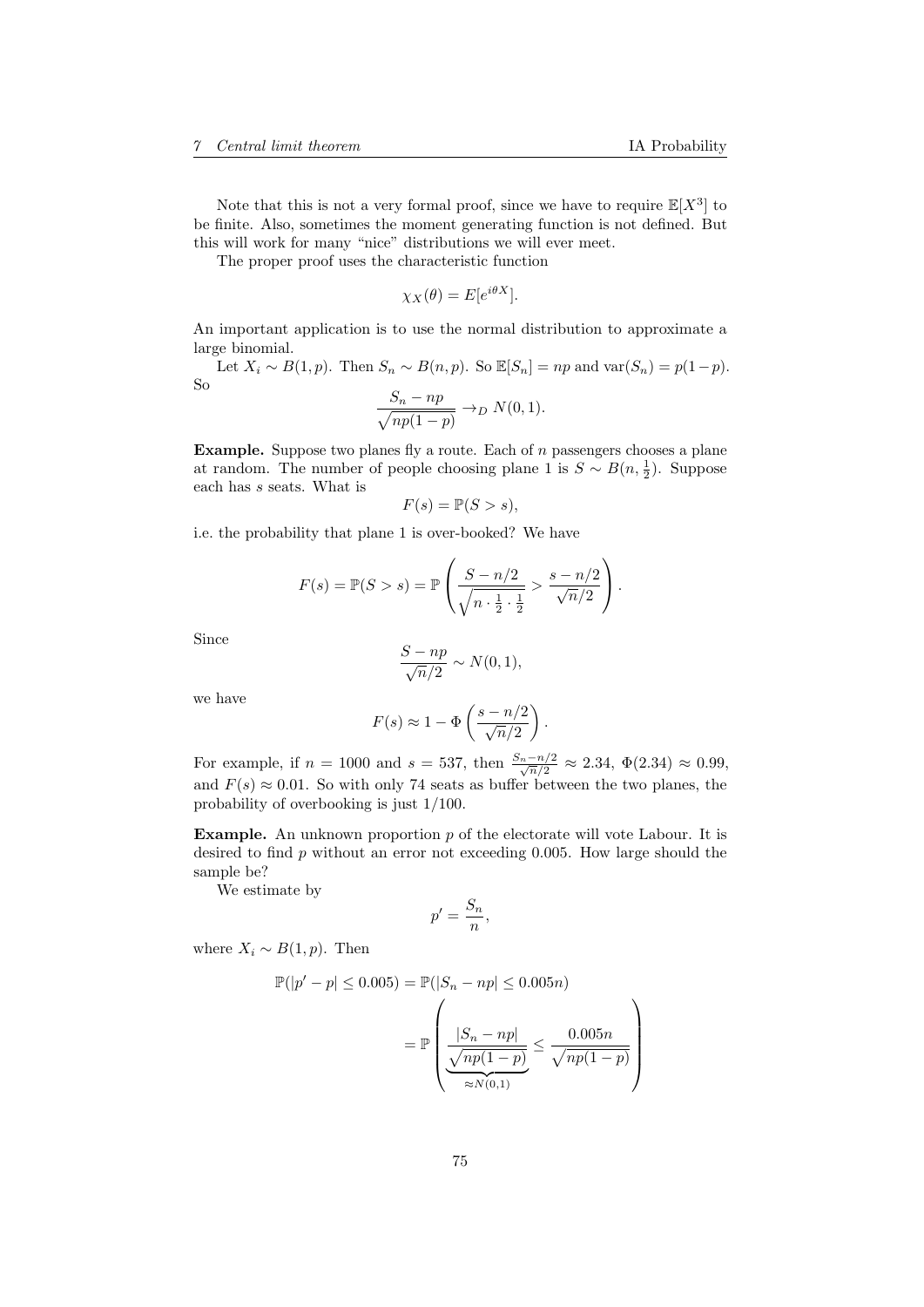Note that this is not a very formal proof, since we have to require  $\mathbb{E}[X^3]$  to be finite. Also, sometimes the moment generating function is not defined. But this will work for many "nice" distributions we will ever meet.

The proper proof uses the characteristic function

$$
\chi_X(\theta) = E[e^{i\theta X}].
$$

An important application is to use the normal distribution to approximate a large binomial.

Let  $X_i \sim B(1, p)$ . Then  $S_n \sim B(n, p)$ . So  $\mathbb{E}[S_n] = np$  and  $\text{var}(S_n) = p(1-p)$ . So

$$
\frac{S_n - np}{\sqrt{np(1-p)}} \to_D N(0, 1).
$$

**Example.** Suppose two planes fly a route. Each of  $n$  passengers chooses a plane at random. The number of people choosing plane 1 is  $S \sim B(n, \frac{1}{2})$ . Suppose each has s seats. What is

$$
F(s) = \mathbb{P}(S > s),
$$

i.e. the probability that plane 1 is over-booked? We have

$$
F(s) = \mathbb{P}(S > s) = \mathbb{P}\left(\frac{S - n/2}{\sqrt{n \cdot \frac{1}{2} \cdot \frac{1}{2}}} > \frac{s - n/2}{\sqrt{n}/2}\right).
$$

Since

$$
\frac{S - np}{\sqrt{n}/2} \sim N(0, 1),
$$

we have

$$
F(s) \approx 1 - \Phi\left(\frac{s - n/2}{\sqrt{n}/2}\right).
$$

For example, if  $n = 1000$  and  $s = 537$ , then  $\frac{S_n - n/2}{\sqrt{n/2}} \approx 2.34$ ,  $\Phi(2.34) \approx 0.99$ , and  $F(s) \approx 0.01$ . So with only 74 seats as buffer between the two planes, the probability of overbooking is just 1/100.

**Example.** An unknown proportion  $p$  of the electorate will vote Labour. It is desired to find p without an error not exceeding 0.005. How large should the sample be?

We estimate by

$$
p'=\frac{S_n}{n},
$$

where  $X_i \sim B(1, p)$ . Then

$$
\mathbb{P}(|p'-p| \le 0.005) = \mathbb{P}(|S_n - np| \le 0.005n)
$$

$$
= \mathbb{P}\left(\frac{|S_n - np|}{\sqrt{np(1-p)}} \le \frac{0.005n}{\sqrt{np(1-p)}}\right)
$$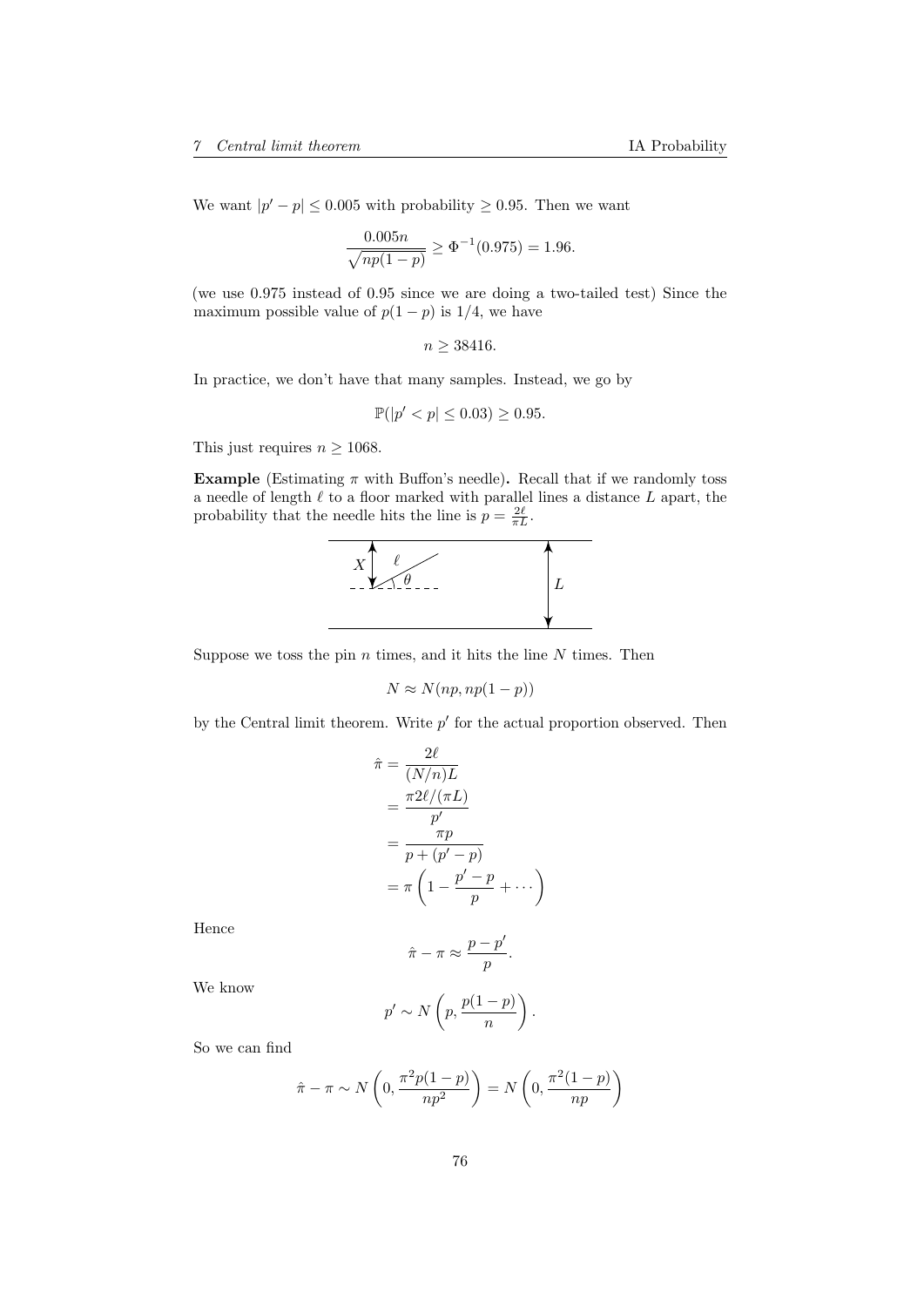We want  $|p'-p| \leq 0.005$  with probability  $\geq 0.95$ . Then we want

$$
\frac{0.005n}{\sqrt{np(1-p)}} \ge \Phi^{-1}(0.975) = 1.96.
$$

(we use 0.975 instead of 0.95 since we are doing a two-tailed test) Since the maximum possible value of  $p(1-p)$  is  $1/4$ , we have

$$
n \geq 38416.
$$

In practice, we don't have that many samples. Instead, we go by

$$
\mathbb{P}(|p' < p| \le 0.03) \ge 0.95.
$$

This just requires  $n \geq 1068$ .

**Example** (Estimating  $\pi$  with Buffon's needle). Recall that if we randomly toss a needle of length  $\ell$  to a floor marked with parallel lines a distance  $L$  apart, the probability that the needle hits the line is  $p = \frac{2\ell}{\pi L}$ .



Suppose we toss the pin  $n$  times, and it hits the line  $N$  times. Then

$$
N \approx N(np, np(1-p))
$$

by the Central limit theorem. Write  $p'$  for the actual proportion observed. Then

$$
\hat{\pi} = \frac{2\ell}{(N/n)L}
$$
\n
$$
= \frac{\pi 2\ell/(\pi L)}{p'}
$$
\n
$$
= \frac{\pi p}{p + (p' - p)}
$$
\n
$$
= \pi \left(1 - \frac{p' - p}{p} + \cdots \right)
$$

Hence

$$
\hat{\pi} - \pi \approx \frac{p - p'}{p}.
$$

We know

$$
p' \sim N\left(p, \frac{p(1-p)}{n}\right).
$$

So we can find

$$
\hat{\pi} - \pi \sim N\left(0, \frac{\pi^2 p(1-p)}{np^2}\right) = N\left(0, \frac{\pi^2(1-p)}{np}\right)
$$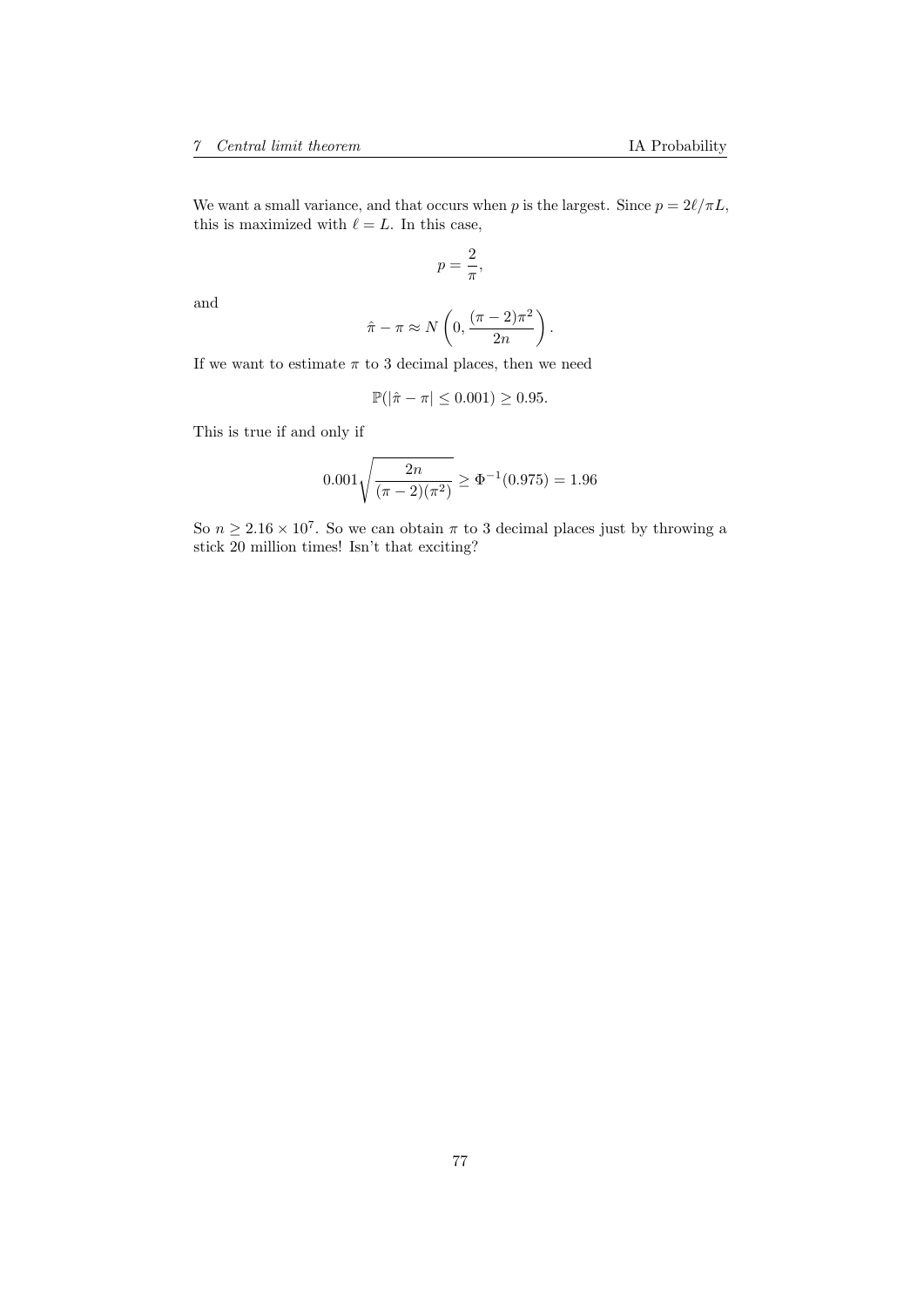We want a small variance, and that occurs when p is the largest. Since  $p = 2\ell/\pi L$ , this is maximized with  $\ell = L$ . In this case,

$$
p=\frac{2}{\pi},
$$

and

$$
\hat{\pi} - \pi \approx N\left(0, \frac{(\pi - 2)\pi^2}{2n}\right).
$$

If we want to estimate  $\pi$  to 3 decimal places, then we need

$$
\mathbb{P}(|\hat{\pi} - \pi| \le 0.001) \ge 0.95.
$$

This is true if and only if

$$
0.001\sqrt{\frac{2n}{(\pi - 2)(\pi^2)}} \ge \Phi^{-1}(0.975) = 1.96
$$

So  $n \geq 2.16 \times 10^7$ . So we can obtain  $\pi$  to 3 decimal places just by throwing a stick 20 million times! Isn't that exciting?